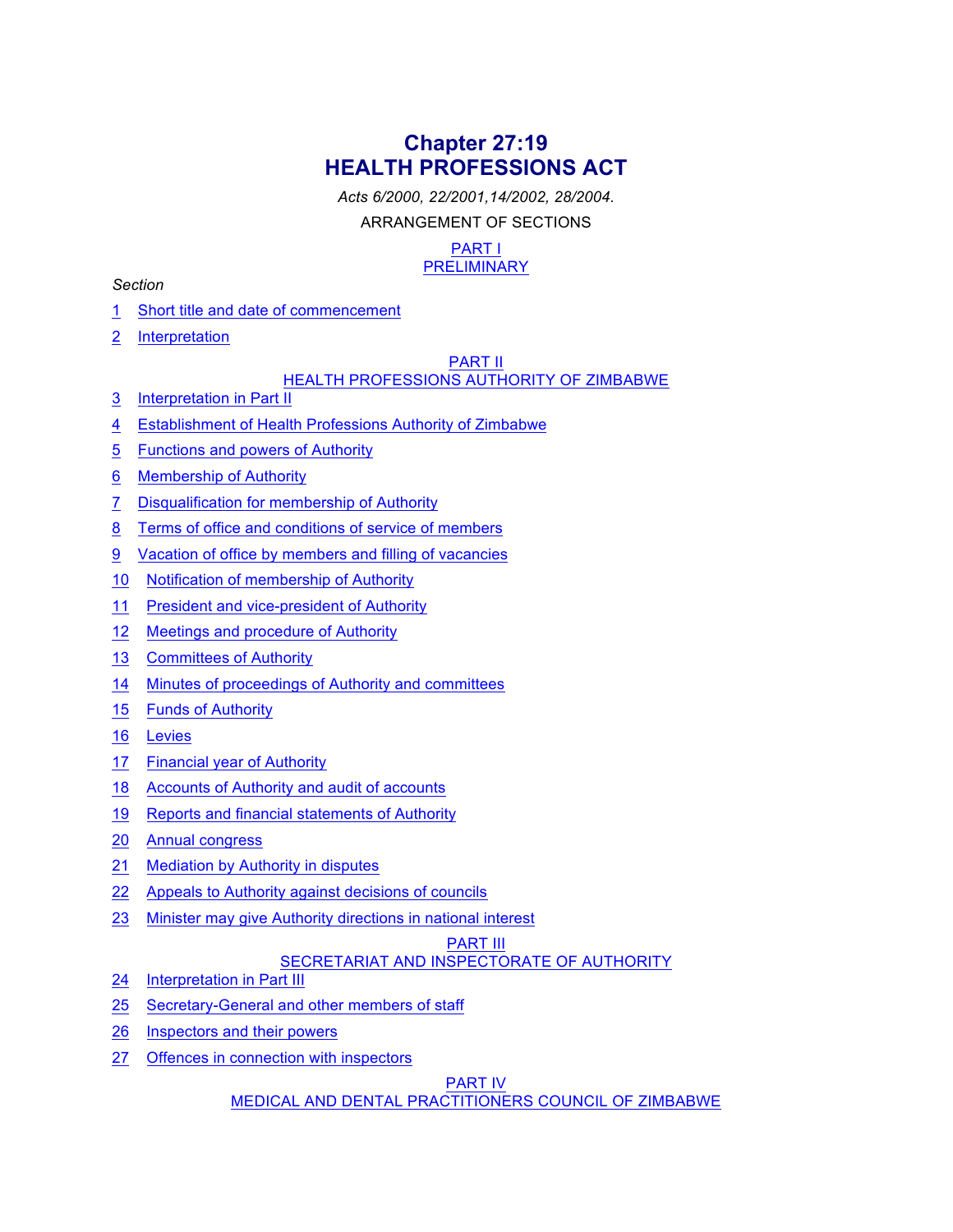# **Chapter 27:19 HEALTH PROFESSIONS ACT**

*Acts 6/2000, 22/2001,14/2002, 28/2004.*

ARRANGEMENT OF SECTIONS

#### PART I PRELIMINARY

### *Section*

- 1 Short title and date of commencement
- 2 Interpretation

### PART II

# HEALTH PROFESSIONS AUTHORITY OF ZIMBABWE

- 3 Interpretation in Part II
- 4 Establishment of Health Professions Authority of Zimbabwe
- 5 Functions and powers of Authority
- 6 Membership of Authority
- 7 Disqualification for membership of Authority
- 8 Terms of office and conditions of service of members
- 9 Vacation of office by members and filling of vacancies
- 10 Notification of membership of Authority
- 11 President and vice-president of Authority
- 12 Meetings and procedure of Authority
- 13 Committees of Authority
- 14 Minutes of proceedings of Authority and committees
- 15 Funds of Authority
- 16 Levies
- 17 Financial year of Authority
- 18 Accounts of Authority and audit of accounts
- 19 Reports and financial statements of Authority
- 20 Annual congress
- 21 Mediation by Authority in disputes
- 22 Appeals to Authority against decisions of councils
- 23 Minister may give Authority directions in national interest

### PART III

# SECRETARIAT AND INSPECTORATE OF AUTHORITY

- 24 Interpretation in Part III
- 25 Secretary-General and other members of staff
- 26 Inspectors and their powers
- 27 Offences in connection with inspectors

### PART IV

MEDICAL AND DENTAL PRACTITIONERS COUNCIL OF ZIMBABWE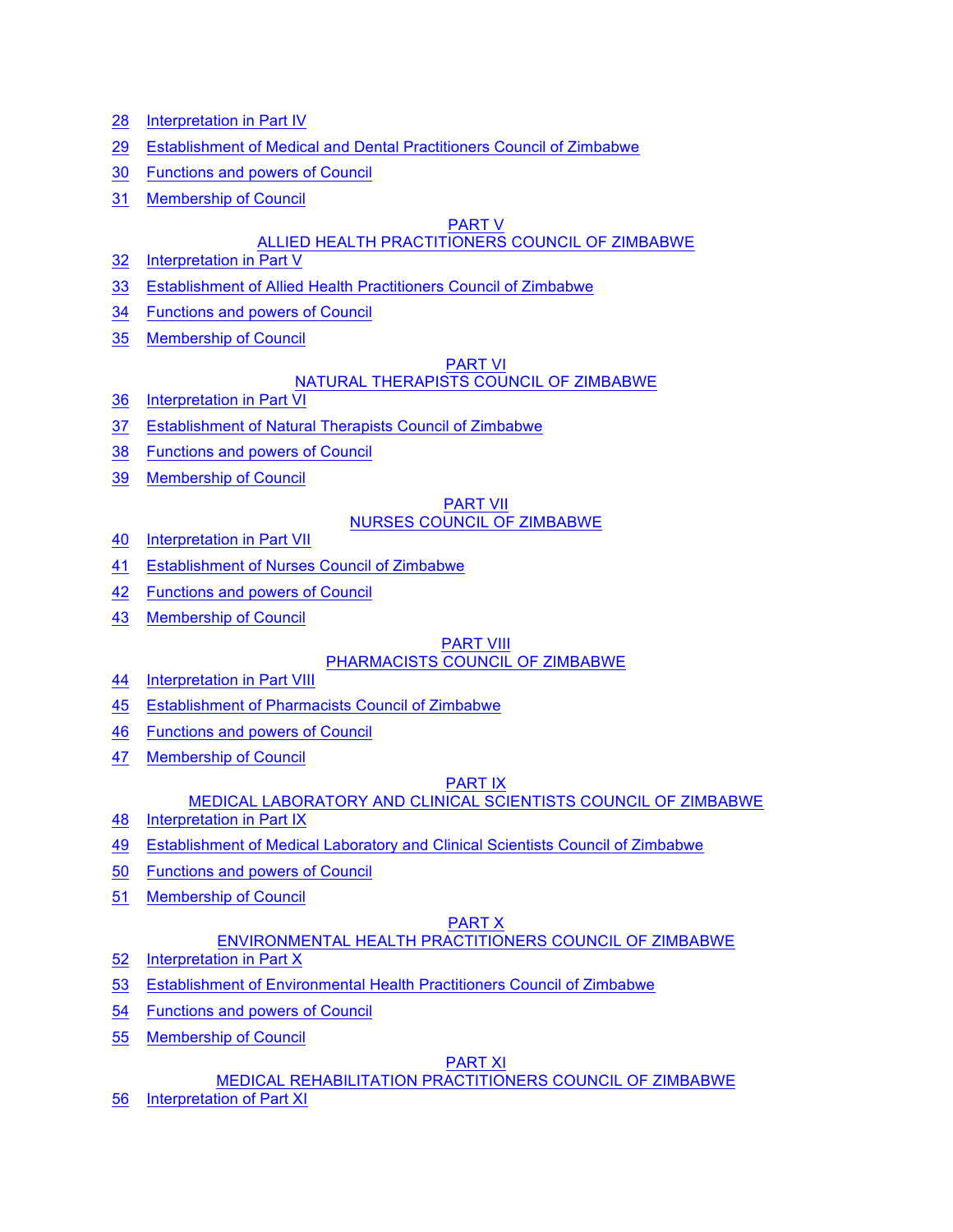- 28 Interpretation in Part IV
- 29 Establishment of Medical and Dental Practitioners Council of Zimbabwe
- 30 Functions and powers of Council
- 31 Membership of Council

#### PART V

### ALLIED HEALTH PRACTITIONERS COUNCIL OF ZIMBABWE

- 32 Interpretation in Part V
- 33 Establishment of Allied Health Practitioners Council of Zimbabwe
- 34 Functions and powers of Council
- 35 Membership of Council

### PART VI

### NATURAL THERAPISTS COUNCIL OF ZIMBABWE

- 36 Interpretation in Part VI
- 37 Establishment of Natural Therapists Council of Zimbabwe
- 38 Functions and powers of Council
- 39 Membership of Council

#### PART VII NURSES COUNCIL OF ZIMBABWE

- 40 Interpretation in Part VII
- 41 Establishment of Nurses Council of Zimbabwe
- 42 Functions and powers of Council
- 43 Membership of Council

#### PART VIII PHARMACISTS COUNCIL OF ZIMBABWE

- 44 Interpretation in Part VIII
- 45 Establishment of Pharmacists Council of Zimbabwe
- 46 Functions and powers of Council
- 47 Membership of Council

### PART IX

### MEDICAL LABORATORY AND CLINICAL SCIENTISTS COUNCIL OF ZIMBABWE

- 48 Interpretation in Part IX
- 49 Establishment of Medical Laboratory and Clinical Scientists Council of Zimbabwe
- 50 Functions and powers of Council
- 51 Membership of Council

# PART X

# ENVIRONMENTAL HEALTH PRACTITIONERS COUNCIL OF ZIMBABWE

- 52 Interpretation in Part X
- 53 Establishment of Environmental Health Practitioners Council of Zimbabwe
- 54 Functions and powers of Council
- 55 Membership of Council

### PART XI

### MEDICAL REHABILITATION PRACTITIONERS COUNCIL OF ZIMBABWE

56 Interpretation of Part XI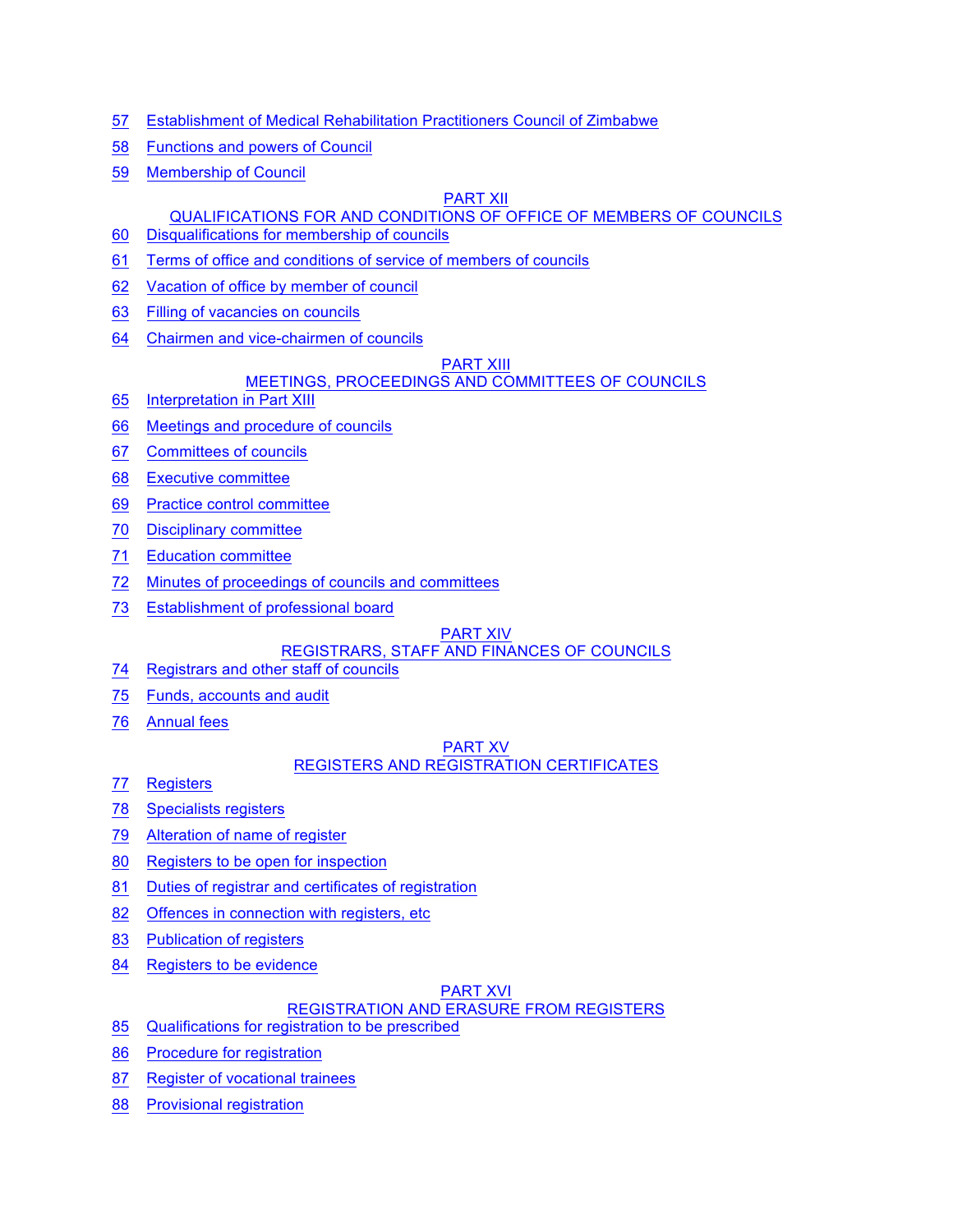- 57 Establishment of Medical Rehabilitation Practitioners Council of Zimbabwe
- 58 Functions and powers of Council
- 59 Membership of Council

#### PART XII

### QUALIFICATIONS FOR AND CONDITIONS OF OFFICE OF MEMBERS OF COUNCILS

- 60 Disqualifications for membership of councils
- 61 Terms of office and conditions of service of members of councils
- 62 Vacation of office by member of council
- 63 Filling of vacancies on councils
- 64 Chairmen and vice-chairmen of councils

#### **PART XIII**

### MEETINGS, PROCEEDINGS AND COMMITTEES OF COUNCILS

- 65 Interpretation in Part XIII
- 66 Meetings and procedure of councils
- 67 Committees of councils
- 68 Executive committee
- 69 Practice control committee
- 70 Disciplinary committee
- 71 Education committee
- 72 Minutes of proceedings of councils and committees
- 73 Establishment of professional board

#### PART XIV

### REGISTRARS, STAFF AND FINANCES OF COUNCILS

- 74 Registrars and other staff of councils
- 75 Funds, accounts and audit
- 76 Annual fees

#### PART XV REGISTERS AND REGISTRATION CERTIFICATES

- 77 Registers
- 78 Specialists registers
- 79 Alteration of name of register
- 80 Registers to be open for inspection
- 81 Duties of registrar and certificates of registration
- 82 Offences in connection with registers, etc
- 83 Publication of registers
- 84 Registers to be evidence

#### PART XVI

### REGISTRATION AND ERASURE FROM REGISTERS

- 85 Qualifications for registration to be prescribed
- 86 Procedure for registration
- 87 Register of vocational trainees
- 88 Provisional registration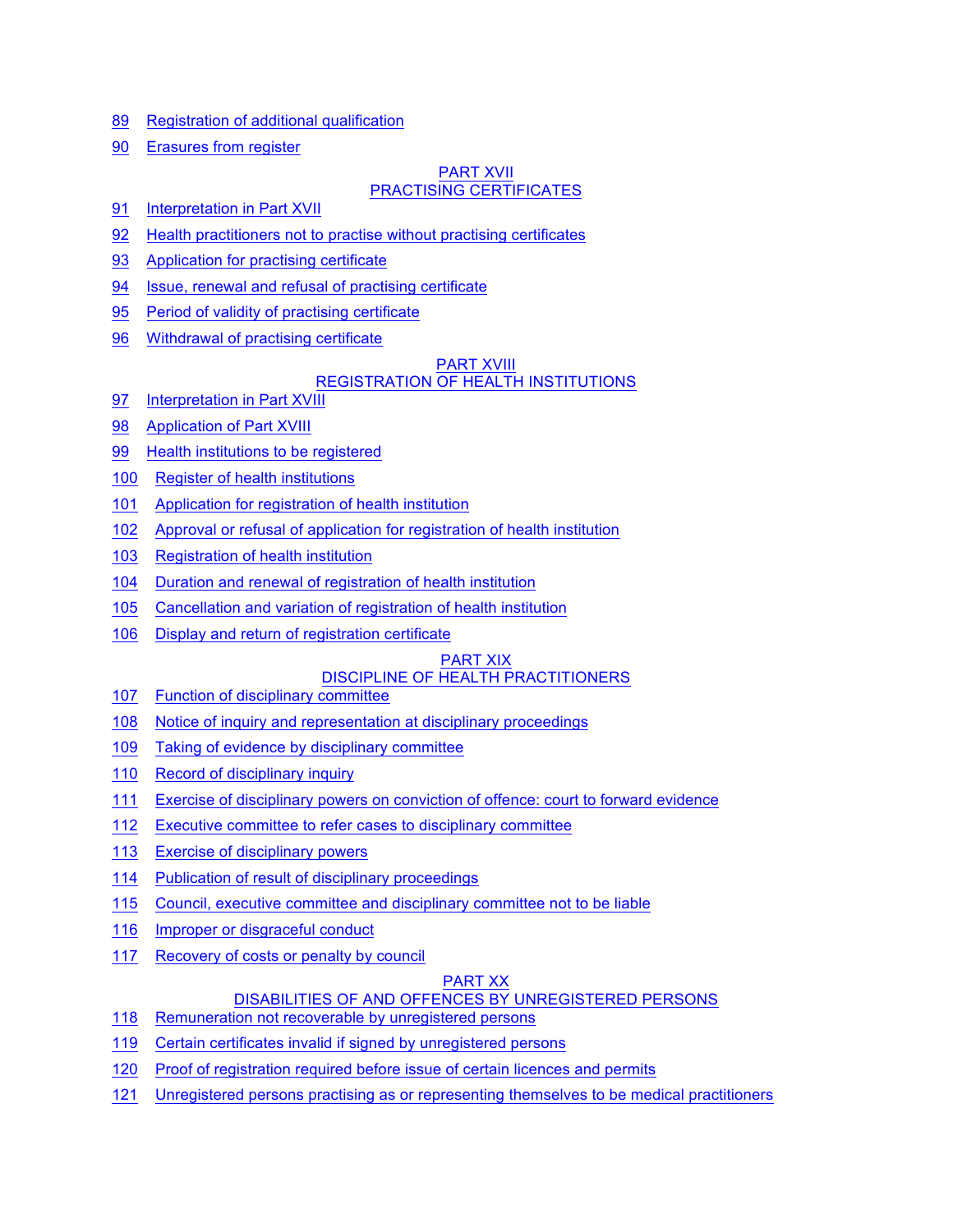- 89 Registration of additional qualification
- 90 Erasures from register

#### PART XVII PRACTISING CERTIFICATES

- 91 Interpretation in Part XVII
- 92 Health practitioners not to practise without practising certificates
- 93 Application for practising certificate
- 94 Issue, renewal and refusal of practising certificate
- 95 Period of validity of practising certificate
- 96 Withdrawal of practising certificate

#### PART XVIII

### REGISTRATION OF HEALTH INSTITUTIONS

- 97 Interpretation in Part XVIII
- 98 Application of Part XVIII
- 99 Health institutions to be registered
- 100 Register of health institutions
- 101 Application for registration of health institution
- 102 Approval or refusal of application for registration of health institution
- 103 Registration of health institution
- 104 Duration and renewal of registration of health institution
- 105 Cancellation and variation of registration of health institution
- 106 Display and return of registration certificate

#### PART XIX

### DISCIPLINE OF HEALTH PRACTITIONERS

- 107 Function of disciplinary committee
- 108 Notice of inquiry and representation at disciplinary proceedings
- 109 Taking of evidence by disciplinary committee
- 110 Record of disciplinary inquiry
- 111 Exercise of disciplinary powers on conviction of offence: court to forward evidence
- 112 Executive committee to refer cases to disciplinary committee
- 113 Exercise of disciplinary powers
- 114 Publication of result of disciplinary proceedings
- 115 Council, executive committee and disciplinary committee not to be liable
- 116 Improper or disgraceful conduct
- 117 Recovery of costs or penalty by council

### PART XX

### DISABILITIES OF AND OFFENCES BY UNREGISTERED PERSONS

118 Remuneration not recoverable by unregistered persons

- 119 Certain certificates invalid if signed by unregistered persons
- 120 Proof of registration required before issue of certain licences and permits
- 121 Unregistered persons practising as or representing themselves to be medical practitioners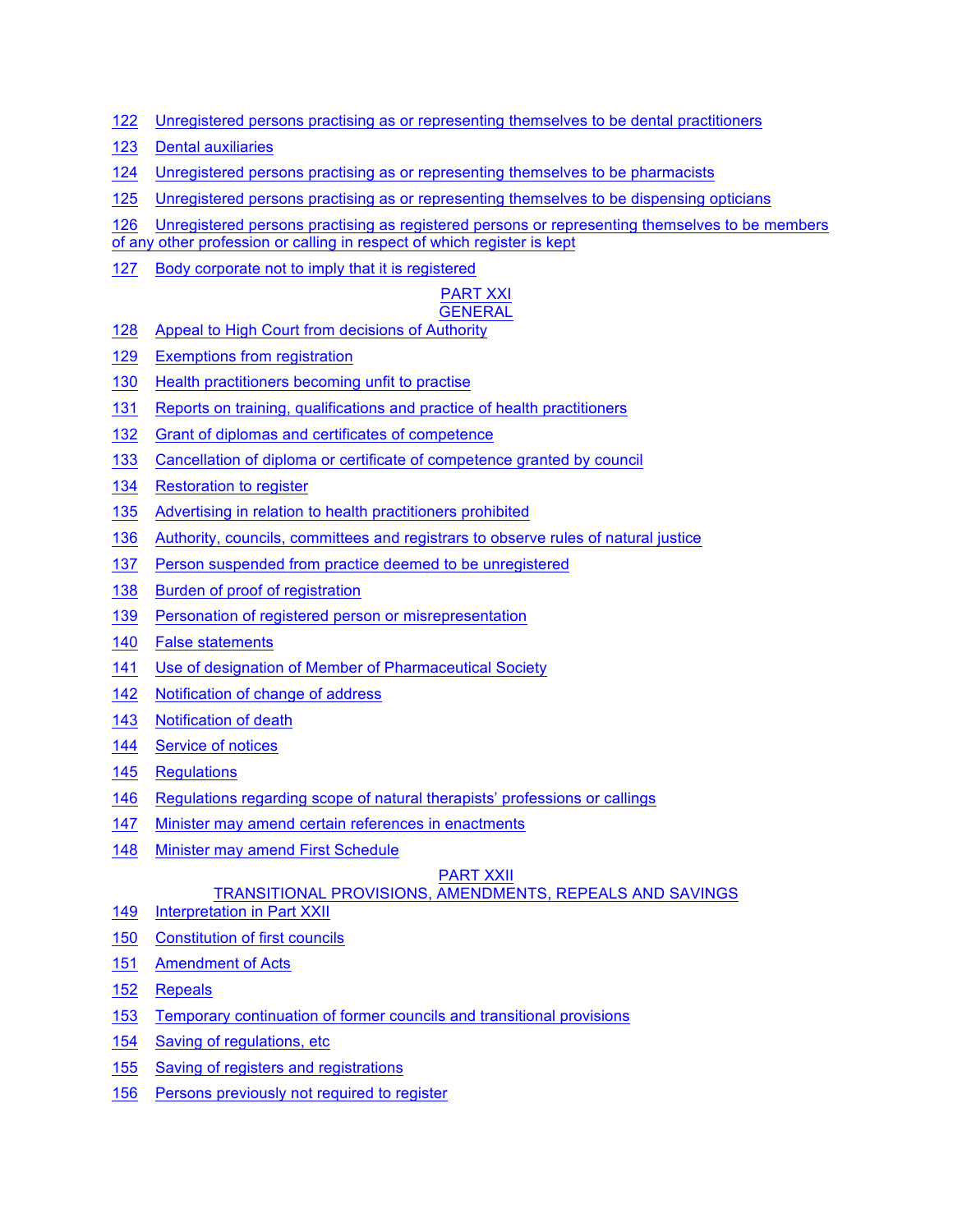- 122 Unregistered persons practising as or representing themselves to be dental practitioners
- 123 Dental auxiliaries
- 124 Unregistered persons practising as or representing themselves to be pharmacists
- 125 Unregistered persons practising as or representing themselves to be dispensing opticians

126 Unregistered persons practising as registered persons or representing themselves to be members

of any other profession or calling in respect of which register is kept

127 Body corporate not to imply that it is registered

#### PART XXI **GENERAL**

- 128 Appeal to High Court from decisions of Authority
- 129 Exemptions from registration
- 130 Health practitioners becoming unfit to practise
- 131 Reports on training, qualifications and practice of health practitioners
- 132 Grant of diplomas and certificates of competence
- 133 Cancellation of diploma or certificate of competence granted by council
- 134 Restoration to register
- 135 Advertising in relation to health practitioners prohibited
- 136 Authority, councils, committees and registrars to observe rules of natural justice
- 137 Person suspended from practice deemed to be unregistered
- 138 Burden of proof of registration
- 139 Personation of registered person or misrepresentation
- 140 False statements
- 141 Use of designation of Member of Pharmaceutical Society
- 142 Notification of change of address
- 143 Notification of death
- 144 Service of notices
- 145 Regulations
- 146 Regulations regarding scope of natural therapists' professions or callings
- 147 Minister may amend certain references in enactments
- 148 Minister may amend First Schedule

### PART XXII

# TRANSITIONAL PROVISIONS, AMENDMENTS, REPEALS AND SAVINGS

- 149 Interpretation in Part XXII
- 150 Constitution of first councils
- 151 Amendment of Acts
- 152 Repeals
- 153 Temporary continuation of former councils and transitional provisions
- 154 Saving of regulations, etc
- 155 Saving of registers and registrations
- 156 Persons previously not required to register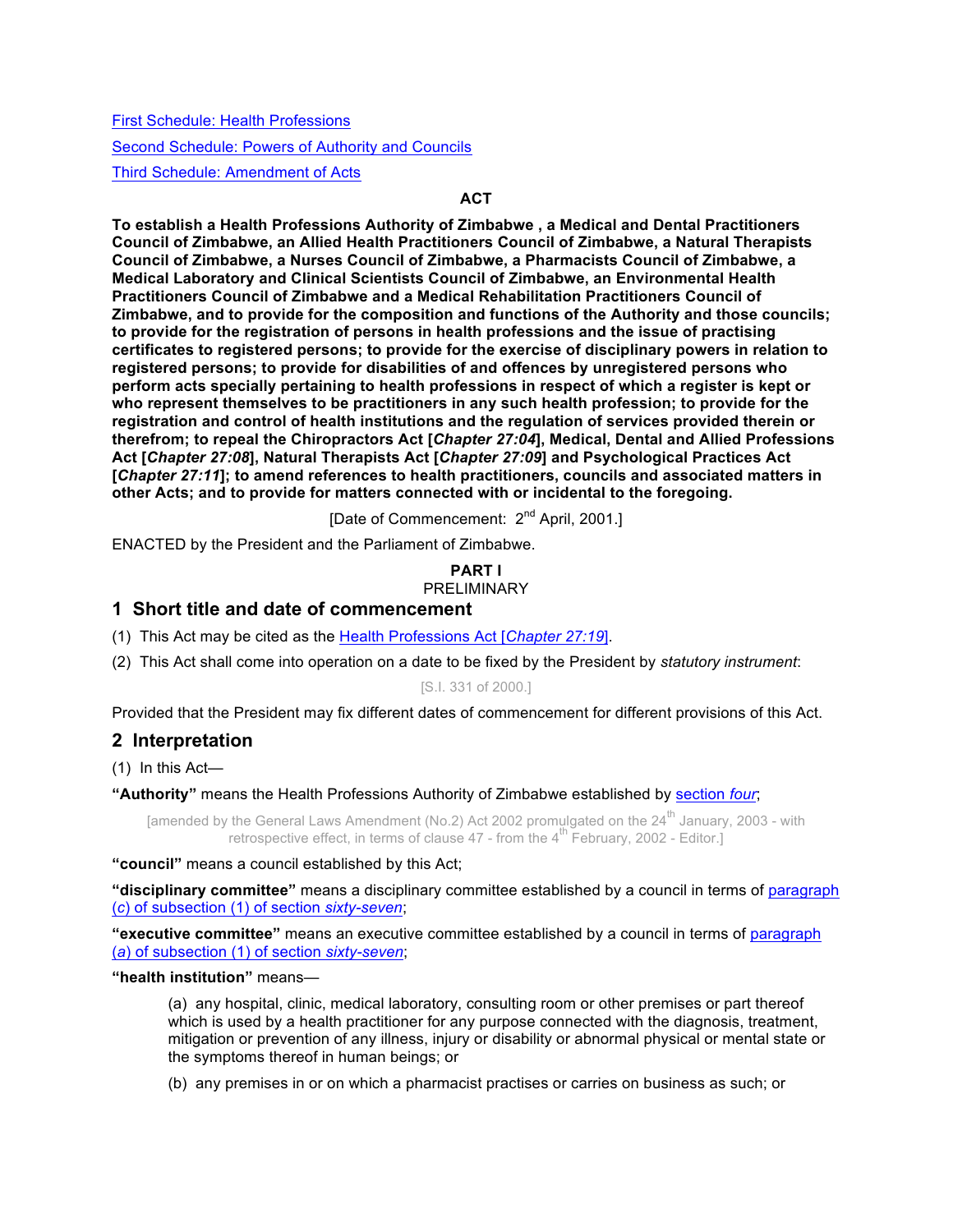First Schedule: Health Professions

Second Schedule: Powers of Authority and Councils

Third Schedule: Amendment of Acts

### **ACT**

**To establish a Health Professions Authority of Zimbabwe , a Medical and Dental Practitioners Council of Zimbabwe, an Allied Health Practitioners Council of Zimbabwe, a Natural Therapists Council of Zimbabwe, a Nurses Council of Zimbabwe, a Pharmacists Council of Zimbabwe, a Medical Laboratory and Clinical Scientists Council of Zimbabwe, an Environmental Health Practitioners Council of Zimbabwe and a Medical Rehabilitation Practitioners Council of Zimbabwe, and to provide for the composition and functions of the Authority and those councils; to provide for the registration of persons in health professions and the issue of practising certificates to registered persons; to provide for the exercise of disciplinary powers in relation to registered persons; to provide for disabilities of and offences by unregistered persons who perform acts specially pertaining to health professions in respect of which a register is kept or who represent themselves to be practitioners in any such health profession; to provide for the registration and control of health institutions and the regulation of services provided therein or therefrom; to repeal the Chiropractors Act [***Chapter 27:04***], Medical, Dental and Allied Professions Act [***Chapter 27:08***], Natural Therapists Act [***Chapter 27:09***] and Psychological Practices Act [***Chapter 27:11***]; to amend references to health practitioners, councils and associated matters in other Acts; and to provide for matters connected with or incidental to the foregoing.**

[Date of Commencement: 2<sup>nd</sup> April, 2001.]

ENACTED by the President and the Parliament of Zimbabwe.

#### **PART I** PRELIMINARY

# **1 Short title and date of commencement**

(1) This Act may be cited as the Health Professions Act [*Chapter 27:19*].

(2) This Act shall come into operation on a date to be fixed by the President by *statutory instrument*:

#### [S.I. 331 of 2000.]

Provided that the President may fix different dates of commencement for different provisions of this Act.

### **2 Interpretation**

(1) In this Act—

**"Authority"** means the Health Professions Authority of Zimbabwe established by section *four*;

[amended by the General Laws Amendment (No.2) Act 2002 promulgated on the 24<sup>th</sup> January, 2003 - with retrospective effect, in terms of clause  $47$  - from the  $4^{\text{th}}$  February, 2002 - Editor.]

#### **"council"** means a council established by this Act;

**"disciplinary committee"** means a disciplinary committee established by a council in terms of paragraph (*c*) of subsection (1) of section *sixty-seven*;

**"executive committee"** means an executive committee established by a council in terms of paragraph (*a*) of subsection (1) of section *sixty-seven*;

**"health institution"** means—

(a) any hospital, clinic, medical laboratory, consulting room or other premises or part thereof which is used by a health practitioner for any purpose connected with the diagnosis, treatment, mitigation or prevention of any illness, injury or disability or abnormal physical or mental state or the symptoms thereof in human beings; or

(b) any premises in or on which a pharmacist practises or carries on business as such; or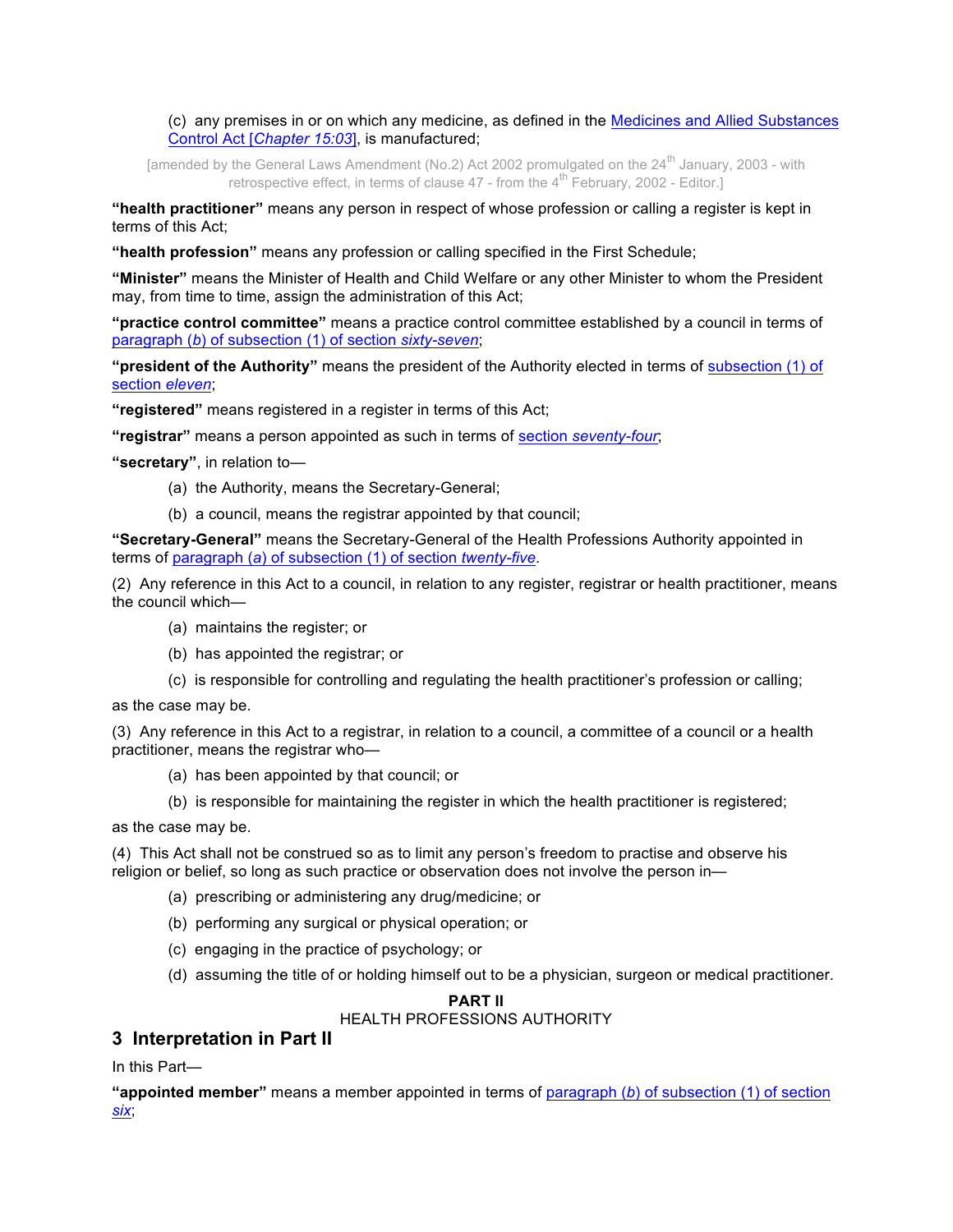(c) any premises in or on which any medicine, as defined in the Medicines and Allied Substances Control Act [*Chapter 15:03*], is manufactured;

[amended by the General Laws Amendment (No.2) Act 2002 promulgated on the 24<sup>th</sup> January, 2003 - with retrospective effect, in terms of clause  $47$  - from the  $4^{\text{th}}$  February, 2002 - Editor.]

**"health practitioner"** means any person in respect of whose profession or calling a register is kept in terms of this Act;

**"health profession"** means any profession or calling specified in the First Schedule;

**"Minister"** means the Minister of Health and Child Welfare or any other Minister to whom the President may, from time to time, assign the administration of this Act;

**"practice control committee"** means a practice control committee established by a council in terms of paragraph (*b*) of subsection (1) of section *sixty-seven*;

**"president of the Authority"** means the president of the Authority elected in terms of subsection (1) of section *eleven*;

**"registered"** means registered in a register in terms of this Act;

**"registrar"** means a person appointed as such in terms of section *seventy-four*;

**"secretary"**, in relation to—

- (a) the Authority, means the Secretary-General;
- (b) a council, means the registrar appointed by that council;

**"Secretary-General"** means the Secretary-General of the Health Professions Authority appointed in terms of paragraph (*a*) of subsection (1) of section *twenty-five*.

(2) Any reference in this Act to a council, in relation to any register, registrar or health practitioner, means the council which—

- (a) maintains the register; or
- (b) has appointed the registrar; or
- (c) is responsible for controlling and regulating the health practitioner's profession or calling;

as the case may be.

(3) Any reference in this Act to a registrar, in relation to a council, a committee of a council or a health practitioner, means the registrar who—

- (a) has been appointed by that council; or
- (b) is responsible for maintaining the register in which the health practitioner is registered;

as the case may be.

(4) This Act shall not be construed so as to limit any person's freedom to practise and observe his religion or belief, so long as such practice or observation does not involve the person in—

- (a) prescribing or administering any drug/medicine; or
- (b) performing any surgical or physical operation; or
- (c) engaging in the practice of psychology; or
- (d) assuming the title of or holding himself out to be a physician, surgeon or medical practitioner.

### **PART II**

# HEALTH PROFESSIONS AUTHORITY

# **3 Interpretation in Part II**

In this Part—

**"appointed member"** means a member appointed in terms of paragraph (*b*) of subsection (1) of section *six*;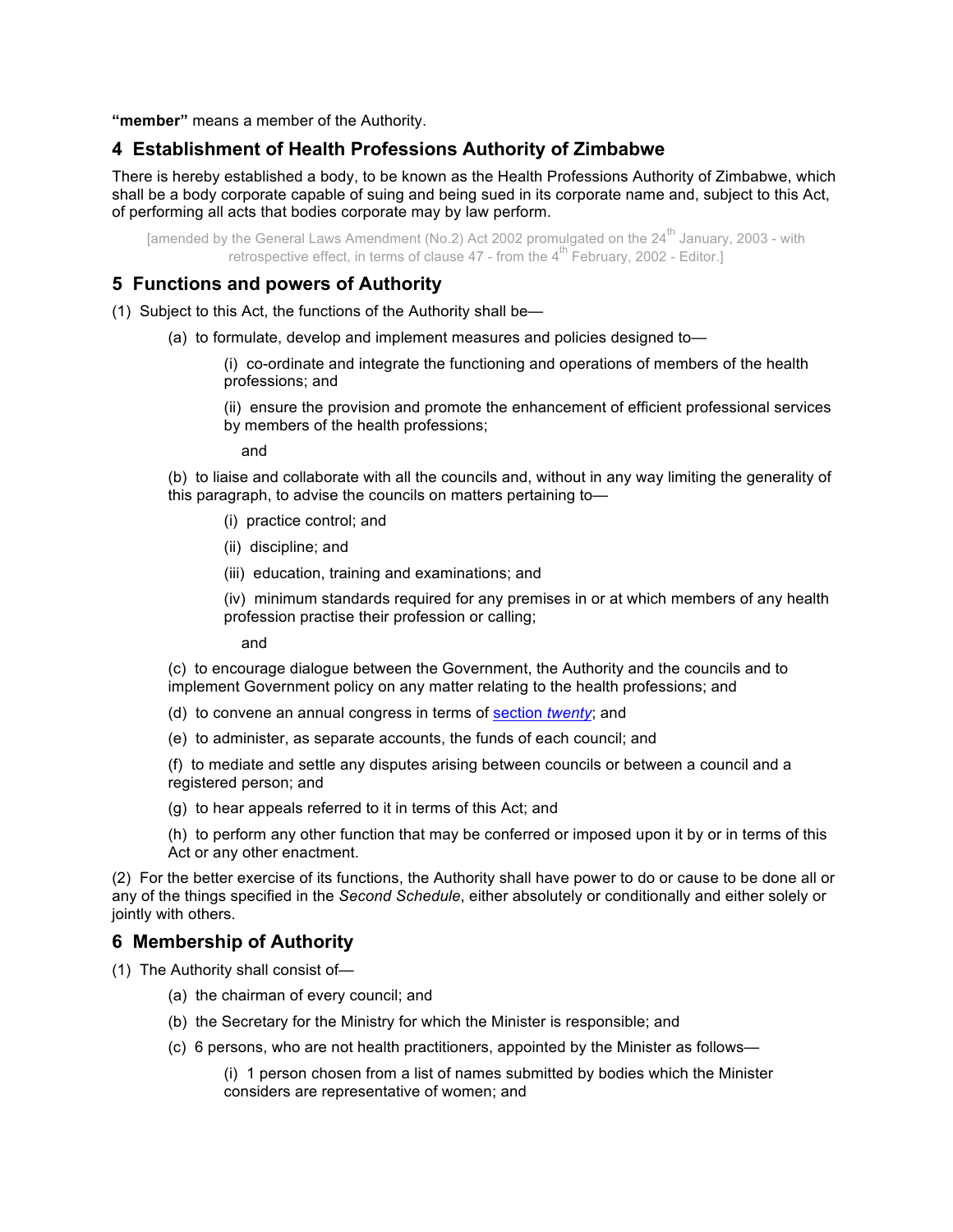**"member"** means a member of the Authority.

# **4 Establishment of Health Professions Authority of Zimbabwe**

There is hereby established a body, to be known as the Health Professions Authority of Zimbabwe, which shall be a body corporate capable of suing and being sued in its corporate name and, subject to this Act, of performing all acts that bodies corporate may by law perform.

[amended by the General Laws Amendment (No.2) Act 2002 promulgated on the 24<sup>th</sup> January, 2003 - with retrospective effect, in terms of clause  $47$  - from the  $4^{\text{th}}$  February, 2002 - Editor.]

### **5 Functions and powers of Authority**

- (1) Subject to this Act, the functions of the Authority shall be—
	- (a) to formulate, develop and implement measures and policies designed to—

(i) co-ordinate and integrate the functioning and operations of members of the health professions; and

(ii) ensure the provision and promote the enhancement of efficient professional services by members of the health professions;

and

(b) to liaise and collaborate with all the councils and, without in any way limiting the generality of this paragraph, to advise the councils on matters pertaining to—

- (i) practice control; and
- (ii) discipline; and
- (iii) education, training and examinations; and

(iv) minimum standards required for any premises in or at which members of any health profession practise their profession or calling;

and

(c) to encourage dialogue between the Government, the Authority and the councils and to implement Government policy on any matter relating to the health professions; and

- (d) to convene an annual congress in terms of section *twenty*; and
- (e) to administer, as separate accounts, the funds of each council; and

(f) to mediate and settle any disputes arising between councils or between a council and a registered person; and

(g) to hear appeals referred to it in terms of this Act; and

(h) to perform any other function that may be conferred or imposed upon it by or in terms of this Act or any other enactment.

(2) For the better exercise of its functions, the Authority shall have power to do or cause to be done all or any of the things specified in the *Second Schedule*, either absolutely or conditionally and either solely or jointly with others.

### **6 Membership of Authority**

- (1) The Authority shall consist of—
	- (a) the chairman of every council; and
	- (b) the Secretary for the Ministry for which the Minister is responsible; and
	- (c) 6 persons, who are not health practitioners, appointed by the Minister as follows—

(i) 1 person chosen from a list of names submitted by bodies which the Minister considers are representative of women; and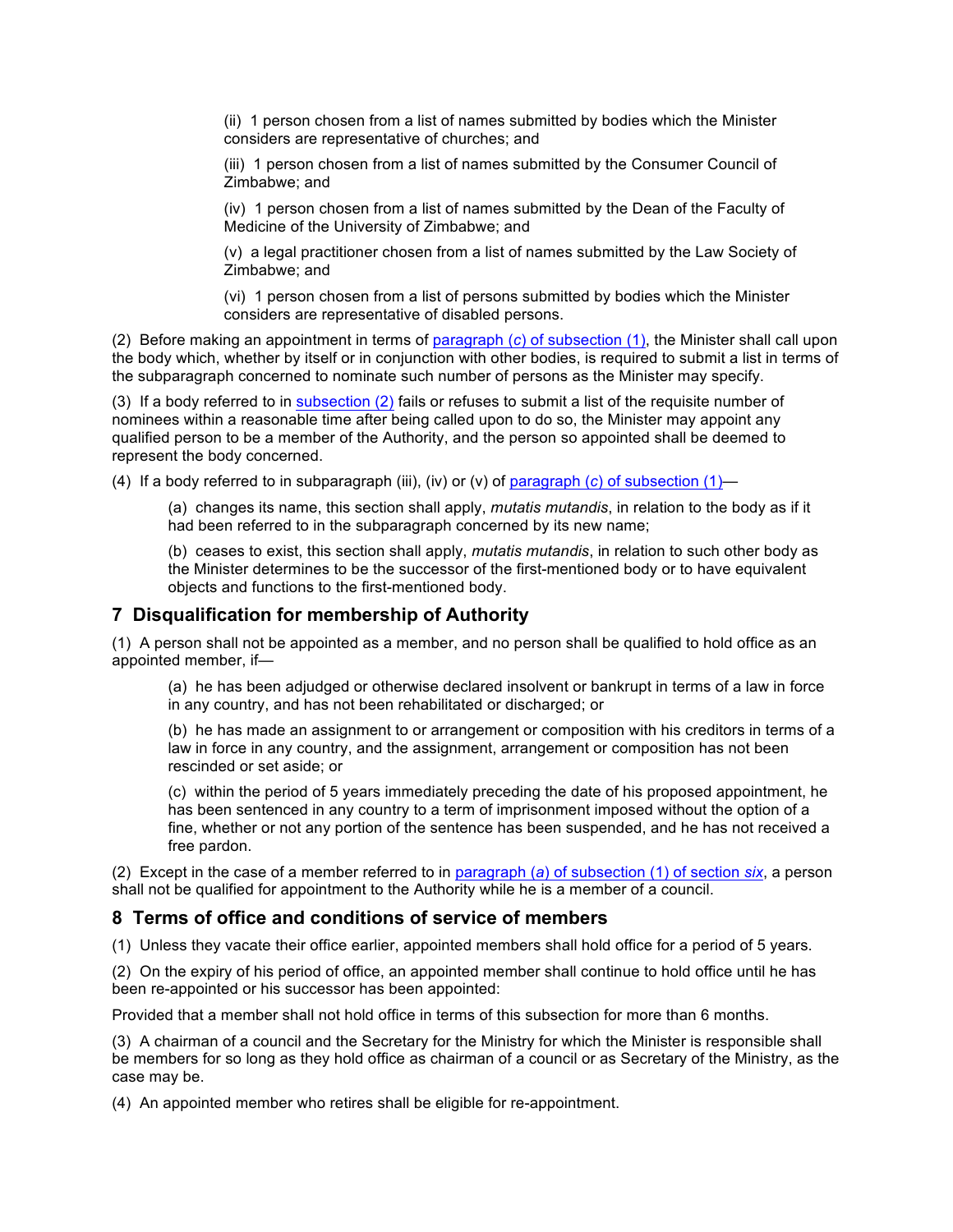(ii) 1 person chosen from a list of names submitted by bodies which the Minister considers are representative of churches; and

(iii) 1 person chosen from a list of names submitted by the Consumer Council of Zimbabwe; and

(iv) 1 person chosen from a list of names submitted by the Dean of the Faculty of Medicine of the University of Zimbabwe; and

(v) a legal practitioner chosen from a list of names submitted by the Law Society of Zimbabwe; and

(vi) 1 person chosen from a list of persons submitted by bodies which the Minister considers are representative of disabled persons.

(2) Before making an appointment in terms of paragraph (*c*) of subsection (1), the Minister shall call upon the body which, whether by itself or in conjunction with other bodies, is required to submit a list in terms of the subparagraph concerned to nominate such number of persons as the Minister may specify.

(3) If a body referred to in subsection (2) fails or refuses to submit a list of the requisite number of nominees within a reasonable time after being called upon to do so, the Minister may appoint any qualified person to be a member of the Authority, and the person so appointed shall be deemed to represent the body concerned.

(4) If a body referred to in subparagraph (iii), (iv) or (v) of paragraph (*c*) of subsection (1)—

(a) changes its name, this section shall apply, *mutatis mutandis*, in relation to the body as if it had been referred to in the subparagraph concerned by its new name;

(b) ceases to exist, this section shall apply, *mutatis mutandis*, in relation to such other body as the Minister determines to be the successor of the first-mentioned body or to have equivalent objects and functions to the first-mentioned body.

### **7 Disqualification for membership of Authority**

(1) A person shall not be appointed as a member, and no person shall be qualified to hold office as an appointed member, if—

(a) he has been adjudged or otherwise declared insolvent or bankrupt in terms of a law in force in any country, and has not been rehabilitated or discharged; or

(b) he has made an assignment to or arrangement or composition with his creditors in terms of a law in force in any country, and the assignment, arrangement or composition has not been rescinded or set aside; or

(c) within the period of 5 years immediately preceding the date of his proposed appointment, he has been sentenced in any country to a term of imprisonment imposed without the option of a fine, whether or not any portion of the sentence has been suspended, and he has not received a free pardon.

(2) Except in the case of a member referred to in paragraph (*a*) of subsection (1) of section *six*, a person shall not be qualified for appointment to the Authority while he is a member of a council.

### **8 Terms of office and conditions of service of members**

(1) Unless they vacate their office earlier, appointed members shall hold office for a period of 5 years.

(2) On the expiry of his period of office, an appointed member shall continue to hold office until he has been re-appointed or his successor has been appointed:

Provided that a member shall not hold office in terms of this subsection for more than 6 months.

(3) A chairman of a council and the Secretary for the Ministry for which the Minister is responsible shall be members for so long as they hold office as chairman of a council or as Secretary of the Ministry, as the case may be.

(4) An appointed member who retires shall be eligible for re-appointment.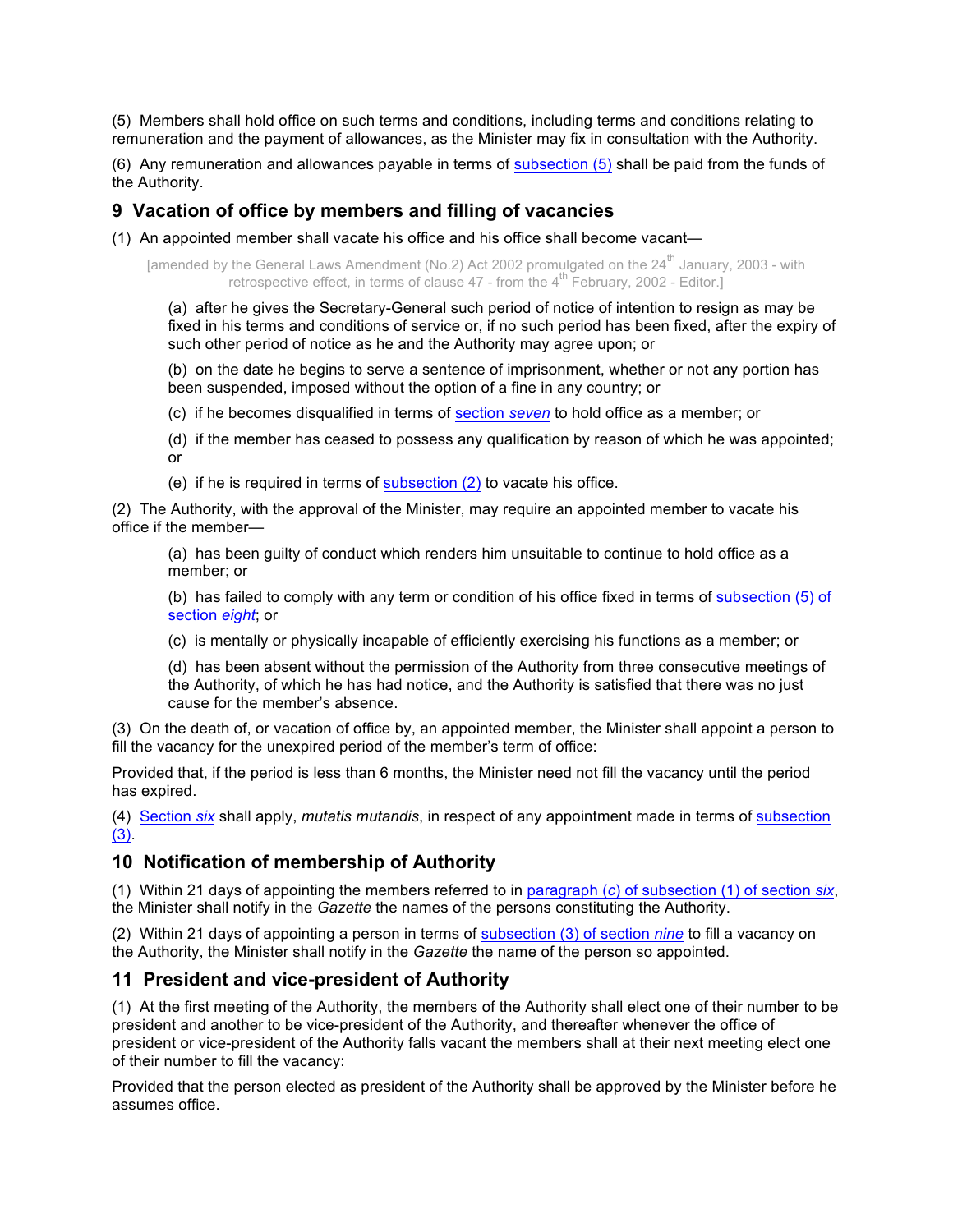(5) Members shall hold office on such terms and conditions, including terms and conditions relating to remuneration and the payment of allowances, as the Minister may fix in consultation with the Authority.

(6) Any remuneration and allowances payable in terms of subsection (5) shall be paid from the funds of the Authority.

# **9 Vacation of office by members and filling of vacancies**

(1) An appointed member shall vacate his office and his office shall become vacant—

[amended by the General Laws Amendment (No.2) Act 2002 promulgated on the 24<sup>th</sup> January, 2003 - with retrospective effect, in terms of clause  $47$  - from the  $4^{\text{th}}$  February, 2002 - Editor.

(a) after he gives the Secretary-General such period of notice of intention to resign as may be fixed in his terms and conditions of service or, if no such period has been fixed, after the expiry of such other period of notice as he and the Authority may agree upon; or

(b) on the date he begins to serve a sentence of imprisonment, whether or not any portion has been suspended, imposed without the option of a fine in any country; or

(c) if he becomes disqualified in terms of section *seven* to hold office as a member; or

(d) if the member has ceased to possess any qualification by reason of which he was appointed; or

(e) if he is required in terms of subsection (2) to vacate his office.

(2) The Authority, with the approval of the Minister, may require an appointed member to vacate his office if the member—

(a) has been guilty of conduct which renders him unsuitable to continue to hold office as a member; or

(b) has failed to comply with any term or condition of his office fixed in terms of subsection (5) of section *eight*; or

(c) is mentally or physically incapable of efficiently exercising his functions as a member; or

(d) has been absent without the permission of the Authority from three consecutive meetings of the Authority, of which he has had notice, and the Authority is satisfied that there was no just cause for the member's absence.

(3) On the death of, or vacation of office by, an appointed member, the Minister shall appoint a person to fill the vacancy for the unexpired period of the member's term of office:

Provided that, if the period is less than 6 months, the Minister need not fill the vacancy until the period has expired.

(4) Section *six* shall apply, *mutatis mutandis*, in respect of any appointment made in terms of subsection (3).

# **10 Notification of membership of Authority**

(1) Within 21 days of appointing the members referred to in paragraph (*c*) of subsection (1) of section *six*, the Minister shall notify in the *Gazette* the names of the persons constituting the Authority.

(2) Within 21 days of appointing a person in terms of subsection (3) of section *nine* to fill a vacancy on the Authority, the Minister shall notify in the *Gazette* the name of the person so appointed.

# **11 President and vice-president of Authority**

(1) At the first meeting of the Authority, the members of the Authority shall elect one of their number to be president and another to be vice-president of the Authority, and thereafter whenever the office of president or vice-president of the Authority falls vacant the members shall at their next meeting elect one of their number to fill the vacancy:

Provided that the person elected as president of the Authority shall be approved by the Minister before he assumes office.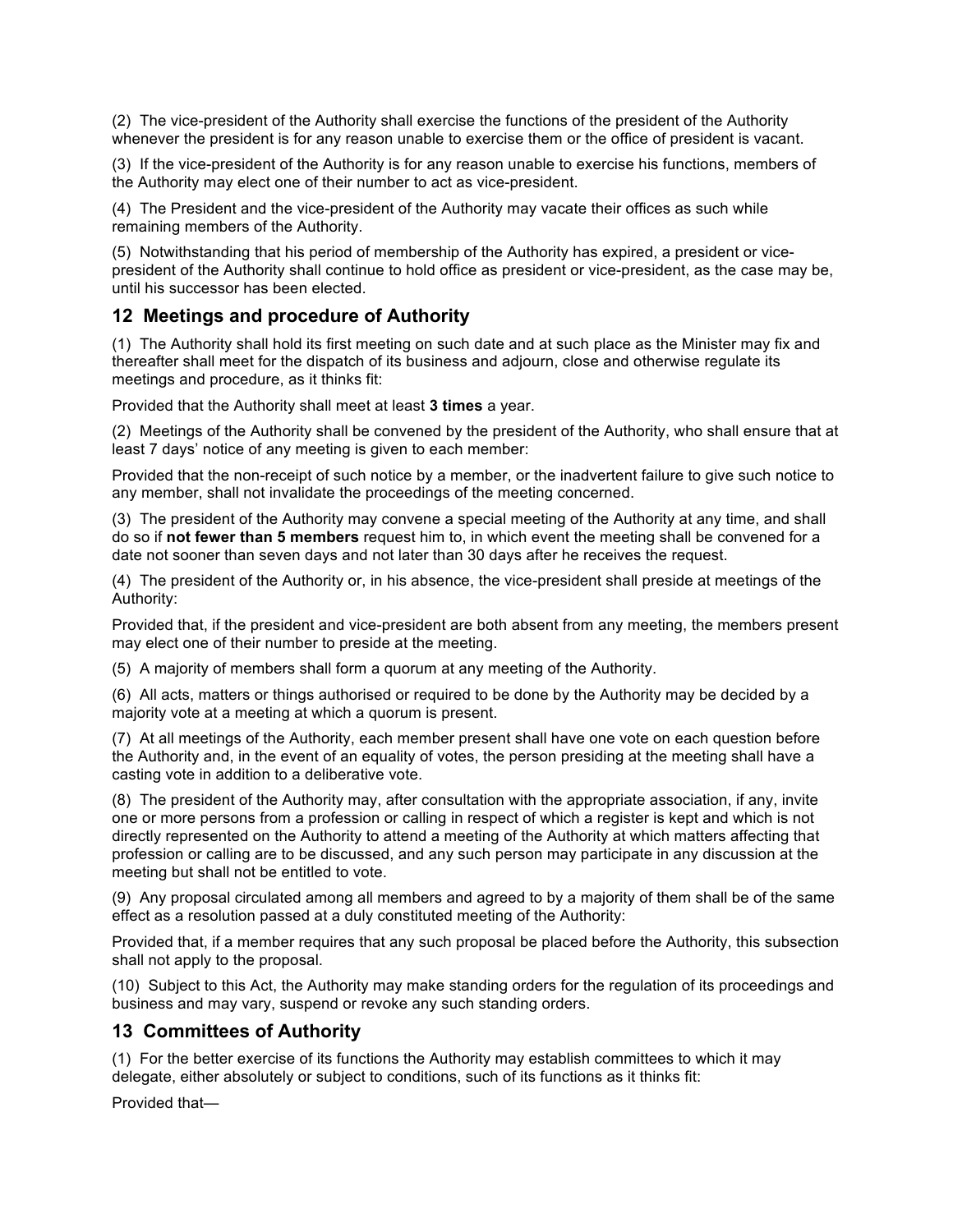(2) The vice-president of the Authority shall exercise the functions of the president of the Authority whenever the president is for any reason unable to exercise them or the office of president is vacant.

(3) If the vice-president of the Authority is for any reason unable to exercise his functions, members of the Authority may elect one of their number to act as vice-president.

(4) The President and the vice-president of the Authority may vacate their offices as such while remaining members of the Authority.

(5) Notwithstanding that his period of membership of the Authority has expired, a president or vicepresident of the Authority shall continue to hold office as president or vice-president, as the case may be, until his successor has been elected.

# **12 Meetings and procedure of Authority**

(1) The Authority shall hold its first meeting on such date and at such place as the Minister may fix and thereafter shall meet for the dispatch of its business and adjourn, close and otherwise regulate its meetings and procedure, as it thinks fit:

Provided that the Authority shall meet at least **3 times** a year.

(2) Meetings of the Authority shall be convened by the president of the Authority, who shall ensure that at least 7 days' notice of any meeting is given to each member:

Provided that the non-receipt of such notice by a member, or the inadvertent failure to give such notice to any member, shall not invalidate the proceedings of the meeting concerned.

(3) The president of the Authority may convene a special meeting of the Authority at any time, and shall do so if **not fewer than 5 members** request him to, in which event the meeting shall be convened for a date not sooner than seven days and not later than 30 days after he receives the request.

(4) The president of the Authority or, in his absence, the vice-president shall preside at meetings of the Authority:

Provided that, if the president and vice-president are both absent from any meeting, the members present may elect one of their number to preside at the meeting.

(5) A majority of members shall form a quorum at any meeting of the Authority.

(6) All acts, matters or things authorised or required to be done by the Authority may be decided by a majority vote at a meeting at which a quorum is present.

(7) At all meetings of the Authority, each member present shall have one vote on each question before the Authority and, in the event of an equality of votes, the person presiding at the meeting shall have a casting vote in addition to a deliberative vote.

(8) The president of the Authority may, after consultation with the appropriate association, if any, invite one or more persons from a profession or calling in respect of which a register is kept and which is not directly represented on the Authority to attend a meeting of the Authority at which matters affecting that profession or calling are to be discussed, and any such person may participate in any discussion at the meeting but shall not be entitled to vote.

(9) Any proposal circulated among all members and agreed to by a majority of them shall be of the same effect as a resolution passed at a duly constituted meeting of the Authority:

Provided that, if a member requires that any such proposal be placed before the Authority, this subsection shall not apply to the proposal.

(10) Subject to this Act, the Authority may make standing orders for the regulation of its proceedings and business and may vary, suspend or revoke any such standing orders.

### **13 Committees of Authority**

(1) For the better exercise of its functions the Authority may establish committees to which it may delegate, either absolutely or subject to conditions, such of its functions as it thinks fit:

Provided that—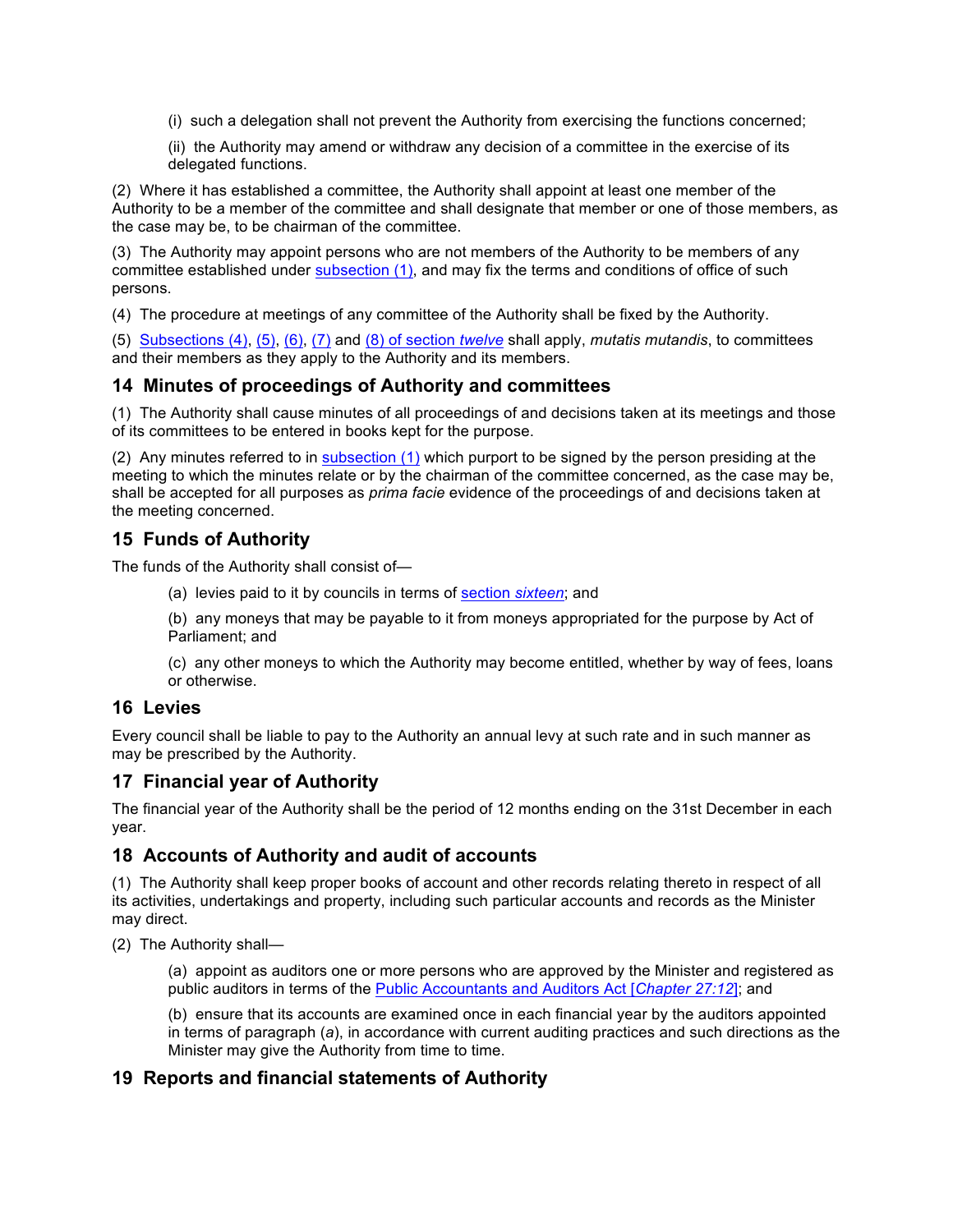(i) such a delegation shall not prevent the Authority from exercising the functions concerned;

(ii) the Authority may amend or withdraw any decision of a committee in the exercise of its delegated functions.

(2) Where it has established a committee, the Authority shall appoint at least one member of the Authority to be a member of the committee and shall designate that member or one of those members, as the case may be, to be chairman of the committee.

(3) The Authority may appoint persons who are not members of the Authority to be members of any committee established under subsection (1), and may fix the terms and conditions of office of such persons.

(4) The procedure at meetings of any committee of the Authority shall be fixed by the Authority.

(5) Subsections (4), (5), (6), (7) and (8) of section *twelve* shall apply, *mutatis mutandis*, to committees and their members as they apply to the Authority and its members.

# **14 Minutes of proceedings of Authority and committees**

(1) The Authority shall cause minutes of all proceedings of and decisions taken at its meetings and those of its committees to be entered in books kept for the purpose.

(2) Any minutes referred to in subsection (1) which purport to be signed by the person presiding at the meeting to which the minutes relate or by the chairman of the committee concerned, as the case may be, shall be accepted for all purposes as *prima facie* evidence of the proceedings of and decisions taken at the meeting concerned.

# **15 Funds of Authority**

The funds of the Authority shall consist of—

(a) levies paid to it by councils in terms of section *sixteen*; and

(b) any moneys that may be payable to it from moneys appropriated for the purpose by Act of Parliament; and

(c) any other moneys to which the Authority may become entitled, whether by way of fees, loans or otherwise.

# **16 Levies**

Every council shall be liable to pay to the Authority an annual levy at such rate and in such manner as may be prescribed by the Authority.

# **17 Financial year of Authority**

The financial year of the Authority shall be the period of 12 months ending on the 31st December in each year.

# **18 Accounts of Authority and audit of accounts**

(1) The Authority shall keep proper books of account and other records relating thereto in respect of all its activities, undertakings and property, including such particular accounts and records as the Minister may direct.

(2) The Authority shall—

(a) appoint as auditors one or more persons who are approved by the Minister and registered as public auditors in terms of the Public Accountants and Auditors Act [*Chapter 27:12*]; and

(b) ensure that its accounts are examined once in each financial year by the auditors appointed in terms of paragraph (*a*), in accordance with current auditing practices and such directions as the Minister may give the Authority from time to time.

# **19 Reports and financial statements of Authority**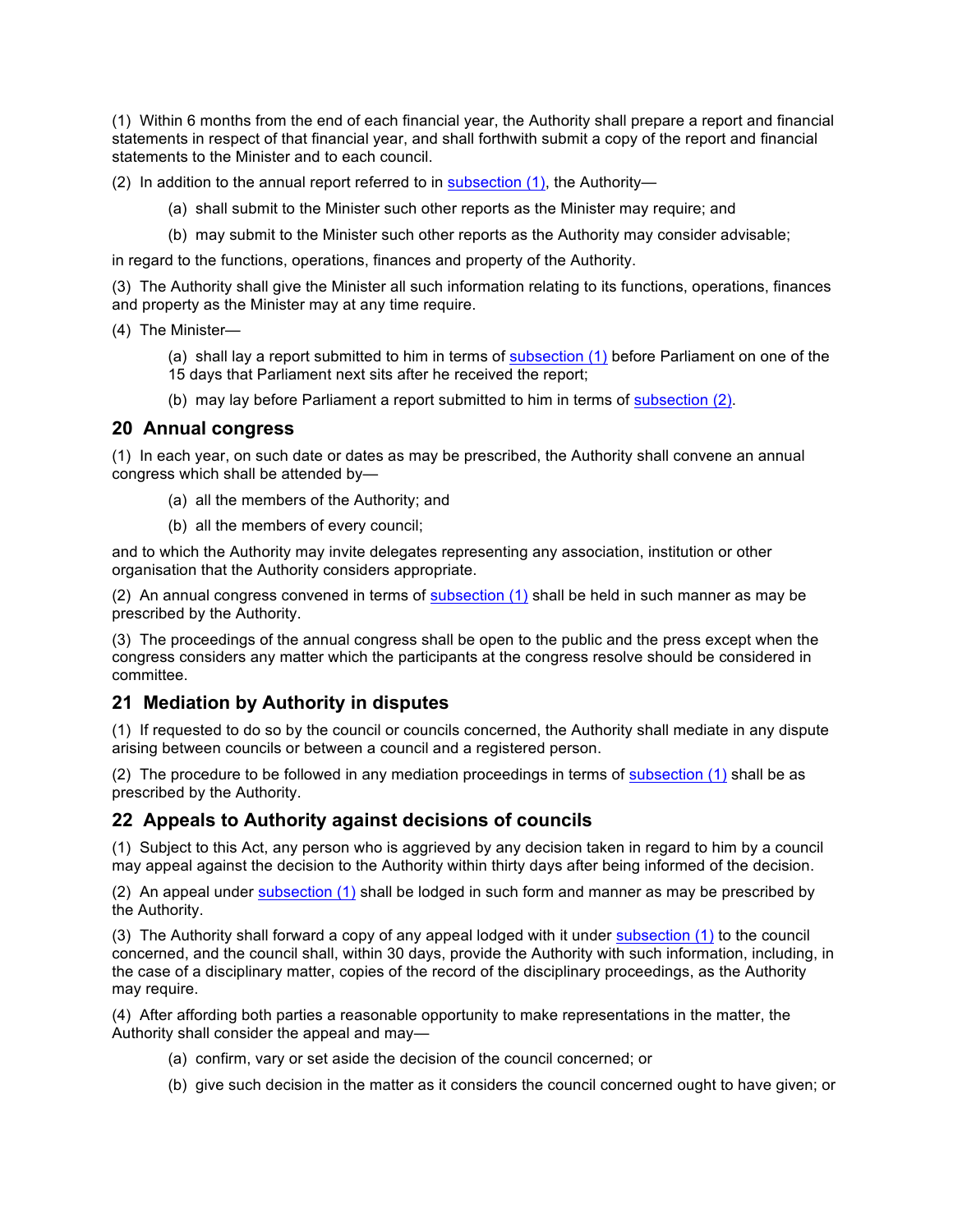(1) Within 6 months from the end of each financial year, the Authority shall prepare a report and financial statements in respect of that financial year, and shall forthwith submit a copy of the report and financial statements to the Minister and to each council.

(2) In addition to the annual report referred to in subsection  $(1)$ , the Authority-

- (a) shall submit to the Minister such other reports as the Minister may require; and
- (b) may submit to the Minister such other reports as the Authority may consider advisable;

in regard to the functions, operations, finances and property of the Authority.

(3) The Authority shall give the Minister all such information relating to its functions, operations, finances and property as the Minister may at any time require.

(4) The Minister—

(a) shall lay a report submitted to him in terms of subsection (1) before Parliament on one of the 15 days that Parliament next sits after he received the report;

(b) may lay before Parliament a report submitted to him in terms of subsection (2).

### **20 Annual congress**

(1) In each year, on such date or dates as may be prescribed, the Authority shall convene an annual congress which shall be attended by—

- (a) all the members of the Authority; and
- (b) all the members of every council;

and to which the Authority may invite delegates representing any association, institution or other organisation that the Authority considers appropriate.

(2) An annual congress convened in terms of subsection (1) shall be held in such manner as may be prescribed by the Authority.

(3) The proceedings of the annual congress shall be open to the public and the press except when the congress considers any matter which the participants at the congress resolve should be considered in committee.

# **21 Mediation by Authority in disputes**

(1) If requested to do so by the council or councils concerned, the Authority shall mediate in any dispute arising between councils or between a council and a registered person.

(2) The procedure to be followed in any mediation proceedings in terms of subsection (1) shall be as prescribed by the Authority.

### **22 Appeals to Authority against decisions of councils**

(1) Subject to this Act, any person who is aggrieved by any decision taken in regard to him by a council may appeal against the decision to the Authority within thirty days after being informed of the decision.

(2) An appeal under subsection (1) shall be lodged in such form and manner as may be prescribed by the Authority.

(3) The Authority shall forward a copy of any appeal lodged with it under subsection (1) to the council concerned, and the council shall, within 30 days, provide the Authority with such information, including, in the case of a disciplinary matter, copies of the record of the disciplinary proceedings, as the Authority may require.

(4) After affording both parties a reasonable opportunity to make representations in the matter, the Authority shall consider the appeal and may—

- (a) confirm, vary or set aside the decision of the council concerned; or
- (b) give such decision in the matter as it considers the council concerned ought to have given; or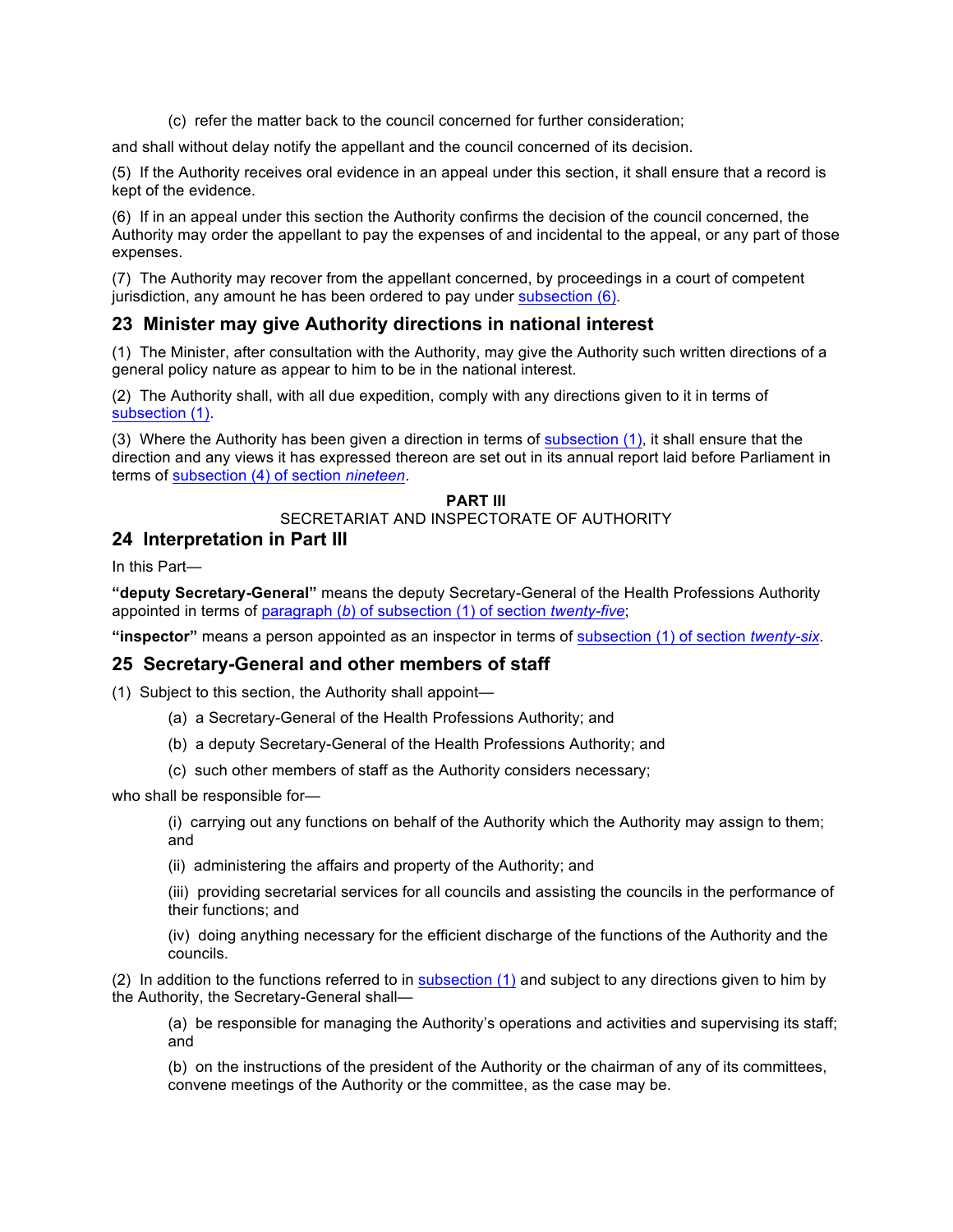(c) refer the matter back to the council concerned for further consideration;

and shall without delay notify the appellant and the council concerned of its decision.

(5) If the Authority receives oral evidence in an appeal under this section, it shall ensure that a record is kept of the evidence.

(6) If in an appeal under this section the Authority confirms the decision of the council concerned, the Authority may order the appellant to pay the expenses of and incidental to the appeal, or any part of those expenses.

(7) The Authority may recover from the appellant concerned, by proceedings in a court of competent jurisdiction, any amount he has been ordered to pay under subsection (6).

# **23 Minister may give Authority directions in national interest**

(1) The Minister, after consultation with the Authority, may give the Authority such written directions of a general policy nature as appear to him to be in the national interest.

(2) The Authority shall, with all due expedition, comply with any directions given to it in terms of subsection (1).

(3) Where the Authority has been given a direction in terms of subsection  $(1)$ , it shall ensure that the direction and any views it has expressed thereon are set out in its annual report laid before Parliament in terms of subsection (4) of section *nineteen*.

#### **PART III**

#### SECRETARIAT AND INSPECTORATE OF AUTHORITY

# **24 Interpretation in Part III**

In this Part—

**"deputy Secretary-General"** means the deputy Secretary-General of the Health Professions Authority appointed in terms of paragraph (*b*) of subsection (1) of section *twenty-five*;

**"inspector"** means a person appointed as an inspector in terms of subsection (1) of section *twenty-six*.

### **25 Secretary-General and other members of staff**

(1) Subject to this section, the Authority shall appoint—

- (a) a Secretary-General of the Health Professions Authority; and
- (b) a deputy Secretary-General of the Health Professions Authority; and
- (c) such other members of staff as the Authority considers necessary;

who shall be responsible for—

(i) carrying out any functions on behalf of the Authority which the Authority may assign to them; and

(ii) administering the affairs and property of the Authority; and

(iii) providing secretarial services for all councils and assisting the councils in the performance of their functions; and

(iv) doing anything necessary for the efficient discharge of the functions of the Authority and the councils.

(2) In addition to the functions referred to in subsection  $(1)$  and subject to any directions given to him by the Authority, the Secretary-General shall—

(a) be responsible for managing the Authority's operations and activities and supervising its staff; and

(b) on the instructions of the president of the Authority or the chairman of any of its committees, convene meetings of the Authority or the committee, as the case may be.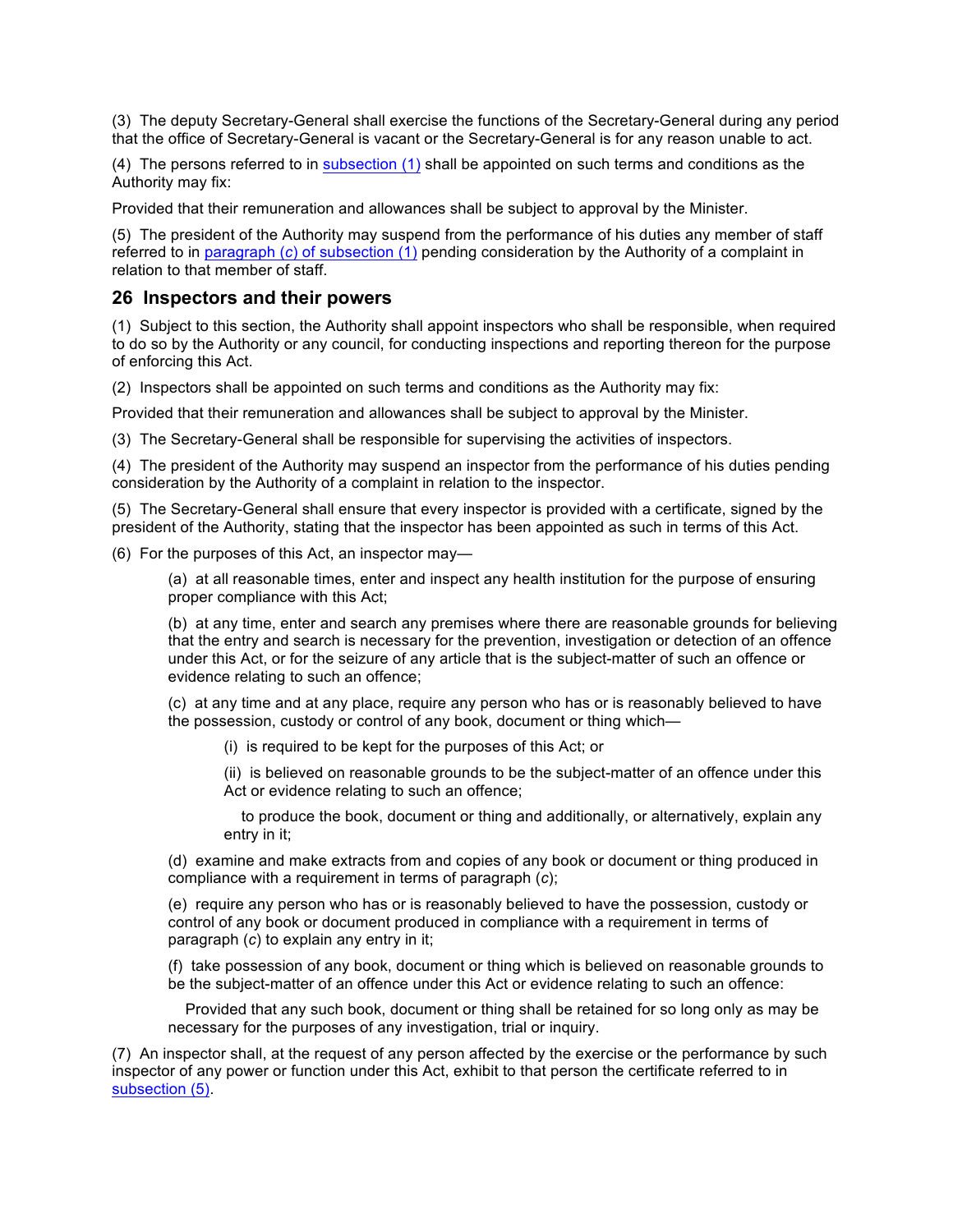(3) The deputy Secretary-General shall exercise the functions of the Secretary-General during any period that the office of Secretary-General is vacant or the Secretary-General is for any reason unable to act.

(4) The persons referred to in subsection (1) shall be appointed on such terms and conditions as the Authority may fix:

Provided that their remuneration and allowances shall be subject to approval by the Minister.

(5) The president of the Authority may suspend from the performance of his duties any member of staff referred to in paragraph (*c*) of subsection (1) pending consideration by the Authority of a complaint in relation to that member of staff.

### **26 Inspectors and their powers**

(1) Subject to this section, the Authority shall appoint inspectors who shall be responsible, when required to do so by the Authority or any council, for conducting inspections and reporting thereon for the purpose of enforcing this Act.

(2) Inspectors shall be appointed on such terms and conditions as the Authority may fix:

Provided that their remuneration and allowances shall be subject to approval by the Minister.

(3) The Secretary-General shall be responsible for supervising the activities of inspectors.

(4) The president of the Authority may suspend an inspector from the performance of his duties pending consideration by the Authority of a complaint in relation to the inspector.

(5) The Secretary-General shall ensure that every inspector is provided with a certificate, signed by the president of the Authority, stating that the inspector has been appointed as such in terms of this Act.

(6) For the purposes of this Act, an inspector may—

(a) at all reasonable times, enter and inspect any health institution for the purpose of ensuring proper compliance with this Act;

(b) at any time, enter and search any premises where there are reasonable grounds for believing that the entry and search is necessary for the prevention, investigation or detection of an offence under this Act, or for the seizure of any article that is the subject-matter of such an offence or evidence relating to such an offence;

(c) at any time and at any place, require any person who has or is reasonably believed to have the possession, custody or control of any book, document or thing which—

(i) is required to be kept for the purposes of this Act; or

(ii) is believed on reasonable grounds to be the subject-matter of an offence under this Act or evidence relating to such an offence;

 to produce the book, document or thing and additionally, or alternatively, explain any entry in it;

(d) examine and make extracts from and copies of any book or document or thing produced in compliance with a requirement in terms of paragraph (*c*);

(e) require any person who has or is reasonably believed to have the possession, custody or control of any book or document produced in compliance with a requirement in terms of paragraph (*c*) to explain any entry in it;

(f) take possession of any book, document or thing which is believed on reasonable grounds to be the subject-matter of an offence under this Act or evidence relating to such an offence:

 Provided that any such book, document or thing shall be retained for so long only as may be necessary for the purposes of any investigation, trial or inquiry.

(7) An inspector shall, at the request of any person affected by the exercise or the performance by such inspector of any power or function under this Act, exhibit to that person the certificate referred to in subsection (5).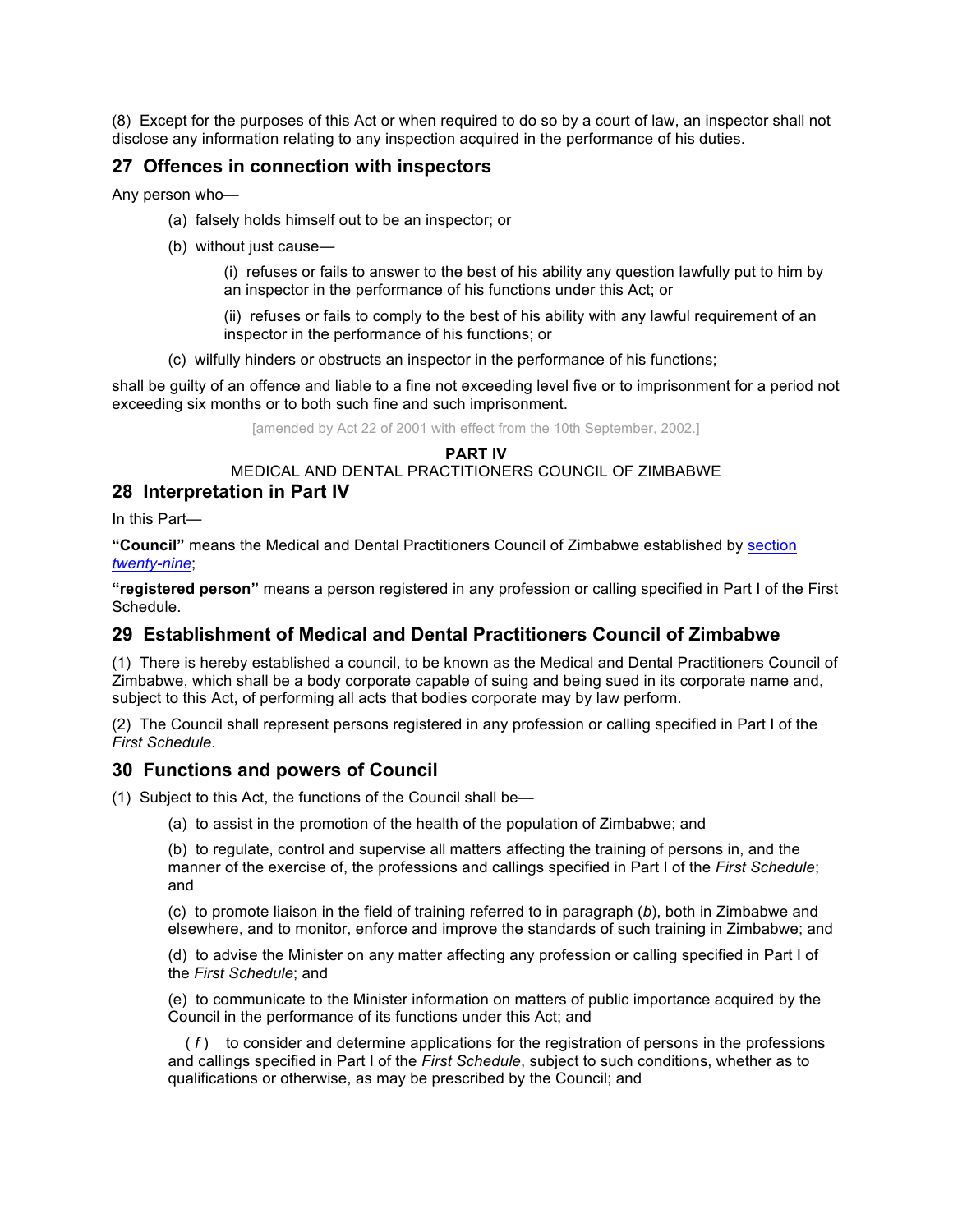(8) Except for the purposes of this Act or when required to do so by a court of law, an inspector shall not disclose any information relating to any inspection acquired in the performance of his duties.

# **27 Offences in connection with inspectors**

Any person who—

- (a) falsely holds himself out to be an inspector; or
- (b) without just cause—

(i) refuses or fails to answer to the best of his ability any question lawfully put to him by an inspector in the performance of his functions under this Act; or

(ii) refuses or fails to comply to the best of his ability with any lawful requirement of an inspector in the performance of his functions; or

(c) wilfully hinders or obstructs an inspector in the performance of his functions;

shall be guilty of an offence and liable to a fine not exceeding level five or to imprisonment for a period not exceeding six months or to both such fine and such imprisonment.

[amended by Act 22 of 2001 with effect from the 10th September, 2002.]

#### **PART IV**

MEDICAL AND DENTAL PRACTITIONERS COUNCIL OF ZIMBABWE **28 Interpretation in Part IV**

In this Part—

**"Council"** means the Medical and Dental Practitioners Council of Zimbabwe established by section *twenty-nine*;

**"registered person"** means a person registered in any profession or calling specified in Part I of the First Schedule.

# **29 Establishment of Medical and Dental Practitioners Council of Zimbabwe**

(1) There is hereby established a council, to be known as the Medical and Dental Practitioners Council of Zimbabwe, which shall be a body corporate capable of suing and being sued in its corporate name and, subject to this Act, of performing all acts that bodies corporate may by law perform.

(2) The Council shall represent persons registered in any profession or calling specified in Part I of the *First Schedule*.

# **30 Functions and powers of Council**

(1) Subject to this Act, the functions of the Council shall be—

(a) to assist in the promotion of the health of the population of Zimbabwe; and

(b) to regulate, control and supervise all matters affecting the training of persons in, and the manner of the exercise of, the professions and callings specified in Part I of the *First Schedule*; and

(c) to promote liaison in the field of training referred to in paragraph (*b*), both in Zimbabwe and elsewhere, and to monitor, enforce and improve the standards of such training in Zimbabwe; and

(d) to advise the Minister on any matter affecting any profession or calling specified in Part I of the *First Schedule*; and

(e) to communicate to the Minister information on matters of public importance acquired by the Council in the performance of its functions under this Act; and

 ( *f* ) to consider and determine applications for the registration of persons in the professions and callings specified in Part I of the *First Schedule*, subject to such conditions, whether as to qualifications or otherwise, as may be prescribed by the Council; and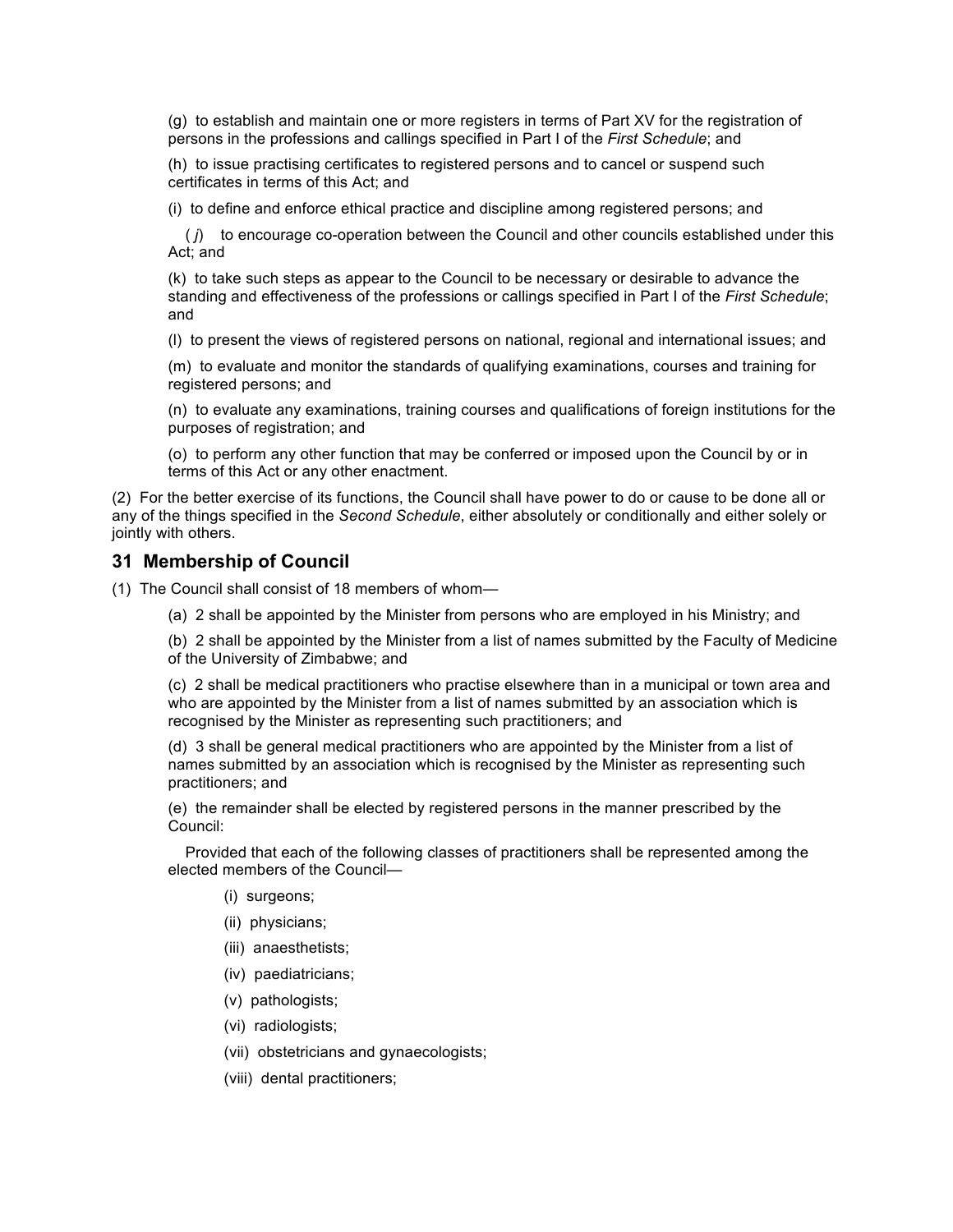(g) to establish and maintain one or more registers in terms of Part XV for the registration of persons in the professions and callings specified in Part I of the *First Schedule*; and

(h) to issue practising certificates to registered persons and to cancel or suspend such certificates in terms of this Act; and

(i) to define and enforce ethical practice and discipline among registered persons; and

 ( *j*) to encourage co-operation between the Council and other councils established under this Act; and

(k) to take such steps as appear to the Council to be necessary or desirable to advance the standing and effectiveness of the professions or callings specified in Part I of the *First Schedule*; and

(l) to present the views of registered persons on national, regional and international issues; and

(m) to evaluate and monitor the standards of qualifying examinations, courses and training for registered persons; and

(n) to evaluate any examinations, training courses and qualifications of foreign institutions for the purposes of registration; and

(o) to perform any other function that may be conferred or imposed upon the Council by or in terms of this Act or any other enactment.

(2) For the better exercise of its functions, the Council shall have power to do or cause to be done all or any of the things specified in the *Second Schedule*, either absolutely or conditionally and either solely or jointly with others.

#### **31 Membership of Council**

- (1) The Council shall consist of 18 members of whom—
	- (a) 2 shall be appointed by the Minister from persons who are employed in his Ministry; and

(b) 2 shall be appointed by the Minister from a list of names submitted by the Faculty of Medicine of the University of Zimbabwe; and

(c) 2 shall be medical practitioners who practise elsewhere than in a municipal or town area and who are appointed by the Minister from a list of names submitted by an association which is recognised by the Minister as representing such practitioners; and

(d) 3 shall be general medical practitioners who are appointed by the Minister from a list of names submitted by an association which is recognised by the Minister as representing such practitioners; and

(e) the remainder shall be elected by registered persons in the manner prescribed by the Council:

 Provided that each of the following classes of practitioners shall be represented among the elected members of the Council—

- (i) surgeons;
- (ii) physicians;
- (iii) anaesthetists;
- (iv) paediatricians;
- (v) pathologists;
- (vi) radiologists;
- (vii) obstetricians and gynaecologists;
- (viii) dental practitioners;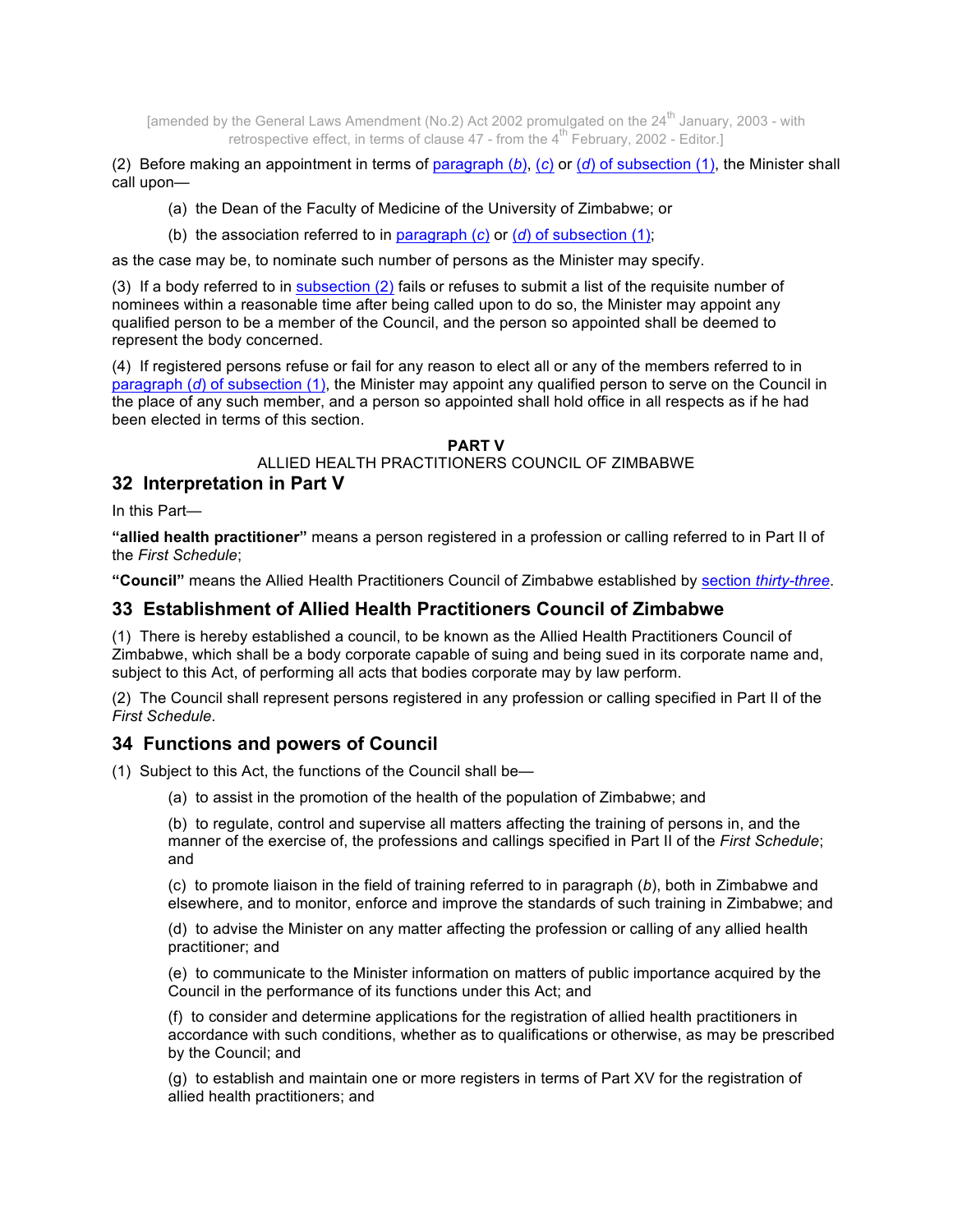[amended by the General Laws Amendment (No.2) Act 2002 promulgated on the 24<sup>th</sup> January, 2003 - with retrospective effect, in terms of clause  $47$  - from the  $4^{\text{th}}$  February, 2002 - Editor.

(2) Before making an appointment in terms of paragraph (*b*), (*c*) or (*d*) of subsection (1), the Minister shall call upon—

- (a) the Dean of the Faculty of Medicine of the University of Zimbabwe; or
- (b) the association referred to in paragraph (*c*) or (*d*) of subsection (1);

as the case may be, to nominate such number of persons as the Minister may specify.

(3) If a body referred to in subsection (2) fails or refuses to submit a list of the requisite number of nominees within a reasonable time after being called upon to do so, the Minister may appoint any qualified person to be a member of the Council, and the person so appointed shall be deemed to represent the body concerned.

(4) If registered persons refuse or fail for any reason to elect all or any of the members referred to in paragraph (*d*) of subsection (1), the Minister may appoint any qualified person to serve on the Council in the place of any such member, and a person so appointed shall hold office in all respects as if he had been elected in terms of this section.

### **PART V**

ALLIED HEALTH PRACTITIONERS COUNCIL OF ZIMBABWE

#### **32 Interpretation in Part V**

In this Part—

**"allied health practitioner"** means a person registered in a profession or calling referred to in Part II of the *First Schedule*;

**"Council"** means the Allied Health Practitioners Council of Zimbabwe established by section *thirty-three*.

### **33 Establishment of Allied Health Practitioners Council of Zimbabwe**

(1) There is hereby established a council, to be known as the Allied Health Practitioners Council of Zimbabwe, which shall be a body corporate capable of suing and being sued in its corporate name and, subject to this Act, of performing all acts that bodies corporate may by law perform.

(2) The Council shall represent persons registered in any profession or calling specified in Part II of the *First Schedule*.

### **34 Functions and powers of Council**

(1) Subject to this Act, the functions of the Council shall be—

(a) to assist in the promotion of the health of the population of Zimbabwe; and

(b) to regulate, control and supervise all matters affecting the training of persons in, and the manner of the exercise of, the professions and callings specified in Part II of the *First Schedule*; and

(c) to promote liaison in the field of training referred to in paragraph (*b*), both in Zimbabwe and elsewhere, and to monitor, enforce and improve the standards of such training in Zimbabwe; and

(d) to advise the Minister on any matter affecting the profession or calling of any allied health practitioner; and

(e) to communicate to the Minister information on matters of public importance acquired by the Council in the performance of its functions under this Act; and

(f) to consider and determine applications for the registration of allied health practitioners in accordance with such conditions, whether as to qualifications or otherwise, as may be prescribed by the Council; and

(g) to establish and maintain one or more registers in terms of Part XV for the registration of allied health practitioners; and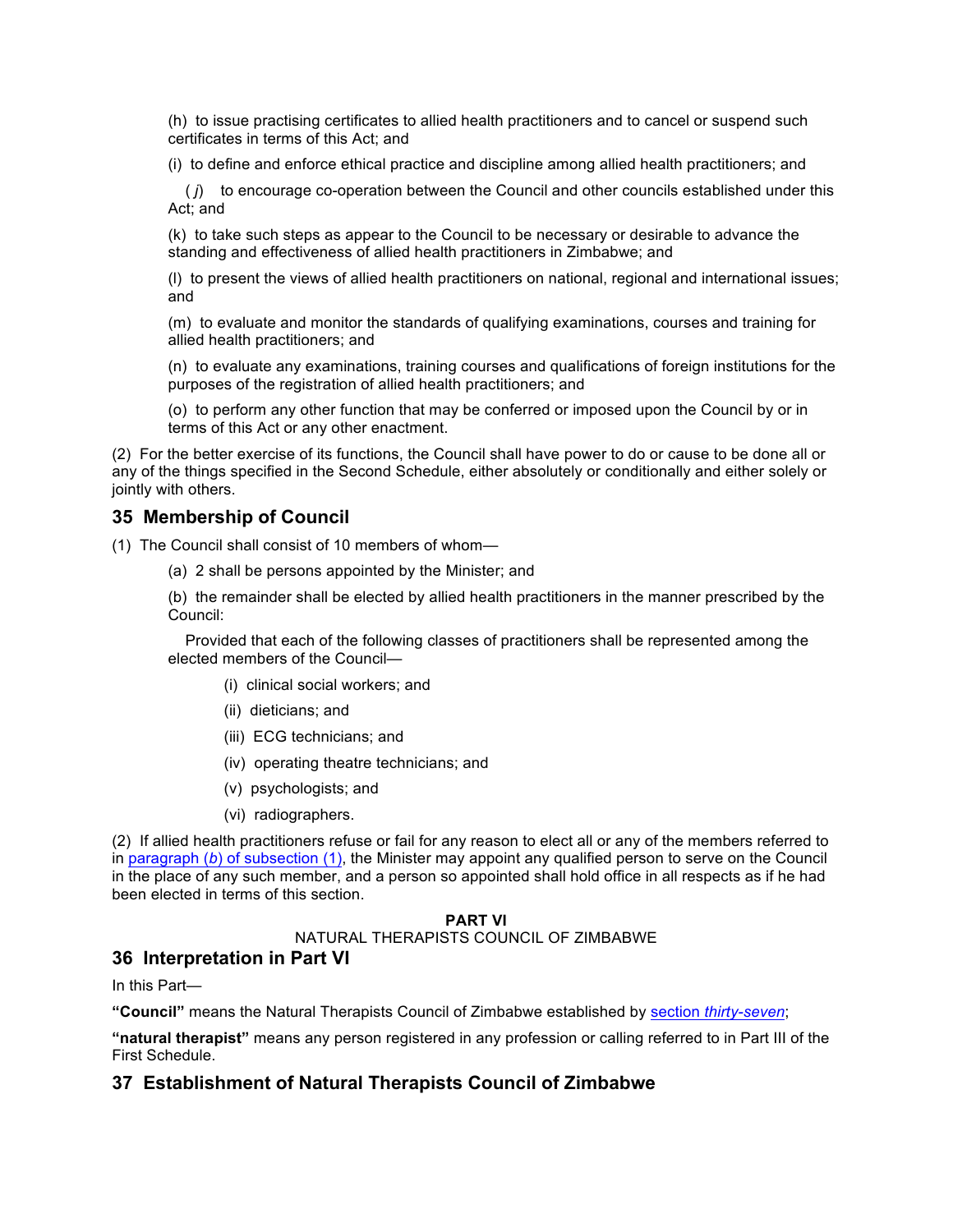(h) to issue practising certificates to allied health practitioners and to cancel or suspend such certificates in terms of this Act; and

(i) to define and enforce ethical practice and discipline among allied health practitioners; and

 ( *j*) to encourage co-operation between the Council and other councils established under this Act; and

(k) to take such steps as appear to the Council to be necessary or desirable to advance the standing and effectiveness of allied health practitioners in Zimbabwe; and

(l) to present the views of allied health practitioners on national, regional and international issues; and

(m) to evaluate and monitor the standards of qualifying examinations, courses and training for allied health practitioners; and

(n) to evaluate any examinations, training courses and qualifications of foreign institutions for the purposes of the registration of allied health practitioners; and

(o) to perform any other function that may be conferred or imposed upon the Council by or in terms of this Act or any other enactment.

(2) For the better exercise of its functions, the Council shall have power to do or cause to be done all or any of the things specified in the Second Schedule, either absolutely or conditionally and either solely or jointly with others.

### **35 Membership of Council**

(1) The Council shall consist of 10 members of whom—

(a) 2 shall be persons appointed by the Minister; and

(b) the remainder shall be elected by allied health practitioners in the manner prescribed by the Council:

 Provided that each of the following classes of practitioners shall be represented among the elected members of the Council—

- (i) clinical social workers; and
- (ii) dieticians; and
- (iii) ECG technicians; and
- (iv) operating theatre technicians; and
- (v) psychologists; and
- (vi) radiographers.

(2) If allied health practitioners refuse or fail for any reason to elect all or any of the members referred to in paragraph (*b*) of subsection (1), the Minister may appoint any qualified person to serve on the Council in the place of any such member, and a person so appointed shall hold office in all respects as if he had been elected in terms of this section.

#### **PART VI**

NATURAL THERAPISTS COUNCIL OF ZIMBABWE

# **36 Interpretation in Part VI**

In this Part—

**"Council"** means the Natural Therapists Council of Zimbabwe established by section *thirty-seven*;

**"natural therapist"** means any person registered in any profession or calling referred to in Part III of the First Schedule.

### **37 Establishment of Natural Therapists Council of Zimbabwe**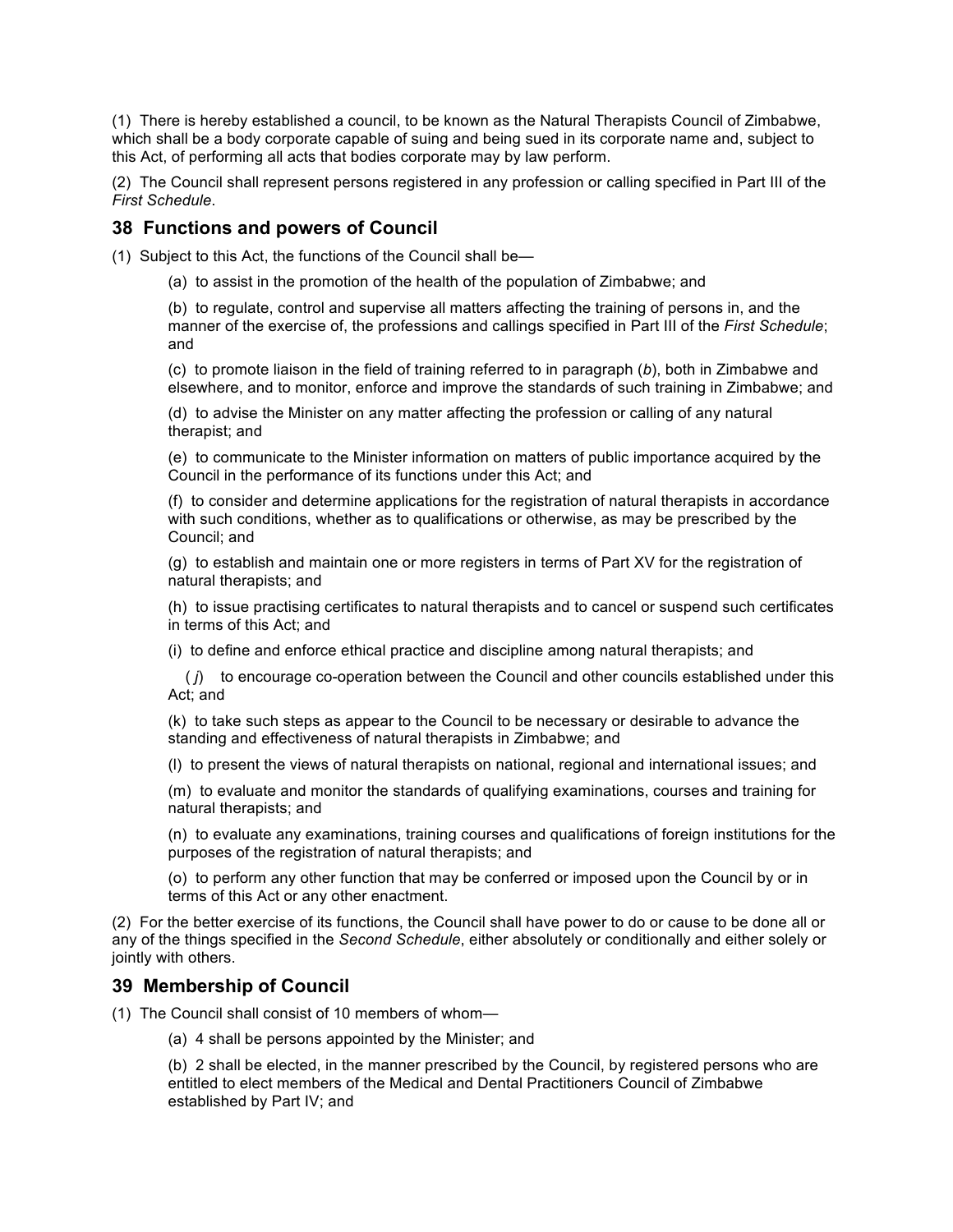(1) There is hereby established a council, to be known as the Natural Therapists Council of Zimbabwe, which shall be a body corporate capable of suing and being sued in its corporate name and, subject to this Act, of performing all acts that bodies corporate may by law perform.

(2) The Council shall represent persons registered in any profession or calling specified in Part III of the *First Schedule*.

### **38 Functions and powers of Council**

(1) Subject to this Act, the functions of the Council shall be—

(a) to assist in the promotion of the health of the population of Zimbabwe; and

(b) to regulate, control and supervise all matters affecting the training of persons in, and the manner of the exercise of, the professions and callings specified in Part III of the *First Schedule*; and

(c) to promote liaison in the field of training referred to in paragraph (*b*), both in Zimbabwe and elsewhere, and to monitor, enforce and improve the standards of such training in Zimbabwe; and

(d) to advise the Minister on any matter affecting the profession or calling of any natural therapist; and

(e) to communicate to the Minister information on matters of public importance acquired by the Council in the performance of its functions under this Act; and

(f) to consider and determine applications for the registration of natural therapists in accordance with such conditions, whether as to qualifications or otherwise, as may be prescribed by the Council; and

(g) to establish and maintain one or more registers in terms of Part XV for the registration of natural therapists; and

(h) to issue practising certificates to natural therapists and to cancel or suspend such certificates in terms of this Act; and

(i) to define and enforce ethical practice and discipline among natural therapists; and

 ( *j*) to encourage co-operation between the Council and other councils established under this Act; and

(k) to take such steps as appear to the Council to be necessary or desirable to advance the standing and effectiveness of natural therapists in Zimbabwe; and

(l) to present the views of natural therapists on national, regional and international issues; and

(m) to evaluate and monitor the standards of qualifying examinations, courses and training for natural therapists; and

(n) to evaluate any examinations, training courses and qualifications of foreign institutions for the purposes of the registration of natural therapists; and

(o) to perform any other function that may be conferred or imposed upon the Council by or in terms of this Act or any other enactment.

(2) For the better exercise of its functions, the Council shall have power to do or cause to be done all or any of the things specified in the *Second Schedule*, either absolutely or conditionally and either solely or jointly with others.

### **39 Membership of Council**

(1) The Council shall consist of 10 members of whom—

(a) 4 shall be persons appointed by the Minister; and

(b) 2 shall be elected, in the manner prescribed by the Council, by registered persons who are entitled to elect members of the Medical and Dental Practitioners Council of Zimbabwe established by Part IV; and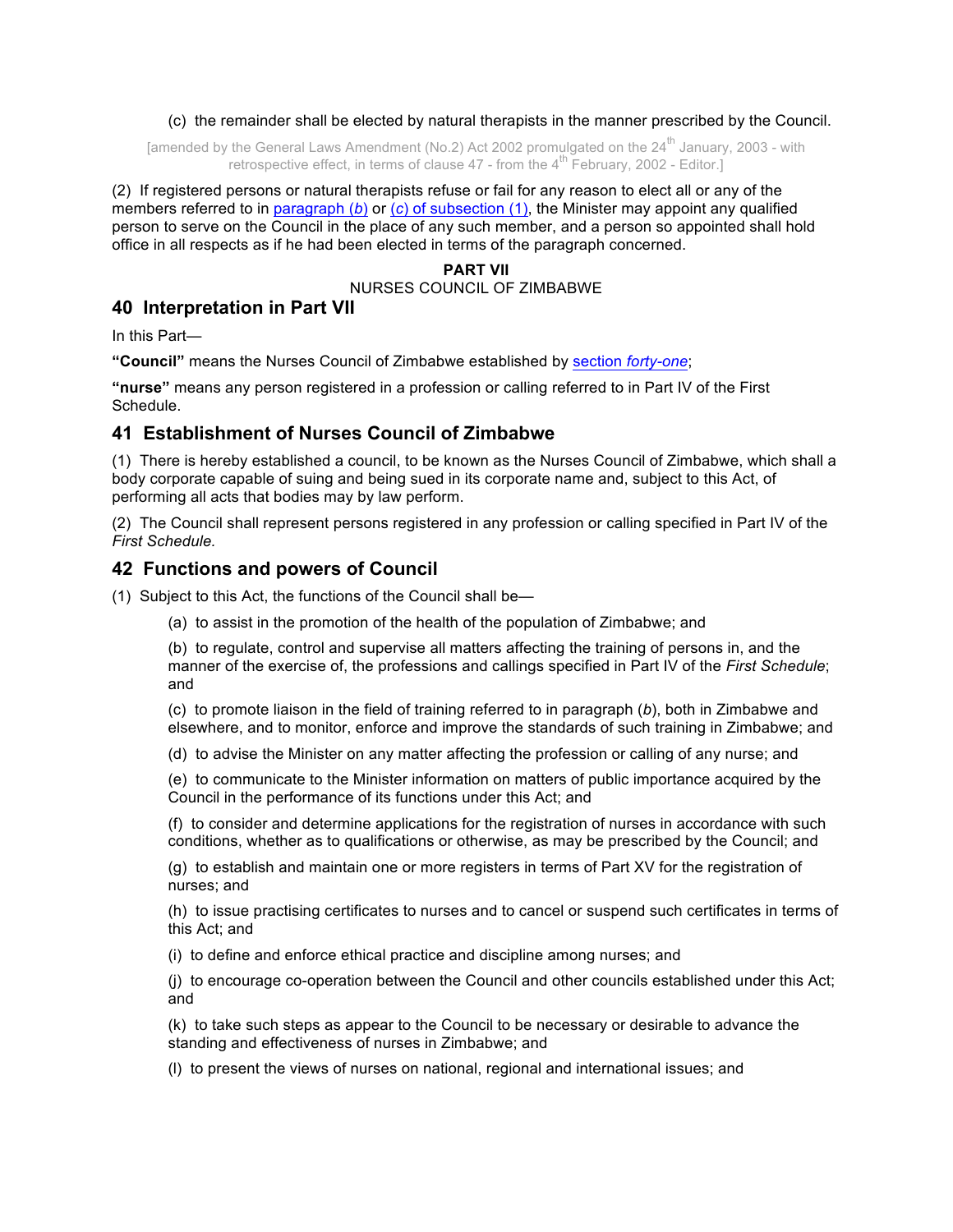(c) the remainder shall be elected by natural therapists in the manner prescribed by the Council.

[amended by the General Laws Amendment (No.2) Act 2002 promulgated on the  $24<sup>th</sup>$  January, 2003 - with retrospective effect, in terms of clause  $47$  - from the  $4^{\text{th}}$  February, 2002 - Editor.]

(2) If registered persons or natural therapists refuse or fail for any reason to elect all or any of the members referred to in paragraph (*b*) or (*c*) of subsection (1), the Minister may appoint any qualified person to serve on the Council in the place of any such member, and a person so appointed shall hold office in all respects as if he had been elected in terms of the paragraph concerned.

#### **PART VII**

NURSES COUNCIL OF ZIMBABWE

# **40 Interpretation in Part VII**

In this Part—

**"Council"** means the Nurses Council of Zimbabwe established by section *forty-one*;

**"nurse"** means any person registered in a profession or calling referred to in Part IV of the First Schedule.

### **41 Establishment of Nurses Council of Zimbabwe**

(1) There is hereby established a council, to be known as the Nurses Council of Zimbabwe, which shall a body corporate capable of suing and being sued in its corporate name and, subject to this Act, of performing all acts that bodies may by law perform.

(2) The Council shall represent persons registered in any profession or calling specified in Part IV of the *First Schedule.*

### **42 Functions and powers of Council**

(1) Subject to this Act, the functions of the Council shall be—

(a) to assist in the promotion of the health of the population of Zimbabwe; and

(b) to regulate, control and supervise all matters affecting the training of persons in, and the manner of the exercise of, the professions and callings specified in Part IV of the *First Schedule*; and

(c) to promote liaison in the field of training referred to in paragraph (*b*), both in Zimbabwe and elsewhere, and to monitor, enforce and improve the standards of such training in Zimbabwe; and

(d) to advise the Minister on any matter affecting the profession or calling of any nurse; and

(e) to communicate to the Minister information on matters of public importance acquired by the Council in the performance of its functions under this Act; and

(f) to consider and determine applications for the registration of nurses in accordance with such conditions, whether as to qualifications or otherwise, as may be prescribed by the Council; and

(g) to establish and maintain one or more registers in terms of Part XV for the registration of nurses; and

(h) to issue practising certificates to nurses and to cancel or suspend such certificates in terms of this Act; and

(i) to define and enforce ethical practice and discipline among nurses; and

(j) to encourage co-operation between the Council and other councils established under this Act; and

(k) to take such steps as appear to the Council to be necessary or desirable to advance the standing and effectiveness of nurses in Zimbabwe; and

(l) to present the views of nurses on national, regional and international issues; and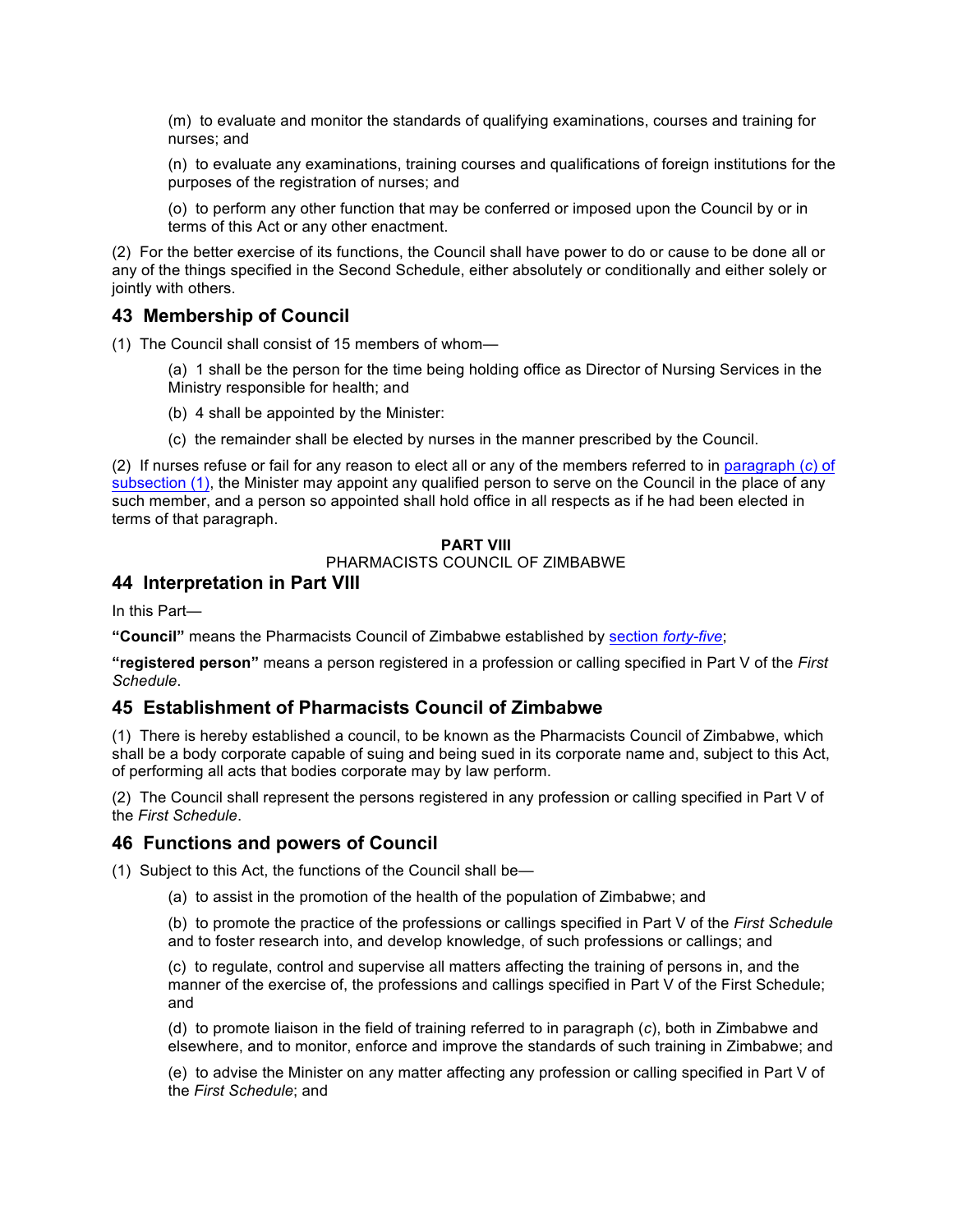(m) to evaluate and monitor the standards of qualifying examinations, courses and training for nurses; and

(n) to evaluate any examinations, training courses and qualifications of foreign institutions for the purposes of the registration of nurses; and

(o) to perform any other function that may be conferred or imposed upon the Council by or in terms of this Act or any other enactment.

(2) For the better exercise of its functions, the Council shall have power to do or cause to be done all or any of the things specified in the Second Schedule, either absolutely or conditionally and either solely or jointly with others.

# **43 Membership of Council**

(1) The Council shall consist of 15 members of whom—

(a) 1 shall be the person for the time being holding office as Director of Nursing Services in the Ministry responsible for health; and

(b) 4 shall be appointed by the Minister:

(c) the remainder shall be elected by nurses in the manner prescribed by the Council.

(2) If nurses refuse or fail for any reason to elect all or any of the members referred to in paragraph (*c*) of subsection (1), the Minister may appoint any qualified person to serve on the Council in the place of any such member, and a person so appointed shall hold office in all respects as if he had been elected in terms of that paragraph.

### **PART VIII**

#### PHARMACISTS COUNCIL OF ZIMBABWE

### **44 Interpretation in Part VIII**

In this Part—

**"Council"** means the Pharmacists Council of Zimbabwe established by section *forty-five*;

**"registered person"** means a person registered in a profession or calling specified in Part V of the *First Schedule*.

### **45 Establishment of Pharmacists Council of Zimbabwe**

(1) There is hereby established a council, to be known as the Pharmacists Council of Zimbabwe, which shall be a body corporate capable of suing and being sued in its corporate name and, subject to this Act, of performing all acts that bodies corporate may by law perform.

(2) The Council shall represent the persons registered in any profession or calling specified in Part V of the *First Schedule*.

### **46 Functions and powers of Council**

(1) Subject to this Act, the functions of the Council shall be—

(a) to assist in the promotion of the health of the population of Zimbabwe; and

(b) to promote the practice of the professions or callings specified in Part V of the *First Schedule* and to foster research into, and develop knowledge, of such professions or callings; and

(c) to regulate, control and supervise all matters affecting the training of persons in, and the manner of the exercise of, the professions and callings specified in Part V of the First Schedule; and

(d) to promote liaison in the field of training referred to in paragraph (*c*), both in Zimbabwe and elsewhere, and to monitor, enforce and improve the standards of such training in Zimbabwe; and

(e) to advise the Minister on any matter affecting any profession or calling specified in Part V of the *First Schedule*; and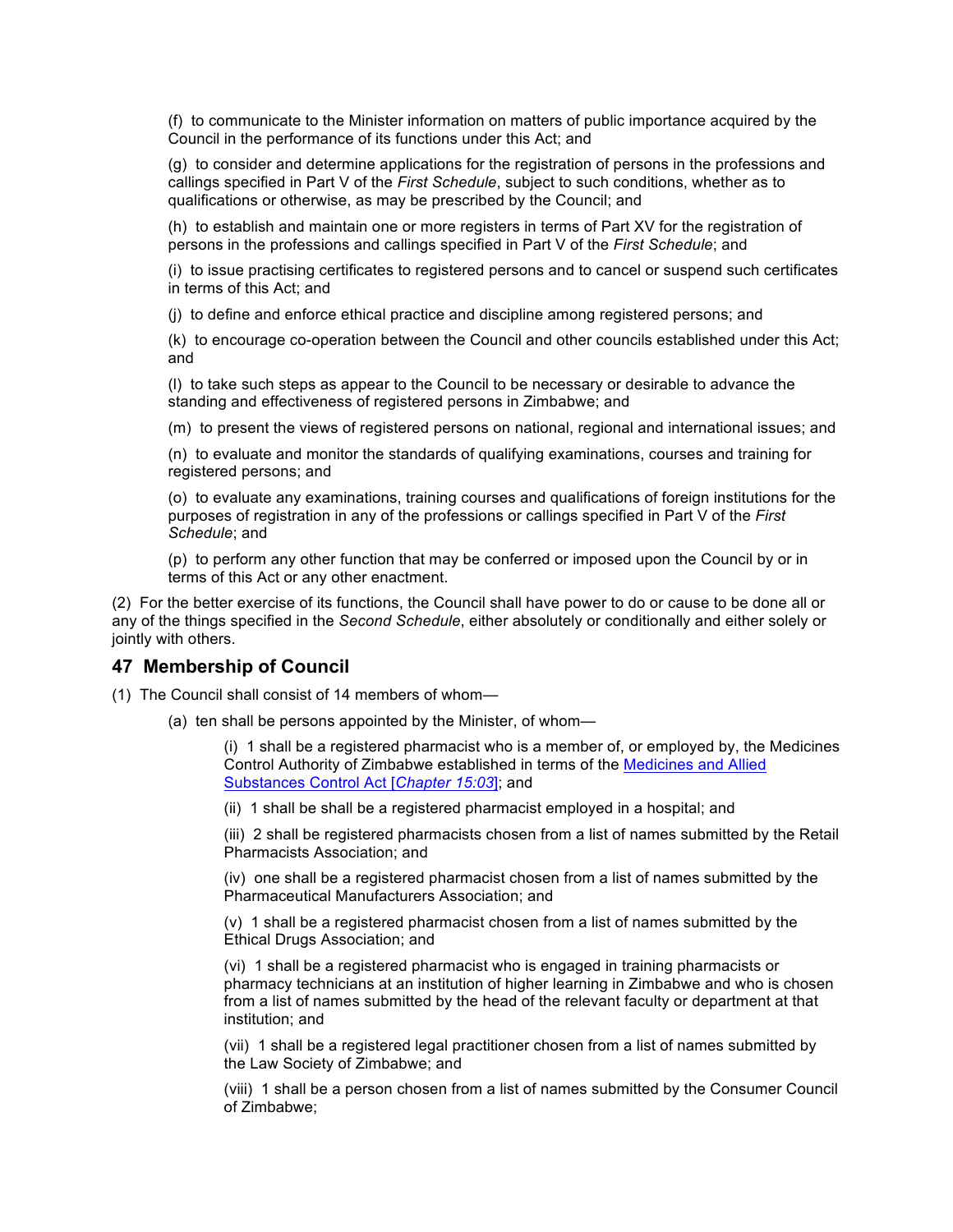(f) to communicate to the Minister information on matters of public importance acquired by the Council in the performance of its functions under this Act; and

(g) to consider and determine applications for the registration of persons in the professions and callings specified in Part V of the *First Schedule*, subject to such conditions, whether as to qualifications or otherwise, as may be prescribed by the Council; and

(h) to establish and maintain one or more registers in terms of Part XV for the registration of persons in the professions and callings specified in Part V of the *First Schedule*; and

(i) to issue practising certificates to registered persons and to cancel or suspend such certificates in terms of this Act; and

(j) to define and enforce ethical practice and discipline among registered persons; and

(k) to encourage co-operation between the Council and other councils established under this Act; and

(l) to take such steps as appear to the Council to be necessary or desirable to advance the standing and effectiveness of registered persons in Zimbabwe; and

(m) to present the views of registered persons on national, regional and international issues; and

(n) to evaluate and monitor the standards of qualifying examinations, courses and training for registered persons; and

(o) to evaluate any examinations, training courses and qualifications of foreign institutions for the purposes of registration in any of the professions or callings specified in Part V of the *First Schedule*; and

(p) to perform any other function that may be conferred or imposed upon the Council by or in terms of this Act or any other enactment.

(2) For the better exercise of its functions, the Council shall have power to do or cause to be done all or any of the things specified in the *Second Schedule*, either absolutely or conditionally and either solely or jointly with others.

#### **47 Membership of Council**

(1) The Council shall consist of 14 members of whom—

(a) ten shall be persons appointed by the Minister, of whom—

(i) 1 shall be a registered pharmacist who is a member of, or employed by, the Medicines Control Authority of Zimbabwe established in terms of the Medicines and Allied Substances Control Act [*Chapter 15:03*]; and

(ii) 1 shall be shall be a registered pharmacist employed in a hospital; and

(iii) 2 shall be registered pharmacists chosen from a list of names submitted by the Retail Pharmacists Association; and

(iv) one shall be a registered pharmacist chosen from a list of names submitted by the Pharmaceutical Manufacturers Association; and

(v) 1 shall be a registered pharmacist chosen from a list of names submitted by the Ethical Drugs Association; and

(vi) 1 shall be a registered pharmacist who is engaged in training pharmacists or pharmacy technicians at an institution of higher learning in Zimbabwe and who is chosen from a list of names submitted by the head of the relevant faculty or department at that institution; and

(vii) 1 shall be a registered legal practitioner chosen from a list of names submitted by the Law Society of Zimbabwe; and

(viii) 1 shall be a person chosen from a list of names submitted by the Consumer Council of Zimbabwe;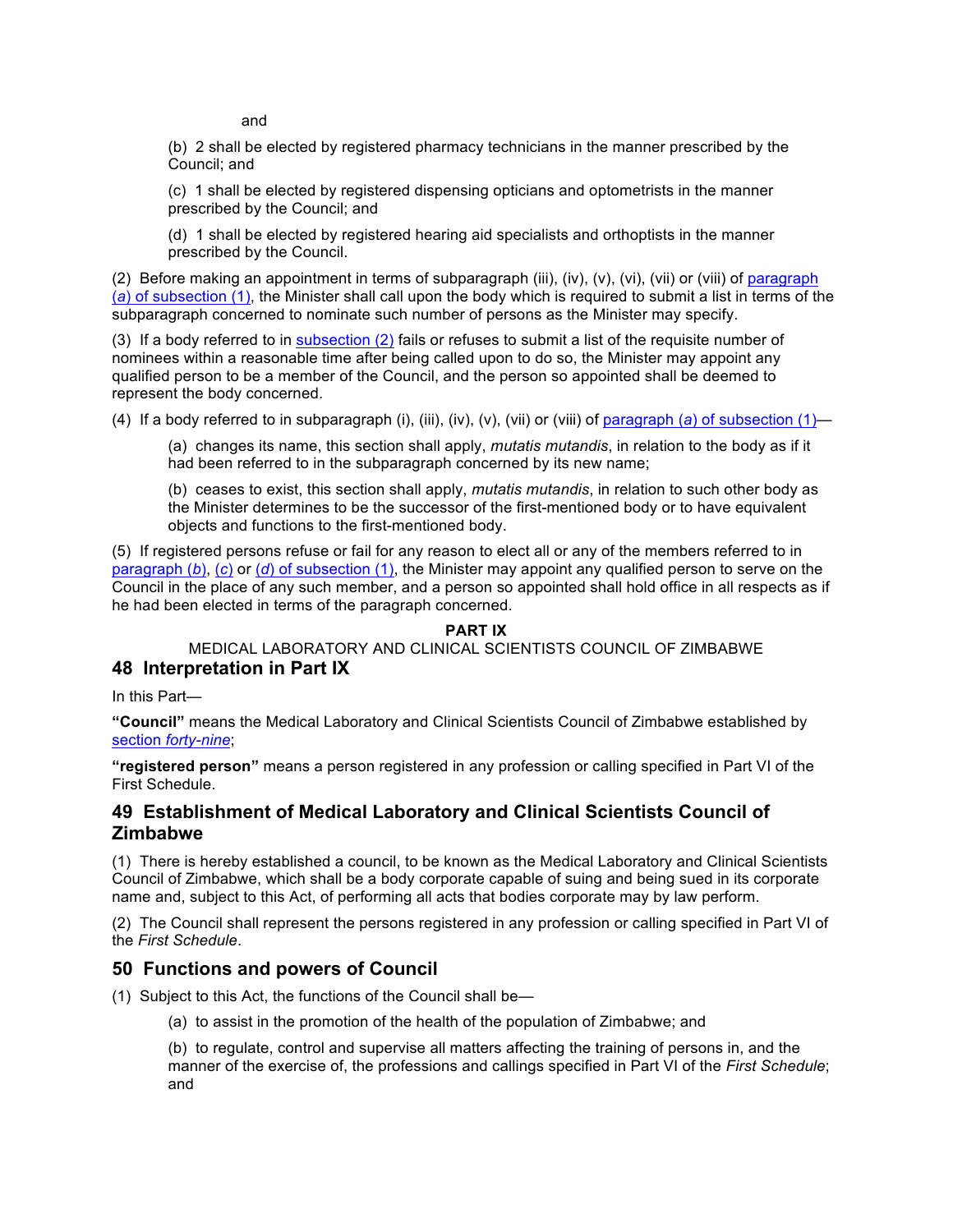and

(b) 2 shall be elected by registered pharmacy technicians in the manner prescribed by the Council; and

(c) 1 shall be elected by registered dispensing opticians and optometrists in the manner prescribed by the Council; and

(d) 1 shall be elected by registered hearing aid specialists and orthoptists in the manner prescribed by the Council.

(2) Before making an appointment in terms of subparagraph (iii), (iv), (v), (vi), (vii) or (viii) of paragraph (*a*) of subsection (1), the Minister shall call upon the body which is required to submit a list in terms of the subparagraph concerned to nominate such number of persons as the Minister may specify.

(3) If a body referred to in subsection (2) fails or refuses to submit a list of the requisite number of nominees within a reasonable time after being called upon to do so, the Minister may appoint any qualified person to be a member of the Council, and the person so appointed shall be deemed to represent the body concerned.

(4) If a body referred to in subparagraph (i), (iii), (iv), (v), (vii) or (viii) of paragraph (*a*) of subsection (1)—

(a) changes its name, this section shall apply, *mutatis mutandis*, in relation to the body as if it had been referred to in the subparagraph concerned by its new name;

(b) ceases to exist, this section shall apply, *mutatis mutandis*, in relation to such other body as the Minister determines to be the successor of the first-mentioned body or to have equivalent objects and functions to the first-mentioned body.

(5) If registered persons refuse or fail for any reason to elect all or any of the members referred to in paragraph (*b*), (*c*) or (*d*) of subsection (1), the Minister may appoint any qualified person to serve on the Council in the place of any such member, and a person so appointed shall hold office in all respects as if he had been elected in terms of the paragraph concerned.

### **PART IX**

### MEDICAL LABORATORY AND CLINICAL SCIENTISTS COUNCIL OF ZIMBABWE **48 Interpretation in Part IX**

In this Part—

**"Council"** means the Medical Laboratory and Clinical Scientists Council of Zimbabwe established by section *forty-nine*;

**"registered person"** means a person registered in any profession or calling specified in Part VI of the First Schedule.

# **49 Establishment of Medical Laboratory and Clinical Scientists Council of Zimbabwe**

(1) There is hereby established a council, to be known as the Medical Laboratory and Clinical Scientists Council of Zimbabwe, which shall be a body corporate capable of suing and being sued in its corporate name and, subject to this Act, of performing all acts that bodies corporate may by law perform.

(2) The Council shall represent the persons registered in any profession or calling specified in Part VI of the *First Schedule*.

# **50 Functions and powers of Council**

- (1) Subject to this Act, the functions of the Council shall be—
	- (a) to assist in the promotion of the health of the population of Zimbabwe; and

(b) to regulate, control and supervise all matters affecting the training of persons in, and the manner of the exercise of, the professions and callings specified in Part VI of the *First Schedule*; and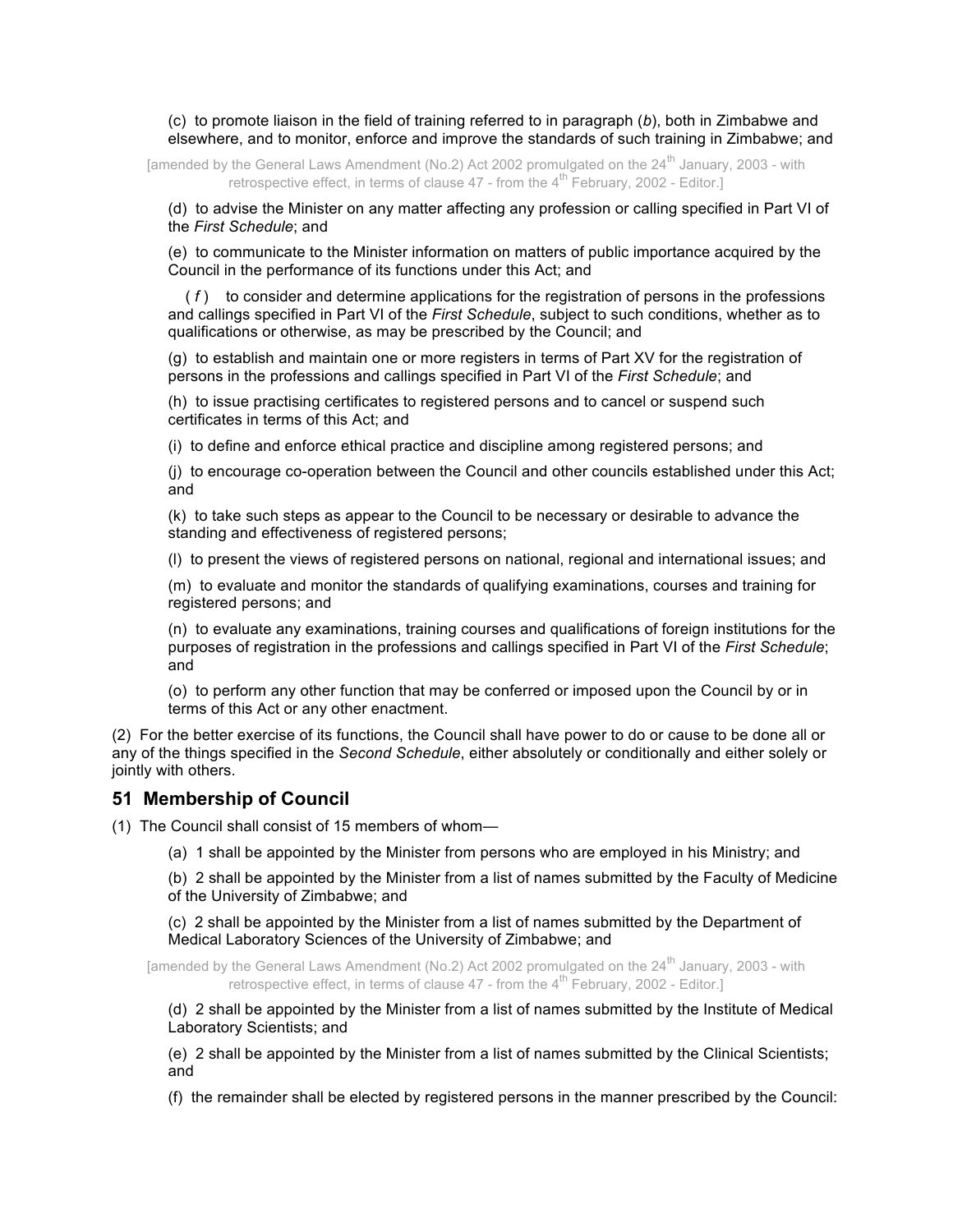(c) to promote liaison in the field of training referred to in paragraph (*b*), both in Zimbabwe and elsewhere, and to monitor, enforce and improve the standards of such training in Zimbabwe; and

[amended by the General Laws Amendment (No.2) Act 2002 promulgated on the 24<sup>th</sup> January, 2003 - with retrospective effect, in terms of clause  $47$  - from the  $4^{\text{th}}$  February, 2002 - Editor.]

(d) to advise the Minister on any matter affecting any profession or calling specified in Part VI of the *First Schedule*; and

(e) to communicate to the Minister information on matters of public importance acquired by the Council in the performance of its functions under this Act; and

 ( *f* ) to consider and determine applications for the registration of persons in the professions and callings specified in Part VI of the *First Schedule*, subject to such conditions, whether as to qualifications or otherwise, as may be prescribed by the Council; and

(g) to establish and maintain one or more registers in terms of Part XV for the registration of persons in the professions and callings specified in Part VI of the *First Schedule*; and

(h) to issue practising certificates to registered persons and to cancel or suspend such certificates in terms of this Act; and

(i) to define and enforce ethical practice and discipline among registered persons; and

(j) to encourage co-operation between the Council and other councils established under this Act; and

(k) to take such steps as appear to the Council to be necessary or desirable to advance the standing and effectiveness of registered persons:

(l) to present the views of registered persons on national, regional and international issues; and

(m) to evaluate and monitor the standards of qualifying examinations, courses and training for registered persons; and

(n) to evaluate any examinations, training courses and qualifications of foreign institutions for the purposes of registration in the professions and callings specified in Part VI of the *First Schedule*; and

(o) to perform any other function that may be conferred or imposed upon the Council by or in terms of this Act or any other enactment.

(2) For the better exercise of its functions, the Council shall have power to do or cause to be done all or any of the things specified in the *Second Schedule*, either absolutely or conditionally and either solely or jointly with others.

#### **51 Membership of Council**

(1) The Council shall consist of 15 members of whom—

(a) 1 shall be appointed by the Minister from persons who are employed in his Ministry; and

(b) 2 shall be appointed by the Minister from a list of names submitted by the Faculty of Medicine of the University of Zimbabwe; and

(c) 2 shall be appointed by the Minister from a list of names submitted by the Department of Medical Laboratory Sciences of the University of Zimbabwe; and

[amended by the General Laws Amendment (No.2) Act 2002 promulgated on the 24<sup>th</sup> January, 2003 - with retrospective effect, in terms of clause  $47$  - from the  $4^{\text{th}}$  February, 2002 - Editor.]

(d) 2 shall be appointed by the Minister from a list of names submitted by the Institute of Medical Laboratory Scientists; and

(e) 2 shall be appointed by the Minister from a list of names submitted by the Clinical Scientists; and

(f) the remainder shall be elected by registered persons in the manner prescribed by the Council: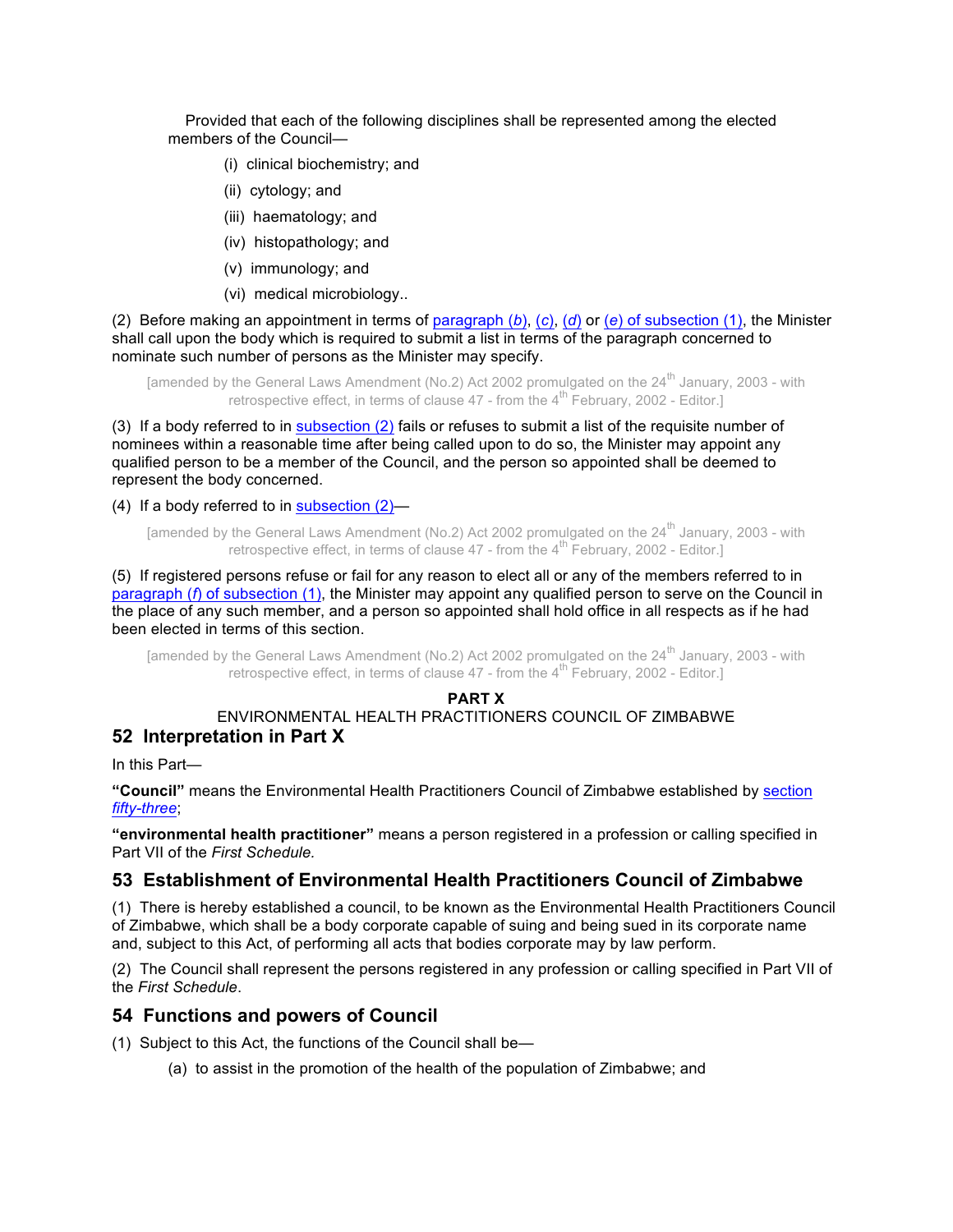Provided that each of the following disciplines shall be represented among the elected members of the Council—

- (i) clinical biochemistry; and
- (ii) cytology; and
- (iii) haematology; and
- (iv) histopathology; and
- (v) immunology; and
- (vi) medical microbiology..

(2) Before making an appointment in terms of paragraph (*b*), (*c*), (*d*) or (*e*) of subsection (1), the Minister shall call upon the body which is required to submit a list in terms of the paragraph concerned to nominate such number of persons as the Minister may specify.

[amended by the General Laws Amendment (No.2) Act 2002 promulgated on the  $24<sup>th</sup>$  January, 2003 - with retrospective effect, in terms of clause  $47$  - from the  $4^{\text{th}}$  February, 2002 - Editor.]

(3) If a body referred to in subsection (2) fails or refuses to submit a list of the requisite number of nominees within a reasonable time after being called upon to do so, the Minister may appoint any qualified person to be a member of the Council, and the person so appointed shall be deemed to represent the body concerned.

(4) If a body referred to in subsection (2)—

[amended by the General Laws Amendment (No.2) Act 2002 promulgated on the 24<sup>th</sup> January, 2003 - with retrospective effect, in terms of clause  $47$  - from the  $4^{\text{th}}$  February, 2002 - Editor.

(5) If registered persons refuse or fail for any reason to elect all or any of the members referred to in paragraph (*f*) of subsection (1), the Minister may appoint any qualified person to serve on the Council in the place of any such member, and a person so appointed shall hold office in all respects as if he had been elected in terms of this section.

[amended by the General Laws Amendment (No.2) Act 2002 promulgated on the 24<sup>th</sup> January, 2003 - with retrospective effect, in terms of clause  $47$  - from the  $4^{\text{th}}$  February, 2002 - Editor.

#### **PART X**

### ENVIRONMENTAL HEALTH PRACTITIONERS COUNCIL OF ZIMBABWE **52 Interpretation in Part X**

In this Part—

**"Council"** means the Environmental Health Practitioners Council of Zimbabwe established by section *fifty-three*;

**"environmental health practitioner"** means a person registered in a profession or calling specified in Part VII of the *First Schedule.*

# **53 Establishment of Environmental Health Practitioners Council of Zimbabwe**

(1) There is hereby established a council, to be known as the Environmental Health Practitioners Council of Zimbabwe, which shall be a body corporate capable of suing and being sued in its corporate name and, subject to this Act, of performing all acts that bodies corporate may by law perform.

(2) The Council shall represent the persons registered in any profession or calling specified in Part VII of the *First Schedule*.

# **54 Functions and powers of Council**

(1) Subject to this Act, the functions of the Council shall be—

(a) to assist in the promotion of the health of the population of Zimbabwe; and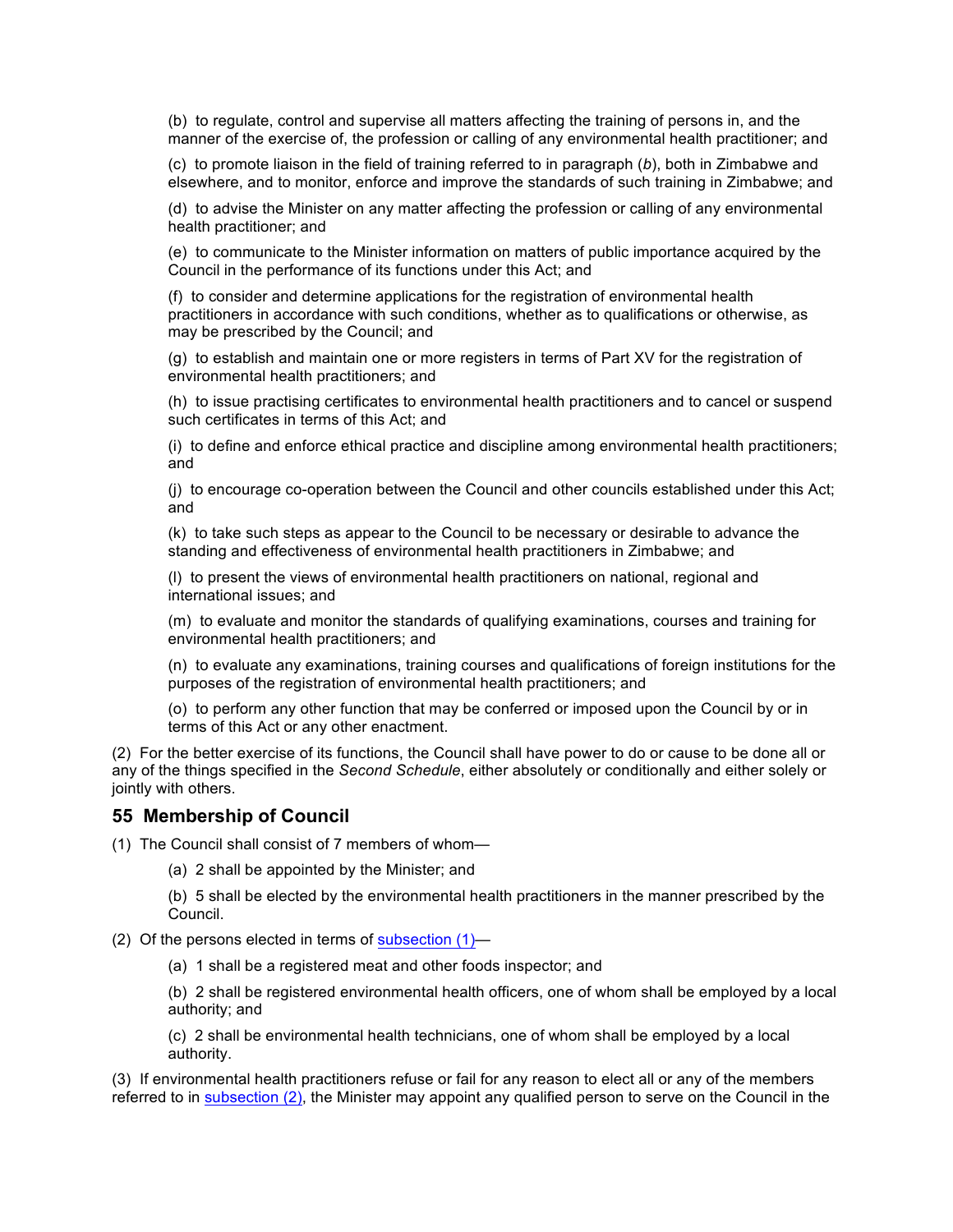(b) to regulate, control and supervise all matters affecting the training of persons in, and the manner of the exercise of, the profession or calling of any environmental health practitioner; and

(c) to promote liaison in the field of training referred to in paragraph (*b*), both in Zimbabwe and elsewhere, and to monitor, enforce and improve the standards of such training in Zimbabwe; and

(d) to advise the Minister on any matter affecting the profession or calling of any environmental health practitioner; and

(e) to communicate to the Minister information on matters of public importance acquired by the Council in the performance of its functions under this Act; and

(f) to consider and determine applications for the registration of environmental health practitioners in accordance with such conditions, whether as to qualifications or otherwise, as may be prescribed by the Council; and

(g) to establish and maintain one or more registers in terms of Part XV for the registration of environmental health practitioners; and

(h) to issue practising certificates to environmental health practitioners and to cancel or suspend such certificates in terms of this Act; and

(i) to define and enforce ethical practice and discipline among environmental health practitioners; and

(j) to encourage co-operation between the Council and other councils established under this Act; and

(k) to take such steps as appear to the Council to be necessary or desirable to advance the standing and effectiveness of environmental health practitioners in Zimbabwe; and

(l) to present the views of environmental health practitioners on national, regional and international issues; and

(m) to evaluate and monitor the standards of qualifying examinations, courses and training for environmental health practitioners; and

(n) to evaluate any examinations, training courses and qualifications of foreign institutions for the purposes of the registration of environmental health practitioners; and

(o) to perform any other function that may be conferred or imposed upon the Council by or in terms of this Act or any other enactment.

(2) For the better exercise of its functions, the Council shall have power to do or cause to be done all or any of the things specified in the *Second Schedule*, either absolutely or conditionally and either solely or jointly with others.

### **55 Membership of Council**

(1) The Council shall consist of 7 members of whom—

(a) 2 shall be appointed by the Minister; and

(b) 5 shall be elected by the environmental health practitioners in the manner prescribed by the Council.

(2) Of the persons elected in terms of subsection (1)—

(a) 1 shall be a registered meat and other foods inspector; and

(b) 2 shall be registered environmental health officers, one of whom shall be employed by a local authority; and

(c) 2 shall be environmental health technicians, one of whom shall be employed by a local authority.

(3) If environmental health practitioners refuse or fail for any reason to elect all or any of the members referred to in subsection (2), the Minister may appoint any qualified person to serve on the Council in the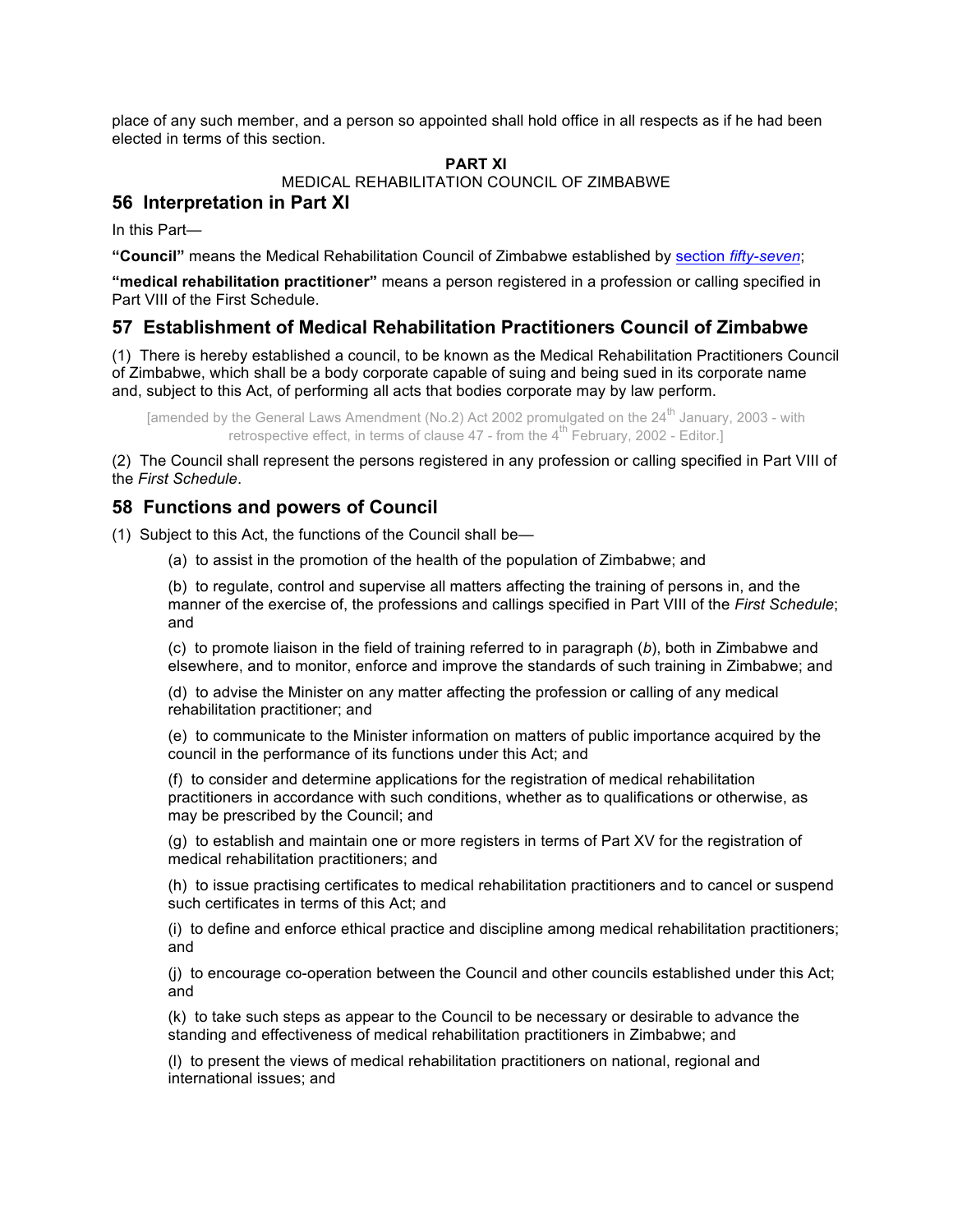place of any such member, and a person so appointed shall hold office in all respects as if he had been elected in terms of this section.

#### **PART XI**

MEDICAL REHABILITATION COUNCIL OF ZIMBABWE

# **56 Interpretation in Part XI**

In this Part—

**"Council"** means the Medical Rehabilitation Council of Zimbabwe established by section *fifty-seven*;

**"medical rehabilitation practitioner"** means a person registered in a profession or calling specified in Part VIII of the First Schedule.

# **57 Establishment of Medical Rehabilitation Practitioners Council of Zimbabwe**

(1) There is hereby established a council, to be known as the Medical Rehabilitation Practitioners Council of Zimbabwe, which shall be a body corporate capable of suing and being sued in its corporate name and, subject to this Act, of performing all acts that bodies corporate may by law perform.

[amended by the General Laws Amendment (No.2) Act 2002 promulgated on the  $24<sup>th</sup>$  January, 2003 - with retrospective effect, in terms of clause  $47$  - from the  $4^{\text{th}}$  February, 2002 - Editor.]

(2) The Council shall represent the persons registered in any profession or calling specified in Part VIII of the *First Schedule*.

# **58 Functions and powers of Council**

(1) Subject to this Act, the functions of the Council shall be—

(a) to assist in the promotion of the health of the population of Zimbabwe; and

(b) to regulate, control and supervise all matters affecting the training of persons in, and the manner of the exercise of, the professions and callings specified in Part VIII of the *First Schedule*; and

(c) to promote liaison in the field of training referred to in paragraph (*b*), both in Zimbabwe and elsewhere, and to monitor, enforce and improve the standards of such training in Zimbabwe; and

(d) to advise the Minister on any matter affecting the profession or calling of any medical rehabilitation practitioner; and

(e) to communicate to the Minister information on matters of public importance acquired by the council in the performance of its functions under this Act; and

(f) to consider and determine applications for the registration of medical rehabilitation practitioners in accordance with such conditions, whether as to qualifications or otherwise, as may be prescribed by the Council; and

(g) to establish and maintain one or more registers in terms of Part XV for the registration of medical rehabilitation practitioners; and

(h) to issue practising certificates to medical rehabilitation practitioners and to cancel or suspend such certificates in terms of this Act; and

(i) to define and enforce ethical practice and discipline among medical rehabilitation practitioners; and

(j) to encourage co-operation between the Council and other councils established under this Act; and

(k) to take such steps as appear to the Council to be necessary or desirable to advance the standing and effectiveness of medical rehabilitation practitioners in Zimbabwe; and

(l) to present the views of medical rehabilitation practitioners on national, regional and international issues; and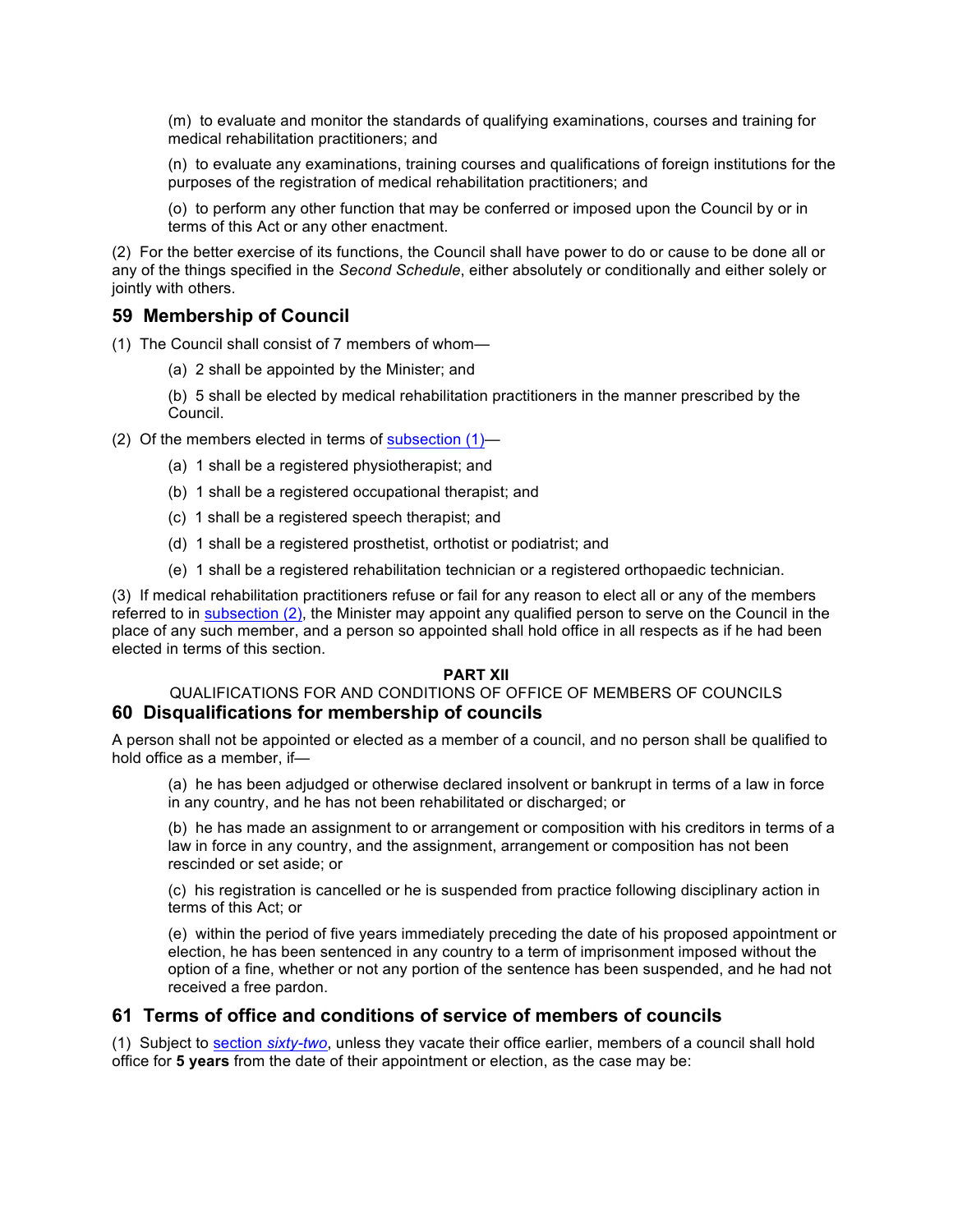(m) to evaluate and monitor the standards of qualifying examinations, courses and training for medical rehabilitation practitioners; and

(n) to evaluate any examinations, training courses and qualifications of foreign institutions for the purposes of the registration of medical rehabilitation practitioners; and

(o) to perform any other function that may be conferred or imposed upon the Council by or in terms of this Act or any other enactment.

(2) For the better exercise of its functions, the Council shall have power to do or cause to be done all or any of the things specified in the *Second Schedule*, either absolutely or conditionally and either solely or jointly with others.

### **59 Membership of Council**

(1) The Council shall consist of 7 members of whom—

- (a) 2 shall be appointed by the Minister; and
- (b) 5 shall be elected by medical rehabilitation practitioners in the manner prescribed by the Council.
- (2) Of the members elected in terms of subsection (1)—
	- (a) 1 shall be a registered physiotherapist; and
	- (b) 1 shall be a registered occupational therapist; and
	- (c) 1 shall be a registered speech therapist; and
	- (d) 1 shall be a registered prosthetist, orthotist or podiatrist; and
	- (e) 1 shall be a registered rehabilitation technician or a registered orthopaedic technician.

(3) If medical rehabilitation practitioners refuse or fail for any reason to elect all or any of the members referred to in subsection (2), the Minister may appoint any qualified person to serve on the Council in the place of any such member, and a person so appointed shall hold office in all respects as if he had been elected in terms of this section.

#### **PART XII**

#### QUALIFICATIONS FOR AND CONDITIONS OF OFFICE OF MEMBERS OF COUNCILS **60 Disqualifications for membership of councils**

A person shall not be appointed or elected as a member of a council, and no person shall be qualified to hold office as a member, if—

(a) he has been adjudged or otherwise declared insolvent or bankrupt in terms of a law in force in any country, and he has not been rehabilitated or discharged; or

(b) he has made an assignment to or arrangement or composition with his creditors in terms of a law in force in any country, and the assignment, arrangement or composition has not been rescinded or set aside; or

(c) his registration is cancelled or he is suspended from practice following disciplinary action in terms of this Act; or

(e) within the period of five years immediately preceding the date of his proposed appointment or election, he has been sentenced in any country to a term of imprisonment imposed without the option of a fine, whether or not any portion of the sentence has been suspended, and he had not received a free pardon.

### **61 Terms of office and conditions of service of members of councils**

(1) Subject to section *sixty-two*, unless they vacate their office earlier, members of a council shall hold office for **5 years** from the date of their appointment or election, as the case may be: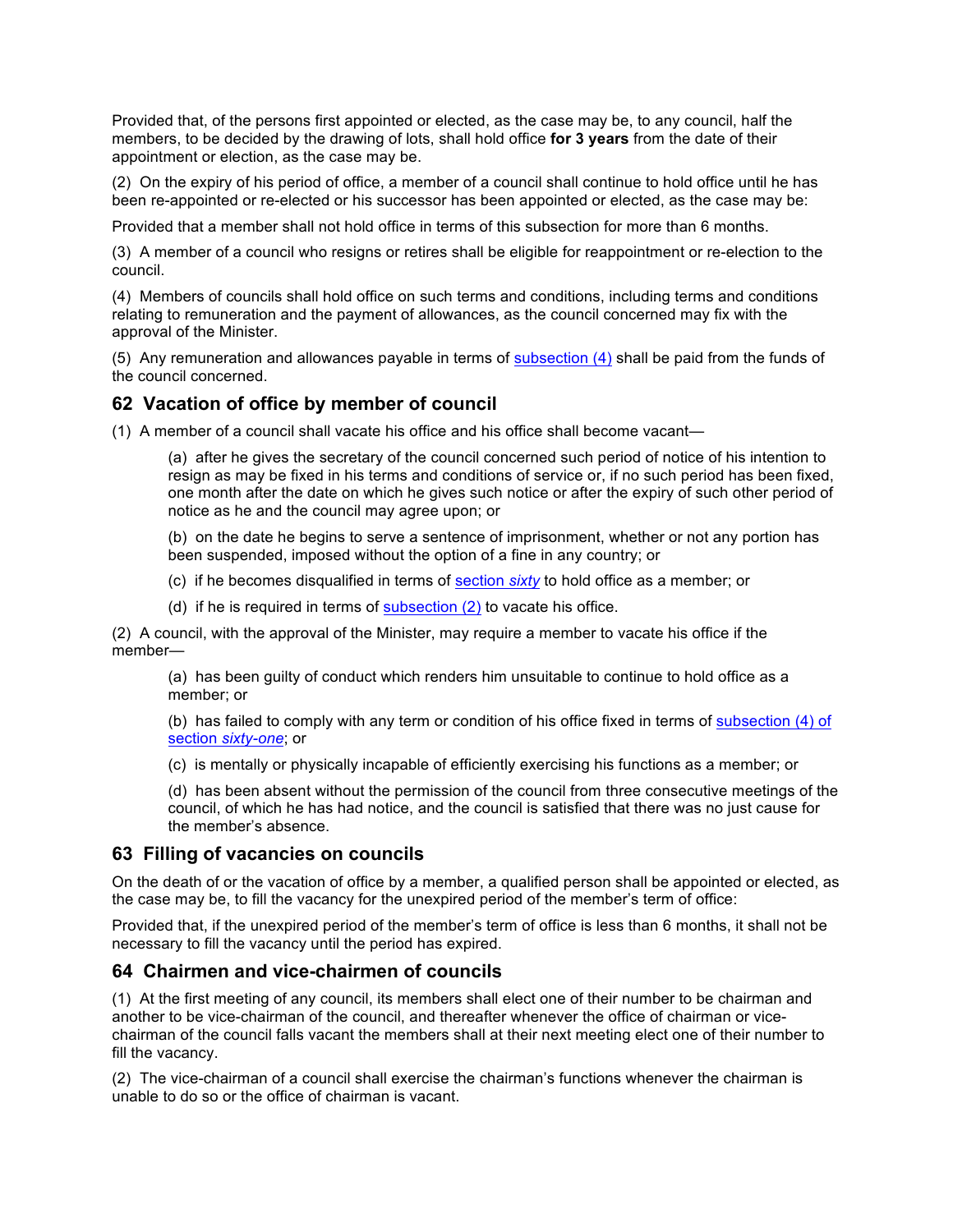Provided that, of the persons first appointed or elected, as the case may be, to any council, half the members, to be decided by the drawing of lots, shall hold office **for 3 years** from the date of their appointment or election, as the case may be.

(2) On the expiry of his period of office, a member of a council shall continue to hold office until he has been re-appointed or re-elected or his successor has been appointed or elected, as the case may be:

Provided that a member shall not hold office in terms of this subsection for more than 6 months.

(3) A member of a council who resigns or retires shall be eligible for reappointment or re-election to the council.

(4) Members of councils shall hold office on such terms and conditions, including terms and conditions relating to remuneration and the payment of allowances, as the council concerned may fix with the approval of the Minister.

(5) Any remuneration and allowances payable in terms of subsection (4) shall be paid from the funds of the council concerned.

### **62 Vacation of office by member of council**

(1) A member of a council shall vacate his office and his office shall become vacant—

(a) after he gives the secretary of the council concerned such period of notice of his intention to resign as may be fixed in his terms and conditions of service or, if no such period has been fixed, one month after the date on which he gives such notice or after the expiry of such other period of notice as he and the council may agree upon; or

(b) on the date he begins to serve a sentence of imprisonment, whether or not any portion has been suspended, imposed without the option of a fine in any country; or

(c) if he becomes disqualified in terms of section *sixty* to hold office as a member; or

(d) if he is required in terms of subsection  $(2)$  to vacate his office.

(2) A council, with the approval of the Minister, may require a member to vacate his office if the member—

(a) has been guilty of conduct which renders him unsuitable to continue to hold office as a member; or

(b) has failed to comply with any term or condition of his office fixed in terms of subsection (4) of section *sixty-one*; or

(c) is mentally or physically incapable of efficiently exercising his functions as a member; or

(d) has been absent without the permission of the council from three consecutive meetings of the council, of which he has had notice, and the council is satisfied that there was no just cause for the member's absence.

### **63 Filling of vacancies on councils**

On the death of or the vacation of office by a member, a qualified person shall be appointed or elected, as the case may be, to fill the vacancy for the unexpired period of the member's term of office:

Provided that, if the unexpired period of the member's term of office is less than 6 months, it shall not be necessary to fill the vacancy until the period has expired.

#### **64 Chairmen and vice-chairmen of councils**

(1) At the first meeting of any council, its members shall elect one of their number to be chairman and another to be vice-chairman of the council, and thereafter whenever the office of chairman or vicechairman of the council falls vacant the members shall at their next meeting elect one of their number to fill the vacancy.

(2) The vice-chairman of a council shall exercise the chairman's functions whenever the chairman is unable to do so or the office of chairman is vacant.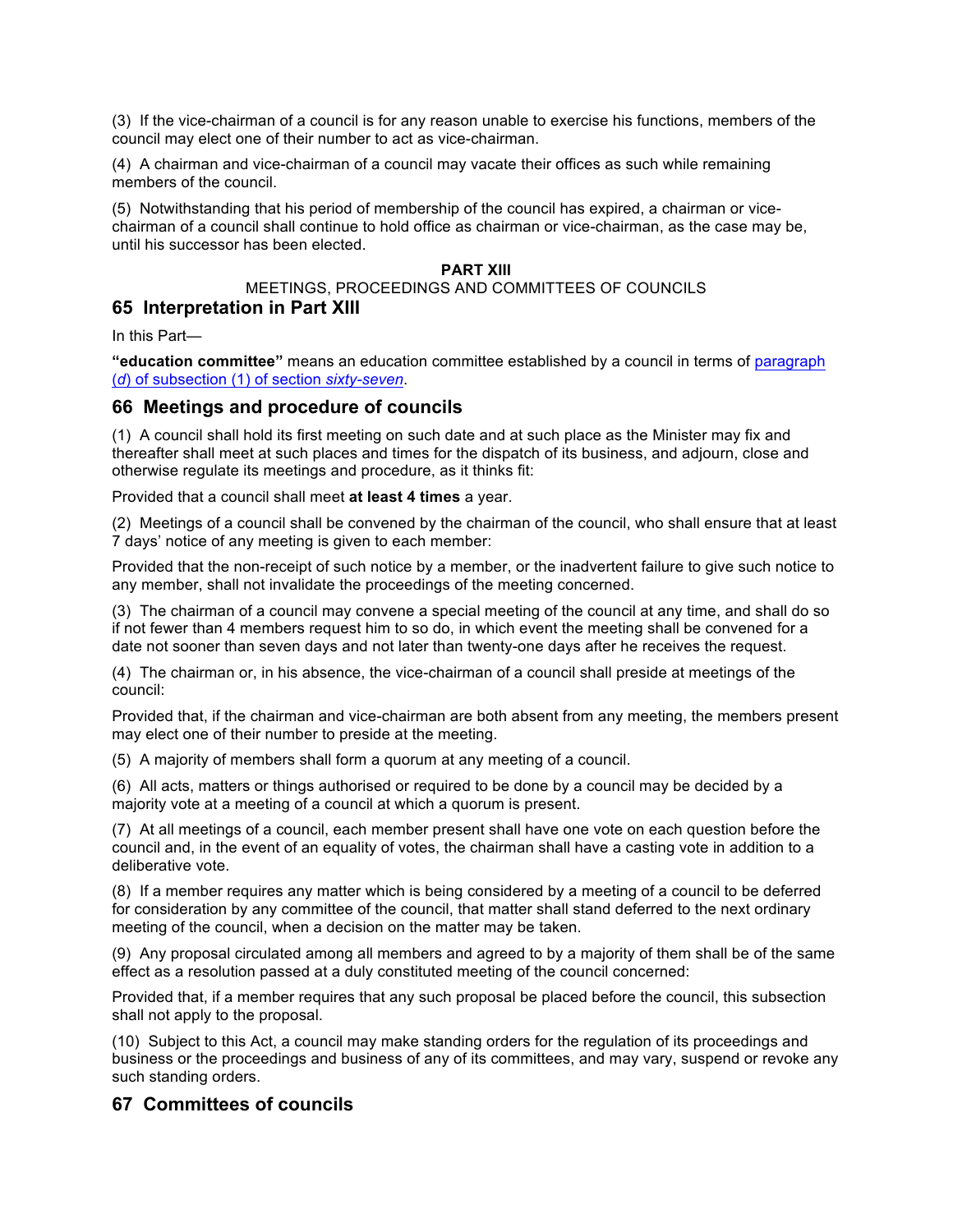(3) If the vice-chairman of a council is for any reason unable to exercise his functions, members of the council may elect one of their number to act as vice-chairman.

(4) A chairman and vice-chairman of a council may vacate their offices as such while remaining members of the council.

(5) Notwithstanding that his period of membership of the council has expired, a chairman or vicechairman of a council shall continue to hold office as chairman or vice-chairman, as the case may be, until his successor has been elected.

#### **PART XIII**

#### MEETINGS, PROCEEDINGS AND COMMITTEES OF COUNCILS **65 Interpretation in Part XIII**

In this Part—

**"education committee"** means an education committee established by a council in terms of paragraph (*d*) of subsection (1) of section *sixty-seven*.

#### **66 Meetings and procedure of councils**

(1) A council shall hold its first meeting on such date and at such place as the Minister may fix and thereafter shall meet at such places and times for the dispatch of its business, and adjourn, close and otherwise regulate its meetings and procedure, as it thinks fit:

Provided that a council shall meet **at least 4 times** a year.

(2) Meetings of a council shall be convened by the chairman of the council, who shall ensure that at least 7 days' notice of any meeting is given to each member:

Provided that the non-receipt of such notice by a member, or the inadvertent failure to give such notice to any member, shall not invalidate the proceedings of the meeting concerned.

(3) The chairman of a council may convene a special meeting of the council at any time, and shall do so if not fewer than 4 members request him to so do, in which event the meeting shall be convened for a date not sooner than seven days and not later than twenty-one days after he receives the request.

(4) The chairman or, in his absence, the vice-chairman of a council shall preside at meetings of the council:

Provided that, if the chairman and vice-chairman are both absent from any meeting, the members present may elect one of their number to preside at the meeting.

(5) A majority of members shall form a quorum at any meeting of a council.

(6) All acts, matters or things authorised or required to be done by a council may be decided by a majority vote at a meeting of a council at which a quorum is present.

(7) At all meetings of a council, each member present shall have one vote on each question before the council and, in the event of an equality of votes, the chairman shall have a casting vote in addition to a deliberative vote.

(8) If a member requires any matter which is being considered by a meeting of a council to be deferred for consideration by any committee of the council, that matter shall stand deferred to the next ordinary meeting of the council, when a decision on the matter may be taken.

(9) Any proposal circulated among all members and agreed to by a majority of them shall be of the same effect as a resolution passed at a duly constituted meeting of the council concerned:

Provided that, if a member requires that any such proposal be placed before the council, this subsection shall not apply to the proposal.

(10) Subject to this Act, a council may make standing orders for the regulation of its proceedings and business or the proceedings and business of any of its committees, and may vary, suspend or revoke any such standing orders.

### **67 Committees of councils**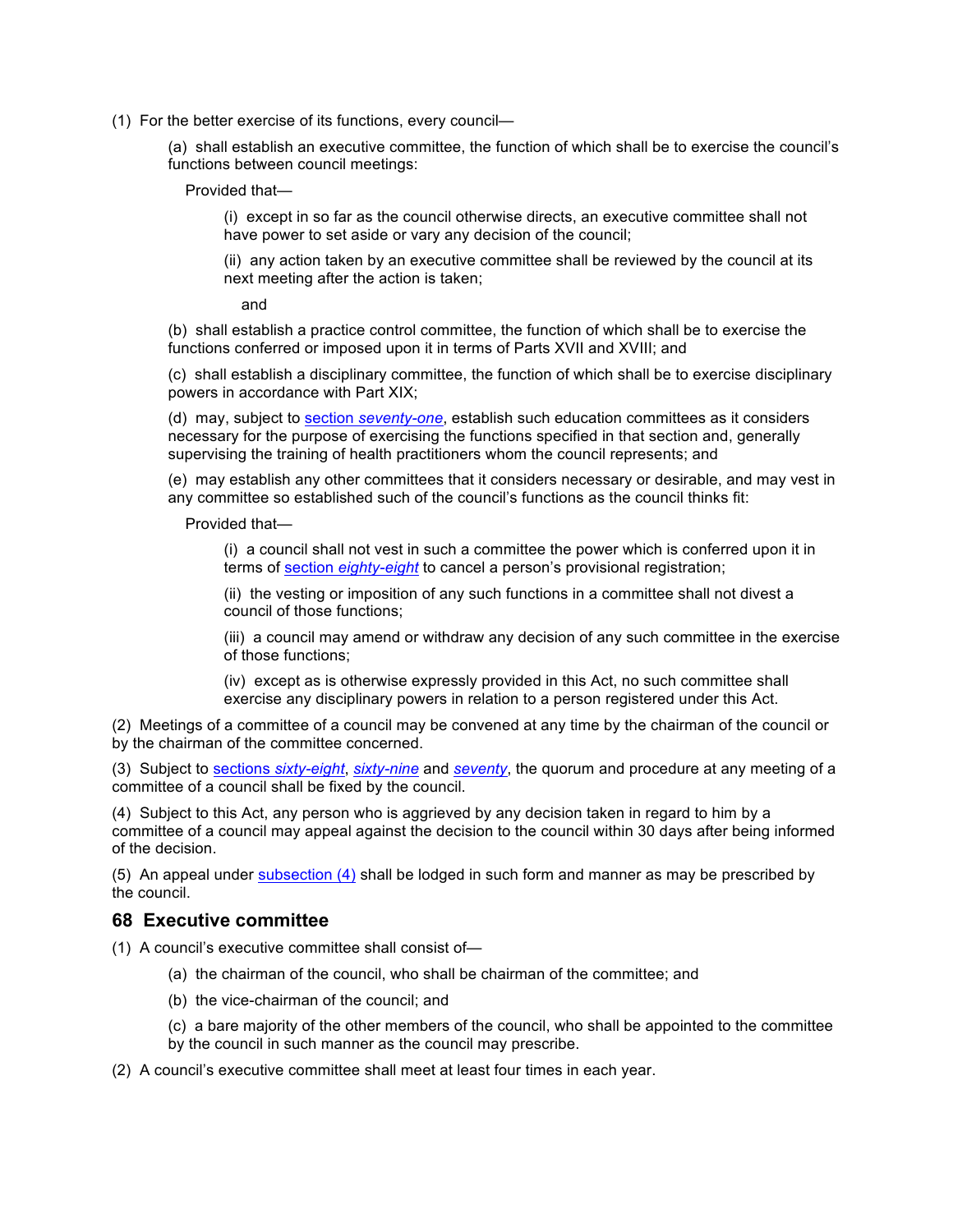(1) For the better exercise of its functions, every council—

(a) shall establish an executive committee, the function of which shall be to exercise the council's functions between council meetings:

Provided that—

(i) except in so far as the council otherwise directs, an executive committee shall not have power to set aside or vary any decision of the council;

(ii) any action taken by an executive committee shall be reviewed by the council at its next meeting after the action is taken;

and

(b) shall establish a practice control committee, the function of which shall be to exercise the functions conferred or imposed upon it in terms of Parts XVII and XVIII; and

(c) shall establish a disciplinary committee, the function of which shall be to exercise disciplinary powers in accordance with Part XIX;

(d) may, subject to section *seventy-one*, establish such education committees as it considers necessary for the purpose of exercising the functions specified in that section and, generally supervising the training of health practitioners whom the council represents; and

(e) may establish any other committees that it considers necessary or desirable, and may vest in any committee so established such of the council's functions as the council thinks fit:

Provided that—

(i) a council shall not vest in such a committee the power which is conferred upon it in terms of section *eighty-eight* to cancel a person's provisional registration;

(ii) the vesting or imposition of any such functions in a committee shall not divest a council of those functions;

(iii) a council may amend or withdraw any decision of any such committee in the exercise of those functions;

(iv) except as is otherwise expressly provided in this Act, no such committee shall exercise any disciplinary powers in relation to a person registered under this Act.

(2) Meetings of a committee of a council may be convened at any time by the chairman of the council or by the chairman of the committee concerned.

(3) Subject to sections *sixty-eight*, *sixty-nine* and *seventy*, the quorum and procedure at any meeting of a committee of a council shall be fixed by the council.

(4) Subject to this Act, any person who is aggrieved by any decision taken in regard to him by a committee of a council may appeal against the decision to the council within 30 days after being informed of the decision.

(5) An appeal under subsection (4) shall be lodged in such form and manner as may be prescribed by the council.

### **68 Executive committee**

(1) A council's executive committee shall consist of—

- (a) the chairman of the council, who shall be chairman of the committee; and
- (b) the vice-chairman of the council; and
- (c) a bare majority of the other members of the council, who shall be appointed to the committee by the council in such manner as the council may prescribe.
- (2) A council's executive committee shall meet at least four times in each year.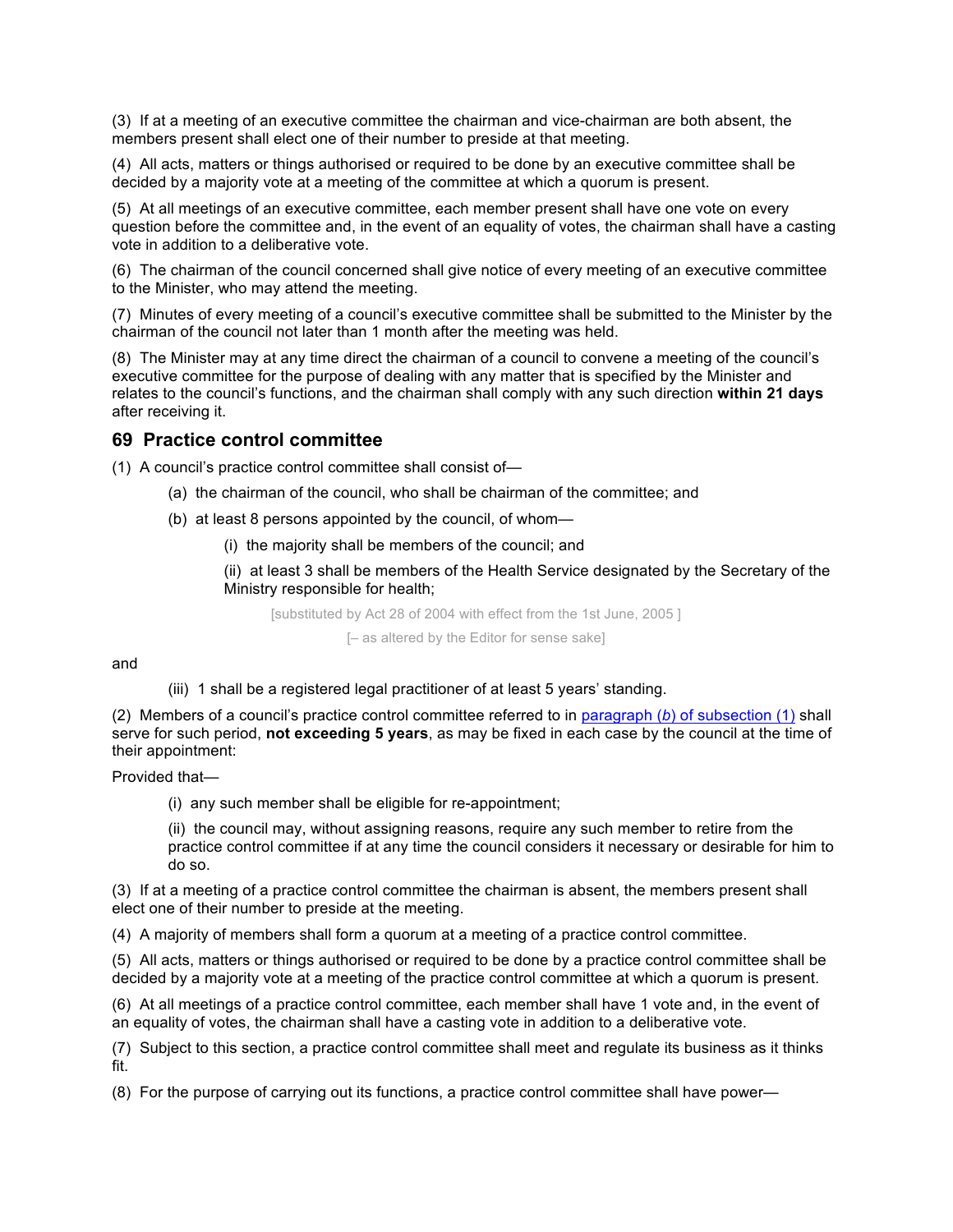(3) If at a meeting of an executive committee the chairman and vice-chairman are both absent, the members present shall elect one of their number to preside at that meeting.

(4) All acts, matters or things authorised or required to be done by an executive committee shall be decided by a majority vote at a meeting of the committee at which a quorum is present.

(5) At all meetings of an executive committee, each member present shall have one vote on every question before the committee and, in the event of an equality of votes, the chairman shall have a casting vote in addition to a deliberative vote.

(6) The chairman of the council concerned shall give notice of every meeting of an executive committee to the Minister, who may attend the meeting.

(7) Minutes of every meeting of a council's executive committee shall be submitted to the Minister by the chairman of the council not later than 1 month after the meeting was held.

(8) The Minister may at any time direct the chairman of a council to convene a meeting of the council's executive committee for the purpose of dealing with any matter that is specified by the Minister and relates to the council's functions, and the chairman shall comply with any such direction **within 21 days** after receiving it.

### **69 Practice control committee**

(1) A council's practice control committee shall consist of—

- (a) the chairman of the council, who shall be chairman of the committee; and
- (b) at least 8 persons appointed by the council, of whom—
	- (i) the majority shall be members of the council; and

(ii) at least 3 shall be members of the Health Service designated by the Secretary of the Ministry responsible for health;

[substituted by Act 28 of 2004 with effect from the 1st June, 2005 ] [– as altered by the Editor for sense sake]

and

#### (iii) 1 shall be a registered legal practitioner of at least 5 years' standing.

(2) Members of a council's practice control committee referred to in paragraph (*b*) of subsection (1) shall serve for such period, **not exceeding 5 years**, as may be fixed in each case by the council at the time of their appointment:

Provided that—

(i) any such member shall be eligible for re-appointment;

(ii) the council may, without assigning reasons, require any such member to retire from the practice control committee if at any time the council considers it necessary or desirable for him to do so.

(3) If at a meeting of a practice control committee the chairman is absent, the members present shall elect one of their number to preside at the meeting.

(4) A majority of members shall form a quorum at a meeting of a practice control committee.

(5) All acts, matters or things authorised or required to be done by a practice control committee shall be decided by a majority vote at a meeting of the practice control committee at which a quorum is present.

(6) At all meetings of a practice control committee, each member shall have 1 vote and, in the event of an equality of votes, the chairman shall have a casting vote in addition to a deliberative vote.

(7) Subject to this section, a practice control committee shall meet and regulate its business as it thinks fit.

(8) For the purpose of carrying out its functions, a practice control committee shall have power—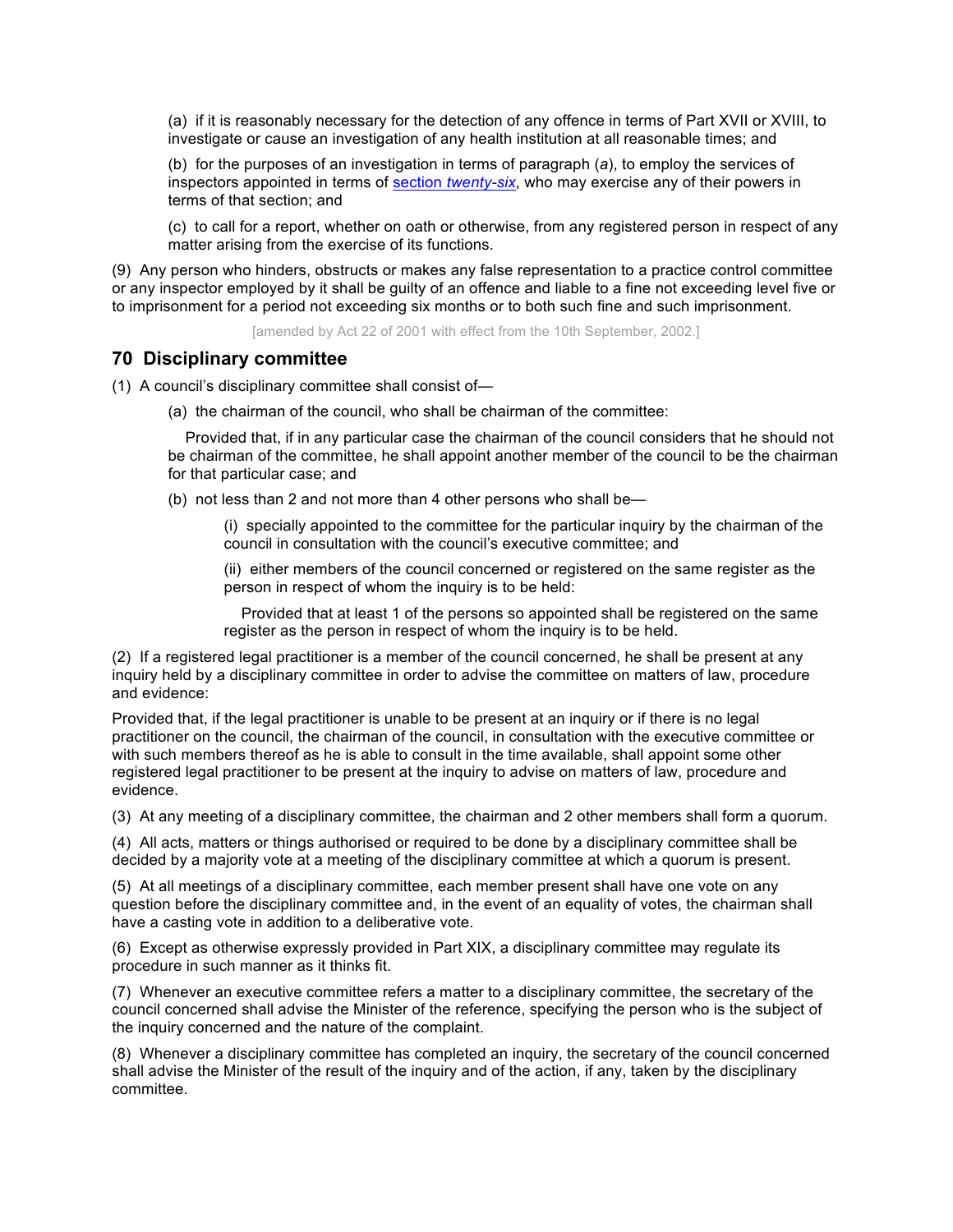(a) if it is reasonably necessary for the detection of any offence in terms of Part XVII or XVIII, to investigate or cause an investigation of any health institution at all reasonable times; and

(b) for the purposes of an investigation in terms of paragraph (*a*), to employ the services of inspectors appointed in terms of section *twenty-six*, who may exercise any of their powers in terms of that section; and

(c) to call for a report, whether on oath or otherwise, from any registered person in respect of any matter arising from the exercise of its functions.

(9) Any person who hinders, obstructs or makes any false representation to a practice control committee or any inspector employed by it shall be guilty of an offence and liable to a fine not exceeding level five or to imprisonment for a period not exceeding six months or to both such fine and such imprisonment.

[amended by Act 22 of 2001 with effect from the 10th September, 2002.]

### **70 Disciplinary committee**

(1) A council's disciplinary committee shall consist of—

(a) the chairman of the council, who shall be chairman of the committee:

 Provided that, if in any particular case the chairman of the council considers that he should not be chairman of the committee, he shall appoint another member of the council to be the chairman for that particular case; and

(b) not less than 2 and not more than 4 other persons who shall be—

(i) specially appointed to the committee for the particular inquiry by the chairman of the council in consultation with the council's executive committee; and

(ii) either members of the council concerned or registered on the same register as the person in respect of whom the inquiry is to be held:

 Provided that at least 1 of the persons so appointed shall be registered on the same register as the person in respect of whom the inquiry is to be held.

(2) If a registered legal practitioner is a member of the council concerned, he shall be present at any inquiry held by a disciplinary committee in order to advise the committee on matters of law, procedure and evidence:

Provided that, if the legal practitioner is unable to be present at an inquiry or if there is no legal practitioner on the council, the chairman of the council, in consultation with the executive committee or with such members thereof as he is able to consult in the time available, shall appoint some other registered legal practitioner to be present at the inquiry to advise on matters of law, procedure and evidence.

(3) At any meeting of a disciplinary committee, the chairman and 2 other members shall form a quorum.

(4) All acts, matters or things authorised or required to be done by a disciplinary committee shall be decided by a majority vote at a meeting of the disciplinary committee at which a quorum is present.

(5) At all meetings of a disciplinary committee, each member present shall have one vote on any question before the disciplinary committee and, in the event of an equality of votes, the chairman shall have a casting vote in addition to a deliberative vote.

(6) Except as otherwise expressly provided in Part XIX, a disciplinary committee may regulate its procedure in such manner as it thinks fit.

(7) Whenever an executive committee refers a matter to a disciplinary committee, the secretary of the council concerned shall advise the Minister of the reference, specifying the person who is the subject of the inquiry concerned and the nature of the complaint.

(8) Whenever a disciplinary committee has completed an inquiry, the secretary of the council concerned shall advise the Minister of the result of the inquiry and of the action, if any, taken by the disciplinary committee.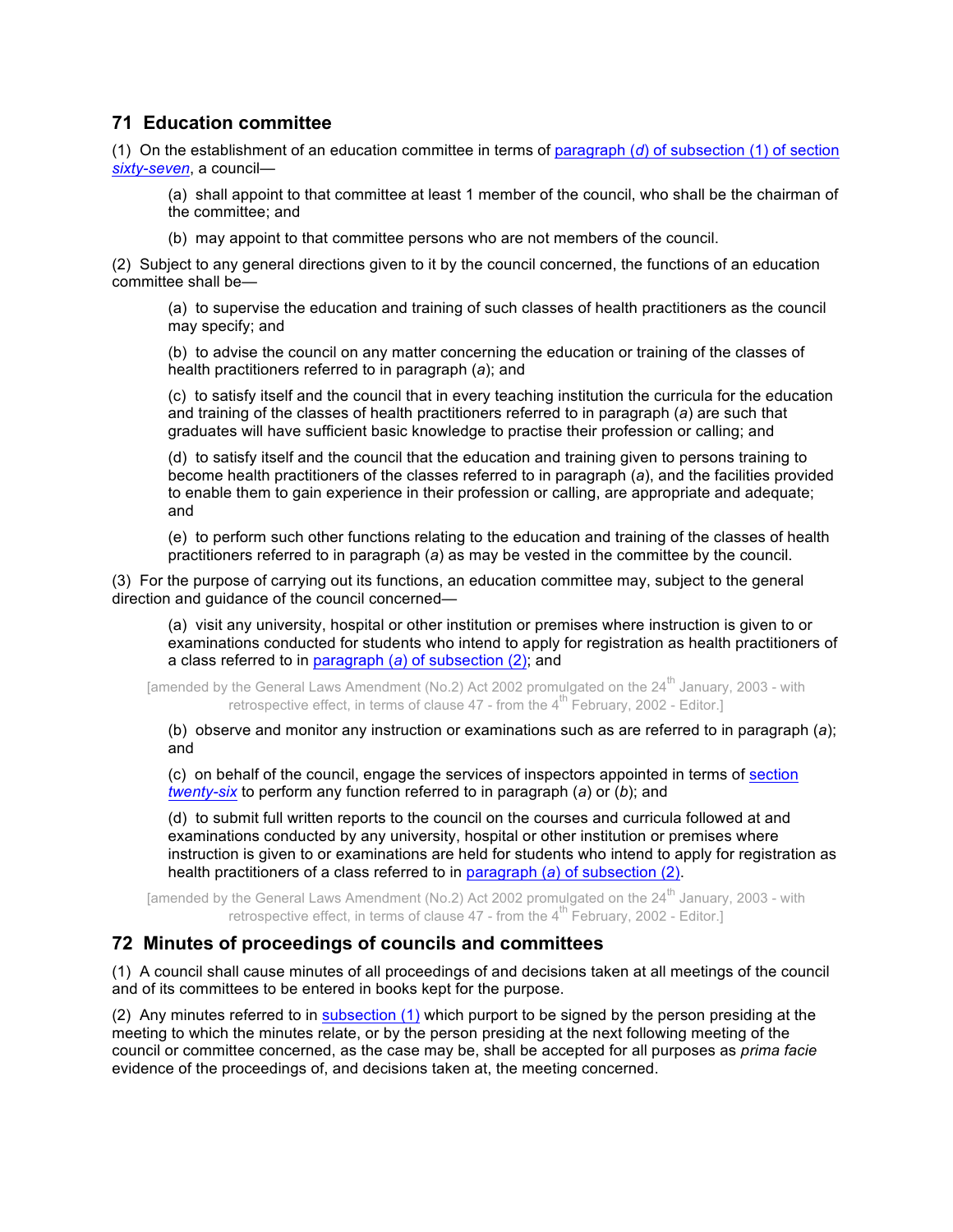# **71 Education committee**

(1) On the establishment of an education committee in terms of paragraph (*d*) of subsection (1) of section *sixty-seven*, a council—

(a) shall appoint to that committee at least 1 member of the council, who shall be the chairman of the committee; and

(b) may appoint to that committee persons who are not members of the council.

(2) Subject to any general directions given to it by the council concerned, the functions of an education committee shall be—

(a) to supervise the education and training of such classes of health practitioners as the council may specify; and

(b) to advise the council on any matter concerning the education or training of the classes of health practitioners referred to in paragraph (*a*); and

(c) to satisfy itself and the council that in every teaching institution the curricula for the education and training of the classes of health practitioners referred to in paragraph (*a*) are such that graduates will have sufficient basic knowledge to practise their profession or calling; and

(d) to satisfy itself and the council that the education and training given to persons training to become health practitioners of the classes referred to in paragraph (*a*), and the facilities provided to enable them to gain experience in their profession or calling, are appropriate and adequate; and

(e) to perform such other functions relating to the education and training of the classes of health practitioners referred to in paragraph (*a*) as may be vested in the committee by the council.

(3) For the purpose of carrying out its functions, an education committee may, subject to the general direction and guidance of the council concerned—

(a) visit any university, hospital or other institution or premises where instruction is given to or examinations conducted for students who intend to apply for registration as health practitioners of a class referred to in paragraph (*a*) of subsection (2); and

[amended by the General Laws Amendment (No.2) Act 2002 promulgated on the  $24^{th}$  January, 2003 - with retrospective effect, in terms of clause  $47$  - from the  $4^{\text{th}}$  February, 2002 - Editor.

(b) observe and monitor any instruction or examinations such as are referred to in paragraph (*a*); and

(c) on behalf of the council, engage the services of inspectors appointed in terms of section *twenty-six* to perform any function referred to in paragraph (*a*) or (*b*); and

(d) to submit full written reports to the council on the courses and curricula followed at and examinations conducted by any university, hospital or other institution or premises where instruction is given to or examinations are held for students who intend to apply for registration as health practitioners of a class referred to in paragraph (*a*) of subsection (2).

[amended by the General Laws Amendment (No.2) Act 2002 promulgated on the 24<sup>th</sup> January, 2003 - with retrospective effect, in terms of clause  $47$  - from the  $4^{\text{th}}$  February, 2002 - Editor.

# **72 Minutes of proceedings of councils and committees**

(1) A council shall cause minutes of all proceedings of and decisions taken at all meetings of the council and of its committees to be entered in books kept for the purpose.

(2) Any minutes referred to in subsection (1) which purport to be signed by the person presiding at the meeting to which the minutes relate, or by the person presiding at the next following meeting of the council or committee concerned, as the case may be, shall be accepted for all purposes as *prima facie* evidence of the proceedings of, and decisions taken at, the meeting concerned.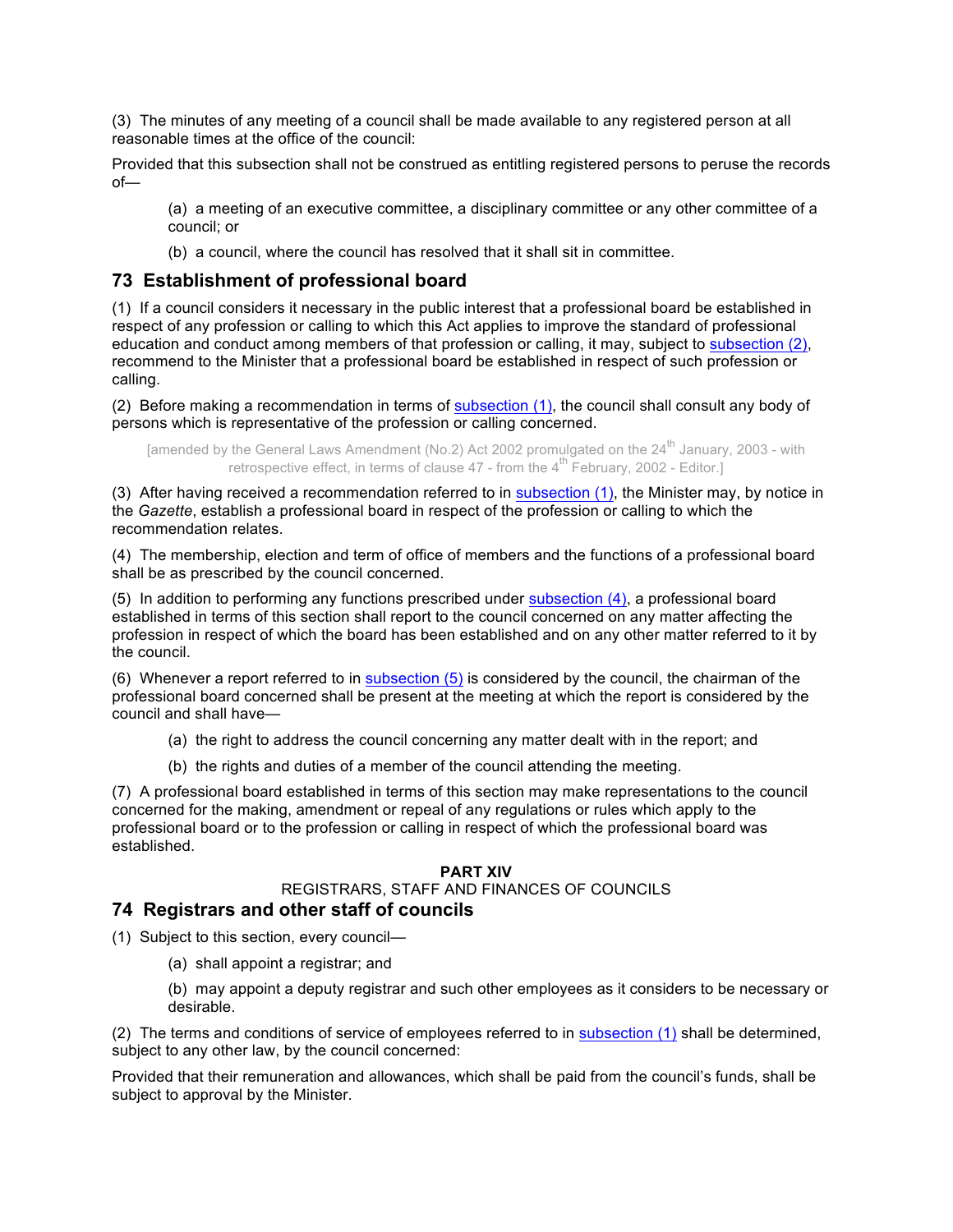(3) The minutes of any meeting of a council shall be made available to any registered person at all reasonable times at the office of the council:

Provided that this subsection shall not be construed as entitling registered persons to peruse the records of—

(a) a meeting of an executive committee, a disciplinary committee or any other committee of a council; or

(b) a council, where the council has resolved that it shall sit in committee.

### **73 Establishment of professional board**

(1) If a council considers it necessary in the public interest that a professional board be established in respect of any profession or calling to which this Act applies to improve the standard of professional education and conduct among members of that profession or calling, it may, subject to subsection (2), recommend to the Minister that a professional board be established in respect of such profession or calling.

(2) Before making a recommendation in terms of subsection (1), the council shall consult any body of persons which is representative of the profession or calling concerned.

[amended by the General Laws Amendment (No.2) Act 2002 promulgated on the 24<sup>th</sup> January, 2003 - with retrospective effect, in terms of clause  $47$  - from the  $4^{\text{th}}$  February, 2002 - Editor.]

(3) After having received a recommendation referred to in subsection (1), the Minister may, by notice in the *Gazette*, establish a professional board in respect of the profession or calling to which the recommendation relates.

(4) The membership, election and term of office of members and the functions of a professional board shall be as prescribed by the council concerned.

(5) In addition to performing any functions prescribed under subsection (4), a professional board established in terms of this section shall report to the council concerned on any matter affecting the profession in respect of which the board has been established and on any other matter referred to it by the council.

(6) Whenever a report referred to in subsection (5) is considered by the council, the chairman of the professional board concerned shall be present at the meeting at which the report is considered by the council and shall have—

(a) the right to address the council concerning any matter dealt with in the report; and

(b) the rights and duties of a member of the council attending the meeting.

(7) A professional board established in terms of this section may make representations to the council concerned for the making, amendment or repeal of any regulations or rules which apply to the professional board or to the profession or calling in respect of which the professional board was established.

#### **PART XIV**

# REGISTRARS, STAFF AND FINANCES OF COUNCILS

### **74 Registrars and other staff of councils**

(1) Subject to this section, every council—

(a) shall appoint a registrar; and

(b) may appoint a deputy registrar and such other employees as it considers to be necessary or desirable.

(2) The terms and conditions of service of employees referred to in subsection (1) shall be determined, subject to any other law, by the council concerned:

Provided that their remuneration and allowances, which shall be paid from the council's funds, shall be subject to approval by the Minister.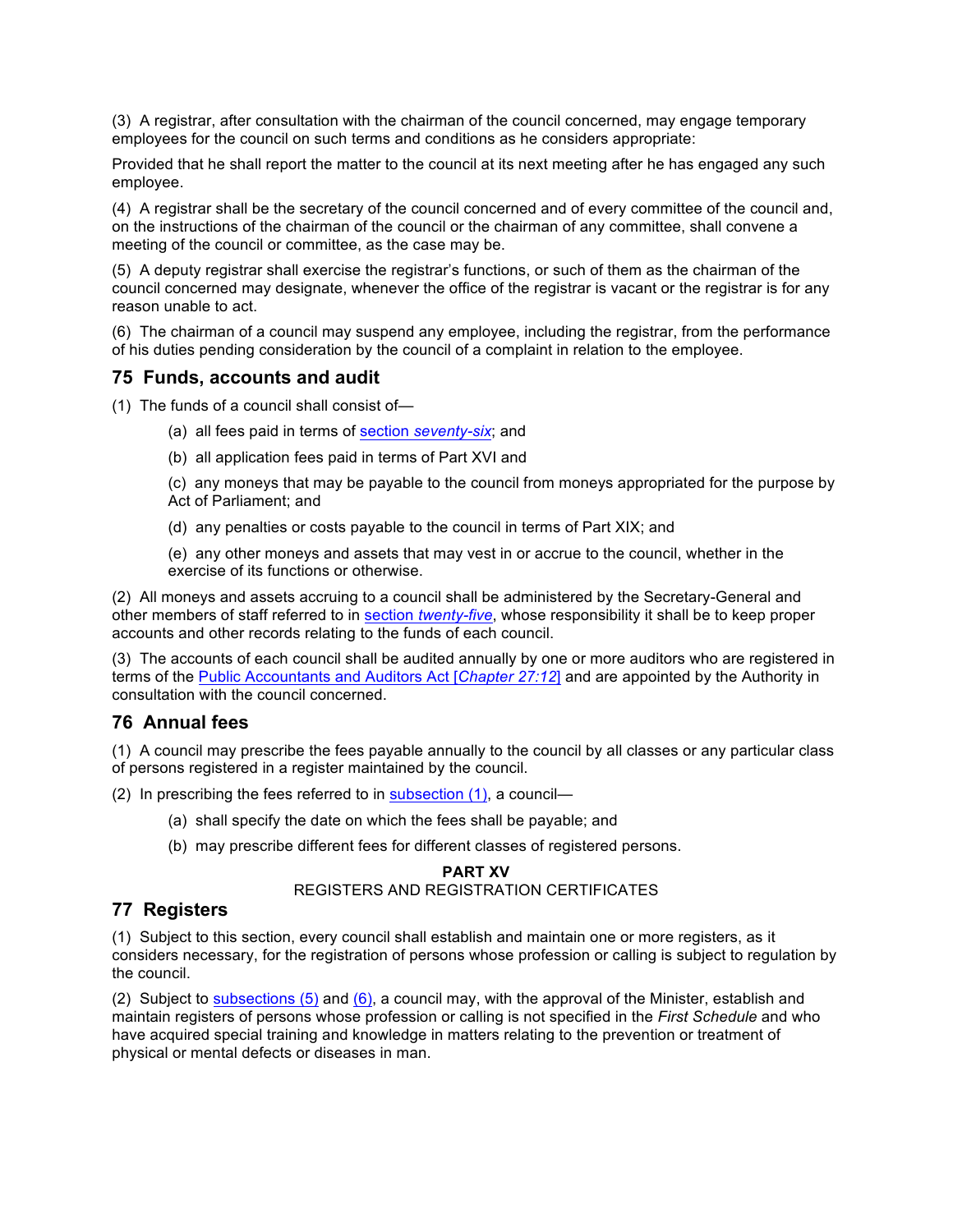(3) A registrar, after consultation with the chairman of the council concerned, may engage temporary employees for the council on such terms and conditions as he considers appropriate:

Provided that he shall report the matter to the council at its next meeting after he has engaged any such employee.

(4) A registrar shall be the secretary of the council concerned and of every committee of the council and, on the instructions of the chairman of the council or the chairman of any committee, shall convene a meeting of the council or committee, as the case may be.

(5) A deputy registrar shall exercise the registrar's functions, or such of them as the chairman of the council concerned may designate, whenever the office of the registrar is vacant or the registrar is for any reason unable to act.

(6) The chairman of a council may suspend any employee, including the registrar, from the performance of his duties pending consideration by the council of a complaint in relation to the employee.

### **75 Funds, accounts and audit**

(1) The funds of a council shall consist of—

- (a) all fees paid in terms of section *seventy-six*; and
- (b) all application fees paid in terms of Part XVI and

(c) any moneys that may be payable to the council from moneys appropriated for the purpose by Act of Parliament; and

- (d) any penalties or costs payable to the council in terms of Part XIX; and
- (e) any other moneys and assets that may vest in or accrue to the council, whether in the exercise of its functions or otherwise.

(2) All moneys and assets accruing to a council shall be administered by the Secretary-General and other members of staff referred to in section *twenty-five*, whose responsibility it shall be to keep proper accounts and other records relating to the funds of each council.

(3) The accounts of each council shall be audited annually by one or more auditors who are registered in terms of the Public Accountants and Auditors Act [*Chapter 27:12*] and are appointed by the Authority in consultation with the council concerned.

# **76 Annual fees**

(1) A council may prescribe the fees payable annually to the council by all classes or any particular class of persons registered in a register maintained by the council.

(2) In prescribing the fees referred to in subsection (1), a council—

- (a) shall specify the date on which the fees shall be payable; and
- (b) may prescribe different fees for different classes of registered persons.

## **PART XV** REGISTERS AND REGISTRATION CERTIFICATES

### **77 Registers**

(1) Subject to this section, every council shall establish and maintain one or more registers, as it considers necessary, for the registration of persons whose profession or calling is subject to regulation by the council.

(2) Subject to subsections  $(5)$  and  $(6)$ , a council may, with the approval of the Minister, establish and maintain registers of persons whose profession or calling is not specified in the *First Schedule* and who have acquired special training and knowledge in matters relating to the prevention or treatment of physical or mental defects or diseases in man.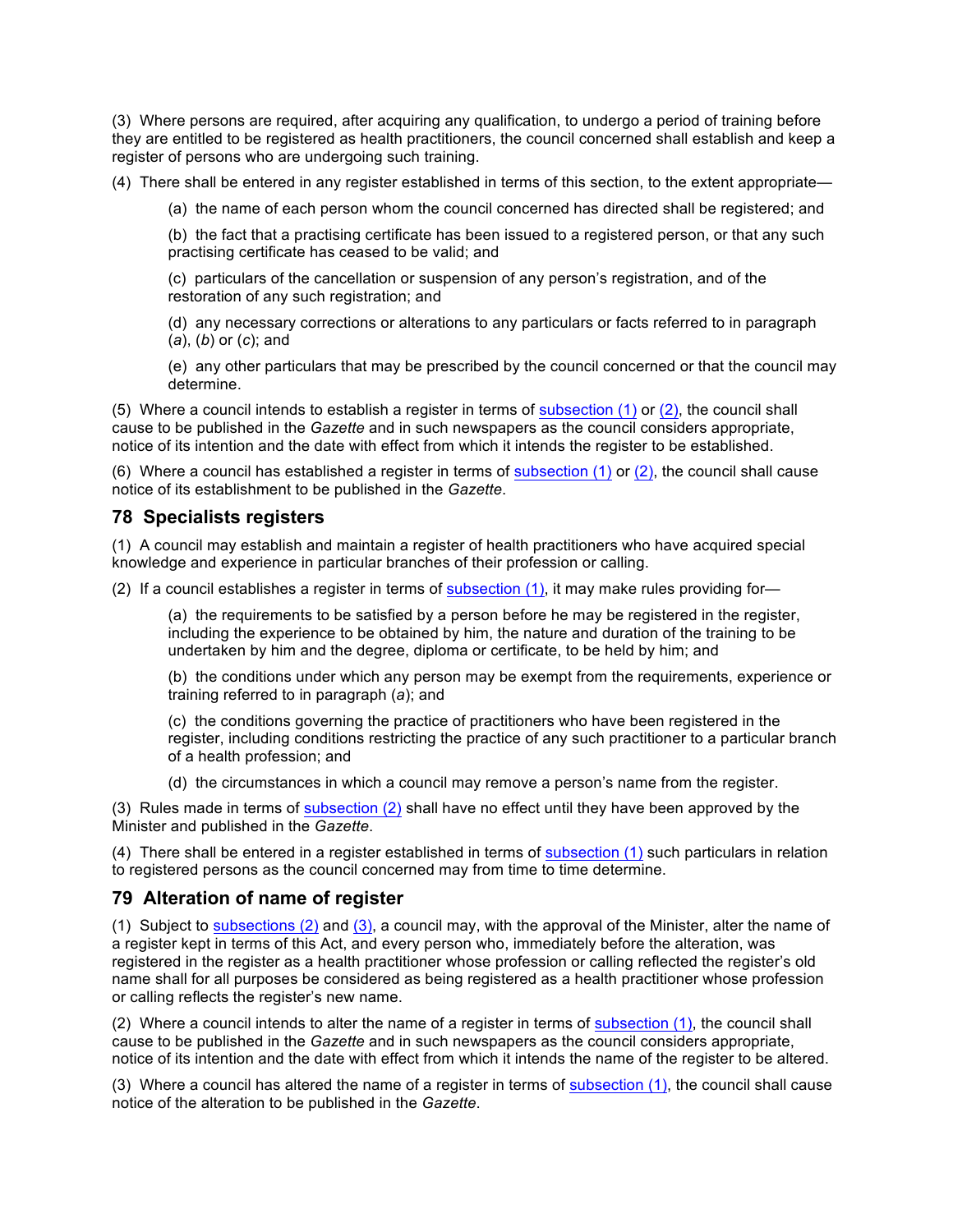(3) Where persons are required, after acquiring any qualification, to undergo a period of training before they are entitled to be registered as health practitioners, the council concerned shall establish and keep a register of persons who are undergoing such training.

(4) There shall be entered in any register established in terms of this section, to the extent appropriate—

(a) the name of each person whom the council concerned has directed shall be registered; and

(b) the fact that a practising certificate has been issued to a registered person, or that any such practising certificate has ceased to be valid; and

(c) particulars of the cancellation or suspension of any person's registration, and of the restoration of any such registration; and

(d) any necessary corrections or alterations to any particulars or facts referred to in paragraph (*a*), (*b*) or (*c*); and

(e) any other particulars that may be prescribed by the council concerned or that the council may determine.

(5) Where a council intends to establish a register in terms of subsection (1) or (2), the council shall cause to be published in the *Gazette* and in such newspapers as the council considers appropriate, notice of its intention and the date with effect from which it intends the register to be established.

(6) Where a council has established a register in terms of subsection (1) or (2), the council shall cause notice of its establishment to be published in the *Gazette*.

## **78 Specialists registers**

(1) A council may establish and maintain a register of health practitioners who have acquired special knowledge and experience in particular branches of their profession or calling.

(2) If a council establishes a register in terms of subsection (1), it may make rules providing for—

(a) the requirements to be satisfied by a person before he may be registered in the register, including the experience to be obtained by him, the nature and duration of the training to be undertaken by him and the degree, diploma or certificate, to be held by him; and

(b) the conditions under which any person may be exempt from the requirements, experience or training referred to in paragraph (*a*); and

(c) the conditions governing the practice of practitioners who have been registered in the register, including conditions restricting the practice of any such practitioner to a particular branch of a health profession; and

(d) the circumstances in which a council may remove a person's name from the register.

(3) Rules made in terms of subsection (2) shall have no effect until they have been approved by the Minister and published in the *Gazette*.

(4) There shall be entered in a register established in terms of subsection (1) such particulars in relation to registered persons as the council concerned may from time to time determine.

# **79 Alteration of name of register**

(1) Subject to subsections (2) and (3), a council may, with the approval of the Minister, alter the name of a register kept in terms of this Act, and every person who, immediately before the alteration, was registered in the register as a health practitioner whose profession or calling reflected the register's old name shall for all purposes be considered as being registered as a health practitioner whose profession or calling reflects the register's new name.

(2) Where a council intends to alter the name of a register in terms of subsection (1), the council shall cause to be published in the *Gazette* and in such newspapers as the council considers appropriate, notice of its intention and the date with effect from which it intends the name of the register to be altered.

(3) Where a council has altered the name of a register in terms of subsection (1), the council shall cause notice of the alteration to be published in the *Gazette*.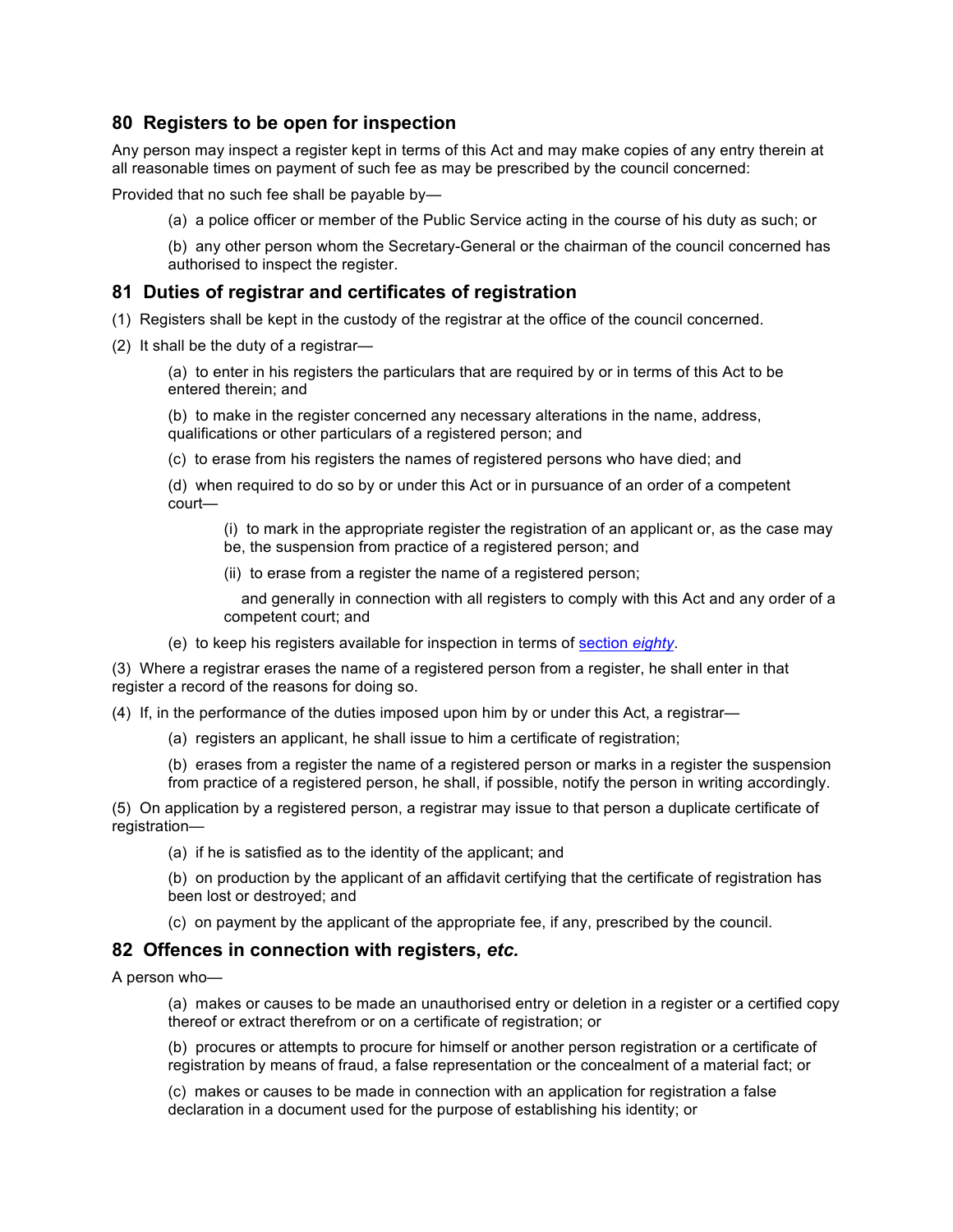# **80 Registers to be open for inspection**

Any person may inspect a register kept in terms of this Act and may make copies of any entry therein at all reasonable times on payment of such fee as may be prescribed by the council concerned:

Provided that no such fee shall be payable by—

(a) a police officer or member of the Public Service acting in the course of his duty as such; or

(b) any other person whom the Secretary-General or the chairman of the council concerned has authorised to inspect the register.

# **81 Duties of registrar and certificates of registration**

- (1) Registers shall be kept in the custody of the registrar at the office of the council concerned.
- (2) It shall be the duty of a registrar—

(a) to enter in his registers the particulars that are required by or in terms of this Act to be entered therein; and

(b) to make in the register concerned any necessary alterations in the name, address, qualifications or other particulars of a registered person; and

(c) to erase from his registers the names of registered persons who have died; and

(d) when required to do so by or under this Act or in pursuance of an order of a competent court—

(i) to mark in the appropriate register the registration of an applicant or, as the case may be, the suspension from practice of a registered person; and

(ii) to erase from a register the name of a registered person;

 and generally in connection with all registers to comply with this Act and any order of a competent court; and

(e) to keep his registers available for inspection in terms of section *eighty*.

(3) Where a registrar erases the name of a registered person from a register, he shall enter in that register a record of the reasons for doing so.

(4) If, in the performance of the duties imposed upon him by or under this Act, a registrar—

(a) registers an applicant, he shall issue to him a certificate of registration;

(b) erases from a register the name of a registered person or marks in a register the suspension from practice of a registered person, he shall, if possible, notify the person in writing accordingly.

(5) On application by a registered person, a registrar may issue to that person a duplicate certificate of registration—

(a) if he is satisfied as to the identity of the applicant; and

(b) on production by the applicant of an affidavit certifying that the certificate of registration has been lost or destroyed; and

(c) on payment by the applicant of the appropriate fee, if any, prescribed by the council.

# **82 Offences in connection with registers,** *etc.*

A person who—

(a) makes or causes to be made an unauthorised entry or deletion in a register or a certified copy thereof or extract therefrom or on a certificate of registration; or

(b) procures or attempts to procure for himself or another person registration or a certificate of registration by means of fraud, a false representation or the concealment of a material fact; or

(c) makes or causes to be made in connection with an application for registration a false declaration in a document used for the purpose of establishing his identity; or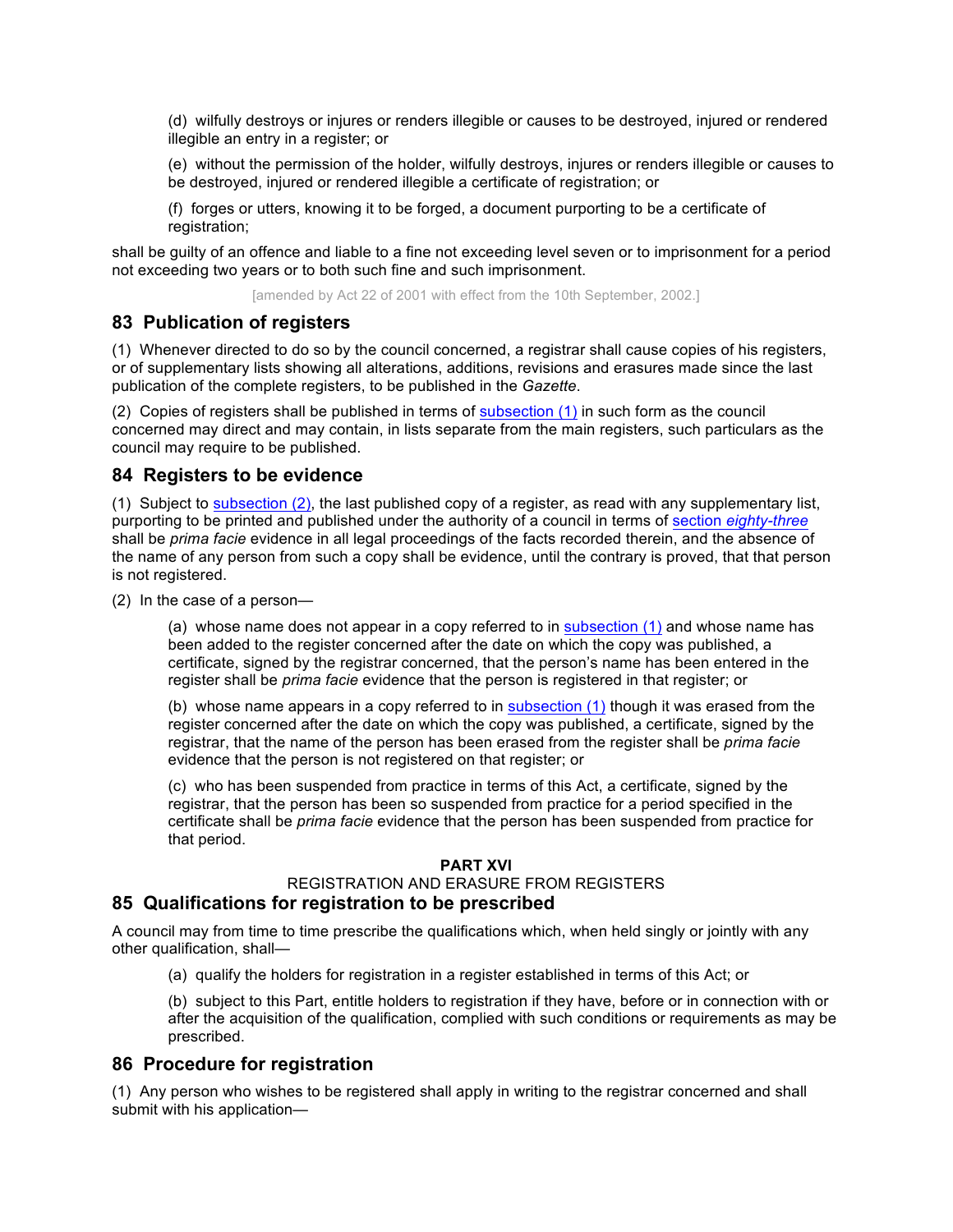(d) wilfully destroys or injures or renders illegible or causes to be destroyed, injured or rendered illegible an entry in a register; or

(e) without the permission of the holder, wilfully destroys, injures or renders illegible or causes to be destroyed, injured or rendered illegible a certificate of registration; or

(f) forges or utters, knowing it to be forged, a document purporting to be a certificate of registration;

shall be guilty of an offence and liable to a fine not exceeding level seven or to imprisonment for a period not exceeding two years or to both such fine and such imprisonment.

[amended by Act 22 of 2001 with effect from the 10th September, 2002.]

# **83 Publication of registers**

(1) Whenever directed to do so by the council concerned, a registrar shall cause copies of his registers, or of supplementary lists showing all alterations, additions, revisions and erasures made since the last publication of the complete registers, to be published in the *Gazette*.

(2) Copies of registers shall be published in terms of subsection (1) in such form as the council concerned may direct and may contain, in lists separate from the main registers, such particulars as the council may require to be published.

# **84 Registers to be evidence**

(1) Subject to subsection (2), the last published copy of a register, as read with any supplementary list, purporting to be printed and published under the authority of a council in terms of section *eighty-three* shall be *prima facie* evidence in all legal proceedings of the facts recorded therein, and the absence of the name of any person from such a copy shall be evidence, until the contrary is proved, that that person is not registered.

(2) In the case of a person—

(a) whose name does not appear in a copy referred to in subsection (1) and whose name has been added to the register concerned after the date on which the copy was published, a certificate, signed by the registrar concerned, that the person's name has been entered in the register shall be *prima facie* evidence that the person is registered in that register; or

(b) whose name appears in a copy referred to in subsection (1) though it was erased from the register concerned after the date on which the copy was published, a certificate, signed by the registrar, that the name of the person has been erased from the register shall be *prima facie* evidence that the person is not registered on that register; or

(c) who has been suspended from practice in terms of this Act, a certificate, signed by the registrar, that the person has been so suspended from practice for a period specified in the certificate shall be *prima facie* evidence that the person has been suspended from practice for that period.

#### **PART XVI**

### REGISTRATION AND ERASURE FROM REGISTERS

# **85 Qualifications for registration to be prescribed**

A council may from time to time prescribe the qualifications which, when held singly or jointly with any other qualification, shall—

(a) qualify the holders for registration in a register established in terms of this Act; or

(b) subject to this Part, entitle holders to registration if they have, before or in connection with or after the acquisition of the qualification, complied with such conditions or requirements as may be prescribed.

# **86 Procedure for registration**

(1) Any person who wishes to be registered shall apply in writing to the registrar concerned and shall submit with his application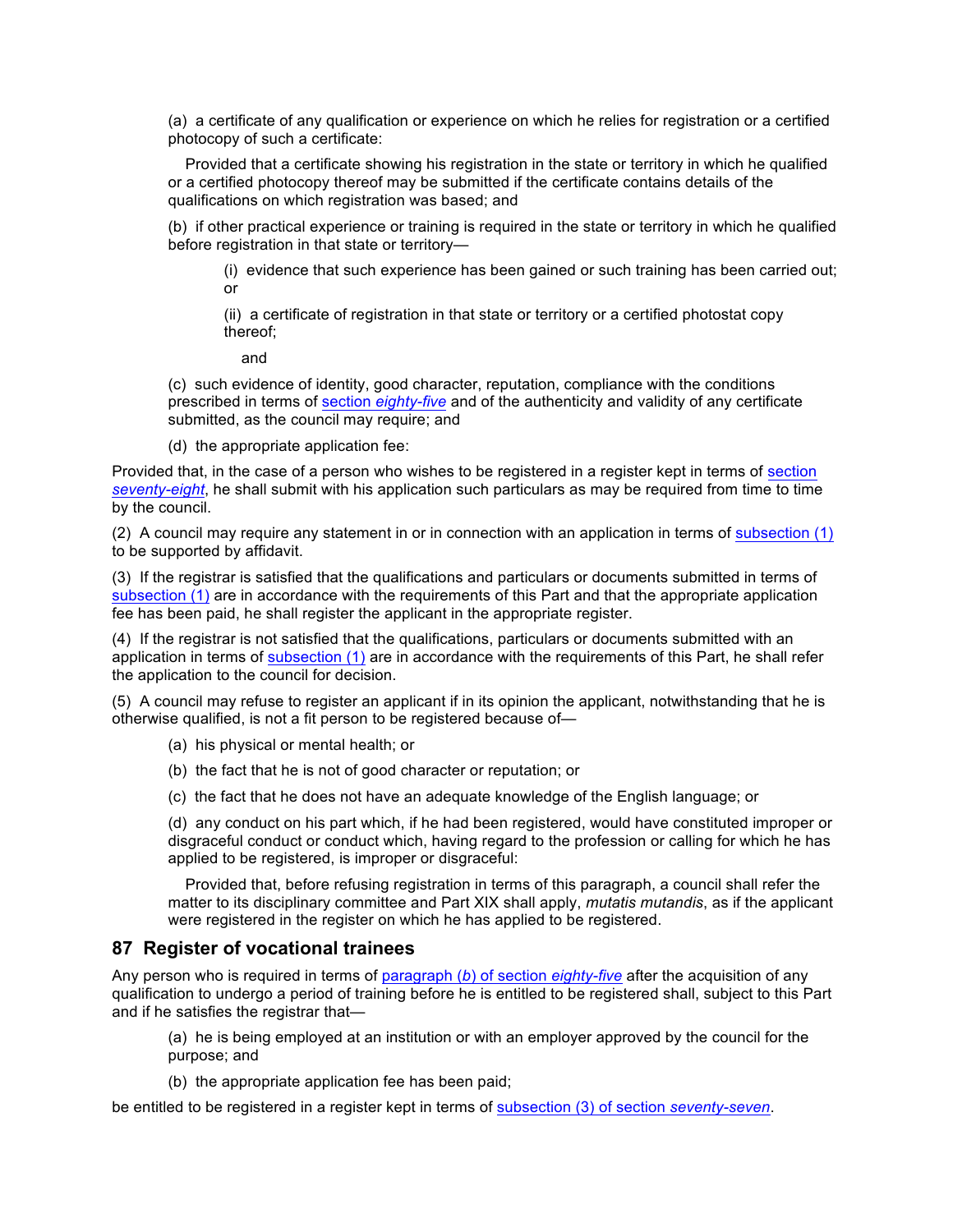(a) a certificate of any qualification or experience on which he relies for registration or a certified photocopy of such a certificate:

 Provided that a certificate showing his registration in the state or territory in which he qualified or a certified photocopy thereof may be submitted if the certificate contains details of the qualifications on which registration was based; and

(b) if other practical experience or training is required in the state or territory in which he qualified before registration in that state or territory—

(i) evidence that such experience has been gained or such training has been carried out; or

(ii) a certificate of registration in that state or territory or a certified photostat copy thereof;

and

(c) such evidence of identity, good character, reputation, compliance with the conditions prescribed in terms of section *eighty-five* and of the authenticity and validity of any certificate submitted, as the council may require; and

(d) the appropriate application fee:

Provided that, in the case of a person who wishes to be registered in a register kept in terms of section *seventy-eight*, he shall submit with his application such particulars as may be required from time to time by the council.

(2) A council may require any statement in or in connection with an application in terms of subsection  $(1)$ to be supported by affidavit.

(3) If the registrar is satisfied that the qualifications and particulars or documents submitted in terms of subsection (1) are in accordance with the requirements of this Part and that the appropriate application fee has been paid, he shall register the applicant in the appropriate register.

(4) If the registrar is not satisfied that the qualifications, particulars or documents submitted with an application in terms of subsection (1) are in accordance with the requirements of this Part, he shall refer the application to the council for decision.

(5) A council may refuse to register an applicant if in its opinion the applicant, notwithstanding that he is otherwise qualified, is not a fit person to be registered because of—

- (a) his physical or mental health; or
- (b) the fact that he is not of good character or reputation; or
- (c) the fact that he does not have an adequate knowledge of the English language; or

(d) any conduct on his part which, if he had been registered, would have constituted improper or disgraceful conduct or conduct which, having regard to the profession or calling for which he has applied to be registered, is improper or disgraceful:

 Provided that, before refusing registration in terms of this paragraph, a council shall refer the matter to its disciplinary committee and Part XIX shall apply, *mutatis mutandis*, as if the applicant were registered in the register on which he has applied to be registered.

### **87 Register of vocational trainees**

Any person who is required in terms of paragraph (*b*) of section *eighty-five* after the acquisition of any qualification to undergo a period of training before he is entitled to be registered shall, subject to this Part and if he satisfies the registrar that—

(a) he is being employed at an institution or with an employer approved by the council for the purpose; and

(b) the appropriate application fee has been paid;

be entitled to be registered in a register kept in terms of subsection (3) of section *seventy-seven*.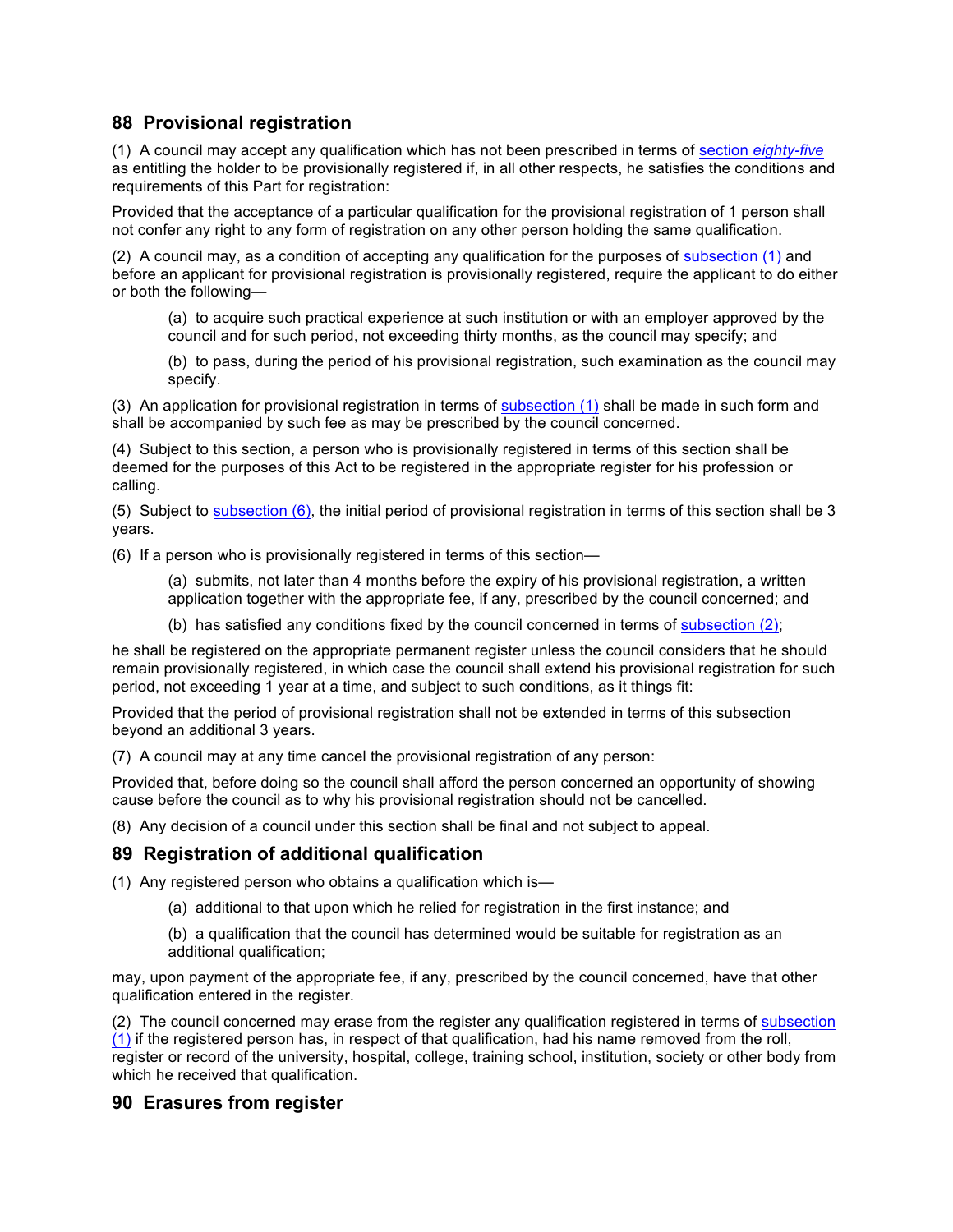# **88 Provisional registration**

(1) A council may accept any qualification which has not been prescribed in terms of section *eighty-five* as entitling the holder to be provisionally registered if, in all other respects, he satisfies the conditions and requirements of this Part for registration:

Provided that the acceptance of a particular qualification for the provisional registration of 1 person shall not confer any right to any form of registration on any other person holding the same qualification.

(2) A council may, as a condition of accepting any qualification for the purposes of subsection (1) and before an applicant for provisional registration is provisionally registered, require the applicant to do either or both the following—

(a) to acquire such practical experience at such institution or with an employer approved by the council and for such period, not exceeding thirty months, as the council may specify; and

(b) to pass, during the period of his provisional registration, such examination as the council may specify.

(3) An application for provisional registration in terms of subsection (1) shall be made in such form and shall be accompanied by such fee as may be prescribed by the council concerned.

(4) Subject to this section, a person who is provisionally registered in terms of this section shall be deemed for the purposes of this Act to be registered in the appropriate register for his profession or calling.

(5) Subject to subsection (6), the initial period of provisional registration in terms of this section shall be 3 years.

(6) If a person who is provisionally registered in terms of this section—

(a) submits, not later than 4 months before the expiry of his provisional registration, a written application together with the appropriate fee, if any, prescribed by the council concerned; and

(b) has satisfied any conditions fixed by the council concerned in terms of subsection (2);

he shall be registered on the appropriate permanent register unless the council considers that he should remain provisionally registered, in which case the council shall extend his provisional registration for such period, not exceeding 1 year at a time, and subject to such conditions, as it things fit:

Provided that the period of provisional registration shall not be extended in terms of this subsection beyond an additional 3 years.

(7) A council may at any time cancel the provisional registration of any person:

Provided that, before doing so the council shall afford the person concerned an opportunity of showing cause before the council as to why his provisional registration should not be cancelled.

(8) Any decision of a council under this section shall be final and not subject to appeal.

# **89 Registration of additional qualification**

(1) Any registered person who obtains a qualification which is—

(a) additional to that upon which he relied for registration in the first instance; and

(b) a qualification that the council has determined would be suitable for registration as an additional qualification;

may, upon payment of the appropriate fee, if any, prescribed by the council concerned, have that other qualification entered in the register.

(2) The council concerned may erase from the register any qualification registered in terms of subsection (1) if the registered person has, in respect of that qualification, had his name removed from the roll, register or record of the university, hospital, college, training school, institution, society or other body from which he received that qualification.

### **90 Erasures from register**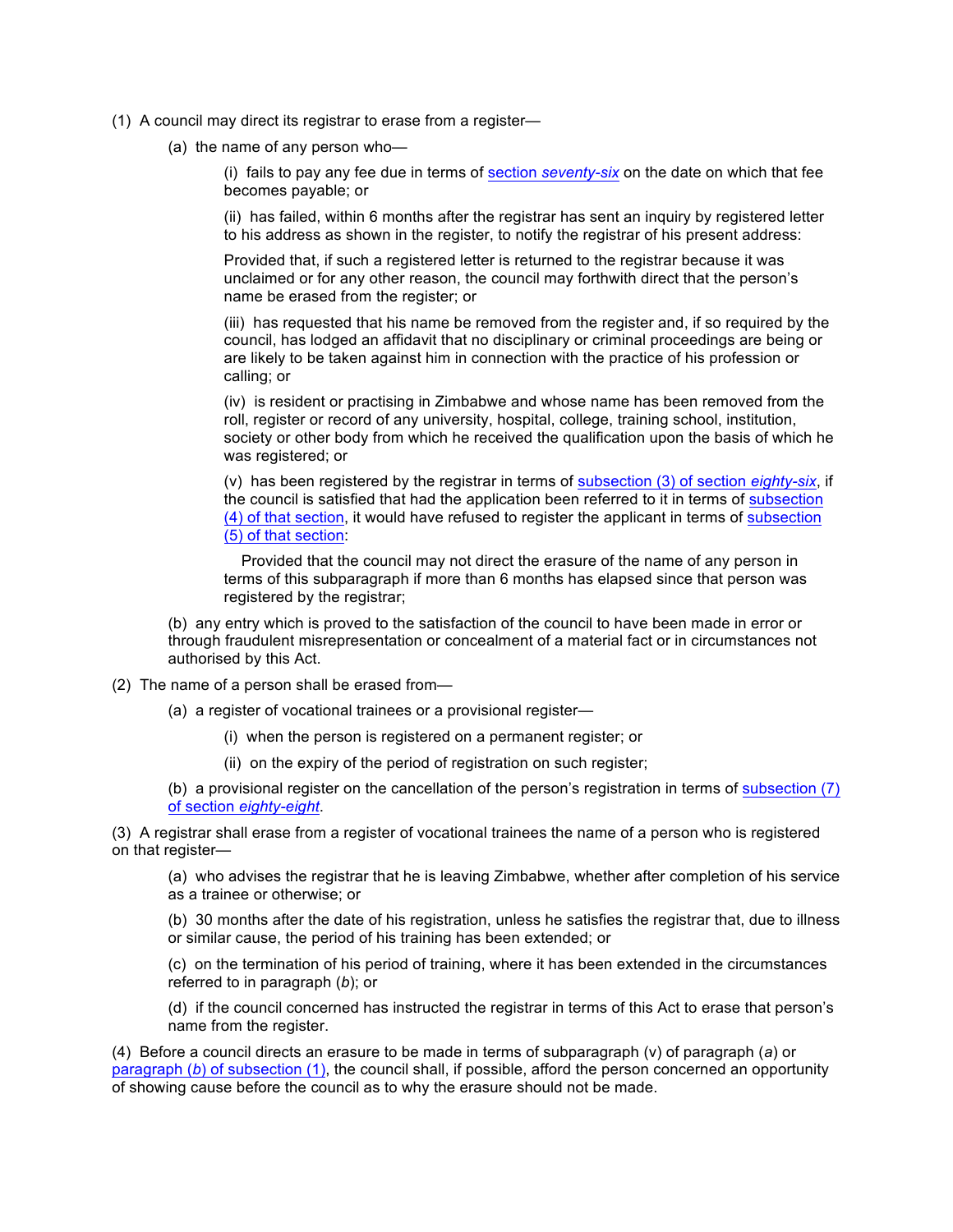- (1) A council may direct its registrar to erase from a register—
	- (a) the name of any person who—

(i) fails to pay any fee due in terms of section *seventy-six* on the date on which that fee becomes payable; or

(ii) has failed, within 6 months after the registrar has sent an inquiry by registered letter to his address as shown in the register, to notify the registrar of his present address:

Provided that, if such a registered letter is returned to the registrar because it was unclaimed or for any other reason, the council may forthwith direct that the person's name be erased from the register; or

(iii) has requested that his name be removed from the register and, if so required by the council, has lodged an affidavit that no disciplinary or criminal proceedings are being or are likely to be taken against him in connection with the practice of his profession or calling; or

(iv) is resident or practising in Zimbabwe and whose name has been removed from the roll, register or record of any university, hospital, college, training school, institution, society or other body from which he received the qualification upon the basis of which he was registered; or

(v) has been registered by the registrar in terms of subsection (3) of section *eighty-six*, if the council is satisfied that had the application been referred to it in terms of subsection (4) of that section, it would have refused to register the applicant in terms of subsection (5) of that section:

 Provided that the council may not direct the erasure of the name of any person in terms of this subparagraph if more than 6 months has elapsed since that person was registered by the registrar;

(b) any entry which is proved to the satisfaction of the council to have been made in error or through fraudulent misrepresentation or concealment of a material fact or in circumstances not authorised by this Act.

- (2) The name of a person shall be erased from—
	- (a) a register of vocational trainees or a provisional register—
		- (i) when the person is registered on a permanent register; or
		- (ii) on the expiry of the period of registration on such register;

(b) a provisional register on the cancellation of the person's registration in terms of subsection (7) of section *eighty-eight*.

(3) A registrar shall erase from a register of vocational trainees the name of a person who is registered on that register—

(a) who advises the registrar that he is leaving Zimbabwe, whether after completion of his service as a trainee or otherwise; or

(b) 30 months after the date of his registration, unless he satisfies the registrar that, due to illness or similar cause, the period of his training has been extended; or

(c) on the termination of his period of training, where it has been extended in the circumstances referred to in paragraph (*b*); or

(d) if the council concerned has instructed the registrar in terms of this Act to erase that person's name from the register.

(4) Before a council directs an erasure to be made in terms of subparagraph (v) of paragraph (*a*) or paragraph (*b*) of subsection (1), the council shall, if possible, afford the person concerned an opportunity of showing cause before the council as to why the erasure should not be made.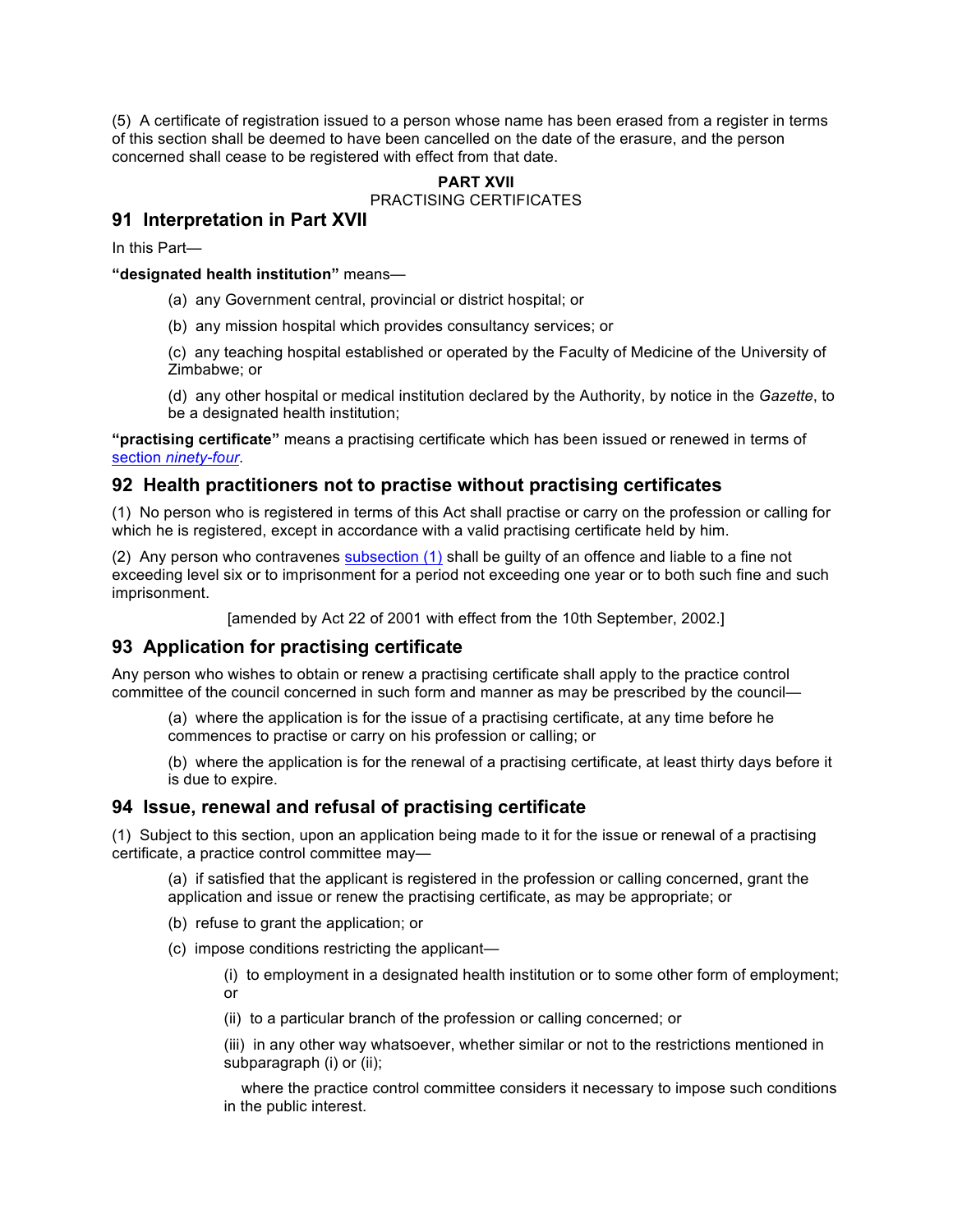(5) A certificate of registration issued to a person whose name has been erased from a register in terms of this section shall be deemed to have been cancelled on the date of the erasure, and the person concerned shall cease to be registered with effect from that date.

# **PART XVII**

# PRACTISING CERTIFICATES

# **91 Interpretation in Part XVII**

In this Part—

**"designated health institution"** means—

- (a) any Government central, provincial or district hospital; or
- (b) any mission hospital which provides consultancy services; or

(c) any teaching hospital established or operated by the Faculty of Medicine of the University of Zimbabwe; or

(d) any other hospital or medical institution declared by the Authority, by notice in the *Gazette*, to be a designated health institution;

**"practising certificate"** means a practising certificate which has been issued or renewed in terms of section *ninety-four*.

# **92 Health practitioners not to practise without practising certificates**

(1) No person who is registered in terms of this Act shall practise or carry on the profession or calling for which he is registered, except in accordance with a valid practising certificate held by him.

(2) Any person who contravenes subsection  $(1)$  shall be guilty of an offence and liable to a fine not exceeding level six or to imprisonment for a period not exceeding one year or to both such fine and such imprisonment.

[amended by Act 22 of 2001 with effect from the 10th September, 2002.]

# **93 Application for practising certificate**

Any person who wishes to obtain or renew a practising certificate shall apply to the practice control committee of the council concerned in such form and manner as may be prescribed by the council—

(a) where the application is for the issue of a practising certificate, at any time before he commences to practise or carry on his profession or calling; or

(b) where the application is for the renewal of a practising certificate, at least thirty days before it is due to expire.

# **94 Issue, renewal and refusal of practising certificate**

(1) Subject to this section, upon an application being made to it for the issue or renewal of a practising certificate, a practice control committee may—

(a) if satisfied that the applicant is registered in the profession or calling concerned, grant the application and issue or renew the practising certificate, as may be appropriate; or

- (b) refuse to grant the application; or
- (c) impose conditions restricting the applicant—

(i) to employment in a designated health institution or to some other form of employment; or

(ii) to a particular branch of the profession or calling concerned; or

(iii) in any other way whatsoever, whether similar or not to the restrictions mentioned in subparagraph (i) or (ii);

 where the practice control committee considers it necessary to impose such conditions in the public interest.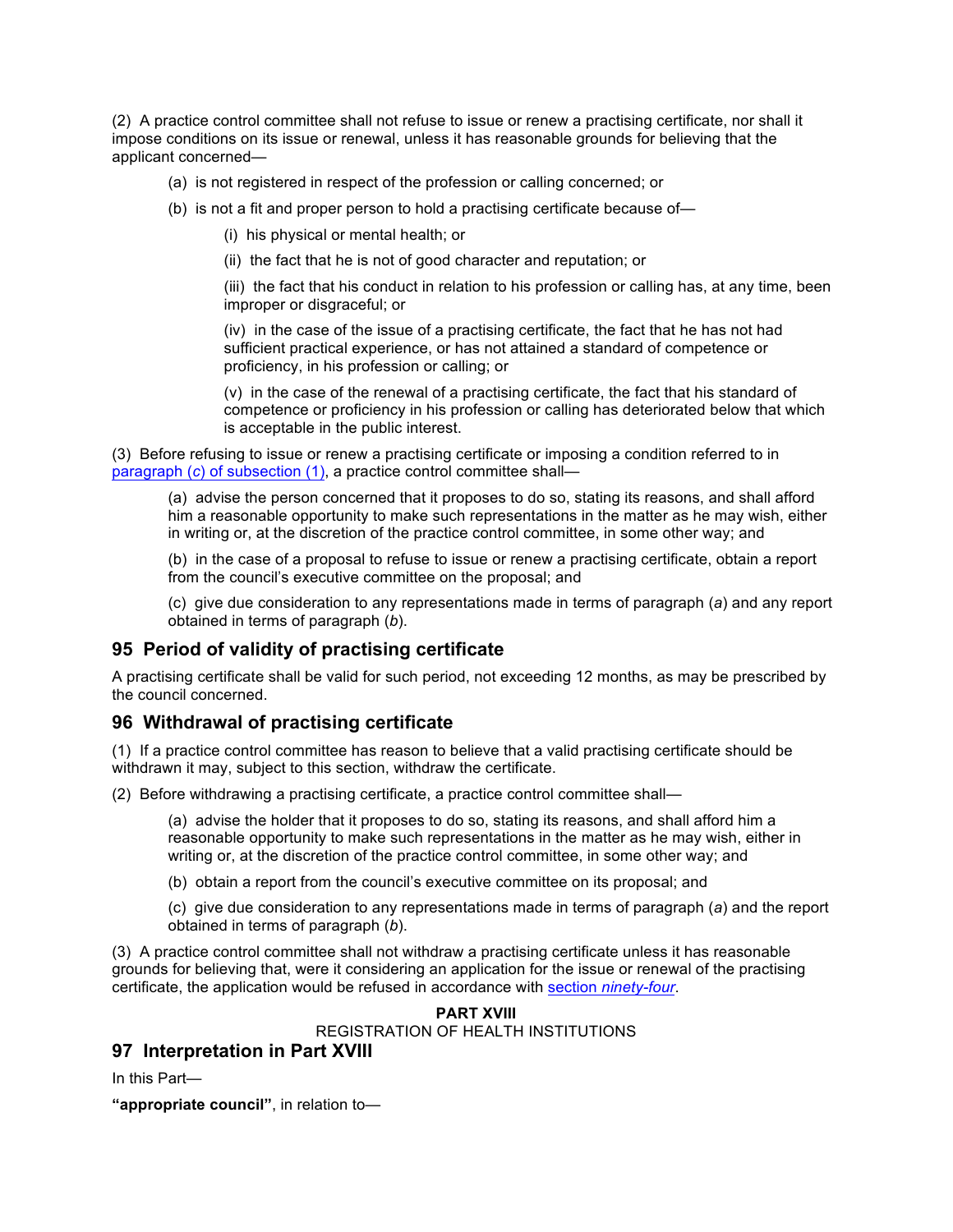(2) A practice control committee shall not refuse to issue or renew a practising certificate, nor shall it impose conditions on its issue or renewal, unless it has reasonable grounds for believing that the applicant concerned—

- (a) is not registered in respect of the profession or calling concerned; or
- (b) is not a fit and proper person to hold a practising certificate because of—
	- (i) his physical or mental health; or
	- (ii) the fact that he is not of good character and reputation; or

(iii) the fact that his conduct in relation to his profession or calling has, at any time, been improper or disgraceful; or

(iv) in the case of the issue of a practising certificate, the fact that he has not had sufficient practical experience, or has not attained a standard of competence or proficiency, in his profession or calling; or

(v) in the case of the renewal of a practising certificate, the fact that his standard of competence or proficiency in his profession or calling has deteriorated below that which is acceptable in the public interest.

(3) Before refusing to issue or renew a practising certificate or imposing a condition referred to in paragraph (*c*) of subsection (1), a practice control committee shall—

(a) advise the person concerned that it proposes to do so, stating its reasons, and shall afford him a reasonable opportunity to make such representations in the matter as he may wish, either in writing or, at the discretion of the practice control committee, in some other way; and

(b) in the case of a proposal to refuse to issue or renew a practising certificate, obtain a report from the council's executive committee on the proposal; and

(c) give due consideration to any representations made in terms of paragraph (*a*) and any report obtained in terms of paragraph (*b*).

# **95 Period of validity of practising certificate**

A practising certificate shall be valid for such period, not exceeding 12 months, as may be prescribed by the council concerned.

# **96 Withdrawal of practising certificate**

(1) If a practice control committee has reason to believe that a valid practising certificate should be withdrawn it may, subject to this section, withdraw the certificate.

(2) Before withdrawing a practising certificate, a practice control committee shall—

(a) advise the holder that it proposes to do so, stating its reasons, and shall afford him a reasonable opportunity to make such representations in the matter as he may wish, either in writing or, at the discretion of the practice control committee, in some other way; and

(b) obtain a report from the council's executive committee on its proposal; and

(c) give due consideration to any representations made in terms of paragraph (*a*) and the report obtained in terms of paragraph (*b*).

(3) A practice control committee shall not withdraw a practising certificate unless it has reasonable grounds for believing that, were it considering an application for the issue or renewal of the practising certificate, the application would be refused in accordance with section *ninety-four*.

#### **PART XVIII** REGISTRATION OF HEALTH INSTITUTIONS

# **97 Interpretation in Part XVIII**

In this Part—

**"appropriate council"**, in relation to—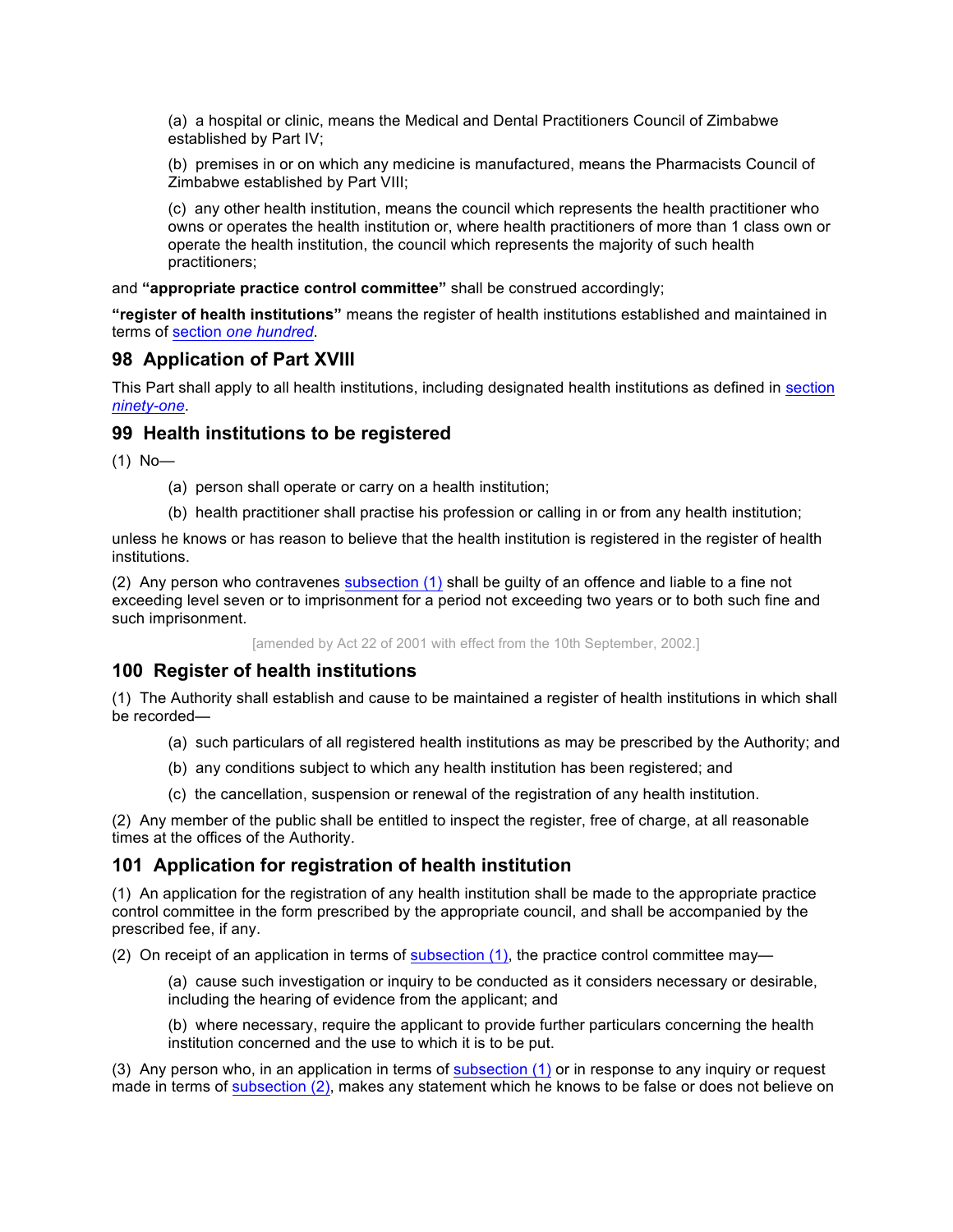(a) a hospital or clinic, means the Medical and Dental Practitioners Council of Zimbabwe established by Part IV;

(b) premises in or on which any medicine is manufactured, means the Pharmacists Council of Zimbabwe established by Part VIII;

(c) any other health institution, means the council which represents the health practitioner who owns or operates the health institution or, where health practitioners of more than 1 class own or operate the health institution, the council which represents the majority of such health practitioners;

and **"appropriate practice control committee"** shall be construed accordingly;

**"register of health institutions"** means the register of health institutions established and maintained in terms of section *one hundred*.

## **98 Application of Part XVIII**

This Part shall apply to all health institutions, including designated health institutions as defined in section *ninety-one*.

### **99 Health institutions to be registered**

(1) No—

- (a) person shall operate or carry on a health institution;
- (b) health practitioner shall practise his profession or calling in or from any health institution;

unless he knows or has reason to believe that the health institution is registered in the register of health institutions.

(2) Any person who contravenes subsection (1) shall be guilty of an offence and liable to a fine not exceeding level seven or to imprisonment for a period not exceeding two years or to both such fine and such imprisonment.

[amended by Act 22 of 2001 with effect from the 10th September, 2002.]

# **100 Register of health institutions**

(1) The Authority shall establish and cause to be maintained a register of health institutions in which shall be recorded—

- (a) such particulars of all registered health institutions as may be prescribed by the Authority; and
- (b) any conditions subject to which any health institution has been registered; and
- (c) the cancellation, suspension or renewal of the registration of any health institution.

(2) Any member of the public shall be entitled to inspect the register, free of charge, at all reasonable times at the offices of the Authority.

### **101 Application for registration of health institution**

(1) An application for the registration of any health institution shall be made to the appropriate practice control committee in the form prescribed by the appropriate council, and shall be accompanied by the prescribed fee, if any.

(2) On receipt of an application in terms of subsection (1), the practice control committee may—

(a) cause such investigation or inquiry to be conducted as it considers necessary or desirable, including the hearing of evidence from the applicant; and

(b) where necessary, require the applicant to provide further particulars concerning the health institution concerned and the use to which it is to be put.

(3) Any person who, in an application in terms of subsection (1) or in response to any inquiry or request made in terms of subsection (2), makes any statement which he knows to be false or does not believe on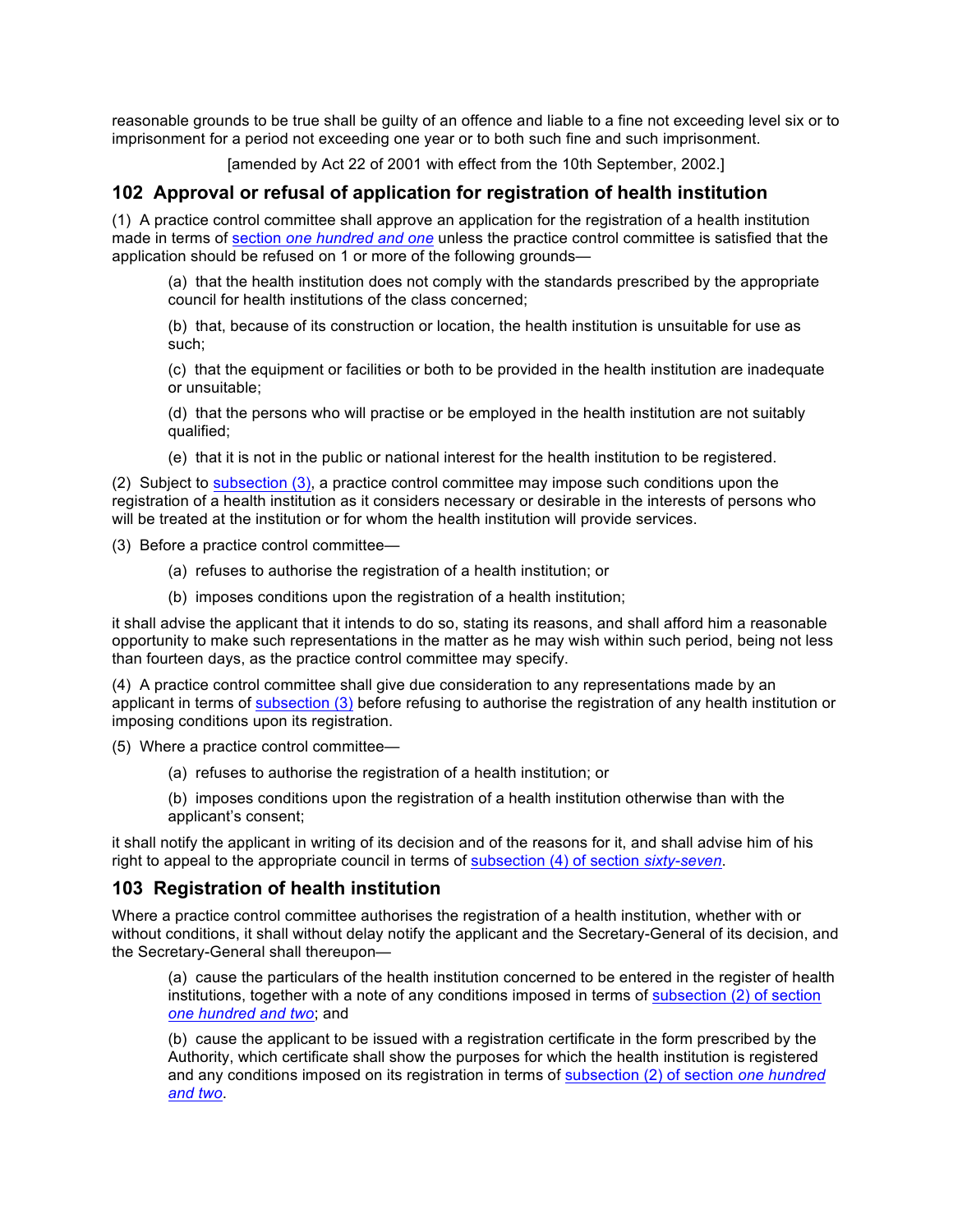reasonable grounds to be true shall be guilty of an offence and liable to a fine not exceeding level six or to imprisonment for a period not exceeding one year or to both such fine and such imprisonment.

[amended by Act 22 of 2001 with effect from the 10th September, 2002.]

# **102 Approval or refusal of application for registration of health institution**

(1) A practice control committee shall approve an application for the registration of a health institution made in terms of section *one hundred and one* unless the practice control committee is satisfied that the application should be refused on 1 or more of the following grounds—

(a) that the health institution does not comply with the standards prescribed by the appropriate council for health institutions of the class concerned;

(b) that, because of its construction or location, the health institution is unsuitable for use as such;

(c) that the equipment or facilities or both to be provided in the health institution are inadequate or unsuitable;

(d) that the persons who will practise or be employed in the health institution are not suitably qualified;

(e) that it is not in the public or national interest for the health institution to be registered.

(2) Subject to subsection (3), a practice control committee may impose such conditions upon the registration of a health institution as it considers necessary or desirable in the interests of persons who will be treated at the institution or for whom the health institution will provide services.

(3) Before a practice control committee—

- (a) refuses to authorise the registration of a health institution; or
- (b) imposes conditions upon the registration of a health institution;

it shall advise the applicant that it intends to do so, stating its reasons, and shall afford him a reasonable opportunity to make such representations in the matter as he may wish within such period, being not less than fourteen days, as the practice control committee may specify.

(4) A practice control committee shall give due consideration to any representations made by an applicant in terms of subsection (3) before refusing to authorise the registration of any health institution or imposing conditions upon its registration.

(5) Where a practice control committee—

(a) refuses to authorise the registration of a health institution; or

(b) imposes conditions upon the registration of a health institution otherwise than with the applicant's consent;

it shall notify the applicant in writing of its decision and of the reasons for it, and shall advise him of his right to appeal to the appropriate council in terms of subsection (4) of section *sixty-seven*.

# **103 Registration of health institution**

Where a practice control committee authorises the registration of a health institution, whether with or without conditions, it shall without delay notify the applicant and the Secretary-General of its decision, and the Secretary-General shall thereupon—

(a) cause the particulars of the health institution concerned to be entered in the register of health institutions, together with a note of any conditions imposed in terms of subsection (2) of section *one hundred and two*; and

(b) cause the applicant to be issued with a registration certificate in the form prescribed by the Authority, which certificate shall show the purposes for which the health institution is registered and any conditions imposed on its registration in terms of subsection (2) of section *one hundred and two*.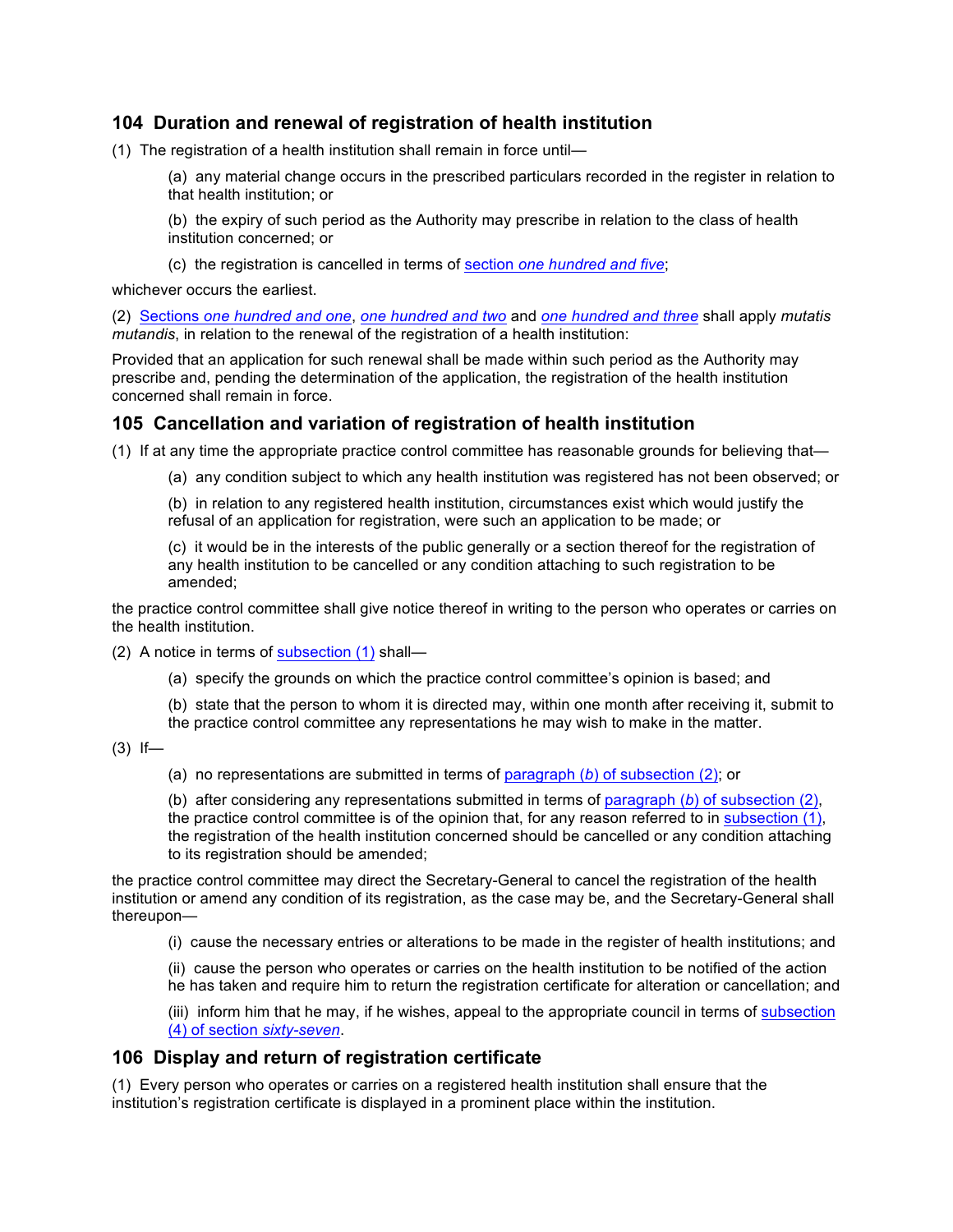# **104 Duration and renewal of registration of health institution**

(1) The registration of a health institution shall remain in force until—

(a) any material change occurs in the prescribed particulars recorded in the register in relation to that health institution; or

(b) the expiry of such period as the Authority may prescribe in relation to the class of health institution concerned; or

(c) the registration is cancelled in terms of section *one hundred and five*;

whichever occurs the earliest.

(2) Sections *one hundred and one*, *one hundred and two* and *one hundred and three* shall apply *mutatis mutandis*, in relation to the renewal of the registration of a health institution:

Provided that an application for such renewal shall be made within such period as the Authority may prescribe and, pending the determination of the application, the registration of the health institution concerned shall remain in force.

# **105 Cancellation and variation of registration of health institution**

(1) If at any time the appropriate practice control committee has reasonable grounds for believing that—

(a) any condition subject to which any health institution was registered has not been observed; or

(b) in relation to any registered health institution, circumstances exist which would justify the refusal of an application for registration, were such an application to be made; or

(c) it would be in the interests of the public generally or a section thereof for the registration of any health institution to be cancelled or any condition attaching to such registration to be amended;

the practice control committee shall give notice thereof in writing to the person who operates or carries on the health institution.

(2) A notice in terms of subsection (1) shall—

- (a) specify the grounds on which the practice control committee's opinion is based; and
- (b) state that the person to whom it is directed may, within one month after receiving it, submit to
- the practice control committee any representations he may wish to make in the matter.

 $(3)$  If-

(a) no representations are submitted in terms of paragraph (*b*) of subsection (2); or

(b) after considering any representations submitted in terms of paragraph (*b*) of subsection (2), the practice control committee is of the opinion that, for any reason referred to in subsection (1), the registration of the health institution concerned should be cancelled or any condition attaching to its registration should be amended;

the practice control committee may direct the Secretary-General to cancel the registration of the health institution or amend any condition of its registration, as the case may be, and the Secretary-General shall thereupon—

(i) cause the necessary entries or alterations to be made in the register of health institutions; and

(ii) cause the person who operates or carries on the health institution to be notified of the action he has taken and require him to return the registration certificate for alteration or cancellation; and

(iii) inform him that he may, if he wishes, appeal to the appropriate council in terms of subsection (4) of section *sixty-seven*.

# **106 Display and return of registration certificate**

(1) Every person who operates or carries on a registered health institution shall ensure that the institution's registration certificate is displayed in a prominent place within the institution.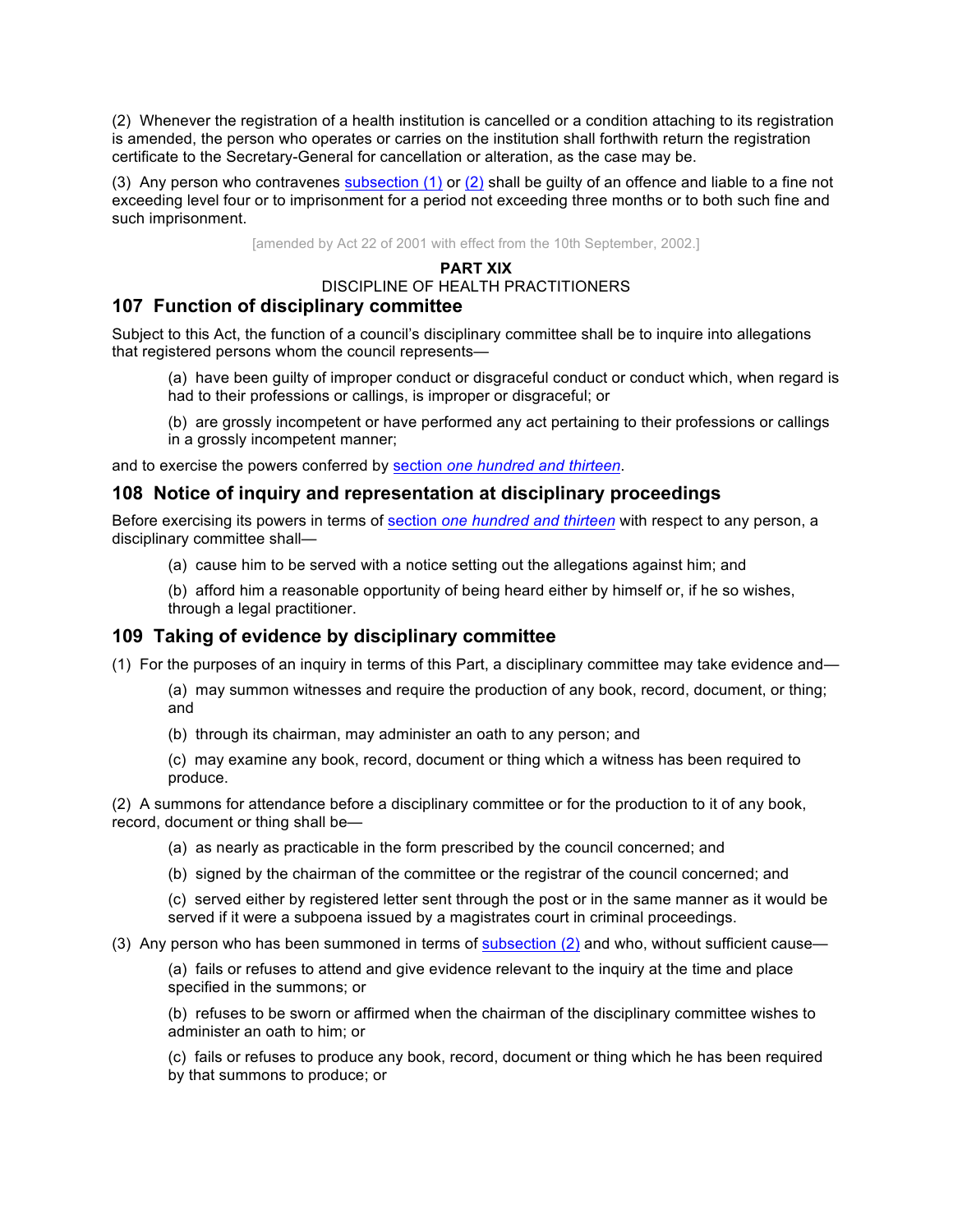(2) Whenever the registration of a health institution is cancelled or a condition attaching to its registration is amended, the person who operates or carries on the institution shall forthwith return the registration certificate to the Secretary-General for cancellation or alteration, as the case may be.

(3) Any person who contravenes subsection (1) or (2) shall be guilty of an offence and liable to a fine not exceeding level four or to imprisonment for a period not exceeding three months or to both such fine and such imprisonment.

[amended by Act 22 of 2001 with effect from the 10th September, 2002.]

#### **PART XIX**

# DISCIPLINE OF HEALTH PRACTITIONERS

## **107 Function of disciplinary committee**

Subject to this Act, the function of a council's disciplinary committee shall be to inquire into allegations that registered persons whom the council represents—

(a) have been guilty of improper conduct or disgraceful conduct or conduct which, when regard is had to their professions or callings, is improper or disgraceful; or

(b) are grossly incompetent or have performed any act pertaining to their professions or callings in a grossly incompetent manner;

and to exercise the powers conferred by section *one hundred and thirteen*.

## **108 Notice of inquiry and representation at disciplinary proceedings**

Before exercising its powers in terms of section *one hundred and thirteen* with respect to any person, a disciplinary committee shall—

(a) cause him to be served with a notice setting out the allegations against him; and

(b) afford him a reasonable opportunity of being heard either by himself or, if he so wishes, through a legal practitioner.

### **109 Taking of evidence by disciplinary committee**

- (1) For the purposes of an inquiry in terms of this Part, a disciplinary committee may take evidence and—
	- (a) may summon witnesses and require the production of any book, record, document, or thing; and
	- (b) through its chairman, may administer an oath to any person; and
	- (c) may examine any book, record, document or thing which a witness has been required to produce.

(2) A summons for attendance before a disciplinary committee or for the production to it of any book, record, document or thing shall be—

- (a) as nearly as practicable in the form prescribed by the council concerned; and
- (b) signed by the chairman of the committee or the registrar of the council concerned; and

(c) served either by registered letter sent through the post or in the same manner as it would be served if it were a subpoena issued by a magistrates court in criminal proceedings.

#### (3) Any person who has been summoned in terms of subsection  $(2)$  and who, without sufficient cause—

(a) fails or refuses to attend and give evidence relevant to the inquiry at the time and place specified in the summons; or

(b) refuses to be sworn or affirmed when the chairman of the disciplinary committee wishes to administer an oath to him; or

(c) fails or refuses to produce any book, record, document or thing which he has been required by that summons to produce; or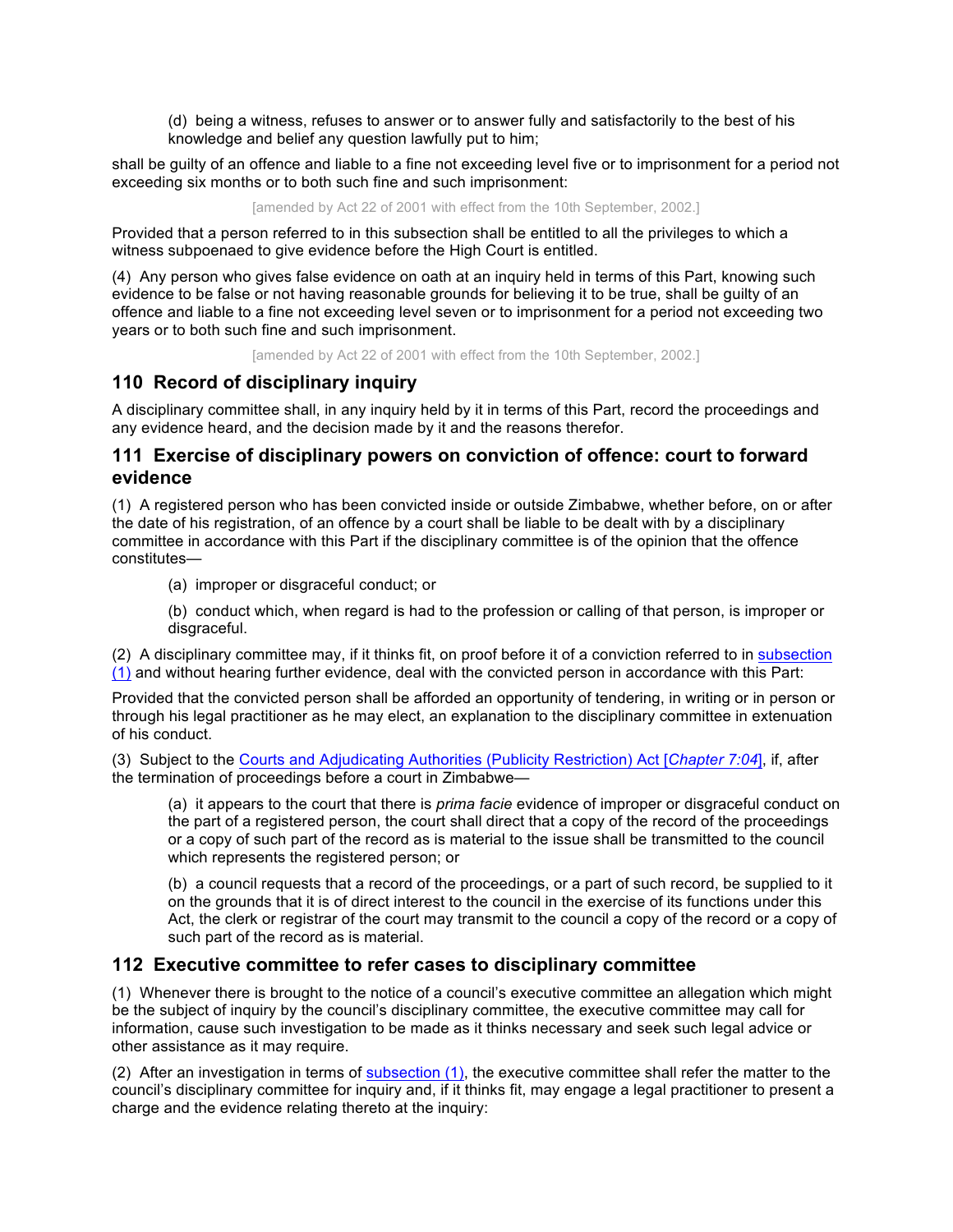(d) being a witness, refuses to answer or to answer fully and satisfactorily to the best of his knowledge and belief any question lawfully put to him;

shall be guilty of an offence and liable to a fine not exceeding level five or to imprisonment for a period not exceeding six months or to both such fine and such imprisonment:

[amended by Act 22 of 2001 with effect from the 10th September, 2002.]

Provided that a person referred to in this subsection shall be entitled to all the privileges to which a witness subpoenaed to give evidence before the High Court is entitled.

(4) Any person who gives false evidence on oath at an inquiry held in terms of this Part, knowing such evidence to be false or not having reasonable grounds for believing it to be true, shall be guilty of an offence and liable to a fine not exceeding level seven or to imprisonment for a period not exceeding two years or to both such fine and such imprisonment.

[amended by Act 22 of 2001 with effect from the 10th September, 2002.]

# **110 Record of disciplinary inquiry**

A disciplinary committee shall, in any inquiry held by it in terms of this Part, record the proceedings and any evidence heard, and the decision made by it and the reasons therefor.

# **111 Exercise of disciplinary powers on conviction of offence: court to forward evidence**

(1) A registered person who has been convicted inside or outside Zimbabwe, whether before, on or after the date of his registration, of an offence by a court shall be liable to be dealt with by a disciplinary committee in accordance with this Part if the disciplinary committee is of the opinion that the offence constitutes—

(a) improper or disgraceful conduct; or

(b) conduct which, when regard is had to the profession or calling of that person, is improper or disgraceful.

(2) A disciplinary committee may, if it thinks fit, on proof before it of a conviction referred to in subsection (1) and without hearing further evidence, deal with the convicted person in accordance with this Part:

Provided that the convicted person shall be afforded an opportunity of tendering, in writing or in person or through his legal practitioner as he may elect, an explanation to the disciplinary committee in extenuation of his conduct.

(3) Subject to the Courts and Adjudicating Authorities (Publicity Restriction) Act [*Chapter 7:04*], if, after the termination of proceedings before a court in Zimbabwe—

(a) it appears to the court that there is *prima facie* evidence of improper or disgraceful conduct on the part of a registered person, the court shall direct that a copy of the record of the proceedings or a copy of such part of the record as is material to the issue shall be transmitted to the council which represents the registered person; or

(b) a council requests that a record of the proceedings, or a part of such record, be supplied to it on the grounds that it is of direct interest to the council in the exercise of its functions under this Act, the clerk or registrar of the court may transmit to the council a copy of the record or a copy of such part of the record as is material.

# **112 Executive committee to refer cases to disciplinary committee**

(1) Whenever there is brought to the notice of a council's executive committee an allegation which might be the subject of inquiry by the council's disciplinary committee, the executive committee may call for information, cause such investigation to be made as it thinks necessary and seek such legal advice or other assistance as it may require.

(2) After an investigation in terms of subsection (1), the executive committee shall refer the matter to the council's disciplinary committee for inquiry and, if it thinks fit, may engage a legal practitioner to present a charge and the evidence relating thereto at the inquiry: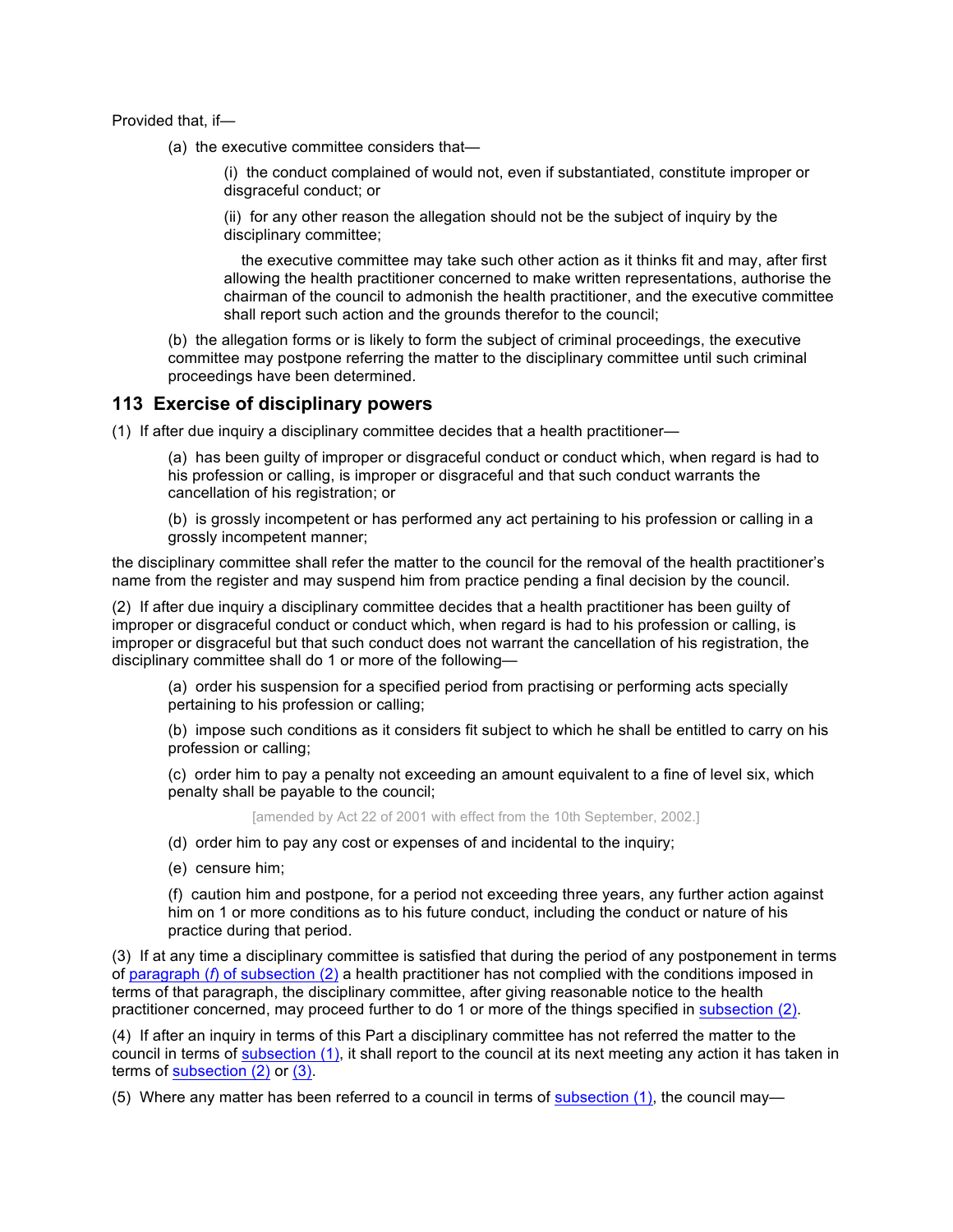Provided that, if—

(a) the executive committee considers that—

(i) the conduct complained of would not, even if substantiated, constitute improper or disgraceful conduct; or

(ii) for any other reason the allegation should not be the subject of inquiry by the disciplinary committee;

 the executive committee may take such other action as it thinks fit and may, after first allowing the health practitioner concerned to make written representations, authorise the chairman of the council to admonish the health practitioner, and the executive committee shall report such action and the grounds therefor to the council;

(b) the allegation forms or is likely to form the subject of criminal proceedings, the executive committee may postpone referring the matter to the disciplinary committee until such criminal proceedings have been determined.

### **113 Exercise of disciplinary powers**

(1) If after due inquiry a disciplinary committee decides that a health practitioner—

(a) has been guilty of improper or disgraceful conduct or conduct which, when regard is had to his profession or calling, is improper or disgraceful and that such conduct warrants the cancellation of his registration; or

(b) is grossly incompetent or has performed any act pertaining to his profession or calling in a grossly incompetent manner;

the disciplinary committee shall refer the matter to the council for the removal of the health practitioner's name from the register and may suspend him from practice pending a final decision by the council.

(2) If after due inquiry a disciplinary committee decides that a health practitioner has been guilty of improper or disgraceful conduct or conduct which, when regard is had to his profession or calling, is improper or disgraceful but that such conduct does not warrant the cancellation of his registration, the disciplinary committee shall do 1 or more of the following—

(a) order his suspension for a specified period from practising or performing acts specially pertaining to his profession or calling;

(b) impose such conditions as it considers fit subject to which he shall be entitled to carry on his profession or calling;

(c) order him to pay a penalty not exceeding an amount equivalent to a fine of level six, which penalty shall be payable to the council;

[amended by Act 22 of 2001 with effect from the 10th September, 2002.]

- (d) order him to pay any cost or expenses of and incidental to the inquiry;
- (e) censure him;

(f) caution him and postpone, for a period not exceeding three years, any further action against him on 1 or more conditions as to his future conduct, including the conduct or nature of his practice during that period.

(3) If at any time a disciplinary committee is satisfied that during the period of any postponement in terms of paragraph (*f*) of subsection (2) a health practitioner has not complied with the conditions imposed in terms of that paragraph, the disciplinary committee, after giving reasonable notice to the health practitioner concerned, may proceed further to do 1 or more of the things specified in subsection (2).

(4) If after an inquiry in terms of this Part a disciplinary committee has not referred the matter to the council in terms of subsection (1), it shall report to the council at its next meeting any action it has taken in terms of subsection (2) or (3).

(5) Where any matter has been referred to a council in terms of subsection (1), the council may—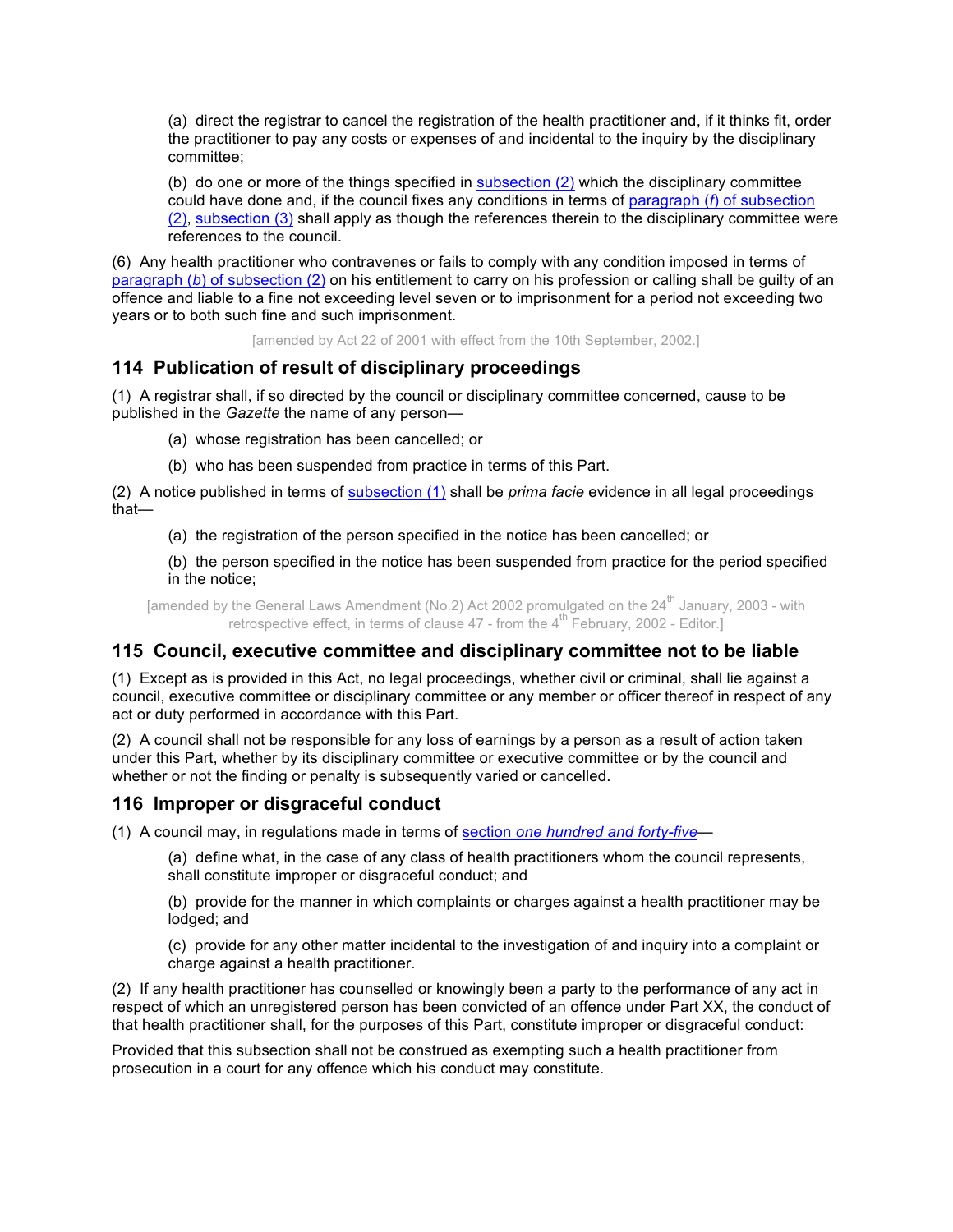(a) direct the registrar to cancel the registration of the health practitioner and, if it thinks fit, order the practitioner to pay any costs or expenses of and incidental to the inquiry by the disciplinary committee;

(b) do one or more of the things specified in subsection (2) which the disciplinary committee could have done and, if the council fixes any conditions in terms of paragraph (*f*) of subsection (2), subsection (3) shall apply as though the references therein to the disciplinary committee were references to the council.

(6) Any health practitioner who contravenes or fails to comply with any condition imposed in terms of paragraph (*b*) of subsection (2) on his entitlement to carry on his profession or calling shall be guilty of an offence and liable to a fine not exceeding level seven or to imprisonment for a period not exceeding two years or to both such fine and such imprisonment.

[amended by Act 22 of 2001 with effect from the 10th September, 2002.]

# **114 Publication of result of disciplinary proceedings**

(1) A registrar shall, if so directed by the council or disciplinary committee concerned, cause to be published in the *Gazette* the name of any person—

- (a) whose registration has been cancelled; or
- (b) who has been suspended from practice in terms of this Part.

(2) A notice published in terms of subsection (1) shall be *prima facie* evidence in all legal proceedings that—

(a) the registration of the person specified in the notice has been cancelled; or

(b) the person specified in the notice has been suspended from practice for the period specified in the notice;

[amended by the General Laws Amendment (No.2) Act 2002 promulgated on the  $24<sup>th</sup>$  January, 2003 - with retrospective effect, in terms of clause  $47$  - from the  $4<sup>th</sup>$  February, 2002 - Editor.]

# **115 Council, executive committee and disciplinary committee not to be liable**

(1) Except as is provided in this Act, no legal proceedings, whether civil or criminal, shall lie against a council, executive committee or disciplinary committee or any member or officer thereof in respect of any act or duty performed in accordance with this Part.

(2) A council shall not be responsible for any loss of earnings by a person as a result of action taken under this Part, whether by its disciplinary committee or executive committee or by the council and whether or not the finding or penalty is subsequently varied or cancelled.

# **116 Improper or disgraceful conduct**

(1) A council may, in regulations made in terms of section *one hundred and forty-five—*

(a) define what, in the case of any class of health practitioners whom the council represents, shall constitute improper or disgraceful conduct; and

(b) provide for the manner in which complaints or charges against a health practitioner may be lodged; and

(c) provide for any other matter incidental to the investigation of and inquiry into a complaint or charge against a health practitioner.

(2) If any health practitioner has counselled or knowingly been a party to the performance of any act in respect of which an unregistered person has been convicted of an offence under Part XX, the conduct of that health practitioner shall, for the purposes of this Part, constitute improper or disgraceful conduct:

Provided that this subsection shall not be construed as exempting such a health practitioner from prosecution in a court for any offence which his conduct may constitute.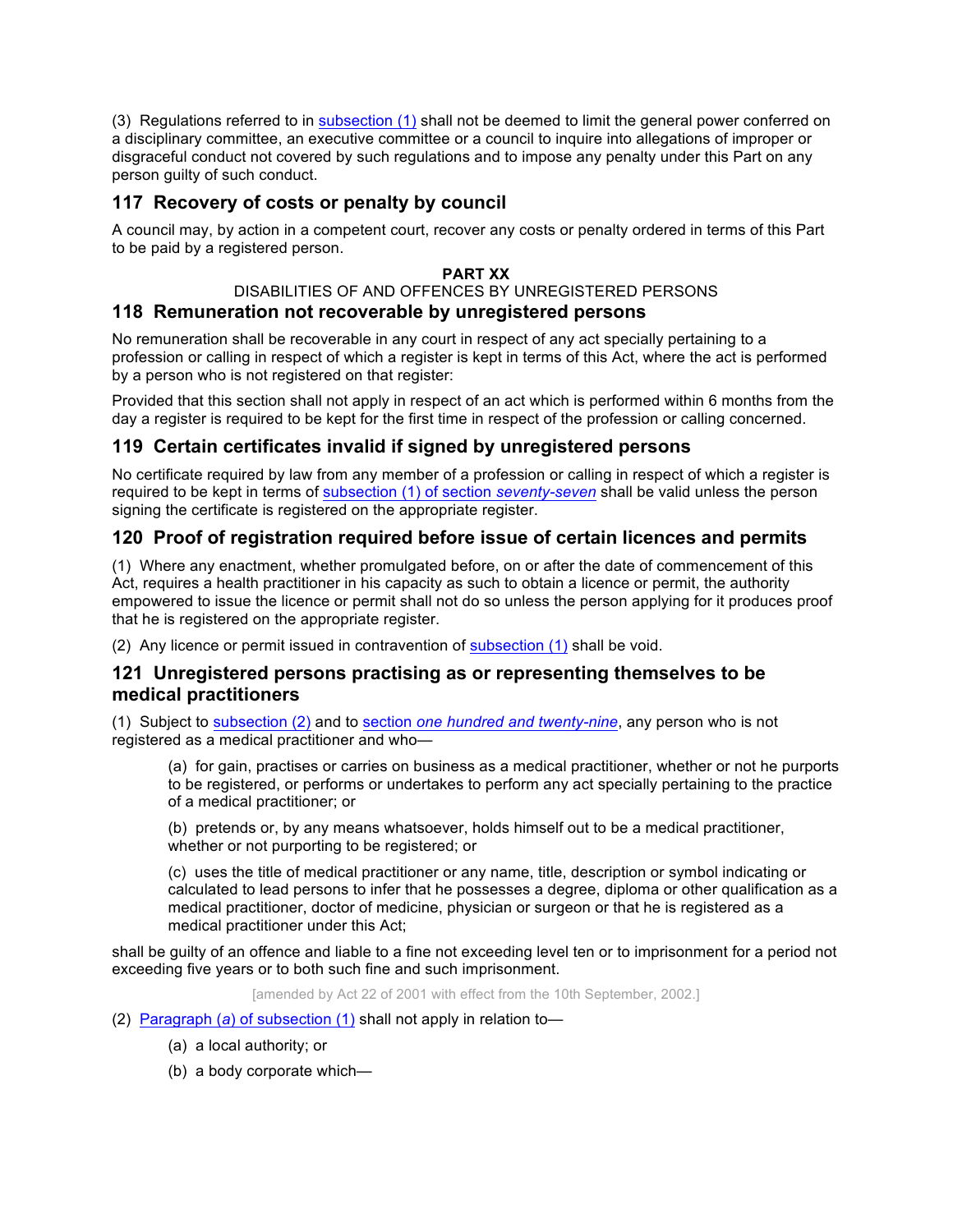(3) Regulations referred to in subsection (1) shall not be deemed to limit the general power conferred on a disciplinary committee, an executive committee or a council to inquire into allegations of improper or disgraceful conduct not covered by such regulations and to impose any penalty under this Part on any person guilty of such conduct.

# **117 Recovery of costs or penalty by council**

A council may, by action in a competent court, recover any costs or penalty ordered in terms of this Part to be paid by a registered person.

## **PART XX**

# DISABILITIES OF AND OFFENCES BY UNREGISTERED PERSONS

# **118 Remuneration not recoverable by unregistered persons**

No remuneration shall be recoverable in any court in respect of any act specially pertaining to a profession or calling in respect of which a register is kept in terms of this Act, where the act is performed by a person who is not registered on that register:

Provided that this section shall not apply in respect of an act which is performed within 6 months from the day a register is required to be kept for the first time in respect of the profession or calling concerned.

# **119 Certain certificates invalid if signed by unregistered persons**

No certificate required by law from any member of a profession or calling in respect of which a register is required to be kept in terms of subsection (1) of section *seventy-seven* shall be valid unless the person signing the certificate is registered on the appropriate register.

# **120 Proof of registration required before issue of certain licences and permits**

(1) Where any enactment, whether promulgated before, on or after the date of commencement of this Act, requires a health practitioner in his capacity as such to obtain a licence or permit, the authority empowered to issue the licence or permit shall not do so unless the person applying for it produces proof that he is registered on the appropriate register.

(2) Any licence or permit issued in contravention of subsection (1) shall be void.

# **121 Unregistered persons practising as or representing themselves to be medical practitioners**

(1) Subject to subsection (2) and to section *one hundred and twenty-nine*, any person who is not registered as a medical practitioner and who—

(a) for gain, practises or carries on business as a medical practitioner, whether or not he purports to be registered, or performs or undertakes to perform any act specially pertaining to the practice of a medical practitioner; or

(b) pretends or, by any means whatsoever, holds himself out to be a medical practitioner, whether or not purporting to be registered; or

(c) uses the title of medical practitioner or any name, title, description or symbol indicating or calculated to lead persons to infer that he possesses a degree, diploma or other qualification as a medical practitioner, doctor of medicine, physician or surgeon or that he is registered as a medical practitioner under this Act;

shall be guilty of an offence and liable to a fine not exceeding level ten or to imprisonment for a period not exceeding five years or to both such fine and such imprisonment.

[amended by Act 22 of 2001 with effect from the 10th September, 2002.]

- (2) Paragraph (*a*) of subsection (1) shall not apply in relation to—
	- (a) a local authority; or
	- (b) a body corporate which—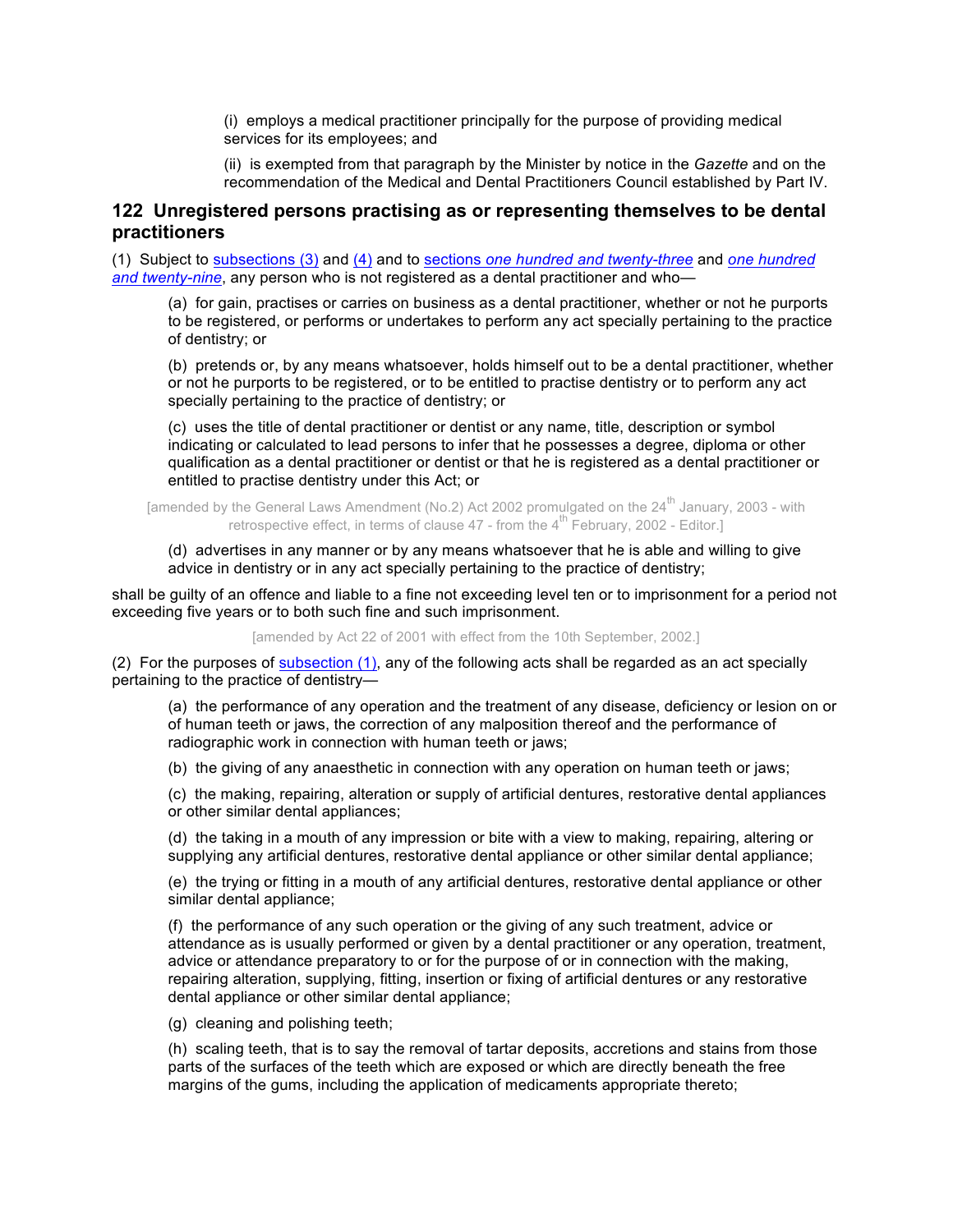(i) employs a medical practitioner principally for the purpose of providing medical services for its employees; and

(ii) is exempted from that paragraph by the Minister by notice in the *Gazette* and on the recommendation of the Medical and Dental Practitioners Council established by Part IV.

## **122 Unregistered persons practising as or representing themselves to be dental practitioners**

(1) Subject to subsections (3) and (4) and to sections *one hundred and twenty-three* and *one hundred and twenty-nine*, any person who is not registered as a dental practitioner and who—

(a) for gain, practises or carries on business as a dental practitioner, whether or not he purports to be registered, or performs or undertakes to perform any act specially pertaining to the practice of dentistry; or

(b) pretends or, by any means whatsoever, holds himself out to be a dental practitioner, whether or not he purports to be registered, or to be entitled to practise dentistry or to perform any act specially pertaining to the practice of dentistry; or

(c) uses the title of dental practitioner or dentist or any name, title, description or symbol indicating or calculated to lead persons to infer that he possesses a degree, diploma or other qualification as a dental practitioner or dentist or that he is registered as a dental practitioner or entitled to practise dentistry under this Act; or

[amended by the General Laws Amendment (No.2) Act 2002 promulgated on the 24<sup>th</sup> January, 2003 - with retrospective effect, in terms of clause 47 - from the  $4^{\text{th}}$  February, 2002 - Editor.]

#### (d) advertises in any manner or by any means whatsoever that he is able and willing to give advice in dentistry or in any act specially pertaining to the practice of dentistry;

shall be guilty of an offence and liable to a fine not exceeding level ten or to imprisonment for a period not exceeding five years or to both such fine and such imprisonment.

[amended by Act 22 of 2001 with effect from the 10th September, 2002.]

(2) For the purposes of subsection (1), any of the following acts shall be regarded as an act specially pertaining to the practice of dentistry—

(a) the performance of any operation and the treatment of any disease, deficiency or lesion on or of human teeth or jaws, the correction of any malposition thereof and the performance of radiographic work in connection with human teeth or jaws;

(b) the giving of any anaesthetic in connection with any operation on human teeth or jaws;

(c) the making, repairing, alteration or supply of artificial dentures, restorative dental appliances or other similar dental appliances;

(d) the taking in a mouth of any impression or bite with a view to making, repairing, altering or supplying any artificial dentures, restorative dental appliance or other similar dental appliance;

(e) the trying or fitting in a mouth of any artificial dentures, restorative dental appliance or other similar dental appliance;

(f) the performance of any such operation or the giving of any such treatment, advice or attendance as is usually performed or given by a dental practitioner or any operation, treatment, advice or attendance preparatory to or for the purpose of or in connection with the making, repairing alteration, supplying, fitting, insertion or fixing of artificial dentures or any restorative dental appliance or other similar dental appliance;

(g) cleaning and polishing teeth;

(h) scaling teeth, that is to say the removal of tartar deposits, accretions and stains from those parts of the surfaces of the teeth which are exposed or which are directly beneath the free margins of the gums, including the application of medicaments appropriate thereto;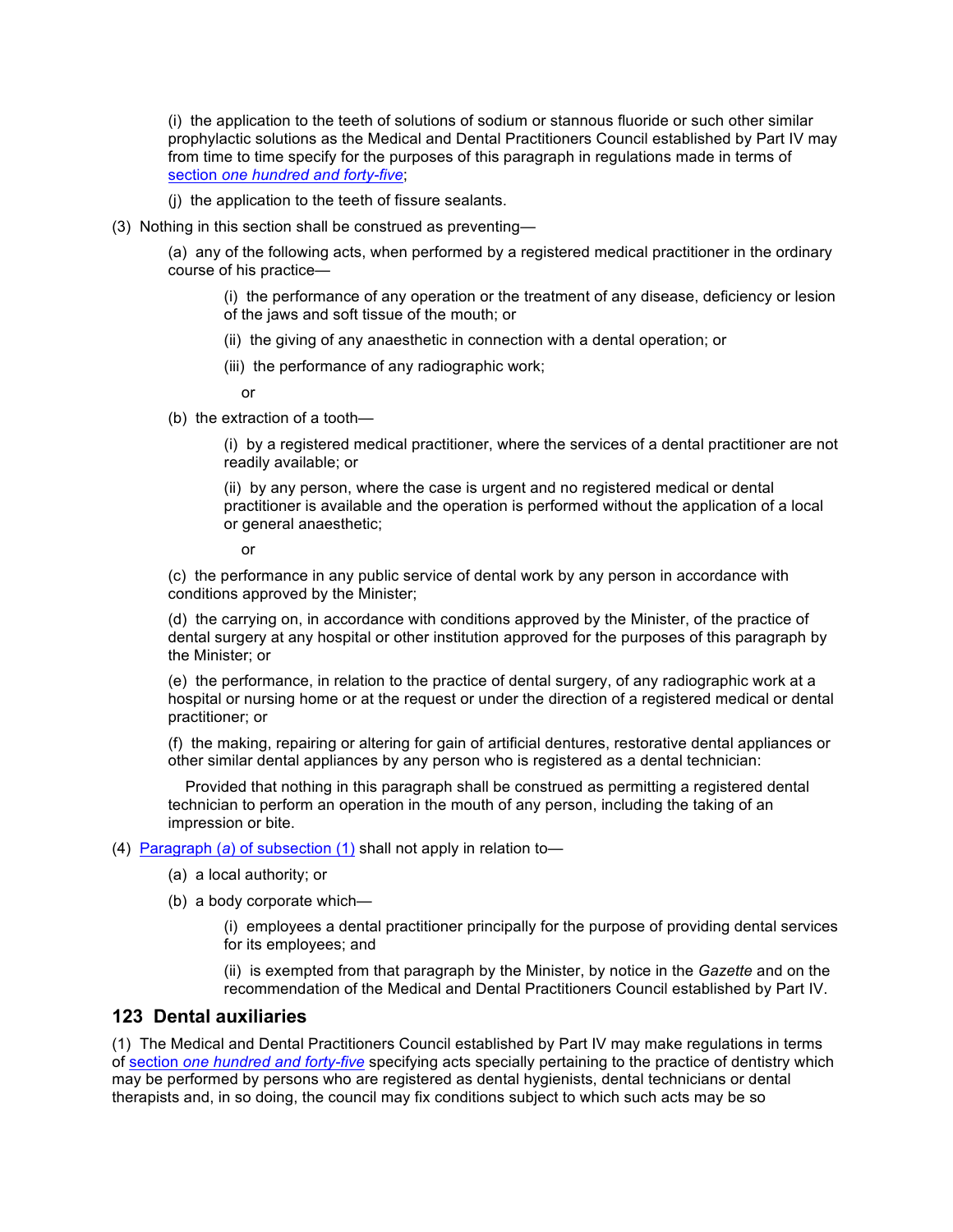(i) the application to the teeth of solutions of sodium or stannous fluoride or such other similar prophylactic solutions as the Medical and Dental Practitioners Council established by Part IV may from time to time specify for the purposes of this paragraph in regulations made in terms of section *one hundred and forty-five*;

(j) the application to the teeth of fissure sealants.

(3) Nothing in this section shall be construed as preventing—

(a) any of the following acts, when performed by a registered medical practitioner in the ordinary course of his practice—

(i) the performance of any operation or the treatment of any disease, deficiency or lesion of the jaws and soft tissue of the mouth; or

- (ii) the giving of any anaesthetic in connection with a dental operation; or
- (iii) the performance of any radiographic work;

or

(b) the extraction of a tooth—

(i) by a registered medical practitioner, where the services of a dental practitioner are not readily available; or

(ii) by any person, where the case is urgent and no registered medical or dental practitioner is available and the operation is performed without the application of a local or general anaesthetic;

or

(c) the performance in any public service of dental work by any person in accordance with conditions approved by the Minister;

(d) the carrying on, in accordance with conditions approved by the Minister, of the practice of dental surgery at any hospital or other institution approved for the purposes of this paragraph by the Minister; or

(e) the performance, in relation to the practice of dental surgery, of any radiographic work at a hospital or nursing home or at the request or under the direction of a registered medical or dental practitioner; or

(f) the making, repairing or altering for gain of artificial dentures, restorative dental appliances or other similar dental appliances by any person who is registered as a dental technician:

 Provided that nothing in this paragraph shall be construed as permitting a registered dental technician to perform an operation in the mouth of any person, including the taking of an impression or bite.

#### (4) Paragraph (*a*) of subsection (1) shall not apply in relation to—

- (a) a local authority; or
- (b) a body corporate which—

(i) employees a dental practitioner principally for the purpose of providing dental services for its employees; and

(ii) is exempted from that paragraph by the Minister, by notice in the *Gazette* and on the recommendation of the Medical and Dental Practitioners Council established by Part IV.

### **123 Dental auxiliaries**

(1) The Medical and Dental Practitioners Council established by Part IV may make regulations in terms of section *one hundred and forty-five* specifying acts specially pertaining to the practice of dentistry which may be performed by persons who are registered as dental hygienists, dental technicians or dental therapists and, in so doing, the council may fix conditions subject to which such acts may be so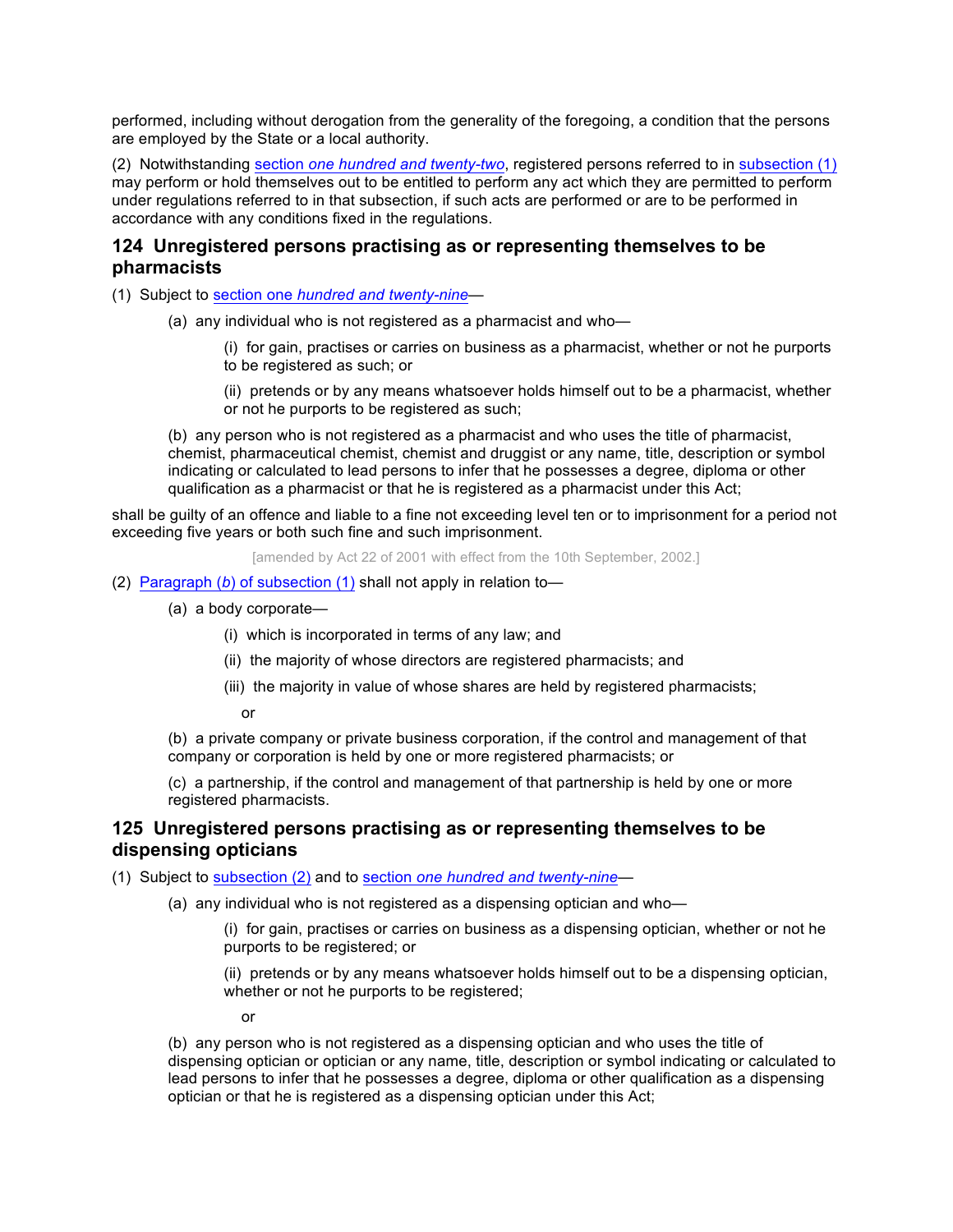performed, including without derogation from the generality of the foregoing, a condition that the persons are employed by the State or a local authority.

(2) Notwithstanding section *one hundred and twenty-two*, registered persons referred to in subsection (1) may perform or hold themselves out to be entitled to perform any act which they are permitted to perform under regulations referred to in that subsection, if such acts are performed or are to be performed in accordance with any conditions fixed in the regulations.

# **124 Unregistered persons practising as or representing themselves to be pharmacists**

(1) Subject to section one *hundred and twenty-nine*—

- (a) any individual who is not registered as a pharmacist and who—
	- (i) for gain, practises or carries on business as a pharmacist, whether or not he purports to be registered as such; or
	- (ii) pretends or by any means whatsoever holds himself out to be a pharmacist, whether or not he purports to be registered as such;

(b) any person who is not registered as a pharmacist and who uses the title of pharmacist, chemist, pharmaceutical chemist, chemist and druggist or any name, title, description or symbol indicating or calculated to lead persons to infer that he possesses a degree, diploma or other qualification as a pharmacist or that he is registered as a pharmacist under this Act;

shall be guilty of an offence and liable to a fine not exceeding level ten or to imprisonment for a period not exceeding five years or both such fine and such imprisonment.

[amended by Act 22 of 2001 with effect from the 10th September, 2002.]

#### (2) Paragraph (*b*) of subsection (1) shall not apply in relation to—

- (a) a body corporate—
	- (i) which is incorporated in terms of any law; and
	- (ii) the majority of whose directors are registered pharmacists; and
	- (iii) the majority in value of whose shares are held by registered pharmacists;

or

(b) a private company or private business corporation, if the control and management of that company or corporation is held by one or more registered pharmacists; or

(c) a partnership, if the control and management of that partnership is held by one or more registered pharmacists.

## **125 Unregistered persons practising as or representing themselves to be dispensing opticians**

(1) Subject to subsection (2) and to section *one hundred and twenty-nine—*

(a) any individual who is not registered as a dispensing optician and who—

(i) for gain, practises or carries on business as a dispensing optician, whether or not he purports to be registered; or

(ii) pretends or by any means whatsoever holds himself out to be a dispensing optician, whether or not he purports to be registered;

or

(b) any person who is not registered as a dispensing optician and who uses the title of dispensing optician or optician or any name, title, description or symbol indicating or calculated to lead persons to infer that he possesses a degree, diploma or other qualification as a dispensing optician or that he is registered as a dispensing optician under this Act;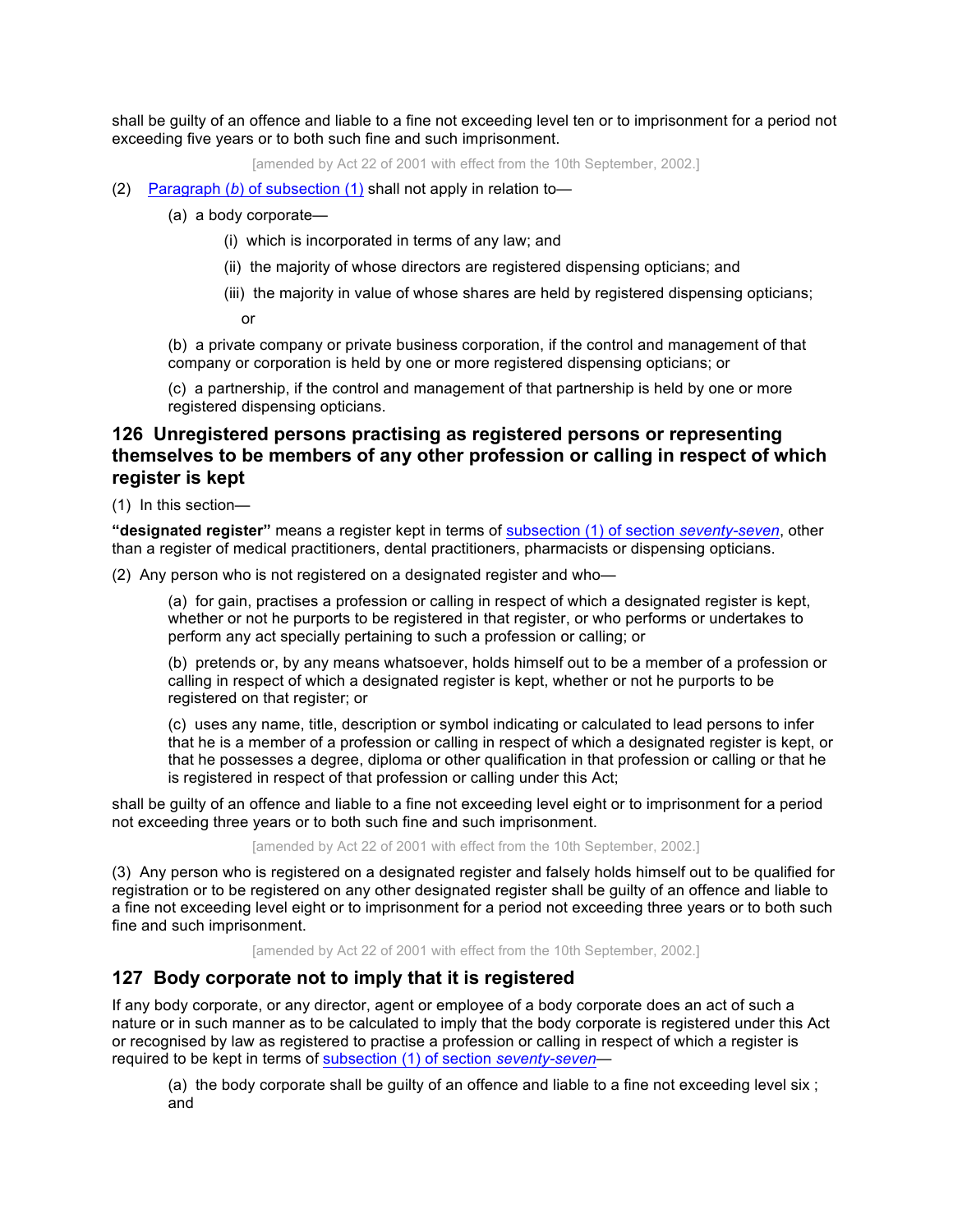shall be guilty of an offence and liable to a fine not exceeding level ten or to imprisonment for a period not exceeding five years or to both such fine and such imprisonment.

[amended by Act 22 of 2001 with effect from the 10th September, 2002.]

- (2) Paragraph (*b*) of subsection (1) shall not apply in relation to—
	- (a) a body corporate—
		- (i) which is incorporated in terms of any law; and
		- (ii) the majority of whose directors are registered dispensing opticians; and
		- (iii) the majority in value of whose shares are held by registered dispensing opticians;

or

(b) a private company or private business corporation, if the control and management of that company or corporation is held by one or more registered dispensing opticians; or

(c) a partnership, if the control and management of that partnership is held by one or more registered dispensing opticians.

# **126 Unregistered persons practising as registered persons or representing themselves to be members of any other profession or calling in respect of which register is kept**

(1) In this section—

**"designated register"** means a register kept in terms of subsection (1) of section *seventy-seven*, other than a register of medical practitioners, dental practitioners, pharmacists or dispensing opticians.

(2) Any person who is not registered on a designated register and who—

(a) for gain, practises a profession or calling in respect of which a designated register is kept, whether or not he purports to be registered in that register, or who performs or undertakes to perform any act specially pertaining to such a profession or calling; or

(b) pretends or, by any means whatsoever, holds himself out to be a member of a profession or calling in respect of which a designated register is kept, whether or not he purports to be registered on that register; or

(c) uses any name, title, description or symbol indicating or calculated to lead persons to infer that he is a member of a profession or calling in respect of which a designated register is kept, or that he possesses a degree, diploma or other qualification in that profession or calling or that he is registered in respect of that profession or calling under this Act;

shall be guilty of an offence and liable to a fine not exceeding level eight or to imprisonment for a period not exceeding three years or to both such fine and such imprisonment.

[amended by Act 22 of 2001 with effect from the 10th September, 2002.]

(3) Any person who is registered on a designated register and falsely holds himself out to be qualified for registration or to be registered on any other designated register shall be guilty of an offence and liable to a fine not exceeding level eight or to imprisonment for a period not exceeding three years or to both such fine and such imprisonment.

[amended by Act 22 of 2001 with effect from the 10th September, 2002.]

# **127 Body corporate not to imply that it is registered**

If any body corporate, or any director, agent or employee of a body corporate does an act of such a nature or in such manner as to be calculated to imply that the body corporate is registered under this Act or recognised by law as registered to practise a profession or calling in respect of which a register is required to be kept in terms of subsection (1) of section *seventy-seven*—

(a) the body corporate shall be guilty of an offence and liable to a fine not exceeding level six ; and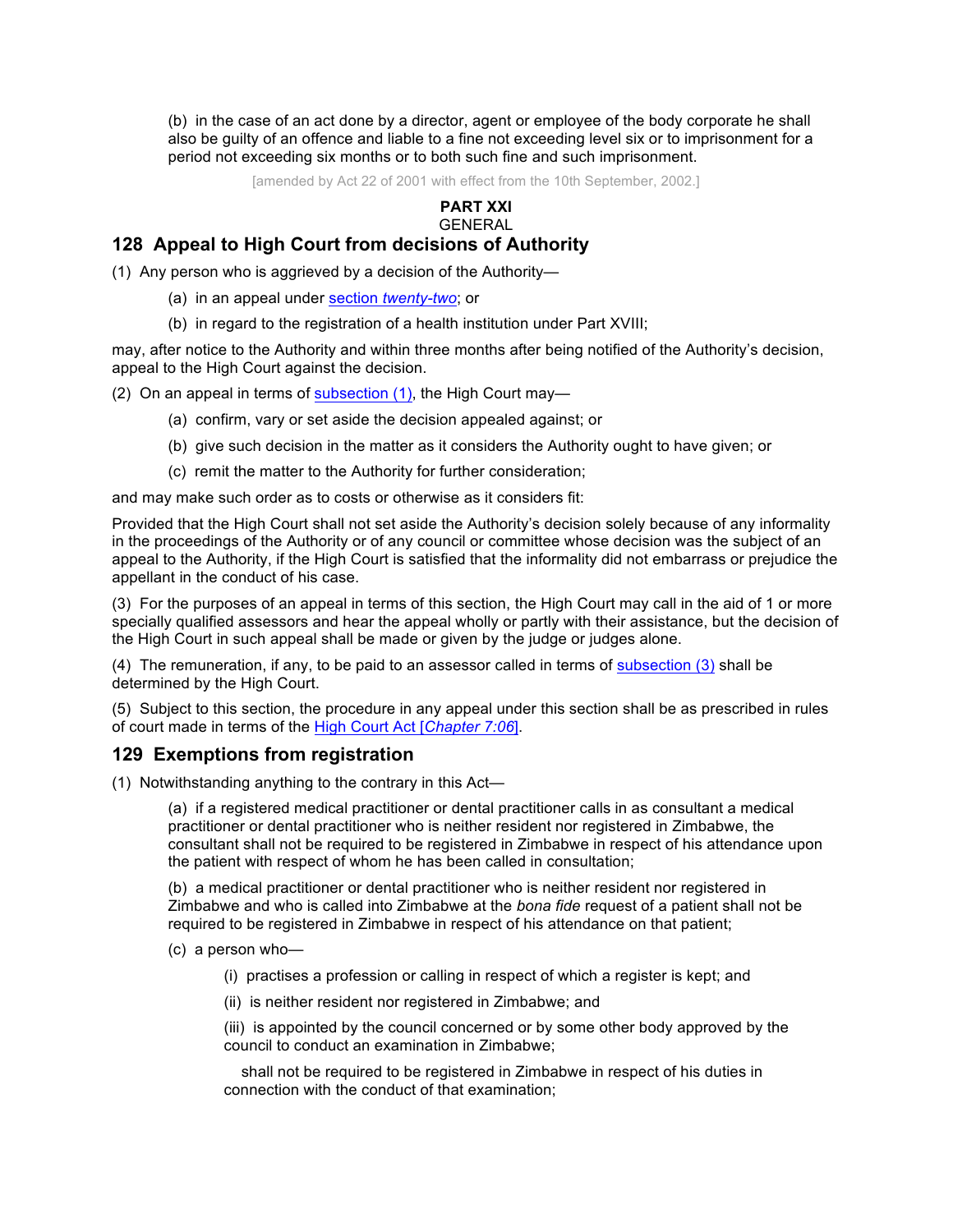(b) in the case of an act done by a director, agent or employee of the body corporate he shall also be guilty of an offence and liable to a fine not exceeding level six or to imprisonment for a period not exceeding six months or to both such fine and such imprisonment.

[amended by Act 22 of 2001 with effect from the 10th September, 2002.]

#### **PART XXI** GENERAL

# **128 Appeal to High Court from decisions of Authority**

(1) Any person who is aggrieved by a decision of the Authority—

- (a) in an appeal under section *twenty-two*; or
- (b) in regard to the registration of a health institution under Part XVIII;

may, after notice to the Authority and within three months after being notified of the Authority's decision, appeal to the High Court against the decision.

(2) On an appeal in terms of subsection  $(1)$ , the High Court may-

- (a) confirm, vary or set aside the decision appealed against; or
- (b) give such decision in the matter as it considers the Authority ought to have given; or
- (c) remit the matter to the Authority for further consideration;

and may make such order as to costs or otherwise as it considers fit:

Provided that the High Court shall not set aside the Authority's decision solely because of any informality in the proceedings of the Authority or of any council or committee whose decision was the subject of an appeal to the Authority, if the High Court is satisfied that the informality did not embarrass or prejudice the appellant in the conduct of his case.

(3) For the purposes of an appeal in terms of this section, the High Court may call in the aid of 1 or more specially qualified assessors and hear the appeal wholly or partly with their assistance, but the decision of the High Court in such appeal shall be made or given by the judge or judges alone.

(4) The remuneration, if any, to be paid to an assessor called in terms of subsection (3) shall be determined by the High Court.

(5) Subject to this section, the procedure in any appeal under this section shall be as prescribed in rules of court made in terms of the High Court Act [*Chapter 7:06*].

### **129 Exemptions from registration**

(1) Notwithstanding anything to the contrary in this Act—

(a) if a registered medical practitioner or dental practitioner calls in as consultant a medical practitioner or dental practitioner who is neither resident nor registered in Zimbabwe, the consultant shall not be required to be registered in Zimbabwe in respect of his attendance upon the patient with respect of whom he has been called in consultation;

(b) a medical practitioner or dental practitioner who is neither resident nor registered in Zimbabwe and who is called into Zimbabwe at the *bona fide* request of a patient shall not be required to be registered in Zimbabwe in respect of his attendance on that patient;

- (c) a person who—
	- (i) practises a profession or calling in respect of which a register is kept; and
	- (ii) is neither resident nor registered in Zimbabwe; and

(iii) is appointed by the council concerned or by some other body approved by the council to conduct an examination in Zimbabwe;

 shall not be required to be registered in Zimbabwe in respect of his duties in connection with the conduct of that examination;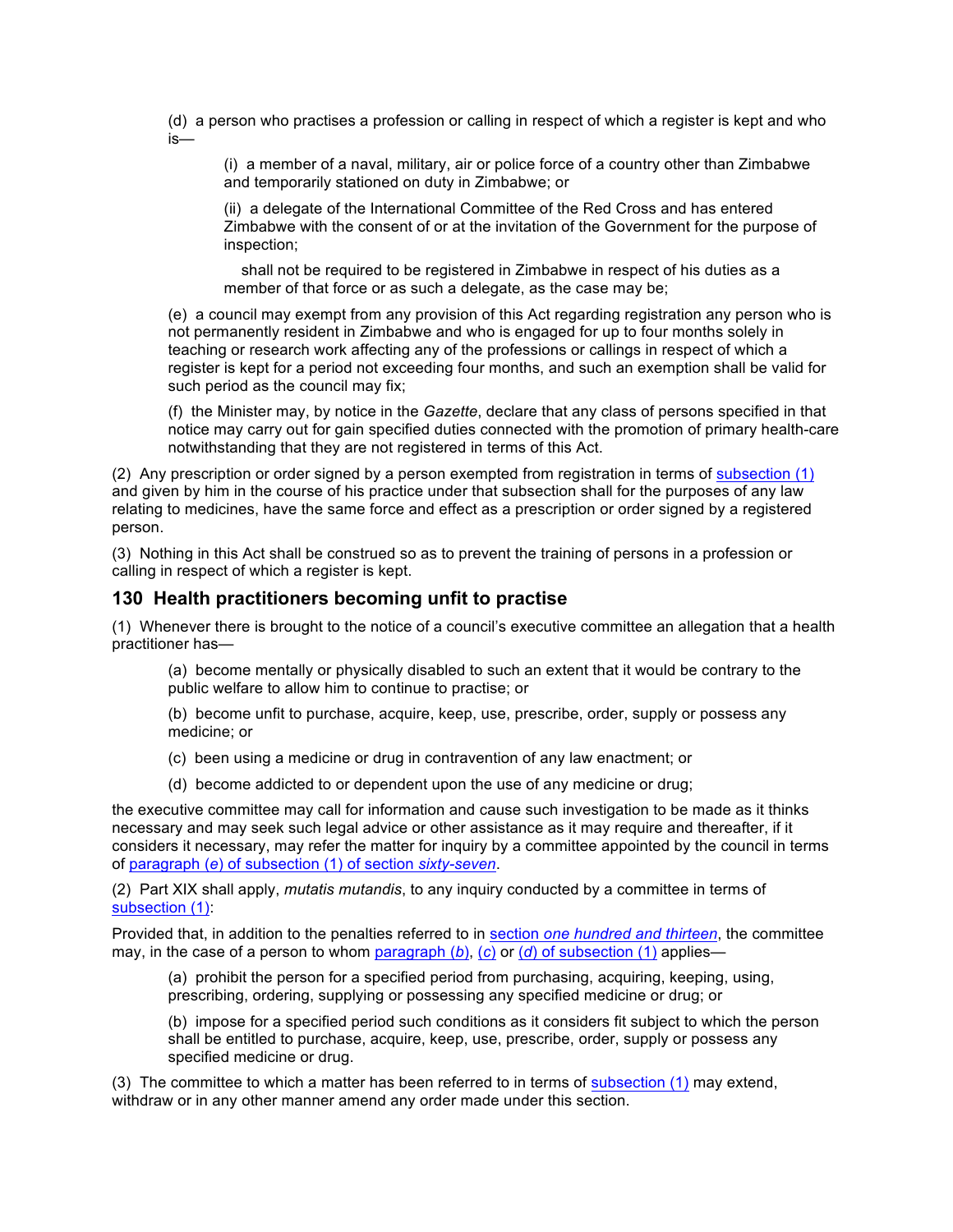(d) a person who practises a profession or calling in respect of which a register is kept and who is—

(i) a member of a naval, military, air or police force of a country other than Zimbabwe and temporarily stationed on duty in Zimbabwe; or

(ii) a delegate of the International Committee of the Red Cross and has entered Zimbabwe with the consent of or at the invitation of the Government for the purpose of inspection;

 shall not be required to be registered in Zimbabwe in respect of his duties as a member of that force or as such a delegate, as the case may be;

(e) a council may exempt from any provision of this Act regarding registration any person who is not permanently resident in Zimbabwe and who is engaged for up to four months solely in teaching or research work affecting any of the professions or callings in respect of which a register is kept for a period not exceeding four months, and such an exemption shall be valid for such period as the council may fix;

(f) the Minister may, by notice in the *Gazette*, declare that any class of persons specified in that notice may carry out for gain specified duties connected with the promotion of primary health-care notwithstanding that they are not registered in terms of this Act.

(2) Any prescription or order signed by a person exempted from registration in terms of subsection (1) and given by him in the course of his practice under that subsection shall for the purposes of any law relating to medicines, have the same force and effect as a prescription or order signed by a registered person.

(3) Nothing in this Act shall be construed so as to prevent the training of persons in a profession or calling in respect of which a register is kept.

# **130 Health practitioners becoming unfit to practise**

(1) Whenever there is brought to the notice of a council's executive committee an allegation that a health practitioner has—

(a) become mentally or physically disabled to such an extent that it would be contrary to the public welfare to allow him to continue to practise; or

(b) become unfit to purchase, acquire, keep, use, prescribe, order, supply or possess any medicine; or

(c) been using a medicine or drug in contravention of any law enactment; or

(d) become addicted to or dependent upon the use of any medicine or drug;

the executive committee may call for information and cause such investigation to be made as it thinks necessary and may seek such legal advice or other assistance as it may require and thereafter, if it considers it necessary, may refer the matter for inquiry by a committee appointed by the council in terms of paragraph (*e*) of subsection (1) of section *sixty-seven*.

(2) Part XIX shall apply, *mutatis mutandis*, to any inquiry conducted by a committee in terms of subsection (1):

Provided that, in addition to the penalties referred to in section *one hundred and thirteen*, the committee may, in the case of a person to whom paragraph (*b*), (*c*) or (*d*) of subsection (1) applies—

(a) prohibit the person for a specified period from purchasing, acquiring, keeping, using, prescribing, ordering, supplying or possessing any specified medicine or drug; or

(b) impose for a specified period such conditions as it considers fit subject to which the person shall be entitled to purchase, acquire, keep, use, prescribe, order, supply or possess any specified medicine or drug.

(3) The committee to which a matter has been referred to in terms of subsection (1) may extend, withdraw or in any other manner amend any order made under this section.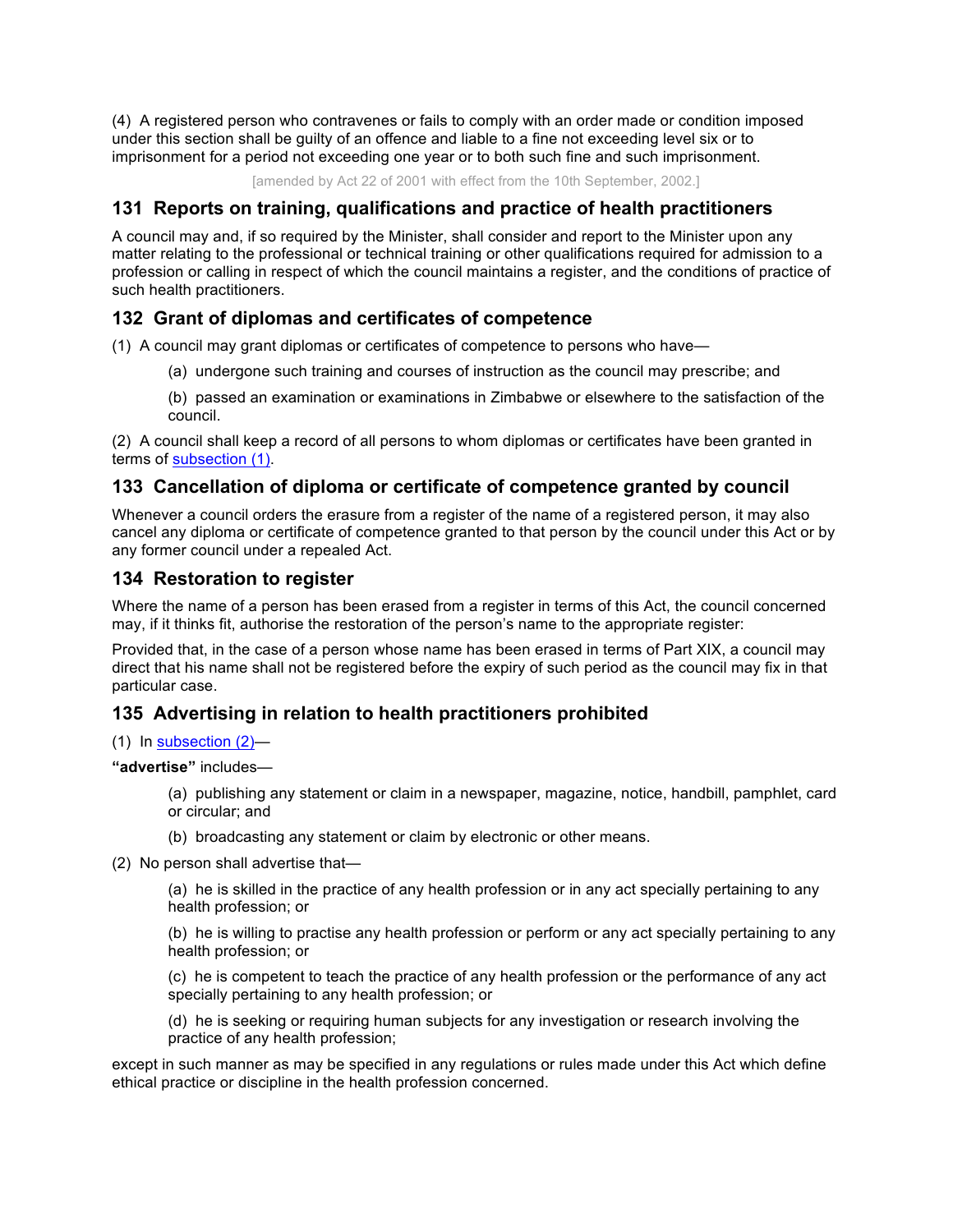(4) A registered person who contravenes or fails to comply with an order made or condition imposed under this section shall be guilty of an offence and liable to a fine not exceeding level six or to imprisonment for a period not exceeding one year or to both such fine and such imprisonment.

[amended by Act 22 of 2001 with effect from the 10th September, 2002.]

# **131 Reports on training, qualifications and practice of health practitioners**

A council may and, if so required by the Minister, shall consider and report to the Minister upon any matter relating to the professional or technical training or other qualifications required for admission to a profession or calling in respect of which the council maintains a register, and the conditions of practice of such health practitioners.

# **132 Grant of diplomas and certificates of competence**

(1) A council may grant diplomas or certificates of competence to persons who have—

- (a) undergone such training and courses of instruction as the council may prescribe; and
- (b) passed an examination or examinations in Zimbabwe or elsewhere to the satisfaction of the council.

(2) A council shall keep a record of all persons to whom diplomas or certificates have been granted in terms of subsection (1).

# **133 Cancellation of diploma or certificate of competence granted by council**

Whenever a council orders the erasure from a register of the name of a registered person, it may also cancel any diploma or certificate of competence granted to that person by the council under this Act or by any former council under a repealed Act.

# **134 Restoration to register**

Where the name of a person has been erased from a register in terms of this Act, the council concerned may, if it thinks fit, authorise the restoration of the person's name to the appropriate register:

Provided that, in the case of a person whose name has been erased in terms of Part XIX, a council may direct that his name shall not be registered before the expiry of such period as the council may fix in that particular case.

# **135 Advertising in relation to health practitioners prohibited**

#### (1) In subsection (2)—

**"advertise"** includes—

(a) publishing any statement or claim in a newspaper, magazine, notice, handbill, pamphlet, card or circular; and

- (b) broadcasting any statement or claim by electronic or other means.
- (2) No person shall advertise that—

(a) he is skilled in the practice of any health profession or in any act specially pertaining to any health profession; or

(b) he is willing to practise any health profession or perform or any act specially pertaining to any health profession; or

(c) he is competent to teach the practice of any health profession or the performance of any act specially pertaining to any health profession; or

(d) he is seeking or requiring human subjects for any investigation or research involving the practice of any health profession;

except in such manner as may be specified in any regulations or rules made under this Act which define ethical practice or discipline in the health profession concerned.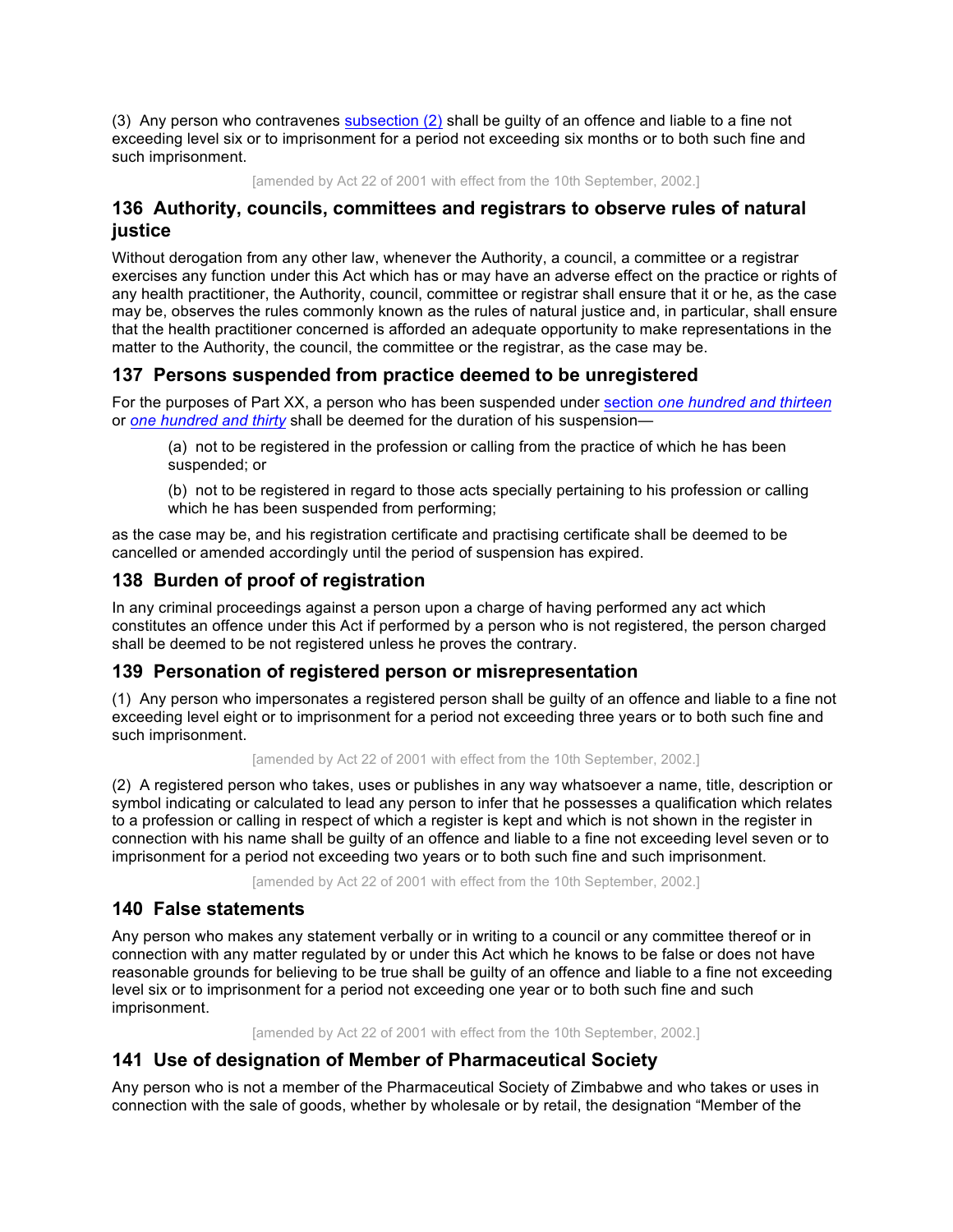(3) Any person who contravenes subsection (2) shall be guilty of an offence and liable to a fine not exceeding level six or to imprisonment for a period not exceeding six months or to both such fine and such imprisonment.

[amended by Act 22 of 2001 with effect from the 10th September, 2002.]

# **136 Authority, councils, committees and registrars to observe rules of natural justice**

Without derogation from any other law, whenever the Authority, a council, a committee or a registrar exercises any function under this Act which has or may have an adverse effect on the practice or rights of any health practitioner, the Authority, council, committee or registrar shall ensure that it or he, as the case may be, observes the rules commonly known as the rules of natural justice and, in particular, shall ensure that the health practitioner concerned is afforded an adequate opportunity to make representations in the matter to the Authority, the council, the committee or the registrar, as the case may be.

# **137 Persons suspended from practice deemed to be unregistered**

For the purposes of Part XX, a person who has been suspended under section *one hundred and thirteen* or *one hundred and thirty* shall be deemed for the duration of his suspension—

(a) not to be registered in the profession or calling from the practice of which he has been suspended; or

(b) not to be registered in regard to those acts specially pertaining to his profession or calling which he has been suspended from performing;

as the case may be, and his registration certificate and practising certificate shall be deemed to be cancelled or amended accordingly until the period of suspension has expired.

# **138 Burden of proof of registration**

In any criminal proceedings against a person upon a charge of having performed any act which constitutes an offence under this Act if performed by a person who is not registered, the person charged shall be deemed to be not registered unless he proves the contrary.

# **139 Personation of registered person or misrepresentation**

(1) Any person who impersonates a registered person shall be guilty of an offence and liable to a fine not exceeding level eight or to imprisonment for a period not exceeding three years or to both such fine and such imprisonment.

[amended by Act 22 of 2001 with effect from the 10th September, 2002.]

(2) A registered person who takes, uses or publishes in any way whatsoever a name, title, description or symbol indicating or calculated to lead any person to infer that he possesses a qualification which relates to a profession or calling in respect of which a register is kept and which is not shown in the register in connection with his name shall be guilty of an offence and liable to a fine not exceeding level seven or to imprisonment for a period not exceeding two years or to both such fine and such imprisonment.

[amended by Act 22 of 2001 with effect from the 10th September, 2002.]

# **140 False statements**

Any person who makes any statement verbally or in writing to a council or any committee thereof or in connection with any matter regulated by or under this Act which he knows to be false or does not have reasonable grounds for believing to be true shall be guilty of an offence and liable to a fine not exceeding level six or to imprisonment for a period not exceeding one year or to both such fine and such imprisonment.

[amended by Act 22 of 2001 with effect from the 10th September, 2002.]

# **141 Use of designation of Member of Pharmaceutical Society**

Any person who is not a member of the Pharmaceutical Society of Zimbabwe and who takes or uses in connection with the sale of goods, whether by wholesale or by retail, the designation "Member of the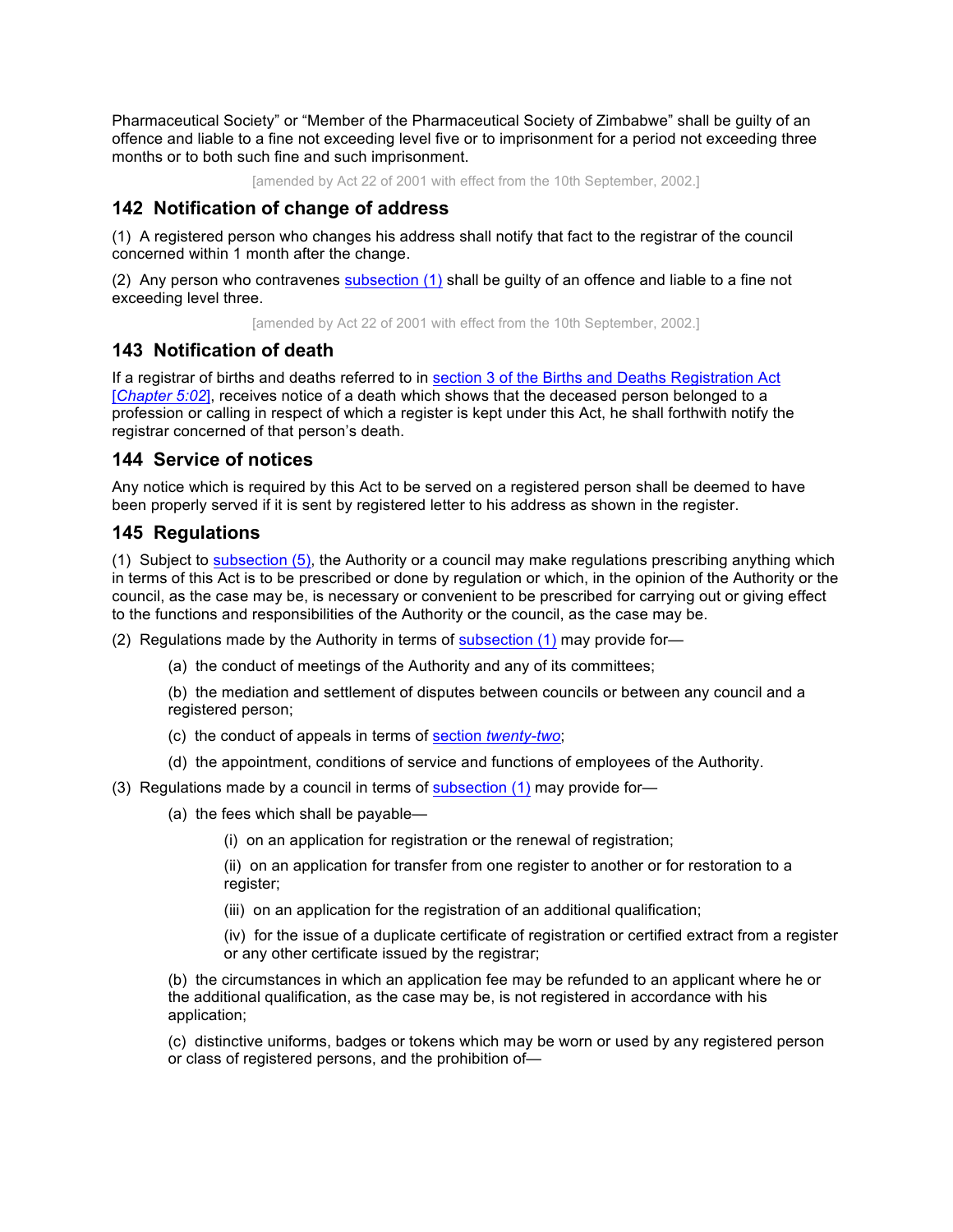Pharmaceutical Society" or "Member of the Pharmaceutical Society of Zimbabwe" shall be guilty of an offence and liable to a fine not exceeding level five or to imprisonment for a period not exceeding three months or to both such fine and such imprisonment.

[amended by Act 22 of 2001 with effect from the 10th September, 2002.]

# **142 Notification of change of address**

(1) A registered person who changes his address shall notify that fact to the registrar of the council concerned within 1 month after the change.

(2) Any person who contravenes  $subsection (1)$  shall be guilty of an offence and liable to a fine not exceeding level three.

[amended by Act 22 of 2001 with effect from the 10th September, 2002.]

# **143 Notification of death**

If a registrar of births and deaths referred to in section 3 of the Births and Deaths Registration Act [*Chapter 5:02*], receives notice of a death which shows that the deceased person belonged to a profession or calling in respect of which a register is kept under this Act, he shall forthwith notify the registrar concerned of that person's death.

# **144 Service of notices**

Any notice which is required by this Act to be served on a registered person shall be deemed to have been properly served if it is sent by registered letter to his address as shown in the register.

# **145 Regulations**

(1) Subject to subsection (5), the Authority or a council may make regulations prescribing anything which in terms of this Act is to be prescribed or done by regulation or which, in the opinion of the Authority or the council, as the case may be, is necessary or convenient to be prescribed for carrying out or giving effect to the functions and responsibilities of the Authority or the council, as the case may be.

(2) Regulations made by the Authority in terms of subsection  $(1)$  may provide for-

(a) the conduct of meetings of the Authority and any of its committees;

(b) the mediation and settlement of disputes between councils or between any council and a registered person;

- (c) the conduct of appeals in terms of section *twenty-two*;
- (d) the appointment, conditions of service and functions of employees of the Authority.
- (3) Regulations made by a council in terms of subsection (1) may provide for—
	- (a) the fees which shall be payable—
		- (i) on an application for registration or the renewal of registration;

(ii) on an application for transfer from one register to another or for restoration to a register;

(iii) on an application for the registration of an additional qualification;

(iv) for the issue of a duplicate certificate of registration or certified extract from a register or any other certificate issued by the registrar;

(b) the circumstances in which an application fee may be refunded to an applicant where he or the additional qualification, as the case may be, is not registered in accordance with his application;

(c) distinctive uniforms, badges or tokens which may be worn or used by any registered person or class of registered persons, and the prohibition of—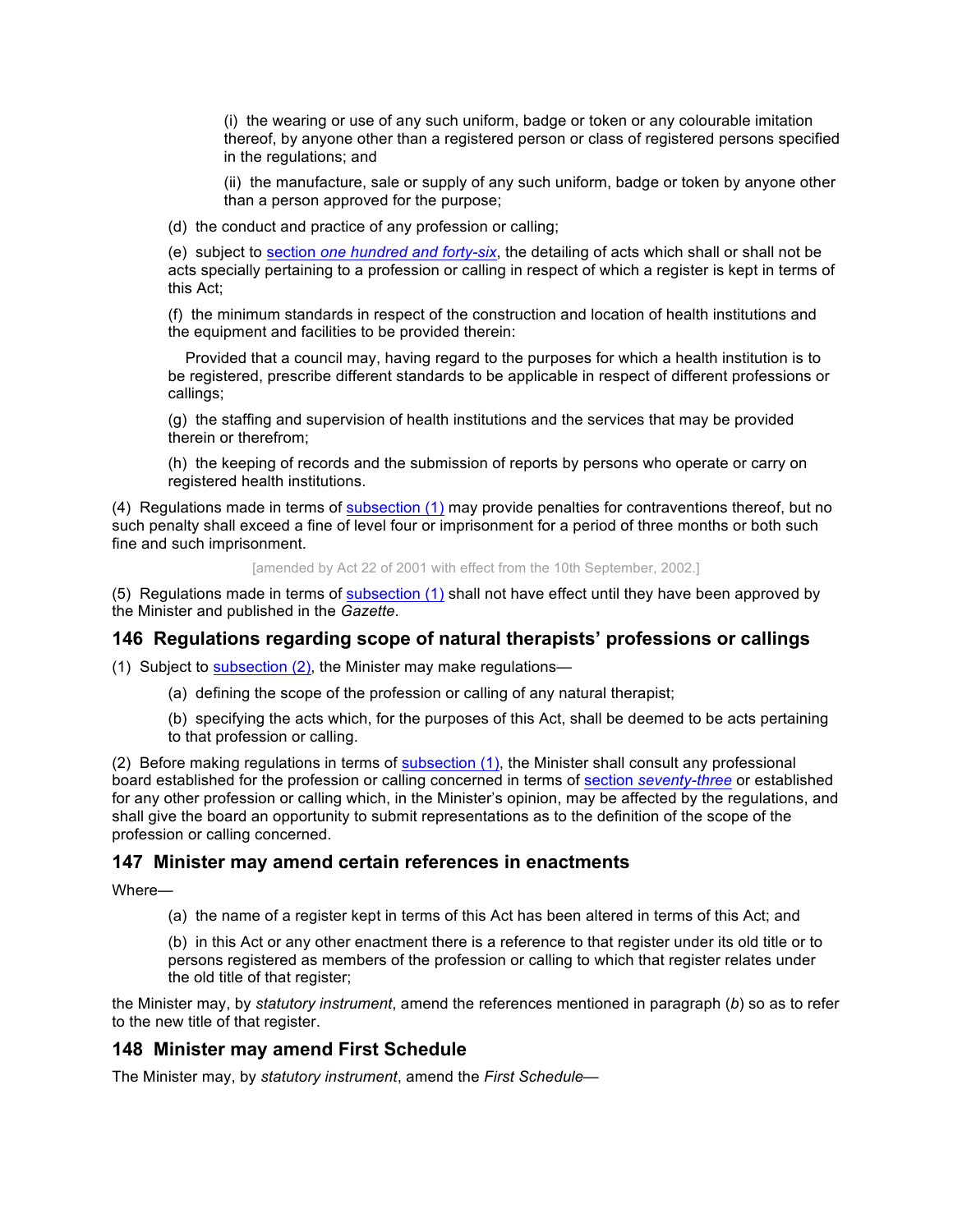(i) the wearing or use of any such uniform, badge or token or any colourable imitation thereof, by anyone other than a registered person or class of registered persons specified in the regulations; and

(ii) the manufacture, sale or supply of any such uniform, badge or token by anyone other than a person approved for the purpose;

(d) the conduct and practice of any profession or calling;

(e) subject to section *one hundred and forty-six*, the detailing of acts which shall or shall not be acts specially pertaining to a profession or calling in respect of which a register is kept in terms of this Act;

(f) the minimum standards in respect of the construction and location of health institutions and the equipment and facilities to be provided therein:

 Provided that a council may, having regard to the purposes for which a health institution is to be registered, prescribe different standards to be applicable in respect of different professions or callings;

(g) the staffing and supervision of health institutions and the services that may be provided therein or therefrom;

(h) the keeping of records and the submission of reports by persons who operate or carry on registered health institutions.

(4) Regulations made in terms of subsection (1) may provide penalties for contraventions thereof, but no such penalty shall exceed a fine of level four or imprisonment for a period of three months or both such fine and such imprisonment.

[amended by Act 22 of 2001 with effect from the 10th September, 2002.]

(5) Regulations made in terms of subsection (1) shall not have effect until they have been approved by the Minister and published in the *Gazette*.

### **146 Regulations regarding scope of natural therapists' professions or callings**

(1) Subject to subsection (2), the Minister may make regulations—

(a) defining the scope of the profession or calling of any natural therapist;

(b) specifying the acts which, for the purposes of this Act, shall be deemed to be acts pertaining to that profession or calling.

(2) Before making regulations in terms of subsection (1), the Minister shall consult any professional board established for the profession or calling concerned in terms of section *seventy-three* or established for any other profession or calling which, in the Minister's opinion, may be affected by the regulations, and shall give the board an opportunity to submit representations as to the definition of the scope of the profession or calling concerned.

### **147 Minister may amend certain references in enactments**

Where—

(a) the name of a register kept in terms of this Act has been altered in terms of this Act; and

(b) in this Act or any other enactment there is a reference to that register under its old title or to persons registered as members of the profession or calling to which that register relates under the old title of that register;

the Minister may, by *statutory instrument*, amend the references mentioned in paragraph (*b*) so as to refer to the new title of that register.

### **148 Minister may amend First Schedule**

The Minister may, by *statutory instrument*, amend the *First Schedule*—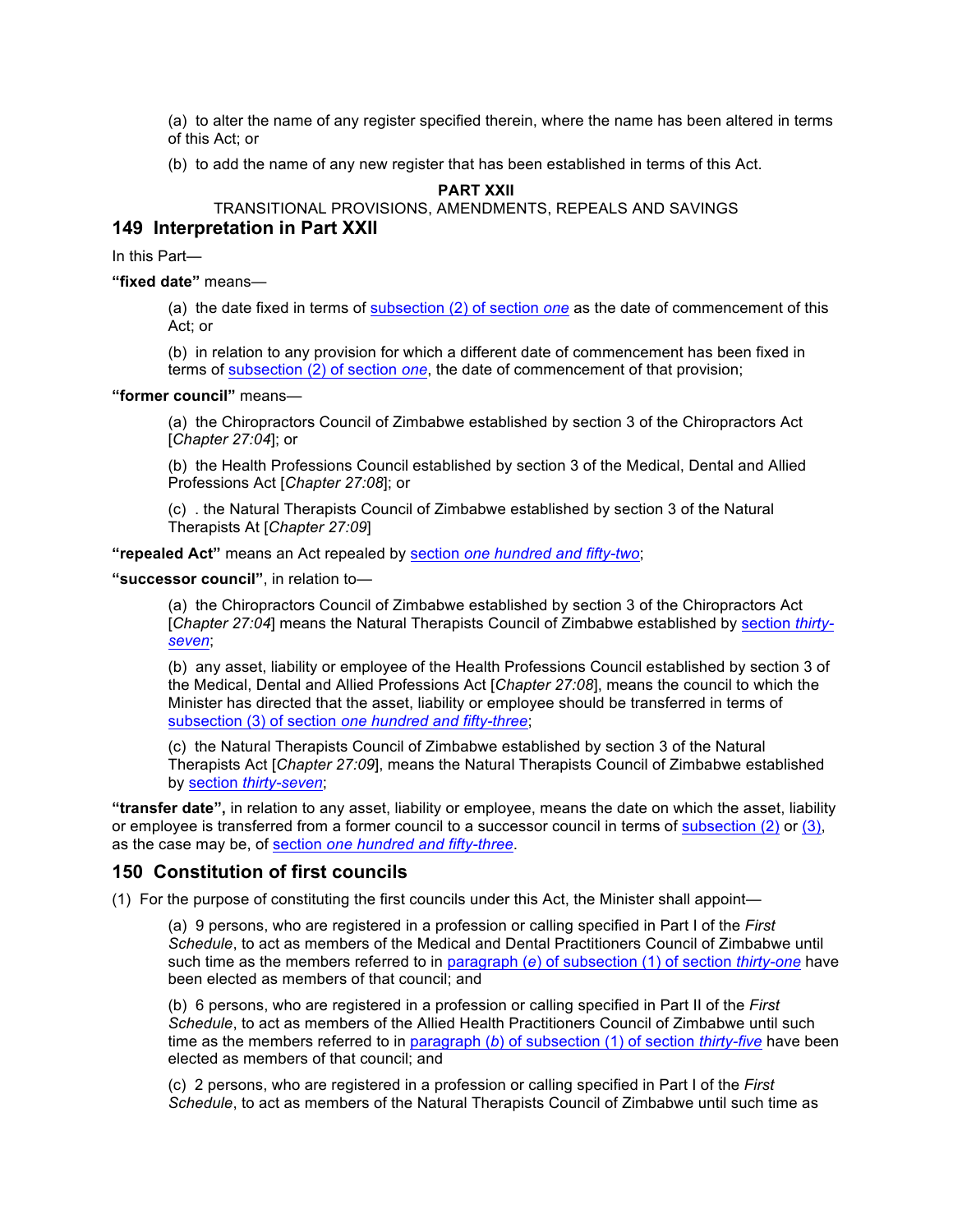(a) to alter the name of any register specified therein, where the name has been altered in terms of this Act; or

(b) to add the name of any new register that has been established in terms of this Act.

**PART XXII**

TRANSITIONAL PROVISIONS, AMENDMENTS, REPEALS AND SAVINGS

### **149 Interpretation in Part XXII**

In this Part—

**"fixed date"** means—

(a) the date fixed in terms of subsection (2) of section *one* as the date of commencement of this Act; or

(b) in relation to any provision for which a different date of commencement has been fixed in terms of subsection (2) of section *one*, the date of commencement of that provision;

#### **"former council"** means—

(a) the Chiropractors Council of Zimbabwe established by section 3 of the Chiropractors Act [*Chapter 27:04*]; or

(b) the Health Professions Council established by section 3 of the Medical, Dental and Allied Professions Act [*Chapter 27:08*]; or

(c) . the Natural Therapists Council of Zimbabwe established by section 3 of the Natural Therapists At [*Chapter 27:09*]

**"repealed Act"** means an Act repealed by section *one hundred and fifty-two*;

**"successor council"**, in relation to—

(a) the Chiropractors Council of Zimbabwe established by section 3 of the Chiropractors Act [*Chapter 27:04*] means the Natural Therapists Council of Zimbabwe established by section *thirtyseven*;

(b) any asset, liability or employee of the Health Professions Council established by section 3 of the Medical, Dental and Allied Professions Act [*Chapter 27:08*], means the council to which the Minister has directed that the asset, liability or employee should be transferred in terms of subsection (3) of section *one hundred and fifty-three*;

(c) the Natural Therapists Council of Zimbabwe established by section 3 of the Natural Therapists Act [*Chapter 27:09*], means the Natural Therapists Council of Zimbabwe established by section *thirty-seven*;

**"transfer date",** in relation to any asset, liability or employee, means the date on which the asset, liability or employee is transferred from a former council to a successor council in terms of subsection (2) or (3), as the case may be, of section *one hundred and fifty-three*.

#### **150 Constitution of first councils**

(1) For the purpose of constituting the first councils under this Act, the Minister shall appoint—

(a) 9 persons, who are registered in a profession or calling specified in Part I of the *First Schedule*, to act as members of the Medical and Dental Practitioners Council of Zimbabwe until such time as the members referred to in paragraph (*e*) of subsection (1) of section *thirty-one* have been elected as members of that council; and

(b) 6 persons, who are registered in a profession or calling specified in Part II of the *First Schedule*, to act as members of the Allied Health Practitioners Council of Zimbabwe until such time as the members referred to in paragraph (*b*) of subsection (1) of section *thirty-five* have been elected as members of that council; and

(c) 2 persons, who are registered in a profession or calling specified in Part I of the *First Schedule*, to act as members of the Natural Therapists Council of Zimbabwe until such time as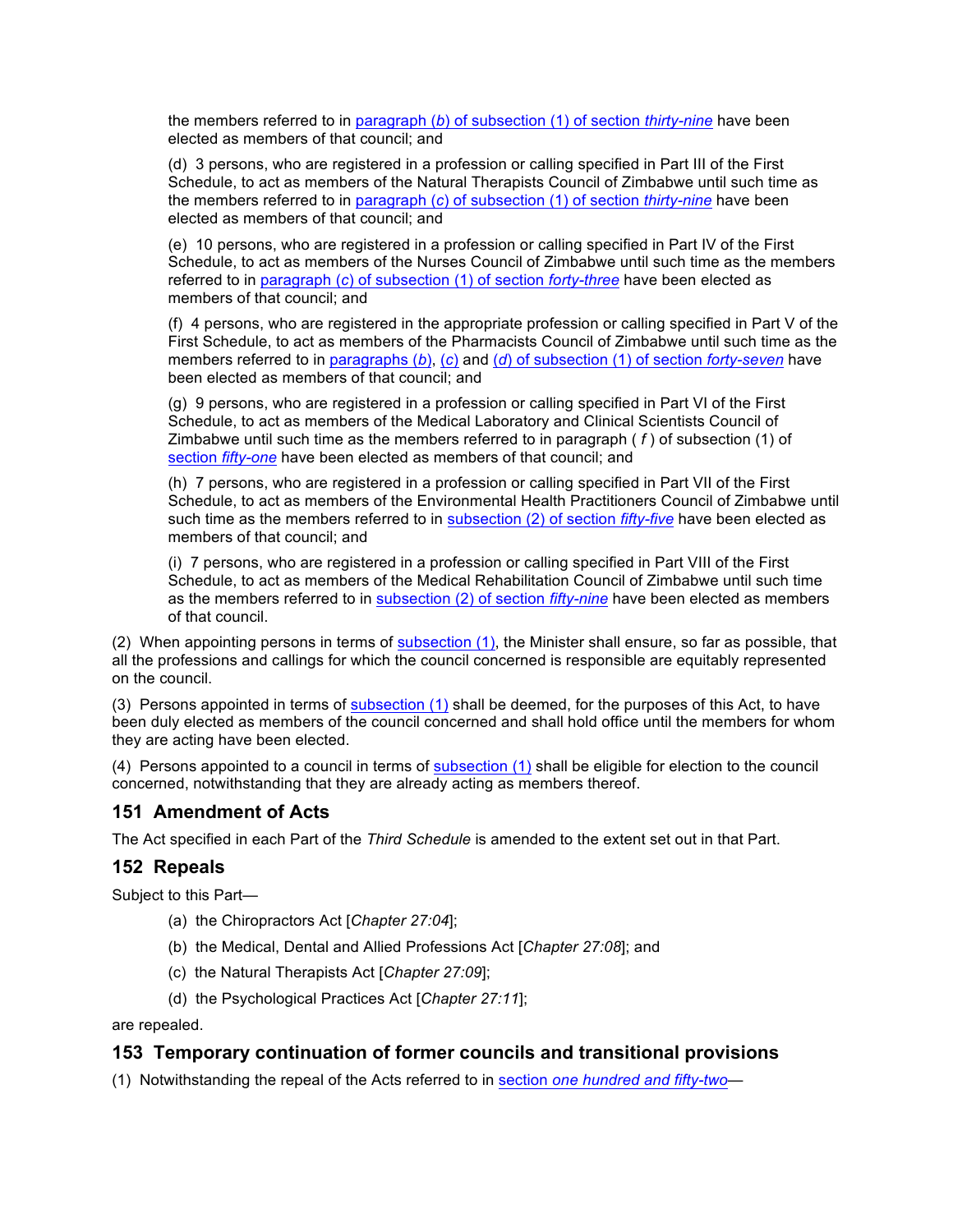the members referred to in paragraph (*b*) of subsection (1) of section *thirty-nine* have been elected as members of that council; and

(d) 3 persons, who are registered in a profession or calling specified in Part III of the First Schedule, to act as members of the Natural Therapists Council of Zimbabwe until such time as the members referred to in paragraph (*c*) of subsection (1) of section *thirty-nine* have been elected as members of that council; and

(e) 10 persons, who are registered in a profession or calling specified in Part IV of the First Schedule, to act as members of the Nurses Council of Zimbabwe until such time as the members referred to in paragraph (*c*) of subsection (1) of section *forty-three* have been elected as members of that council; and

(f) 4 persons, who are registered in the appropriate profession or calling specified in Part V of the First Schedule, to act as members of the Pharmacists Council of Zimbabwe until such time as the members referred to in paragraphs (*b*), (*c*) and (*d*) of subsection (1) of section *forty-seven* have been elected as members of that council; and

(g) 9 persons, who are registered in a profession or calling specified in Part VI of the First Schedule, to act as members of the Medical Laboratory and Clinical Scientists Council of Zimbabwe until such time as the members referred to in paragraph ( *f* ) of subsection (1) of section *fifty-one* have been elected as members of that council; and

(h) 7 persons, who are registered in a profession or calling specified in Part VII of the First Schedule, to act as members of the Environmental Health Practitioners Council of Zimbabwe until such time as the members referred to in subsection (2) of section *fifty-five* have been elected as members of that council; and

(i) 7 persons, who are registered in a profession or calling specified in Part VIII of the First Schedule, to act as members of the Medical Rehabilitation Council of Zimbabwe until such time as the members referred to in subsection (2) of section *fifty-nine* have been elected as members of that council.

(2) When appointing persons in terms of subsection (1), the Minister shall ensure, so far as possible, that all the professions and callings for which the council concerned is responsible are equitably represented on the council.

(3) Persons appointed in terms of subsection (1) shall be deemed, for the purposes of this Act, to have been duly elected as members of the council concerned and shall hold office until the members for whom they are acting have been elected.

(4) Persons appointed to a council in terms of subsection (1) shall be eligible for election to the council concerned, notwithstanding that they are already acting as members thereof.

# **151 Amendment of Acts**

The Act specified in each Part of the *Third Schedule* is amended to the extent set out in that Part.

# **152 Repeals**

Subject to this Part—

- (a) the Chiropractors Act [*Chapter 27:04*];
- (b) the Medical, Dental and Allied Professions Act [*Chapter 27:08*]; and
- (c) the Natural Therapists Act [*Chapter 27:09*];
- (d) the Psychological Practices Act [*Chapter 27:11*];

are repealed.

# **153 Temporary continuation of former councils and transitional provisions**

(1) Notwithstanding the repeal of the Acts referred to in section *one hundred and fifty-two*—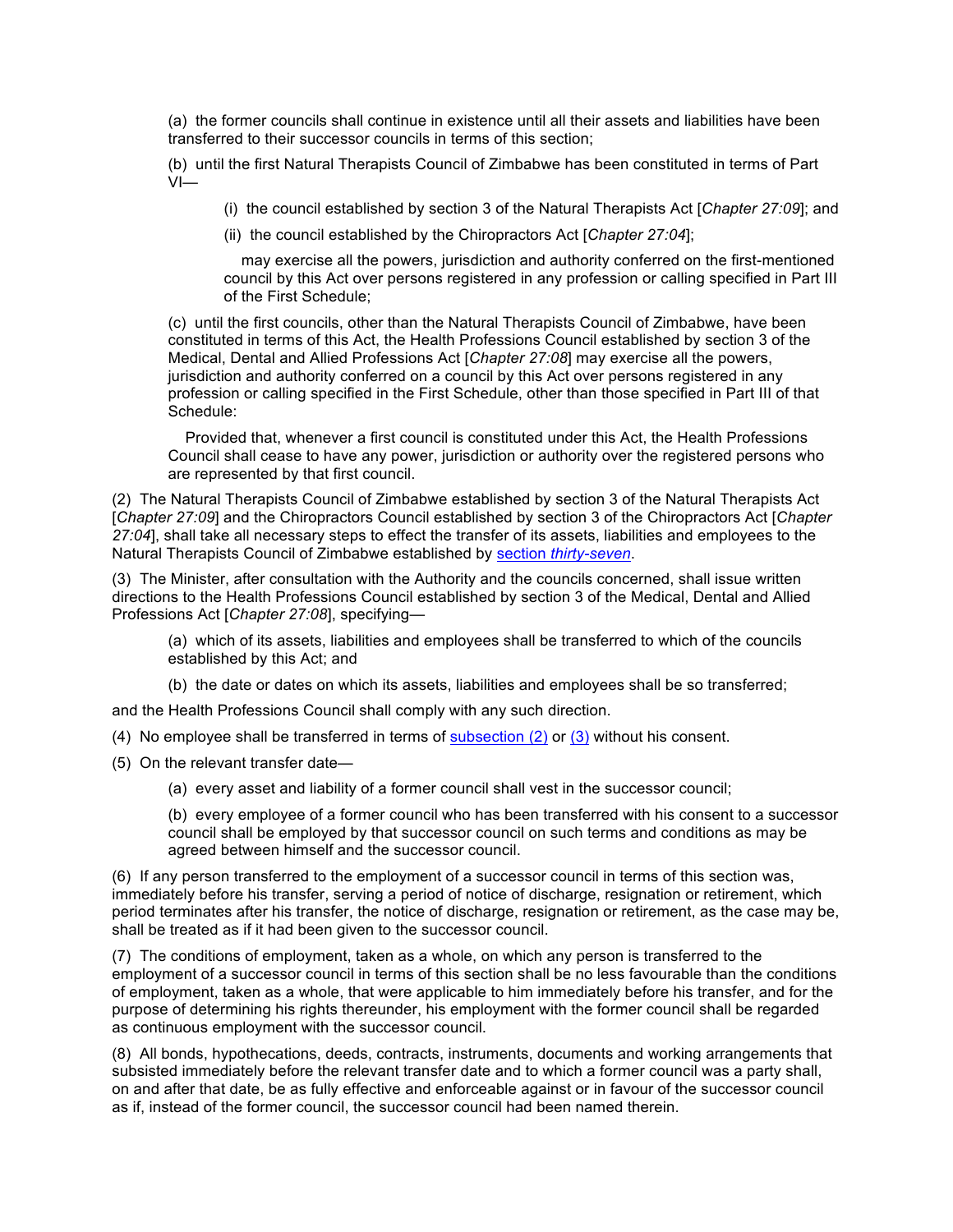(a) the former councils shall continue in existence until all their assets and liabilities have been transferred to their successor councils in terms of this section;

(b) until the first Natural Therapists Council of Zimbabwe has been constituted in terms of Part VI—

(i) the council established by section 3 of the Natural Therapists Act [*Chapter 27:09*]; and

(ii) the council established by the Chiropractors Act [*Chapter 27:04*];

 may exercise all the powers, jurisdiction and authority conferred on the first-mentioned council by this Act over persons registered in any profession or calling specified in Part III of the First Schedule;

(c) until the first councils, other than the Natural Therapists Council of Zimbabwe, have been constituted in terms of this Act, the Health Professions Council established by section 3 of the Medical, Dental and Allied Professions Act [*Chapter 27:08*] may exercise all the powers, jurisdiction and authority conferred on a council by this Act over persons registered in any profession or calling specified in the First Schedule, other than those specified in Part III of that Schedule:

 Provided that, whenever a first council is constituted under this Act, the Health Professions Council shall cease to have any power, jurisdiction or authority over the registered persons who are represented by that first council.

(2) The Natural Therapists Council of Zimbabwe established by section 3 of the Natural Therapists Act [*Chapter 27:09*] and the Chiropractors Council established by section 3 of the Chiropractors Act [*Chapter 27:04*], shall take all necessary steps to effect the transfer of its assets, liabilities and employees to the Natural Therapists Council of Zimbabwe established by section *thirty-seven*.

(3) The Minister, after consultation with the Authority and the councils concerned, shall issue written directions to the Health Professions Council established by section 3 of the Medical, Dental and Allied Professions Act [*Chapter 27:08*], specifying—

(a) which of its assets, liabilities and employees shall be transferred to which of the councils established by this Act; and

(b) the date or dates on which its assets, liabilities and employees shall be so transferred;

and the Health Professions Council shall comply with any such direction.

- (4) No employee shall be transferred in terms of  $subsection (2)$  or  $(3)$  without his consent.
- (5) On the relevant transfer date—
	- (a) every asset and liability of a former council shall vest in the successor council;
	- (b) every employee of a former council who has been transferred with his consent to a successor council shall be employed by that successor council on such terms and conditions as may be agreed between himself and the successor council.

(6) If any person transferred to the employment of a successor council in terms of this section was, immediately before his transfer, serving a period of notice of discharge, resignation or retirement, which period terminates after his transfer, the notice of discharge, resignation or retirement, as the case may be, shall be treated as if it had been given to the successor council.

(7) The conditions of employment, taken as a whole, on which any person is transferred to the employment of a successor council in terms of this section shall be no less favourable than the conditions of employment, taken as a whole, that were applicable to him immediately before his transfer, and for the purpose of determining his rights thereunder, his employment with the former council shall be regarded as continuous employment with the successor council.

(8) All bonds, hypothecations, deeds, contracts, instruments, documents and working arrangements that subsisted immediately before the relevant transfer date and to which a former council was a party shall, on and after that date, be as fully effective and enforceable against or in favour of the successor council as if, instead of the former council, the successor council had been named therein.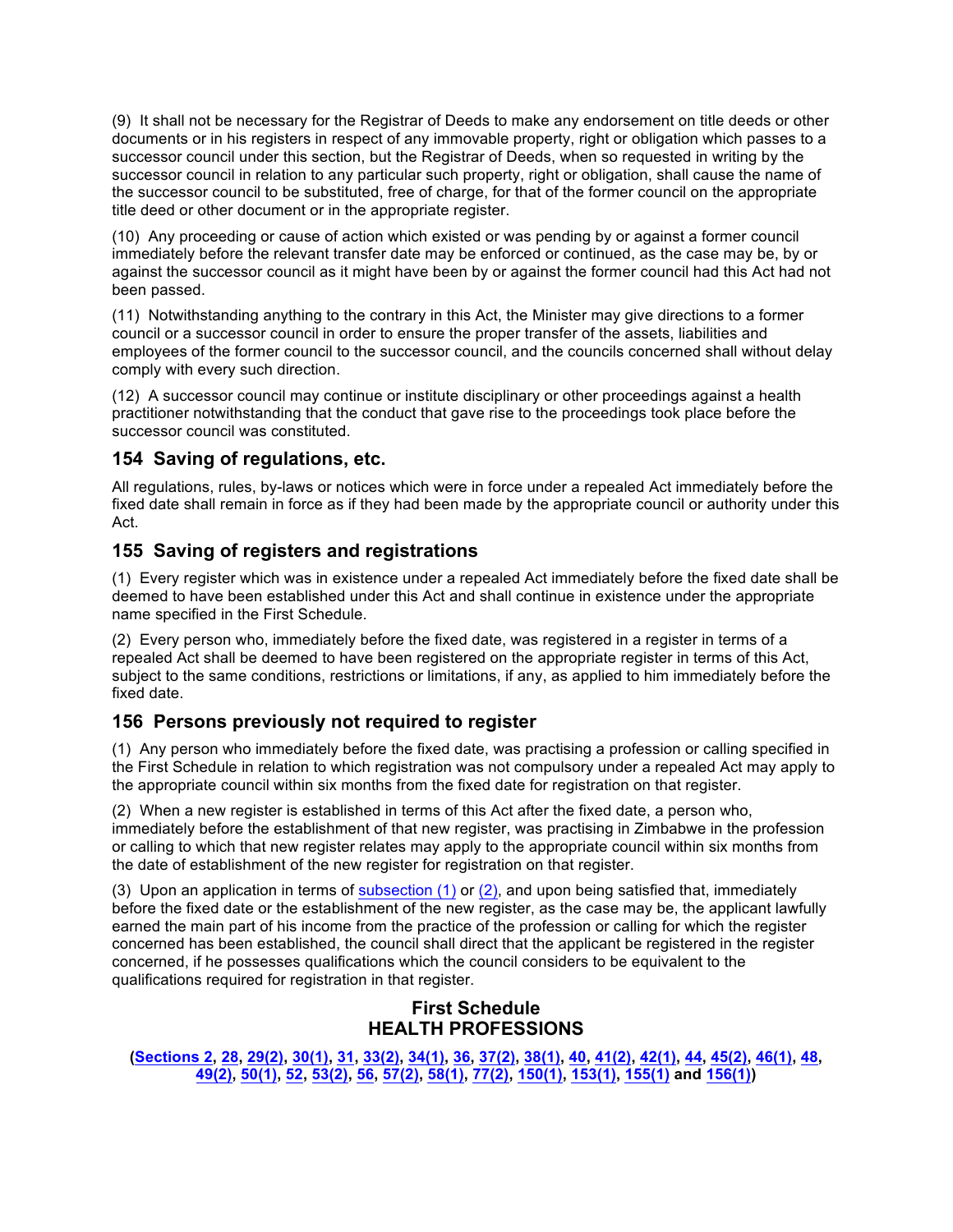(9) It shall not be necessary for the Registrar of Deeds to make any endorsement on title deeds or other documents or in his registers in respect of any immovable property, right or obligation which passes to a successor council under this section, but the Registrar of Deeds, when so requested in writing by the successor council in relation to any particular such property, right or obligation, shall cause the name of the successor council to be substituted, free of charge, for that of the former council on the appropriate title deed or other document or in the appropriate register.

(10) Any proceeding or cause of action which existed or was pending by or against a former council immediately before the relevant transfer date may be enforced or continued, as the case may be, by or against the successor council as it might have been by or against the former council had this Act had not been passed.

(11) Notwithstanding anything to the contrary in this Act, the Minister may give directions to a former council or a successor council in order to ensure the proper transfer of the assets, liabilities and employees of the former council to the successor council, and the councils concerned shall without delay comply with every such direction.

(12) A successor council may continue or institute disciplinary or other proceedings against a health practitioner notwithstanding that the conduct that gave rise to the proceedings took place before the successor council was constituted.

# **154 Saving of regulations, etc.**

All regulations, rules, by-laws or notices which were in force under a repealed Act immediately before the fixed date shall remain in force as if they had been made by the appropriate council or authority under this Act.

# **155 Saving of registers and registrations**

(1) Every register which was in existence under a repealed Act immediately before the fixed date shall be deemed to have been established under this Act and shall continue in existence under the appropriate name specified in the First Schedule.

(2) Every person who, immediately before the fixed date, was registered in a register in terms of a repealed Act shall be deemed to have been registered on the appropriate register in terms of this Act, subject to the same conditions, restrictions or limitations, if any, as applied to him immediately before the fixed date.

# **156 Persons previously not required to register**

(1) Any person who immediately before the fixed date, was practising a profession or calling specified in the First Schedule in relation to which registration was not compulsory under a repealed Act may apply to the appropriate council within six months from the fixed date for registration on that register.

(2) When a new register is established in terms of this Act after the fixed date, a person who, immediately before the establishment of that new register, was practising in Zimbabwe in the profession or calling to which that new register relates may apply to the appropriate council within six months from the date of establishment of the new register for registration on that register.

(3) Upon an application in terms of subsection  $(1)$  or  $(2)$ , and upon being satisfied that, immediately before the fixed date or the establishment of the new register, as the case may be, the applicant lawfully earned the main part of his income from the practice of the profession or calling for which the register concerned has been established, the council shall direct that the applicant be registered in the register concerned, if he possesses qualifications which the council considers to be equivalent to the qualifications required for registration in that register.

# **First Schedule HEALTH PROFESSIONS**

**(Sections 2, 28, 29(2), 30(1), 31, 33(2), 34(1), 36, 37(2), 38(1), 40, 41(2), 42(1), 44, 45(2), 46(1), 48, 49(2), 50(1), 52, 53(2), 56, 57(2), 58(1), 77(2), 150(1), 153(1), 155(1) and 156(1))**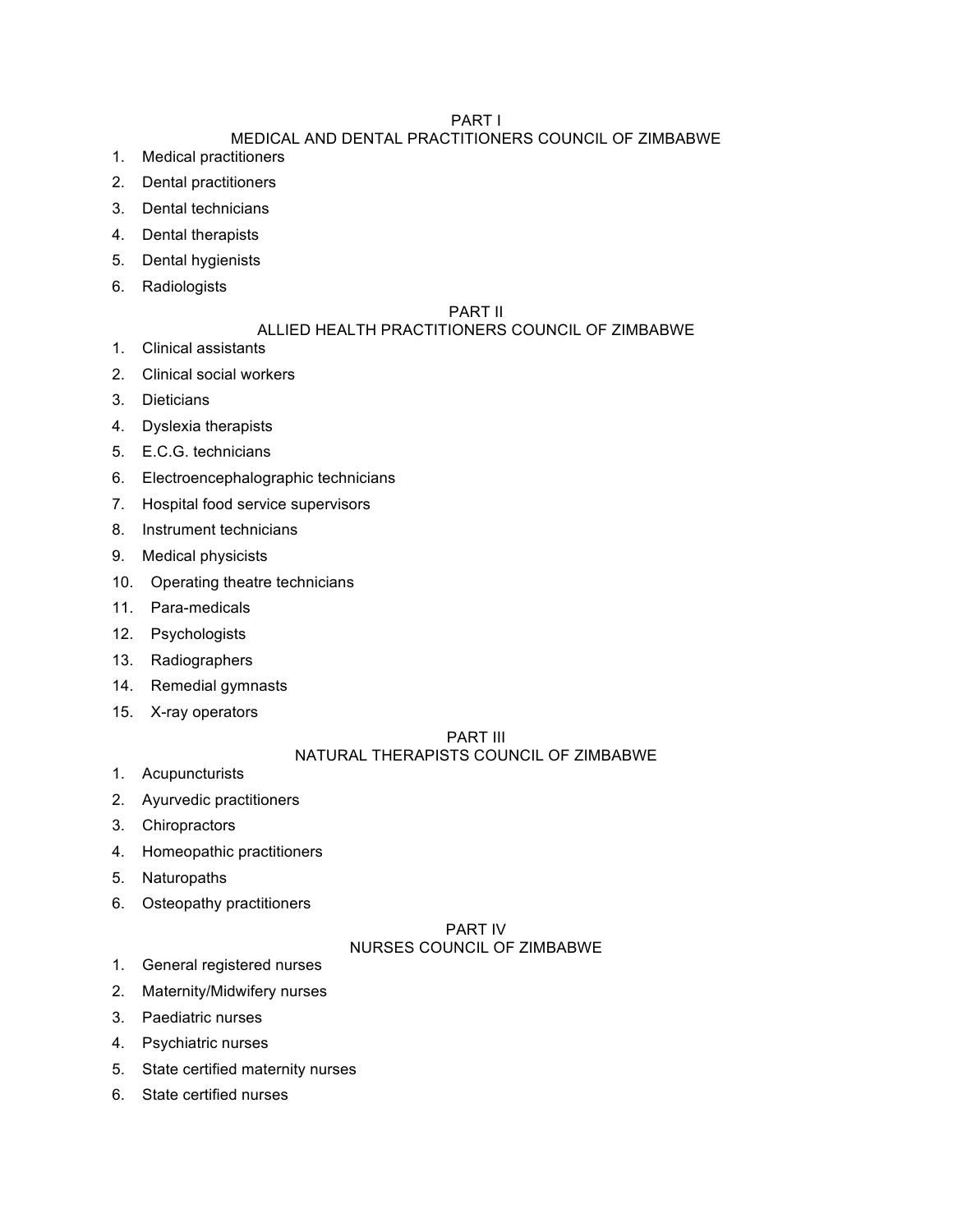# PART I

# MEDICAL AND DENTAL PRACTITIONERS COUNCIL OF ZIMBABWE

- 1. Medical practitioners
- 2. Dental practitioners
- 3. Dental technicians
- 4. Dental therapists
- 5. Dental hygienists
- 6. Radiologists

## PART II

## ALLIED HEALTH PRACTITIONERS COUNCIL OF ZIMBABWE

- 1. Clinical assistants
- 2. Clinical social workers
- 3. Dieticians
- 4. Dyslexia therapists
- 5. E.C.G. technicians
- 6. Electroencephalographic technicians
- 7. Hospital food service supervisors
- 8. Instrument technicians
- 9. Medical physicists
- 10. Operating theatre technicians
- 11. Para-medicals
- 12. Psychologists
- 13. Radiographers
- 14. Remedial gymnasts
- 15. X-ray operators

### PART III

# NATURAL THERAPISTS COUNCIL OF ZIMBABWE

- 1. Acupuncturists
- 2. Ayurvedic practitioners
- 3. Chiropractors
- 4. Homeopathic practitioners
- 5. Naturopaths
- 6. Osteopathy practitioners

### PART IV NURSES COUNCIL OF ZIMBABWE

- 1. General registered nurses
- 2. Maternity/Midwifery nurses
- 3. Paediatric nurses
- 4. Psychiatric nurses
- 5. State certified maternity nurses
- 6. State certified nurses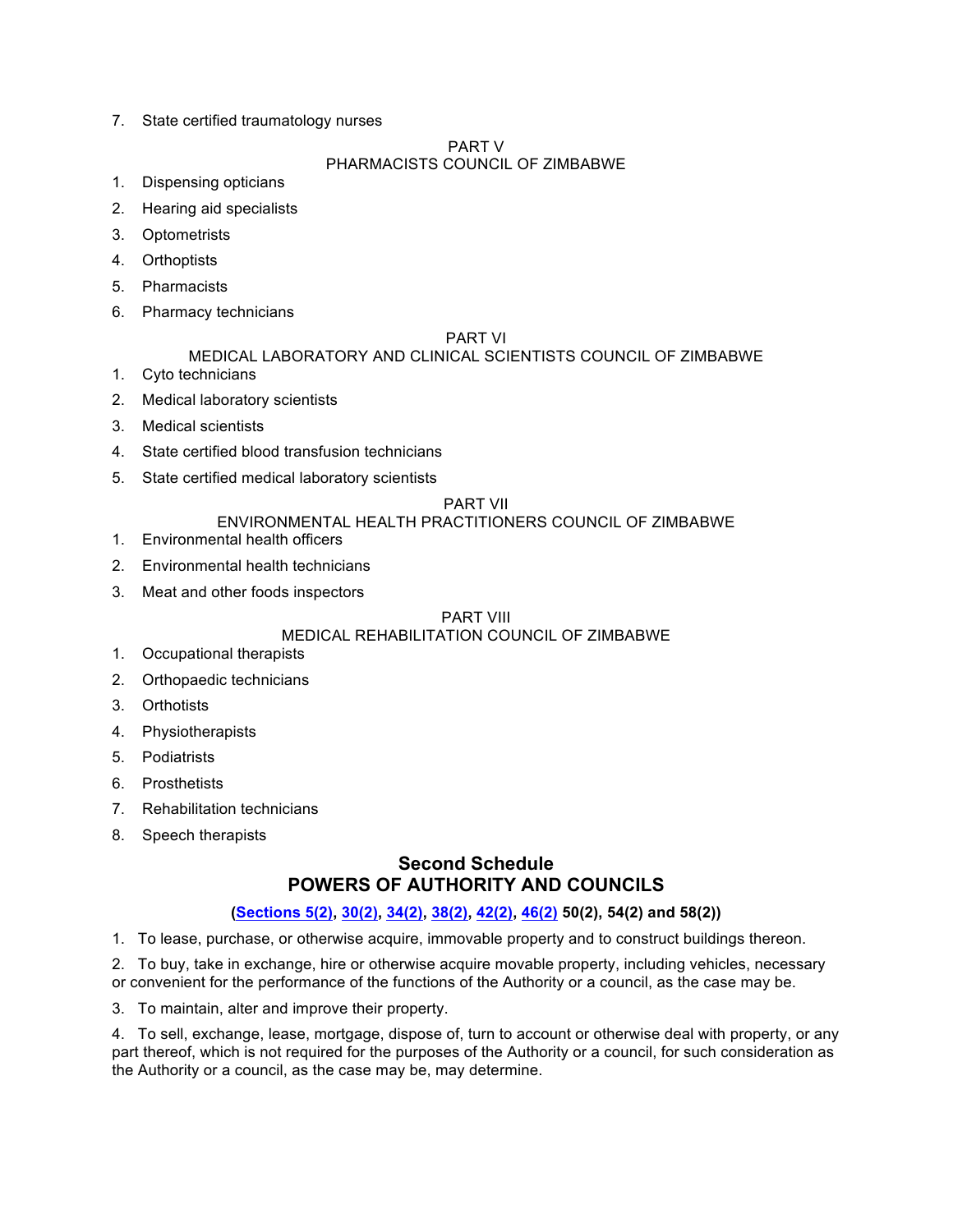7. State certified traumatology nurses

#### PART V

## PHARMACISTS COUNCIL OF ZIMBABWE

- 1. Dispensing opticians
- 2. Hearing aid specialists
- 3. Optometrists
- 4. Orthoptists
- 5. Pharmacists
- 6. Pharmacy technicians

#### PART VI

#### MEDICAL LABORATORY AND CLINICAL SCIENTISTS COUNCIL OF ZIMBABWE

- 1. Cyto technicians
- 2. Medical laboratory scientists
- 3. Medical scientists
- 4. State certified blood transfusion technicians
- 5. State certified medical laboratory scientists

#### PART VII

### ENVIRONMENTAL HEALTH PRACTITIONERS COUNCIL OF ZIMBABWE

- 1. Environmental health officers
- 2. Environmental health technicians
- 3. Meat and other foods inspectors

### PART VIII

### MEDICAL REHABILITATION COUNCIL OF ZIMBABWE

- 1. Occupational therapists
- 2. Orthopaedic technicians
- 3. Orthotists
- 4. Physiotherapists
- 5. Podiatrists
- 6. Prosthetists
- 7. Rehabilitation technicians
- 8. Speech therapists

# **Second Schedule POWERS OF AUTHORITY AND COUNCILS**

## **(Sections 5(2), 30(2), 34(2), 38(2), 42(2), 46(2) 50(2), 54(2) and 58(2))**

1. To lease, purchase, or otherwise acquire, immovable property and to construct buildings thereon.

2. To buy, take in exchange, hire or otherwise acquire movable property, including vehicles, necessary or convenient for the performance of the functions of the Authority or a council, as the case may be.

3. To maintain, alter and improve their property.

4. To sell, exchange, lease, mortgage, dispose of, turn to account or otherwise deal with property, or any part thereof, which is not required for the purposes of the Authority or a council, for such consideration as the Authority or a council, as the case may be, may determine.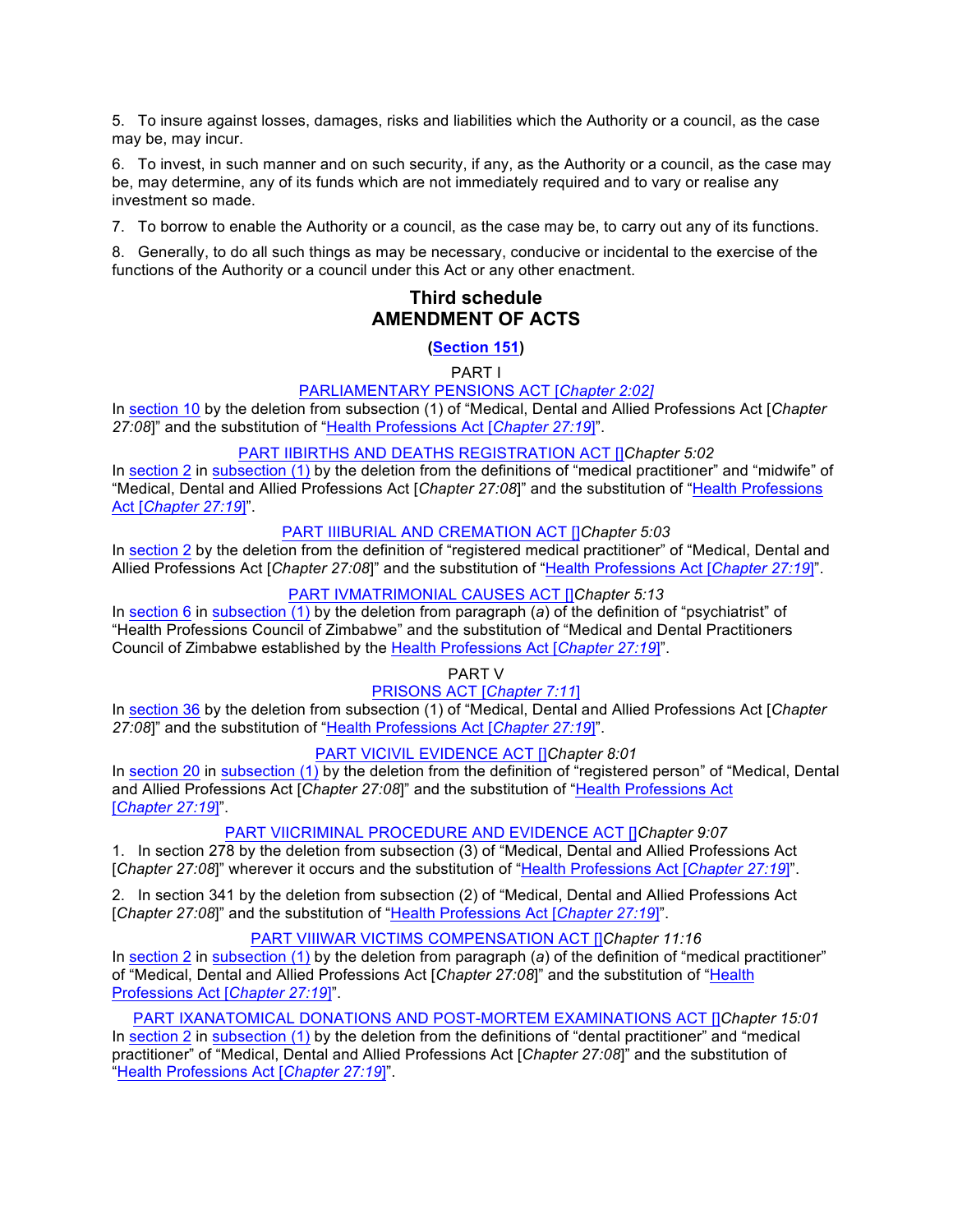5. To insure against losses, damages, risks and liabilities which the Authority or a council, as the case may be, may incur.

6. To invest, in such manner and on such security, if any, as the Authority or a council, as the case may be, may determine, any of its funds which are not immediately required and to vary or realise any investment so made.

7. To borrow to enable the Authority or a council, as the case may be, to carry out any of its functions.

8. Generally, to do all such things as may be necessary, conducive or incidental to the exercise of the functions of the Authority or a council under this Act or any other enactment.

# **Third schedule AMENDMENT OF ACTS**

### **(Section 151)**

PART I

#### PARLIAMENTARY PENSIONS ACT [*Chapter 2:02]*

In section 10 by the deletion from subsection (1) of "Medical, Dental and Allied Professions Act [*Chapter 27:08*]" and the substitution of "Health Professions Act [*Chapter 27:19*]".

#### PART IIBIRTHS AND DEATHS REGISTRATION ACT []*Chapter 5:02*

In section 2 in subsection (1) by the deletion from the definitions of "medical practitioner" and "midwife" of "Medical, Dental and Allied Professions Act [*Chapter 27:08*]" and the substitution of "Health Professions Act [*Chapter 27:19*]".

#### PART IIIBURIAL AND CREMATION ACT []*Chapter 5:03*

In section 2 by the deletion from the definition of "registered medical practitioner" of "Medical, Dental and Allied Professions Act [*Chapter 27:08*]" and the substitution of "Health Professions Act [*Chapter 27:19*]".

#### PART IVMATRIMONIAL CAUSES ACT []*Chapter 5:13*

In section 6 in subsection (1) by the deletion from paragraph (*a*) of the definition of "psychiatrist" of "Health Professions Council of Zimbabwe" and the substitution of "Medical and Dental Practitioners Council of Zimbabwe established by the Health Professions Act [*Chapter 27:19*]".

#### PART V

### PRISONS ACT [*Chapter 7:11*]

In section 36 by the deletion from subsection (1) of "Medical, Dental and Allied Professions Act [*Chapter 27:08*]" and the substitution of "Health Professions Act [*Chapter 27:19*]".

#### PART VICIVIL EVIDENCE ACT []*Chapter 8:01*

In section 20 in subsection (1) by the deletion from the definition of "registered person" of "Medical, Dental and Allied Professions Act [*Chapter 27:08*]" and the substitution of "Health Professions Act [*Chapter 27:19*]".

#### PART VIICRIMINAL PROCEDURE AND EVIDENCE ACT []*Chapter 9:07*

1. In section 278 by the deletion from subsection (3) of "Medical, Dental and Allied Professions Act [*Chapter 27:08*]" wherever it occurs and the substitution of "Health Professions Act [*Chapter 27:19*]".

2. In section 341 by the deletion from subsection (2) of "Medical, Dental and Allied Professions Act [*Chapter 27:08*]" and the substitution of "Health Professions Act [*Chapter 27:19*]".

#### PART VIIIWAR VICTIMS COMPENSATION ACT []*Chapter 11:16*

In section 2 in subsection (1) by the deletion from paragraph (*a*) of the definition of "medical practitioner" of "Medical, Dental and Allied Professions Act [*Chapter 27:08*]" and the substitution of "Health Professions Act [*Chapter 27:19*]".

PART IXANATOMICAL DONATIONS AND POST-MORTEM EXAMINATIONS ACT []*Chapter 15:01* In section 2 in subsection (1) by the deletion from the definitions of "dental practitioner" and "medical practitioner" of "Medical, Dental and Allied Professions Act [*Chapter 27:08*]" and the substitution of "Health Professions Act [*Chapter 27:19*]".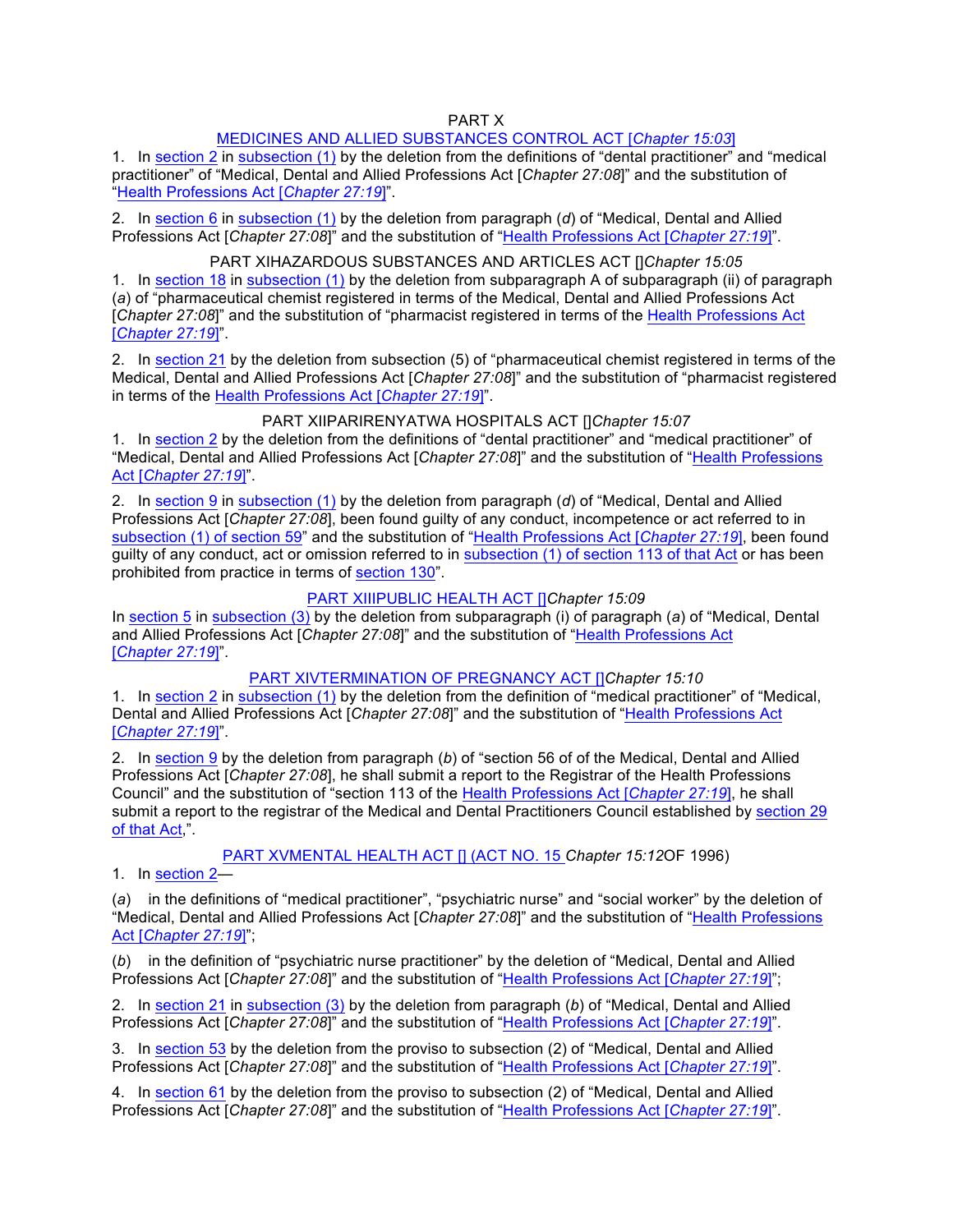#### PART X

#### MEDICINES AND ALLIED SUBSTANCES CONTROL ACT [*Chapter 15:03*]

1. In section 2 in subsection (1) by the deletion from the definitions of "dental practitioner" and "medical practitioner" of "Medical, Dental and Allied Professions Act [*Chapter 27:08*]" and the substitution of "Health Professions Act [*Chapter 27:19*]".

2. In section 6 in subsection (1) by the deletion from paragraph (*d*) of "Medical, Dental and Allied Professions Act [*Chapter 27:08*]" and the substitution of "Health Professions Act [*Chapter 27:19*]".

#### PART XIHAZARDOUS SUBSTANCES AND ARTICLES ACT []*Chapter 15:05*

1. In section 18 in subsection (1) by the deletion from subparagraph A of subparagraph (ii) of paragraph (*a*) of "pharmaceutical chemist registered in terms of the Medical, Dental and Allied Professions Act [*Chapter 27:08*]" and the substitution of "pharmacist registered in terms of the Health Professions Act [*Chapter 27:19*]".

2. In section 21 by the deletion from subsection (5) of "pharmaceutical chemist registered in terms of the Medical, Dental and Allied Professions Act [*Chapter 27:08*]" and the substitution of "pharmacist registered in terms of the Health Professions Act [*Chapter 27:19*]".

#### PART XIIPARIRENYATWA HOSPITALS ACT []*Chapter 15:07*

1. In section 2 by the deletion from the definitions of "dental practitioner" and "medical practitioner" of "Medical, Dental and Allied Professions Act [*Chapter 27:08*]" and the substitution of "Health Professions Act [*Chapter 27:19*]".

2. In section 9 in subsection (1) by the deletion from paragraph (*d*) of "Medical, Dental and Allied Professions Act [*Chapter 27:08*], been found guilty of any conduct, incompetence or act referred to in subsection (1) of section 59" and the substitution of "Health Professions Act [*Chapter 27:19*], been found guilty of any conduct, act or omission referred to in subsection (1) of section 113 of that Act or has been prohibited from practice in terms of section 130".

#### PART XIIIPUBLIC HEALTH ACT []*Chapter 15:09*

In section 5 in subsection (3) by the deletion from subparagraph (i) of paragraph (*a*) of "Medical, Dental and Allied Professions Act [*Chapter 27:08*]" and the substitution of "Health Professions Act [*Chapter 27:19*]".

#### PART XIVTERMINATION OF PREGNANCY ACT *IIChapter 15:10*

1. In section 2 in subsection (1) by the deletion from the definition of "medical practitioner" of "Medical, Dental and Allied Professions Act [*Chapter 27:08*]" and the substitution of "Health Professions Act [*Chapter 27:19*]".

2. In section 9 by the deletion from paragraph (*b*) of "section 56 of of the Medical, Dental and Allied Professions Act [*Chapter 27:08*], he shall submit a report to the Registrar of the Health Professions Council" and the substitution of "section 113 of the Health Professions Act [*Chapter 27:19*], he shall submit a report to the registrar of the Medical and Dental Practitioners Council established by section 29 of that Act,".

PART XVMENTAL HEALTH ACT [] (ACT NO. 15 *Chapter 15:12*OF 1996)

1. In section 2—

(*a*) in the definitions of "medical practitioner", "psychiatric nurse" and "social worker" by the deletion of "Medical, Dental and Allied Professions Act [*Chapter 27:08*]" and the substitution of "Health Professions Act [*Chapter 27:19*]";

(*b*) in the definition of "psychiatric nurse practitioner" by the deletion of "Medical, Dental and Allied Professions Act [*Chapter 27:08*]" and the substitution of "Health Professions Act [*Chapter 27:19*]";

2. In section 21 in subsection (3) by the deletion from paragraph (*b*) of "Medical, Dental and Allied Professions Act [*Chapter 27:08*]" and the substitution of "Health Professions Act [*Chapter 27:19*]".

3. In section 53 by the deletion from the proviso to subsection (2) of "Medical, Dental and Allied Professions Act [*Chapter 27:08*]" and the substitution of "Health Professions Act [*Chapter 27:19*]".

4. In section 61 by the deletion from the proviso to subsection (2) of "Medical, Dental and Allied Professions Act [*Chapter 27:08*]" and the substitution of "Health Professions Act [*Chapter 27:19*]".